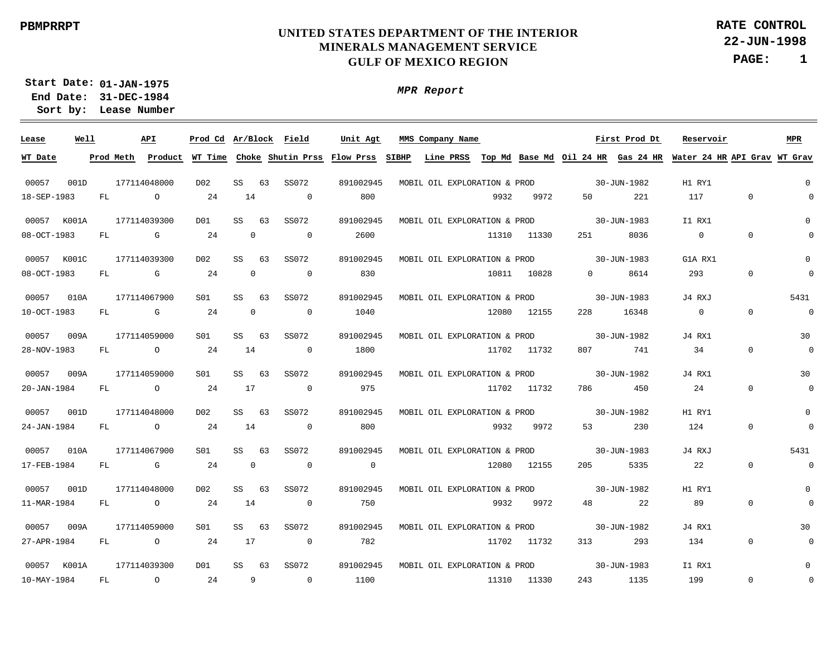*MPR Report*

**22-JUN-1998 RATE CONTROL**

**PAGE: 1**

**01-JAN-1975 Start Date: 31-DEC-1984 End Date: Lease Number Sort by:**

 00057 00057 K001A 00057 00057 00057 00057 00057 00057 00057 00057 00057 K001A **Lease** 001D  $K001C$  010A 009A 009A 001D 010A 001D 009A **Well** 177114048000 177114039300 177114039300 177114067900 177114059000 177114059000 177114048000 177114067900 177114048000 177114059000 177114039300 **API** SS SS SS SS SS SS SS SS SS SS SS **Ar/Block Field Prod Cd MMS Company Name** 63 63 63 63 63 63 63 63 63 63 63 SS072 SS072 SS072 SS072 SS072 SS072 SS072  $SS072$ SS072 SS072 SS072 891002945 891002945 891002945 891002945 891002945 891002945 891002945 891002945 891002945 891002945 891002945 **Unit Agt** 30-JUN-1982 30-JUN-1983 30-JUN-1983 30-JUN-1983 30-JUN-1982 30-JUN-1982 30-JUN-1982 30-JUN-1983 30-JUN-1982 30-JUN-1982 30-JUN-1983 **First Prod Dt** H1 RY1 I1 RX1 G1A RX1 J4 RXJ J4 RX1 J4 RX1 H1 RY1 J4 RXJ H1 RY1 J4 RX1 I1 RX1 **Reservoir** 0 0  $\Omega$ 5431 30 30  $\Omega$ 5431 0 30  $\Omega$ **MPR** 18-SEP-1983 08-OCT-1983 08-OCT-1983 10-OCT-1983 28-NOV-1983 20-JAN-1984 24-JAN-1984 17-FEB-1984 11-MAR-1984 27-APR-1984 10-MAY-1984 **WT Date** FL. FL. FL. FL. FL FL. FL. FL. FL FL FL. **Prod Meth**  $\Omega$  $G$  $\mathbf{G}$  $G$  $\cap$  $\Omega$  $\Omega$ G  $\Omega$ O  $\Omega$ **Product WT Time Choke Shutin Prss Flow Prss SIBHP Line PRSS**  $24$ 24  $24$ 24 24 24 24  $24$ 24 24 24 14  $\Omega$  $\Omega$  $\Omega$ 14 17 14  $\Omega$ 14 17 9  $\Omega$  $\Omega$  $\Omega$  $\Omega$  $\Omega$  $\Omega$  $\Omega$  $\Omega$  $\Omega$  $\Omega$  $\Omega$ 800 2600 830 1040 1800 975 800  $\Omega$ 750 782 1100 9932 11310 10811 12080 11702 11702 9932 12080 9932 11702 11310 **Top Md Base Md Oil 24 HR Gas 24 HR Water 24 HR API Grav WT Grav** 9972 11330 10828 12155 11732 11732 9972 12155 9972 11732 11330  $50$ 251  $\Omega$ 228 807 786 53 205 48 313 243 221 8036 8614 16348 741 450 230 5335 22 293 1135 117  $\Omega$ 293  $\Omega$ 34  $24$ 124  $22$ 89 134 199  $\Omega$  $\Omega$  $\Omega$  $\Omega$ 0  $\Omega$  $\Omega$  $\Omega$  $\Omega$  $\Omega$ 0  $\Omega$  $\Omega$  $\Omega$  $\Omega$  $\Omega$  $\Omega$  $\Omega$  $\Omega$  $\Omega$ 0  $\Omega$ MOBIL OIL EXPLORATION & PROD MOBIL OIL EXPLORATION & PROD MOBIL OIL EXPLORATION & PROD MOBIL OIL EXPLORATION & PROD MOBIL OIL EXPLORATION & PROD MOBIL OIL EXPLORATION & PROD MOBIL OIL EXPLORATION & PROD MOBIL OIL EXPLORATION & PROD MOBIL OIL EXPLORATION & PROD MOBIL OIL EXPLORATION & PROD MOBIL OIL EXPLORATION & PROD D02 D01 D02  $SO1$  $SO1$ S01 D02  $S<sub>01</sub>$ D02  $SO1$ D01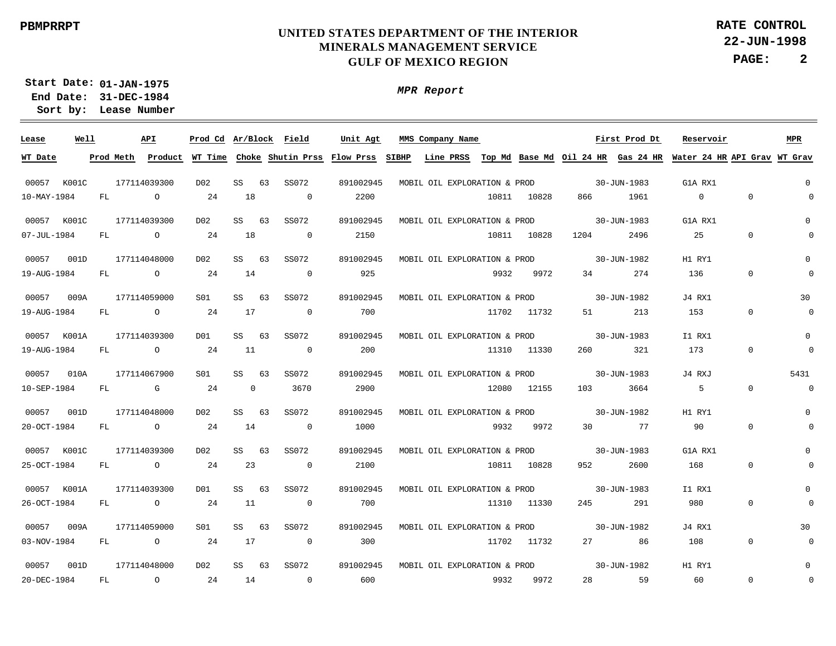*MPR Report*

**22-JUN-1998 RATE CONTROL**

**PAGE: 2**

**01-JAN-1975 Start Date: 31-DEC-1984 End Date: Lease Number Sort by:**

 00057 00057 K001C 00057 00057 00057 00057 00057 00057 K001C 00057 00057 00057 **Lease** K001C 001D 009A K001A 010A 001D K001A 009A 001D **Well** 177114039300 177114039300 177114048000 177114059000 177114039300 177114067900 177114048000 177114039300 177114039300 177114059000 177114048000 **API** SS SS SS **CC** SS SS SS SS SS SS SS **Ar/Block Field Prod Cd MMS Company Name** 63 63 63 63 63 63 63 63 63 63 63 SS072 SS072 SS072 SS072 SS072 SS072 SS072  $SS072$ SS072 SS072 SS072 891002945 891002945 891002945 891002945 891002945 891002945 891002945 891002945 891002945 891002945 891002945 **Unit Agt** 30-JUN-1983 30-JUN-1983 30-JUN-1982 30-JUN-1982 30-JUN-1983 30-JUN-1983 30-JUN-1982 30-JUN-1983 30-JUN-1983 30-JUN-1982 30-JUN-1982 **First Prod Dt** G1A RX1 G1A RX1 H1 RY1 J4 RX1 I1 RX1 J4 RXJ H1 RY1 G1A RX1 I1 RX1 J4 RX1 H1 RY1 **Reservoir** 0 0  $\Omega$ 30 0 5431 0  $\Omega$  $\Omega$ 30  $\Omega$ **MPR** 10-MAY-1984 07-JUL-1984 19-AUG-1984 19-AUG-1984 19-AUG-1984 10-SEP-1984 20-OCT-1984 25-OCT-1984 26-OCT-1984 03-NOV-1984 20-DEC-1984 **WT Date** FL. FL. FL. FL. FL FL. FL. FL. FL FL FL. **Prod Meth**  $\Omega$  $\Omega$  $\Omega$  $\Omega$  $\cap$  $\mathbf{G}$  $\Omega$  $\Omega$  $\Omega$ O  $\Omega$ **Product WT Time Choke Shutin Prss Flow Prss SIBHP Line PRSS**  $24$ 24  $24$ 24 24 24 24  $24$ 24 24 24 18 18 14 17 11  $\Omega$ 14  $23$ 11 17 14  $\Omega$  $\Omega$  $\Omega$  $\Omega$  $\Omega$ 3670  $\Omega$  $\Omega$  $\Omega$  $\Omega$  $\Omega$ 2200 2150 925 700 200 2900 1000 2100 700 300 600 10811 10811 9932 11702 11310 12080 9932 10811 10828 11310 11702 9932 **Top Md Base Md Oil 24 HR Gas 24 HR Water 24 HR API Grav WT Grav** 10828 10828 9972 11732 11330 12155 9972 11330 11732 9972 866 1204 34 51 260 103 30 952 245 27 28 1961 2496 274 213 321 3664 77 2600 291 86 59  $\Omega$ 25 136 153 173 5 90 168 980 108 60  $\Omega$  $\Omega$  $\Omega$  $\Omega$ 0  $\Omega$  $\Omega$  $\Omega$  $\Omega$  $\Omega$ 0  $\Omega$  $\Omega$  $\Omega$  $\Omega$  $\Omega$  $\Omega$  $\Omega$  $\Omega$  $\Omega$ 0  $\Omega$ MOBIL OIL EXPLORATION & PROD MOBIL OIL EXPLORATION & PROD MOBIL OIL EXPLORATION & PROD MOBIL OIL EXPLORATION & PROD MOBIL OIL EXPLORATION & PROD MOBIL OIL EXPLORATION & PROD MOBIL OIL EXPLORATION & PROD MOBIL OIL EXPLORATION & PROD MOBIL OIL EXPLORATION & PROD MOBIL OIL EXPLORATION & PROD MOBIL OIL EXPLORATION & PROD D02 D02 D02  $SO1$ D01 S01 D02 D<sub>02</sub> D01  $S<sub>01</sub>$ D02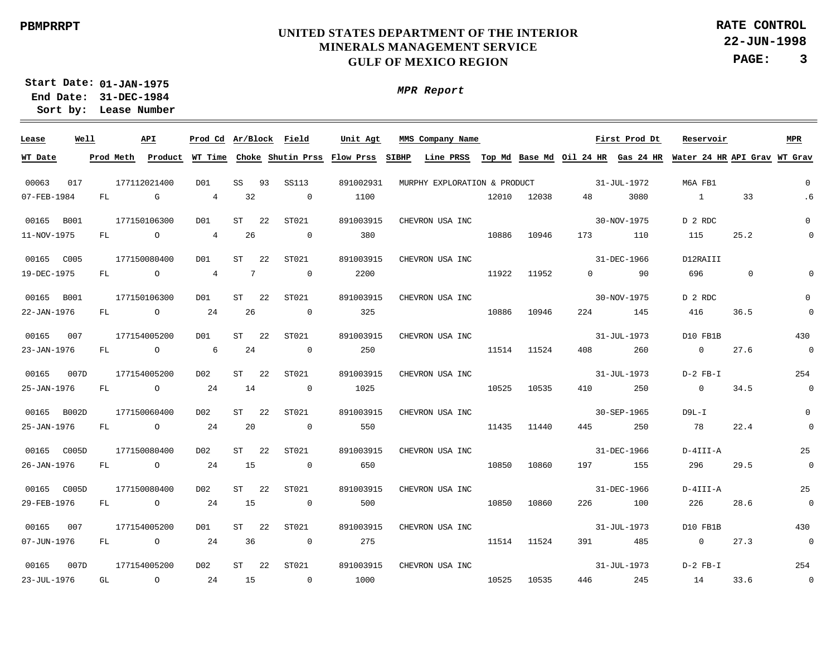**22-JUN-1998 PAGE: 3 RATE CONTROL**

**01-JAN-1975 Start Date: 31-DEC-1984 End Date: Lease Number Sort by:**

| Lease       | Well |           | API          | Prod Cd Ar/Block Field |                 |    |                         | Unit Agt                            |       | MMS Company Name             |       |       |          | First Prod Dt                      | Reservoir                |                              | MPR                        |
|-------------|------|-----------|--------------|------------------------|-----------------|----|-------------------------|-------------------------------------|-------|------------------------------|-------|-------|----------|------------------------------------|--------------------------|------------------------------|----------------------------|
| WT Date     |      | Prod Meth | Product      |                        |                 |    |                         | WT Time Choke Shutin Prss Flow Prss | SIBHP | Line PRSS                    |       |       |          | Top Md Base Md Oil 24 HR Gas 24 HR |                          | Water 24 HR API Grav WT Grav |                            |
|             |      |           |              |                        |                 |    |                         |                                     |       |                              |       |       |          |                                    |                          |                              |                            |
| 00063       | 017  |           | 177112021400 | DO1                    | SS              | 93 | <b>SS113</b>            | 891002931                           |       | MURPHY EXPLORATION & PRODUCT |       |       |          | 31-JUL-1972                        | M6A FB1                  |                              | $\mathbf 0$                |
| 07-FEB-1984 |      | FL        | G            | $\overline{4}$         | 32              |    | $\overline{0}$          | 1100                                |       |                              | 12010 | 12038 | 48       | 3080                               | $\overline{1}$           | 33                           | .6                         |
| 00165 B001  |      |           | 177150106300 | DO1                    | ST              | 22 | ST021                   | 891003915                           |       | CHEVRON USA INC              |       |       |          | 30-NOV-1975                        | D 2 RDC                  |                              | $\mathbf 0$                |
| 11-NOV-1975 |      | FL        | $\circ$      | $4\overline{ }$        | 26              |    | $\overline{0}$          | 380                                 |       |                              | 10886 | 10946 | 173      | 110                                | 115                      | 25.2                         | $\Omega$                   |
| 00165 C005  |      |           | 177150080400 | DO1                    | ST              | 22 | ST021                   | 891003915                           |       | CHEVRON USA INC              |       |       |          | 31-DEC-1966                        | D12RAIII                 |                              |                            |
| 19-DEC-1975 |      | FL        | $\circ$      | $\overline{4}$         | $7\phantom{.0}$ |    | $\overline{0}$          | 2200                                |       |                              | 11922 | 11952 | $\Omega$ | 90                                 | 696                      | $\mathbf{0}$                 | $\mathbf 0$                |
|             |      |           |              |                        |                 |    |                         |                                     |       |                              |       |       |          |                                    |                          |                              |                            |
| 00165 B001  |      |           | 177150106300 | DO1<br>24              | ST<br>26        | 22 | ST021<br>$\overline{0}$ | 891003915<br>325                    |       | CHEVRON USA INC              | 10886 |       |          | 30-NOV-1975                        | D 2 RDC<br>416           | 36.5                         | $\mathbf 0$<br>$\mathbf 0$ |
| 22-JAN-1976 |      | FL.       | $\circ$      |                        |                 |    |                         |                                     |       |                              |       | 10946 | 224      | 145                                |                          |                              |                            |
| 00165       | 007  |           | 177154005200 | DO1                    | ST              | 22 | ST021                   | 891003915                           |       | CHEVRON USA INC              |       |       |          | 31-JUL-1973                        | D10 FB1B                 |                              | 430                        |
| 23-JAN-1976 |      | FL        | $\circ$      | 6                      | 24              |    | $\overline{0}$          | 250                                 |       |                              | 11514 | 11524 | 408      | 260                                | $\overline{\phantom{0}}$ | 27.6                         | $\overline{0}$             |
| 00165       | 007D |           | 177154005200 | D02                    | ST              | 22 | ST021                   | 891003915                           |       | CHEVRON USA INC              |       |       |          | 31-JUL-1973                        | D-2 FB-I                 |                              | 254                        |
| 25-JAN-1976 |      | FL        | $\circ$      | 24                     | 14              |    | $\overline{0}$          | 1025                                |       |                              | 10525 | 10535 | 410      | 250                                | $\overline{0}$           | 34.5                         | $\overline{0}$             |
| 00165 B002D |      |           | 177150060400 | D02                    | ST              | 22 | ST021                   | 891003915                           |       | CHEVRON USA INC              |       |       |          | 30-SEP-1965                        | $D9L-I$                  |                              | $\mathbf 0$                |
| 25-JAN-1976 |      | FL        | $\circ$      | 24                     | 20              |    | $\overline{0}$          | 550                                 |       |                              | 11435 | 11440 | 445      | 250                                | 78                       | 22.4                         | $\mathbf 0$                |
|             |      |           |              |                        |                 |    |                         |                                     |       |                              |       |       |          |                                    |                          |                              |                            |
| 00165 C005D |      |           | 177150080400 | D02                    | ST              | 22 | ST021                   | 891003915                           |       | CHEVRON USA INC              |       |       |          | 31-DEC-1966                        | D-4III-A                 |                              | 25                         |
| 26-JAN-1976 |      | FL        | $\circ$      | 24                     | 15              |    | $\overline{0}$          | 650                                 |       |                              | 10850 | 10860 | 197      | 155                                | 296                      | 29.5                         | $\overline{0}$             |
| 00165 C005D |      |           | 177150080400 | D02                    | ST              | 22 | ST021                   | 891003915                           |       | CHEVRON USA INC              |       |       |          | 31-DEC-1966                        | D-4III-A                 |                              | 25                         |
| 29-FEB-1976 |      | FL        | $\circ$      | 24                     | 15              |    | $\overline{0}$          | 500                                 |       |                              | 10850 | 10860 | 226      | 100                                | 226                      | 28.6                         | $\overline{0}$             |
| 00165       | 007  |           | 177154005200 | DO1                    | ST              | 22 | ST021                   | 891003915                           |       | CHEVRON USA INC              |       |       |          | 31-JUL-1973                        | D10 FB1B                 |                              | 430                        |
| 07-JUN-1976 |      | FL.       | $\circ$      | 24                     | 36              |    | $\overline{0}$          | 275                                 |       |                              | 11514 | 11524 | 391      | 485                                | $\overline{0}$           | 27.3                         | $\overline{0}$             |
|             |      |           |              |                        |                 |    |                         |                                     |       |                              |       |       |          |                                    |                          |                              |                            |
| 00165       | 007D |           | 177154005200 | DO 2                   | ST              | 22 | ST021                   | 891003915                           |       | CHEVRON USA INC              |       |       |          | 31-JUL-1973                        | $D-2$ FB-I               |                              | 254                        |
| 23-JUL-1976 |      | GL        | $\circ$      | 24                     | 15              |    | $\overline{0}$          | 1000                                |       |                              | 10525 | 10535 | 446      | 245                                | 14                       | 33.6                         | $\overline{0}$             |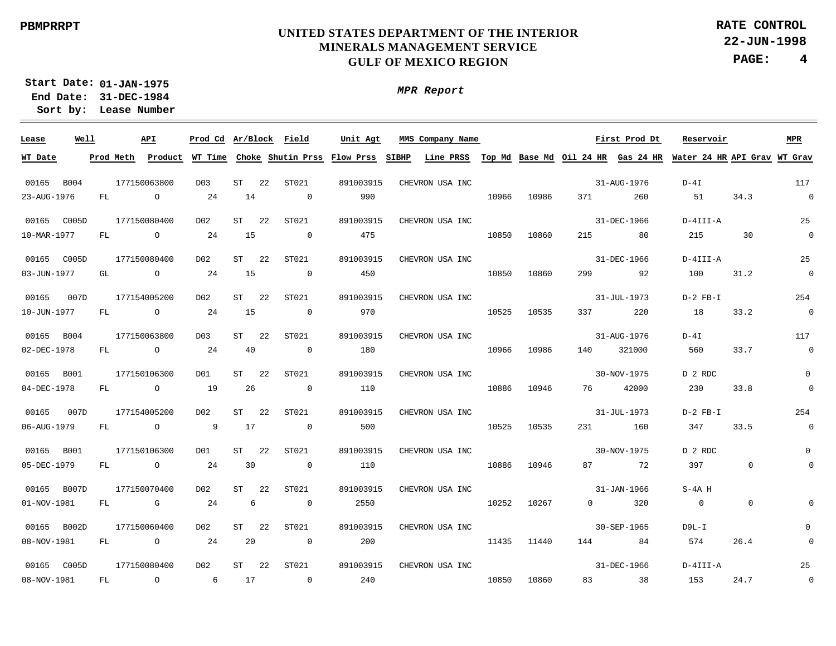**22-JUN-1998 PAGE: 4 RATE CONTROL**

**01-JAN-1975 Start Date: 31-DEC-1984 End Date: Lease Number Sort by:**

| Lease       | Well |     | API            |                  |    | Prod Cd Ar/Block Field   | Unit Agt  | MMS Company Name                                                                                                                      |       |             |           | First Prod Dt | Reservoir      |                | <b>MPR</b>               |
|-------------|------|-----|----------------|------------------|----|--------------------------|-----------|---------------------------------------------------------------------------------------------------------------------------------------|-------|-------------|-----------|---------------|----------------|----------------|--------------------------|
| WT Date     |      |     |                |                  |    |                          |           | Prod Meth Product WT Time Choke Shutin Prss Flow Prss SIBHP Line PRSS Top Md Base Md Oil 24 HR Gas 24 HR Water 24 HR API Grav WT Grav |       |             |           |               |                |                |                          |
| 00165 B004  |      |     | 177150063800   | D <sub>0</sub> 3 | ST | 22<br>ST021              | 891003915 | CHEVRON USA INC                                                                                                                       |       |             |           | 31-AUG-1976   | $D-4I$         |                | 117                      |
| 23-AUG-1976 |      | FL  | $\overline{a}$ | 24               | 14 | $\sim$ 0                 | 990       |                                                                                                                                       | 10966 | 10986       | 371 — 100 | 260           | 51             | 34.3           | $\sim$ 0                 |
| 00165 C005D |      |     | 177150080400   | D02              | ST | ST021<br>22              | 891003915 | CHEVRON USA INC                                                                                                                       |       |             |           | 31-DEC-1966   | D-4III-A       |                | 25                       |
| 10-MAR-1977 |      | FL  | $\overline{a}$ | 24               | 15 | $\overline{0}$           | 475       |                                                                                                                                       | 10850 | 10860       |           | 215 80        | 215 30         |                | $\overline{\phantom{0}}$ |
| 00165 C005D |      |     | 177150080400   | D02              | ST | ST021<br>22              | 891003915 | CHEVRON USA INC                                                                                                                       |       |             |           | 31-DEC-1966   | D-4III-A       |                | 25                       |
| 03-JUN-1977 |      | GL  | $\overline{O}$ | 24               | 15 | $\overline{\phantom{0}}$ | 450       |                                                                                                                                       | 10850 | 10860       |           | 299 92        | 100            | 31.2           | $\overline{\phantom{0}}$ |
| 00165       | 007D |     | 177154005200   | D02              | ST | 22<br>ST021              | 891003915 | CHEVRON USA INC                                                                                                                       |       |             |           | 31-JUL-1973   | D-2 FB-I       |                | 254                      |
| 10-JUN-1977 |      | FL. | $\overline{O}$ | 24               | 15 | $\overline{0}$           | 970       |                                                                                                                                       | 10525 | 10535       | 337 — 100 | 220           | 18             | 33.2           | $\sim$ 0                 |
| 00165 B004  |      |     | 177150063800   | D <sub>0</sub> 3 | ST | 22<br>ST021              | 891003915 | CHEVRON USA INC                                                                                                                       |       |             |           | 31-AUG-1976   | $D-4I$         |                | 117                      |
| 02-DEC-1978 |      | FL  | $\overline{O}$ | 24               | 40 | $\overline{0}$           | 180       |                                                                                                                                       | 10966 | 10986       | 140       | 321000        | 560            | 33.7           | $\overline{\phantom{0}}$ |
| 00165 B001  |      |     | 177150106300   | D <sub>01</sub>  | ST | ST021<br>-22             | 891003915 | CHEVRON USA INC                                                                                                                       |       |             |           | 30-NOV-1975   | D 2 RDC        |                | $\Omega$                 |
| 04-DEC-1978 |      | FL  | $\overline{O}$ | 19               | 26 | $\overline{0}$           | 110       |                                                                                                                                       | 10886 | 10946       | 76 — 17   | 42000         | 230            | 33.8           | $\mathbf 0$              |
| 00165       | 007D |     | 177154005200   | D02              | ST | ST021<br>22              | 891003915 | CHEVRON USA INC                                                                                                                       |       |             |           | 31-JUL-1973   | $D-2$ $FB-I$   |                | 254                      |
| 06-AUG-1979 |      | FL  | $\circ$        | $\overline{9}$   | 17 | $\sim$ 0                 | 500       |                                                                                                                                       | 10525 | 10535       | 231       | 160           | 347            | 33.5           | $\overline{0}$           |
| 00165 B001  |      |     | 177150106300   | DO1              | ST | 22<br>ST021              | 891003915 | CHEVRON USA INC                                                                                                                       |       |             |           | 30-NOV-1975   | D 2 RDC        |                | 0                        |
| 05-DEC-1979 |      | FL  | $\overline{O}$ | 24               | 30 | $\sim$ 0                 | 110       |                                                                                                                                       |       | 10886 10946 |           | 87 72         | 397            | $\overline{0}$ | $\Omega$                 |
| 00165 B007D |      |     | 177150070400   | D <sub>02</sub>  | ST | -22<br>ST021             | 891003915 | CHEVRON USA INC                                                                                                                       |       |             |           | 31-JAN-1966   | S-4A H         |                |                          |
| 01-NOV-1981 |      | FL  | $\mathbb G$    | 24               | 6  | $\overline{0}$           | 2550      |                                                                                                                                       | 10252 | 10267       | $\Omega$  | 320           | $\overline{0}$ | $\overline{0}$ |                          |
| 00165 B002D |      |     | 177150060400   | DO2              | ST | ST021<br>-22             | 891003915 | CHEVRON USA INC                                                                                                                       |       |             |           | 30-SEP-1965   | D9L-I          |                | $\Omega$                 |
| 08-NOV-1981 |      | FL  | $\overline{O}$ | 24               | 20 | $\overline{0}$           | 200       |                                                                                                                                       |       | 11435 11440 |           | 144 84        | 574            | 26.4           | $\Omega$                 |
| 00165 C005D |      |     | 177150080400   | D02              | ST | 22<br>ST021              | 891003915 | CHEVRON USA INC                                                                                                                       |       |             |           | 31-DEC-1966   | $D-4III- A$    |                | 25                       |
| 08-NOV-1981 |      | FL  | $\overline{a}$ | $6\overline{6}$  | 17 | $\sim$ 0                 | 240       |                                                                                                                                       | 10850 | 10860       |           | 83 38         | 153            | 24.7           | $\overline{\phantom{0}}$ |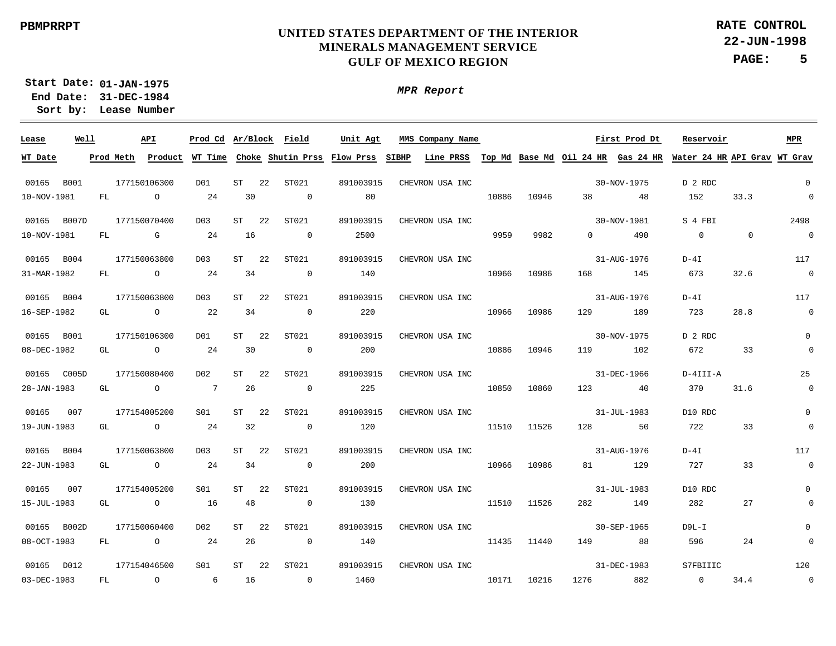**22-JUN-1998 PAGE: 5 RATE CONTROL**

**01-JAN-1975 Start Date: 31-DEC-1984 End Date: Lease Number Sort by:**

| Product WT Time Choke Shutin Prss Flow Prss<br>SIBHP<br>Line PRSS<br>Top Md Base Md Oil 24 HR Gas 24 HR Water 24 HR API Grav WT Grav<br>Prod Meth<br>$\Omega$<br>00165 B001<br>22<br>ST021<br>30-NOV-1975<br>177150106300<br>D <sub>0</sub> 1<br>ST<br>891003915<br>CHEVRON USA INC<br>D 2 RDC<br>$\overline{0}$<br>10-NOV-1981<br>30<br>10886<br>33.3<br>24<br>$\overline{0}$<br>80<br>10946<br>38<br>152<br>FL.<br>$\circ$<br>48<br>2498<br>00165 B007D<br>177150070400<br>ST<br>22<br>ST021<br>891003915<br>CHEVRON USA INC<br>30-NOV-1981<br>S 4 FBI<br>D <sub>0</sub> 3<br>$\overline{0}$<br>10-NOV-1981<br>16<br>2500<br>9959<br>9982<br>490<br>$\mathbf 0$<br>$\Omega$<br>FL<br>G<br>-24<br>$\overline{0}$<br>$\Omega$<br>117<br>00165 B004<br>177150063800<br>D <sub>0</sub> 3<br>ST<br>22<br>ST021<br>891003915<br>CHEVRON USA INC<br>31-AUG-1976<br>$D-4I$<br>$\overline{0}$<br>31-MAR-1982<br>673<br>32.6<br>$\circ$<br>-24<br>34<br>$\overline{\phantom{0}}$<br>140<br>10966<br>10986<br>168<br>FL.<br>145<br>177150063800<br>117<br>00165 B004<br>D <sub>0</sub> 3<br>ST<br>22<br>ST021<br>891003915<br>CHEVRON USA INC<br>31-AUG-1976<br>$D-4I$<br>$\overline{0}$<br>16-SEP-1982<br>723<br>28.8<br>$\overline{O}$<br>22<br>34<br>$\overline{0}$<br>220<br>10966<br>10986<br>129<br>189<br>GL<br>$\mathsf{O}$<br>00165 B001<br>177150106300<br>ST<br>22<br>ST021<br>891003915<br>30-NOV-1975<br>D 2 RDC<br>D <sub>0</sub> 1<br>CHEVRON USA INC<br>$\mathbf 0$<br>08-DEC-1982<br>24<br>30<br>200<br>10886<br>672<br>33<br>$\circ$<br>$\overline{0}$<br>10946<br>119<br>102<br>GL<br>25<br>00165 C005D<br>177150080400<br>D02<br>ST<br>22<br>ST021<br>891003915<br>CHEVRON USA INC<br>31-DEC-1966<br>D-4III-A<br>7<br>225<br>10850<br>$\overline{0}$<br>28-JAN-1983<br>26<br>$\overline{0}$<br>10860<br>123<br>370<br>31.6<br>GL<br>$\overline{O}$<br>40<br>$\mathbf 0$<br>00165<br>007<br>177154005200<br>S01<br>ST<br>22<br>ST021<br>891003915<br>CHEVRON USA INC<br>31-JUL-1983<br>D10 RDC<br>120<br>722<br>33<br>$\mathbf 0$<br>19-JUN-1983<br>$\overline{O}$<br>24<br>32<br>$\overline{0}$<br>11510<br>11526<br>128<br>50<br>GL<br>00165 B004<br>177150063800<br>ST021<br>891003915<br>31-AUG-1976<br>$D-4I$<br>117<br>D <sub>0</sub> 3<br>ST<br>22<br>CHEVRON USA INC<br>33<br>$\overline{0}$<br>22-JUN-1983<br>24<br>34<br>$\overline{0}$<br>200<br>10966<br>129<br>727<br>$\overline{O}$<br>10986<br>81<br>GL<br>00165<br>177154005200<br>ST021<br>31-JUL-1983<br>D10 RDC<br>$\Omega$<br>007<br>S01<br>ST<br>22<br>891003915<br>CHEVRON USA INC<br>16<br>48<br>$\overline{0}$<br>11510<br>282<br>27<br>15-JUL-1983<br>$\overline{O}$<br>130<br>11526<br>282<br>149<br>GL<br>$\mathbf 0$<br>00165 B002D<br>177150060400<br>D02<br>ST<br>22<br>ST021<br>891003915<br>30-SEP-1965<br>D9L-I<br>CHEVRON USA INC<br>$08 - OCT - 1983$<br>$\overline{0}$<br>-24<br>26<br>$\overline{0}$<br>140<br>11435<br>149<br>88<br>596<br>24<br>$\Omega$<br>FL<br>11440<br>00165 D012<br>177154046500<br>ST021<br>891003915<br>31-DEC-1983<br>120<br>S01<br>ST<br>22<br>S7FBIIIC<br>CHEVRON USA INC<br>$\overline{\phantom{0}}$<br>03-DEC-1983<br>16<br>10171<br>10216<br>882<br>34.4<br>FL<br>$\circ$<br>6<br>$\overline{0}$<br>1460<br>1276<br>$\overline{0}$ | Lease   | Well | API |  | Prod Cd Ar/Block Field | Unit Agt | MMS Company Name |  | First Prod Dt | Reservoir | MPR |
|------------------------------------------------------------------------------------------------------------------------------------------------------------------------------------------------------------------------------------------------------------------------------------------------------------------------------------------------------------------------------------------------------------------------------------------------------------------------------------------------------------------------------------------------------------------------------------------------------------------------------------------------------------------------------------------------------------------------------------------------------------------------------------------------------------------------------------------------------------------------------------------------------------------------------------------------------------------------------------------------------------------------------------------------------------------------------------------------------------------------------------------------------------------------------------------------------------------------------------------------------------------------------------------------------------------------------------------------------------------------------------------------------------------------------------------------------------------------------------------------------------------------------------------------------------------------------------------------------------------------------------------------------------------------------------------------------------------------------------------------------------------------------------------------------------------------------------------------------------------------------------------------------------------------------------------------------------------------------------------------------------------------------------------------------------------------------------------------------------------------------------------------------------------------------------------------------------------------------------------------------------------------------------------------------------------------------------------------------------------------------------------------------------------------------------------------------------------------------------------------------------------------------------------------------------------------------------------------------------------------------------------------------------------------------------------------------------------------------------------------------------------------------------------------------------------------------------------------------------------------------------------------------------------------------------------------------------------------------------------------------------------------------------------------------------------------------------------------------------------------------------------------------------------------------------------------------------------------------------------------------------------|---------|------|-----|--|------------------------|----------|------------------|--|---------------|-----------|-----|
|                                                                                                                                                                                                                                                                                                                                                                                                                                                                                                                                                                                                                                                                                                                                                                                                                                                                                                                                                                                                                                                                                                                                                                                                                                                                                                                                                                                                                                                                                                                                                                                                                                                                                                                                                                                                                                                                                                                                                                                                                                                                                                                                                                                                                                                                                                                                                                                                                                                                                                                                                                                                                                                                                                                                                                                                                                                                                                                                                                                                                                                                                                                                                                                                                                                                  | WT Date |      |     |  |                        |          |                  |  |               |           |     |
|                                                                                                                                                                                                                                                                                                                                                                                                                                                                                                                                                                                                                                                                                                                                                                                                                                                                                                                                                                                                                                                                                                                                                                                                                                                                                                                                                                                                                                                                                                                                                                                                                                                                                                                                                                                                                                                                                                                                                                                                                                                                                                                                                                                                                                                                                                                                                                                                                                                                                                                                                                                                                                                                                                                                                                                                                                                                                                                                                                                                                                                                                                                                                                                                                                                                  |         |      |     |  |                        |          |                  |  |               |           |     |
|                                                                                                                                                                                                                                                                                                                                                                                                                                                                                                                                                                                                                                                                                                                                                                                                                                                                                                                                                                                                                                                                                                                                                                                                                                                                                                                                                                                                                                                                                                                                                                                                                                                                                                                                                                                                                                                                                                                                                                                                                                                                                                                                                                                                                                                                                                                                                                                                                                                                                                                                                                                                                                                                                                                                                                                                                                                                                                                                                                                                                                                                                                                                                                                                                                                                  |         |      |     |  |                        |          |                  |  |               |           |     |
|                                                                                                                                                                                                                                                                                                                                                                                                                                                                                                                                                                                                                                                                                                                                                                                                                                                                                                                                                                                                                                                                                                                                                                                                                                                                                                                                                                                                                                                                                                                                                                                                                                                                                                                                                                                                                                                                                                                                                                                                                                                                                                                                                                                                                                                                                                                                                                                                                                                                                                                                                                                                                                                                                                                                                                                                                                                                                                                                                                                                                                                                                                                                                                                                                                                                  |         |      |     |  |                        |          |                  |  |               |           |     |
|                                                                                                                                                                                                                                                                                                                                                                                                                                                                                                                                                                                                                                                                                                                                                                                                                                                                                                                                                                                                                                                                                                                                                                                                                                                                                                                                                                                                                                                                                                                                                                                                                                                                                                                                                                                                                                                                                                                                                                                                                                                                                                                                                                                                                                                                                                                                                                                                                                                                                                                                                                                                                                                                                                                                                                                                                                                                                                                                                                                                                                                                                                                                                                                                                                                                  |         |      |     |  |                        |          |                  |  |               |           |     |
|                                                                                                                                                                                                                                                                                                                                                                                                                                                                                                                                                                                                                                                                                                                                                                                                                                                                                                                                                                                                                                                                                                                                                                                                                                                                                                                                                                                                                                                                                                                                                                                                                                                                                                                                                                                                                                                                                                                                                                                                                                                                                                                                                                                                                                                                                                                                                                                                                                                                                                                                                                                                                                                                                                                                                                                                                                                                                                                                                                                                                                                                                                                                                                                                                                                                  |         |      |     |  |                        |          |                  |  |               |           |     |
|                                                                                                                                                                                                                                                                                                                                                                                                                                                                                                                                                                                                                                                                                                                                                                                                                                                                                                                                                                                                                                                                                                                                                                                                                                                                                                                                                                                                                                                                                                                                                                                                                                                                                                                                                                                                                                                                                                                                                                                                                                                                                                                                                                                                                                                                                                                                                                                                                                                                                                                                                                                                                                                                                                                                                                                                                                                                                                                                                                                                                                                                                                                                                                                                                                                                  |         |      |     |  |                        |          |                  |  |               |           |     |
|                                                                                                                                                                                                                                                                                                                                                                                                                                                                                                                                                                                                                                                                                                                                                                                                                                                                                                                                                                                                                                                                                                                                                                                                                                                                                                                                                                                                                                                                                                                                                                                                                                                                                                                                                                                                                                                                                                                                                                                                                                                                                                                                                                                                                                                                                                                                                                                                                                                                                                                                                                                                                                                                                                                                                                                                                                                                                                                                                                                                                                                                                                                                                                                                                                                                  |         |      |     |  |                        |          |                  |  |               |           |     |
|                                                                                                                                                                                                                                                                                                                                                                                                                                                                                                                                                                                                                                                                                                                                                                                                                                                                                                                                                                                                                                                                                                                                                                                                                                                                                                                                                                                                                                                                                                                                                                                                                                                                                                                                                                                                                                                                                                                                                                                                                                                                                                                                                                                                                                                                                                                                                                                                                                                                                                                                                                                                                                                                                                                                                                                                                                                                                                                                                                                                                                                                                                                                                                                                                                                                  |         |      |     |  |                        |          |                  |  |               |           |     |
|                                                                                                                                                                                                                                                                                                                                                                                                                                                                                                                                                                                                                                                                                                                                                                                                                                                                                                                                                                                                                                                                                                                                                                                                                                                                                                                                                                                                                                                                                                                                                                                                                                                                                                                                                                                                                                                                                                                                                                                                                                                                                                                                                                                                                                                                                                                                                                                                                                                                                                                                                                                                                                                                                                                                                                                                                                                                                                                                                                                                                                                                                                                                                                                                                                                                  |         |      |     |  |                        |          |                  |  |               |           |     |
|                                                                                                                                                                                                                                                                                                                                                                                                                                                                                                                                                                                                                                                                                                                                                                                                                                                                                                                                                                                                                                                                                                                                                                                                                                                                                                                                                                                                                                                                                                                                                                                                                                                                                                                                                                                                                                                                                                                                                                                                                                                                                                                                                                                                                                                                                                                                                                                                                                                                                                                                                                                                                                                                                                                                                                                                                                                                                                                                                                                                                                                                                                                                                                                                                                                                  |         |      |     |  |                        |          |                  |  |               |           |     |
|                                                                                                                                                                                                                                                                                                                                                                                                                                                                                                                                                                                                                                                                                                                                                                                                                                                                                                                                                                                                                                                                                                                                                                                                                                                                                                                                                                                                                                                                                                                                                                                                                                                                                                                                                                                                                                                                                                                                                                                                                                                                                                                                                                                                                                                                                                                                                                                                                                                                                                                                                                                                                                                                                                                                                                                                                                                                                                                                                                                                                                                                                                                                                                                                                                                                  |         |      |     |  |                        |          |                  |  |               |           |     |
|                                                                                                                                                                                                                                                                                                                                                                                                                                                                                                                                                                                                                                                                                                                                                                                                                                                                                                                                                                                                                                                                                                                                                                                                                                                                                                                                                                                                                                                                                                                                                                                                                                                                                                                                                                                                                                                                                                                                                                                                                                                                                                                                                                                                                                                                                                                                                                                                                                                                                                                                                                                                                                                                                                                                                                                                                                                                                                                                                                                                                                                                                                                                                                                                                                                                  |         |      |     |  |                        |          |                  |  |               |           |     |
|                                                                                                                                                                                                                                                                                                                                                                                                                                                                                                                                                                                                                                                                                                                                                                                                                                                                                                                                                                                                                                                                                                                                                                                                                                                                                                                                                                                                                                                                                                                                                                                                                                                                                                                                                                                                                                                                                                                                                                                                                                                                                                                                                                                                                                                                                                                                                                                                                                                                                                                                                                                                                                                                                                                                                                                                                                                                                                                                                                                                                                                                                                                                                                                                                                                                  |         |      |     |  |                        |          |                  |  |               |           |     |
|                                                                                                                                                                                                                                                                                                                                                                                                                                                                                                                                                                                                                                                                                                                                                                                                                                                                                                                                                                                                                                                                                                                                                                                                                                                                                                                                                                                                                                                                                                                                                                                                                                                                                                                                                                                                                                                                                                                                                                                                                                                                                                                                                                                                                                                                                                                                                                                                                                                                                                                                                                                                                                                                                                                                                                                                                                                                                                                                                                                                                                                                                                                                                                                                                                                                  |         |      |     |  |                        |          |                  |  |               |           |     |
|                                                                                                                                                                                                                                                                                                                                                                                                                                                                                                                                                                                                                                                                                                                                                                                                                                                                                                                                                                                                                                                                                                                                                                                                                                                                                                                                                                                                                                                                                                                                                                                                                                                                                                                                                                                                                                                                                                                                                                                                                                                                                                                                                                                                                                                                                                                                                                                                                                                                                                                                                                                                                                                                                                                                                                                                                                                                                                                                                                                                                                                                                                                                                                                                                                                                  |         |      |     |  |                        |          |                  |  |               |           |     |
|                                                                                                                                                                                                                                                                                                                                                                                                                                                                                                                                                                                                                                                                                                                                                                                                                                                                                                                                                                                                                                                                                                                                                                                                                                                                                                                                                                                                                                                                                                                                                                                                                                                                                                                                                                                                                                                                                                                                                                                                                                                                                                                                                                                                                                                                                                                                                                                                                                                                                                                                                                                                                                                                                                                                                                                                                                                                                                                                                                                                                                                                                                                                                                                                                                                                  |         |      |     |  |                        |          |                  |  |               |           |     |
|                                                                                                                                                                                                                                                                                                                                                                                                                                                                                                                                                                                                                                                                                                                                                                                                                                                                                                                                                                                                                                                                                                                                                                                                                                                                                                                                                                                                                                                                                                                                                                                                                                                                                                                                                                                                                                                                                                                                                                                                                                                                                                                                                                                                                                                                                                                                                                                                                                                                                                                                                                                                                                                                                                                                                                                                                                                                                                                                                                                                                                                                                                                                                                                                                                                                  |         |      |     |  |                        |          |                  |  |               |           |     |
|                                                                                                                                                                                                                                                                                                                                                                                                                                                                                                                                                                                                                                                                                                                                                                                                                                                                                                                                                                                                                                                                                                                                                                                                                                                                                                                                                                                                                                                                                                                                                                                                                                                                                                                                                                                                                                                                                                                                                                                                                                                                                                                                                                                                                                                                                                                                                                                                                                                                                                                                                                                                                                                                                                                                                                                                                                                                                                                                                                                                                                                                                                                                                                                                                                                                  |         |      |     |  |                        |          |                  |  |               |           |     |
|                                                                                                                                                                                                                                                                                                                                                                                                                                                                                                                                                                                                                                                                                                                                                                                                                                                                                                                                                                                                                                                                                                                                                                                                                                                                                                                                                                                                                                                                                                                                                                                                                                                                                                                                                                                                                                                                                                                                                                                                                                                                                                                                                                                                                                                                                                                                                                                                                                                                                                                                                                                                                                                                                                                                                                                                                                                                                                                                                                                                                                                                                                                                                                                                                                                                  |         |      |     |  |                        |          |                  |  |               |           |     |
|                                                                                                                                                                                                                                                                                                                                                                                                                                                                                                                                                                                                                                                                                                                                                                                                                                                                                                                                                                                                                                                                                                                                                                                                                                                                                                                                                                                                                                                                                                                                                                                                                                                                                                                                                                                                                                                                                                                                                                                                                                                                                                                                                                                                                                                                                                                                                                                                                                                                                                                                                                                                                                                                                                                                                                                                                                                                                                                                                                                                                                                                                                                                                                                                                                                                  |         |      |     |  |                        |          |                  |  |               |           |     |
|                                                                                                                                                                                                                                                                                                                                                                                                                                                                                                                                                                                                                                                                                                                                                                                                                                                                                                                                                                                                                                                                                                                                                                                                                                                                                                                                                                                                                                                                                                                                                                                                                                                                                                                                                                                                                                                                                                                                                                                                                                                                                                                                                                                                                                                                                                                                                                                                                                                                                                                                                                                                                                                                                                                                                                                                                                                                                                                                                                                                                                                                                                                                                                                                                                                                  |         |      |     |  |                        |          |                  |  |               |           |     |
|                                                                                                                                                                                                                                                                                                                                                                                                                                                                                                                                                                                                                                                                                                                                                                                                                                                                                                                                                                                                                                                                                                                                                                                                                                                                                                                                                                                                                                                                                                                                                                                                                                                                                                                                                                                                                                                                                                                                                                                                                                                                                                                                                                                                                                                                                                                                                                                                                                                                                                                                                                                                                                                                                                                                                                                                                                                                                                                                                                                                                                                                                                                                                                                                                                                                  |         |      |     |  |                        |          |                  |  |               |           |     |
|                                                                                                                                                                                                                                                                                                                                                                                                                                                                                                                                                                                                                                                                                                                                                                                                                                                                                                                                                                                                                                                                                                                                                                                                                                                                                                                                                                                                                                                                                                                                                                                                                                                                                                                                                                                                                                                                                                                                                                                                                                                                                                                                                                                                                                                                                                                                                                                                                                                                                                                                                                                                                                                                                                                                                                                                                                                                                                                                                                                                                                                                                                                                                                                                                                                                  |         |      |     |  |                        |          |                  |  |               |           |     |
|                                                                                                                                                                                                                                                                                                                                                                                                                                                                                                                                                                                                                                                                                                                                                                                                                                                                                                                                                                                                                                                                                                                                                                                                                                                                                                                                                                                                                                                                                                                                                                                                                                                                                                                                                                                                                                                                                                                                                                                                                                                                                                                                                                                                                                                                                                                                                                                                                                                                                                                                                                                                                                                                                                                                                                                                                                                                                                                                                                                                                                                                                                                                                                                                                                                                  |         |      |     |  |                        |          |                  |  |               |           |     |
|                                                                                                                                                                                                                                                                                                                                                                                                                                                                                                                                                                                                                                                                                                                                                                                                                                                                                                                                                                                                                                                                                                                                                                                                                                                                                                                                                                                                                                                                                                                                                                                                                                                                                                                                                                                                                                                                                                                                                                                                                                                                                                                                                                                                                                                                                                                                                                                                                                                                                                                                                                                                                                                                                                                                                                                                                                                                                                                                                                                                                                                                                                                                                                                                                                                                  |         |      |     |  |                        |          |                  |  |               |           |     |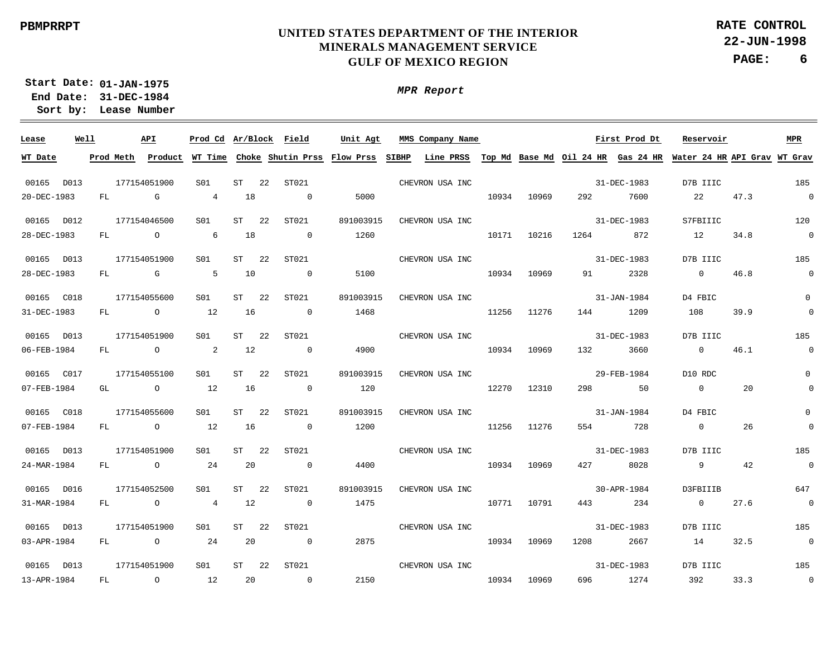**22-JUN-1998 PAGE: 6 RATE CONTROL**

**01-JAN-1975 Start Date: 31-DEC-1984 End Date: Lease Number Sort by:**

| Lease       | Well |     | API            | Prod Cd Ar/Block Field |    |    |                | Unit Agt                                              |       | MMS Company Name |       |       |         | First Prod Dt     | Reservoir                                                                 |      | MPR                      |
|-------------|------|-----|----------------|------------------------|----|----|----------------|-------------------------------------------------------|-------|------------------|-------|-------|---------|-------------------|---------------------------------------------------------------------------|------|--------------------------|
| WT Date     |      |     |                |                        |    |    |                | Prod Meth Product WT Time Choke Shutin Prss Flow Prss | SIBHP |                  |       |       |         |                   | Line PRSS Top Md Base Md Oil 24 HR Gas 24 HR Water 24 HR API Grav WT Grav |      |                          |
| 00165 D013  |      |     | 177154051900   | S01                    | ST | 22 | ST021          |                                                       |       | CHEVRON USA INC  |       |       |         | 31-DEC-1983       | D7B IIIC                                                                  |      | 185                      |
| 20-DEC-1983 |      | FL. | G              | $\overline{4}$         | 18 |    | $\overline{0}$ | 5000                                                  |       |                  | 10934 | 10969 | 292     | 7600              | 22                                                                        | 47.3 | $\overline{\phantom{0}}$ |
| 00165 D012  |      |     | 177154046500   | S01                    | ST | 22 | ST021          | 891003915                                             |       | CHEVRON USA INC  |       |       |         | 31-DEC-1983       | S7FBIIIC                                                                  |      | 120                      |
| 28-DEC-1983 |      | FL  | $\circ$        | 6                      | 18 |    | $\overline{0}$ | 1260                                                  |       |                  | 10171 | 10216 | 1264    | 872               | 12                                                                        | 34.8 | $\overline{0}$           |
| 00165 D013  |      |     | 177154051900   | S01                    | ST | 22 | ST021          |                                                       |       | CHEVRON USA INC  |       |       |         | 31-DEC-1983       | D7B IIIC                                                                  |      | 185                      |
| 28-DEC-1983 |      | FL. | G              | $\overline{5}$         | 10 |    | $\overline{0}$ | 5100                                                  |       |                  | 10934 | 10969 | 91      | 2328              | $\overline{0}$                                                            | 46.8 | $\overline{0}$           |
| 00165 C018  |      |     | 177154055600   | S01                    | ST | 22 | ST021          | 891003915                                             |       | CHEVRON USA INC  |       |       |         | 31-JAN-1984       | D4 FBIC                                                                   |      | $\mathbf 0$              |
| 31-DEC-1983 |      | FL  | $\circ$        | 12                     | 16 |    | $\overline{0}$ | 1468                                                  |       |                  | 11256 | 11276 | 144     | 1209              | 108                                                                       | 39.9 | $\mathbf 0$              |
| 00165 D013  |      |     | 177154051900   | S01                    | ST | 22 | ST021          |                                                       |       | CHEVRON USA INC  |       |       |         | 31-DEC-1983       | D7B IIIC                                                                  |      | 185                      |
| 06-FEB-1984 |      | FL  | $\circ$        | 2                      | 12 |    | $\overline{0}$ | 4900                                                  |       |                  | 10934 | 10969 | 132     | 3660              | $\overline{0}$                                                            | 46.1 | $\overline{0}$           |
| 00165 C017  |      |     | 177154055100   | SO1                    | ST | 22 | ST021          | 891003915                                             |       | CHEVRON USA INC  |       |       |         | 29-FEB-1984       | D10 RDC                                                                   |      | $\Omega$                 |
| 07-FEB-1984 |      | GL  | $\circ$        | 12                     | 16 |    | $\overline{0}$ | 120                                                   |       |                  | 12270 | 12310 | 298     | 50                | $\overline{0}$                                                            | 20   | $\Omega$                 |
| 00165 C018  |      |     | 177154055600   | S01                    | ST | 22 | ST021          | 891003915                                             |       | CHEVRON USA INC  |       |       |         | $31 - JAN - 1984$ | D4 FBIC                                                                   |      | $\Omega$                 |
| 07-FEB-1984 |      | FL  | $\overline{O}$ | 12                     | 16 |    | $\overline{0}$ | 1200                                                  |       |                  | 11256 | 11276 | 554     | 728               | $\overline{0}$                                                            | 26   | $\Omega$                 |
| 00165 D013  |      |     | 177154051900   | S01                    | ST | 22 | ST021          |                                                       |       | CHEVRON USA INC  |       |       |         | 31-DEC-1983       | D7B IIIC                                                                  |      | 185                      |
| 24-MAR-1984 |      | FL  | $\overline{a}$ | 24                     | 20 |    | $\overline{0}$ | 4400                                                  |       |                  | 10934 | 10969 | 427     | 8028              | 9                                                                         | 42   | $\overline{\phantom{0}}$ |
| 00165 D016  |      |     | 177154052500   | S01                    | ST | 22 | ST021          | 891003915                                             |       | CHEVRON USA INC  |       |       |         | 30-APR-1984       | D3FBIIIB                                                                  |      | 647                      |
| 31-MAR-1984 |      | FL  | $\circ$        | $\overline{4}$         | 12 |    | $\overline{0}$ | 1475                                                  |       |                  | 10771 | 10791 | 443     | 234               | $\overline{0}$                                                            | 27.6 | $\overline{0}$           |
| 00165 D013  |      |     | 177154051900   | S <sub>01</sub>        | ST | 22 | ST021          |                                                       |       | CHEVRON USA INC  |       |       |         | 31-DEC-1983       | D7B IIIC                                                                  |      | 185                      |
| 03-APR-1984 |      | FL  | $\circ$        | 24                     | 20 |    | $\overline{0}$ | 2875                                                  |       |                  | 10934 | 10969 | 1208    | 2667              | 14                                                                        | 32.5 | $\overline{\phantom{0}}$ |
| 00165 D013  |      |     | 177154051900   | S01                    | ST | 22 | ST021          |                                                       |       | CHEVRON USA INC  |       |       |         | 31-DEC-1983       | D7B IIIC                                                                  |      | 185                      |
| 13-APR-1984 |      | FL  | $\circ$        | 12                     | 20 |    | $\overline{0}$ | 2150                                                  |       |                  | 10934 | 10969 | 696 700 | 1274              | 392                                                                       | 33.3 | $\overline{\phantom{0}}$ |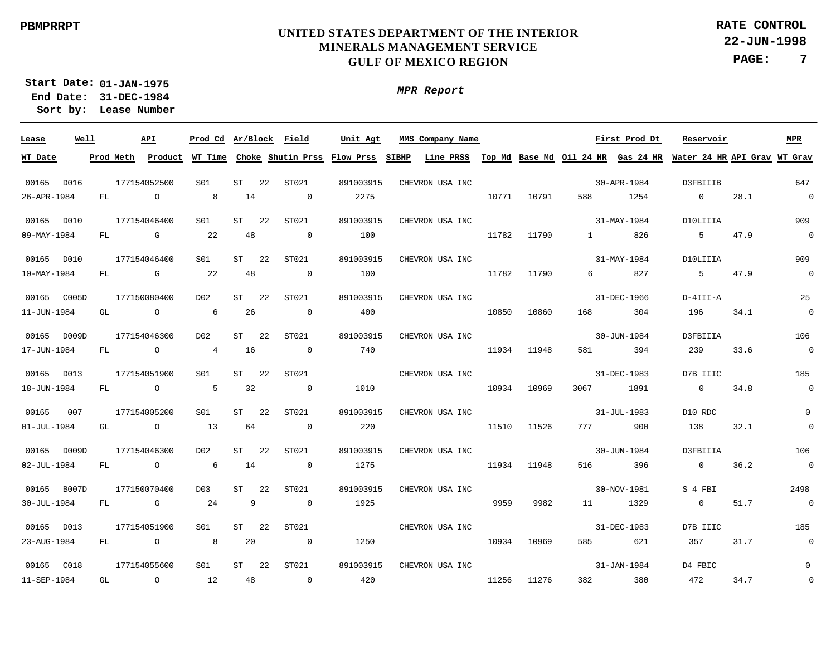**22-JUN-1998 PAGE: 7 RATE CONTROL**

**01-JAN-1975 Start Date: 31-DEC-1984 End Date: Lease Number Sort by:**

| Lease             | Well |           | API            | Prod Cd Ar/Block Field |    |    |                | Unit Agt                                    |       | MMS Company Name |       |       |                   | First Prod Dt | Reservoir                                                                 |      | MPR                      |
|-------------------|------|-----------|----------------|------------------------|----|----|----------------|---------------------------------------------|-------|------------------|-------|-------|-------------------|---------------|---------------------------------------------------------------------------|------|--------------------------|
| WT Date           |      | Prod Meth |                |                        |    |    |                | Product WT Time Choke Shutin Prss Flow Prss | SIBHP |                  |       |       |                   |               | Line PRSS Top Md Base Md Oil 24 HR Gas 24 HR Water 24 HR API Grav WT Grav |      |                          |
| 00165 D016        |      |           | 177154052500   | S01                    | ST | 22 | ST021          | 891003915                                   |       | CHEVRON USA INC  |       |       |                   | 30-APR-1984   | D3FBIIIB                                                                  |      | 647                      |
| 26-APR-1984       |      | FL.       | $\circ$        | 8                      | 14 |    | $\overline{0}$ | 2275                                        |       |                  | 10771 | 10791 | 588               | 1254          | $\overline{0}$                                                            | 28.1 | $\overline{\phantom{0}}$ |
| 00165 D010        |      |           | 177154046400   | S01                    | ST | 22 | ST021          | 891003915                                   |       | CHEVRON USA INC  |       |       |                   | 31-MAY-1984   | D10LIIIA                                                                  |      | 909                      |
| 09-MAY-1984       |      | FL        | G              | -22                    | 48 |    | $\overline{0}$ | 100                                         |       |                  | 11782 | 11790 | $1 \qquad \qquad$ | 826           | 5                                                                         | 47.9 | $\overline{0}$           |
| 00165 D010        |      |           | 177154046400   | S01                    | ST | 22 | ST021          | 891003915                                   |       | CHEVRON USA INC  |       |       |                   | 31-MAY-1984   | D10LIIIA                                                                  |      | 909                      |
| 10-MAY-1984       |      | FL        | G              | 22                     | 48 |    | $\overline{0}$ | 100                                         |       |                  | 11782 | 11790 | 6                 | 827           | 5                                                                         | 47.9 | $\overline{0}$           |
| 00165 C005D       |      |           | 177150080400   | D02                    | ST | 22 | ST021          | 891003915                                   |       | CHEVRON USA INC  |       |       |                   | 31-DEC-1966   | D-4III-A                                                                  |      | 25                       |
| 11-JUN-1984       |      | GL        | $\circ$        | 6                      | 26 |    | $\overline{0}$ | 400                                         |       |                  | 10850 | 10860 | 168               | 304           | 196                                                                       | 34.1 | $\overline{0}$           |
| 00165 D009D       |      |           | 177154046300   | D02                    | ST | 22 | ST021          | 891003915                                   |       | CHEVRON USA INC  |       |       |                   | 30-JUN-1984   | D3FBIIIA                                                                  |      | 106                      |
| 17-JUN-1984       |      | FL        | $\circ$        | $4\overline{ }$        | 16 |    | $\circ$        | 740                                         |       |                  | 11934 | 11948 | 581               | 394           | 239                                                                       | 33.6 | $\overline{0}$           |
| 00165 D013        |      |           | 177154051900   | S01                    | ST | 22 | ST021          |                                             |       | CHEVRON USA INC  |       |       |                   | 31-DEC-1983   | D7B IIIC                                                                  |      | 185                      |
| 18-JUN-1984       |      | FL.       | $\circ$        | -5                     | 32 |    | $\overline{0}$ | 1010                                        |       |                  | 10934 | 10969 | 3067              | 1891          | $\overline{0}$                                                            | 34.8 | $\overline{0}$           |
| 00165             | 007  |           | 177154005200   | S01                    | ST | 22 | ST021          | 891003915                                   |       | CHEVRON USA INC  |       |       |                   | 31-JUL-1983   | D10 RDC                                                                   |      | $\mathbf{0}$             |
| $01 - JUL - 1984$ |      | GL        | $\overline{O}$ | 13                     | 64 |    | $\overline{0}$ | 220                                         |       |                  | 11510 | 11526 | 777 — 17          | 900           | 138                                                                       | 32.1 | $\mathbf 0$              |
| 00165 D009D       |      |           | 177154046300   | D <sub>0</sub> 2       | ST | 22 | ST021          | 891003915                                   |       | CHEVRON USA INC  |       |       |                   | 30-JUN-1984   | D3FBIIIA                                                                  |      | 106                      |
| 02-JUL-1984       |      | FL.       | $\circ$        | 6                      | 14 |    | $\Omega$       | 1275                                        |       |                  | 11934 | 11948 | 516               | 396           | $\Omega$                                                                  | 36.2 | $\overline{\phantom{0}}$ |
| 00165 B007D       |      |           | 177150070400   | D <sub>0</sub> 3       | ST | 22 | ST021          | 891003915                                   |       | CHEVRON USA INC  |       |       |                   | 30-NOV-1981   | S 4 FBI                                                                   |      | 2498                     |
| 30-JUL-1984       |      | FL        | G              | 24                     | 9  |    | $\Omega$       | 1925                                        |       |                  | 9959  | 9982  | 11                | 1329          | $\overline{0}$                                                            | 51.7 | $\overline{\phantom{0}}$ |
| 00165 D013        |      |           | 177154051900   | S01                    | ST | 22 | ST021          |                                             |       | CHEVRON USA INC  |       |       |                   | 31-DEC-1983   | D7B IIIC                                                                  |      | 185                      |
| 23-AUG-1984       |      | FL.       | $\circ$        | 8                      | 20 |    | $\overline{0}$ | 1250                                        |       |                  | 10934 | 10969 | 585               | 621           | 357                                                                       | 31.7 | $\overline{0}$           |
| 00165 C018        |      |           | 177154055600   | S <sub>01</sub>        | ST | 22 | ST021          | 891003915                                   |       | CHEVRON USA INC  |       |       |                   | 31-JAN-1984   | D4 FBIC                                                                   |      | $\mathbf 0$              |
| 11-SEP-1984       |      | GL        | $\circ$        | 12                     | 48 |    | $\overline{0}$ | 420                                         |       |                  | 11256 | 11276 | 382               | 380           | 472                                                                       | 34.7 | $\boldsymbol{0}$         |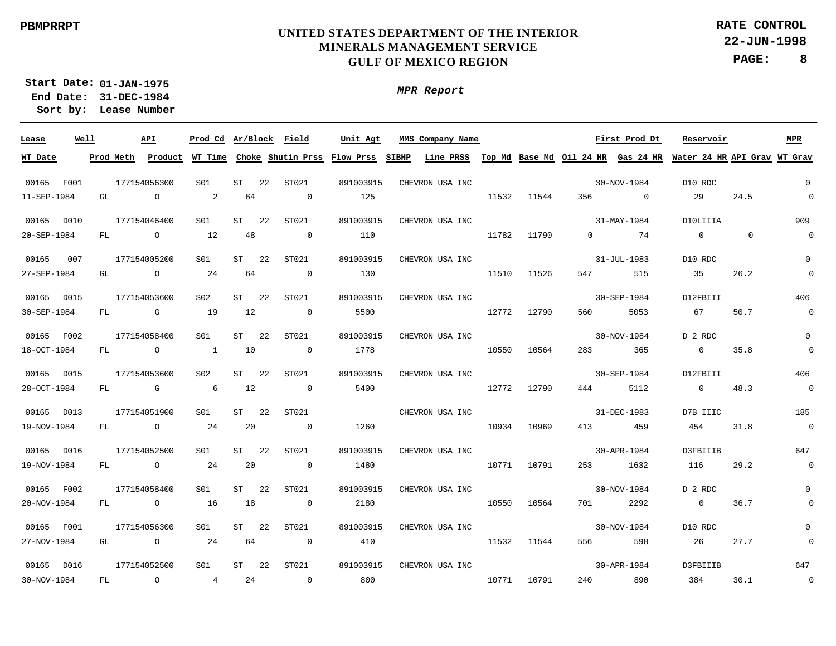$\frac{1}{2} \left( \frac{1}{2} \right)^2 \left( \frac{1}{2} \right)^2 \left( \frac{1}{2} \right)^2$ 

# **UNITED STATES DEPARTMENT OF THE INTERIOR MINERALS MANAGEMENT SERVICE GULF OF MEXICO REGION**

**22-JUN-1998 PAGE: 8 RATE CONTROL**

**01-JAN-1975 Start Date: 31-DEC-1984 End Date: Lease Number Sort by:**

| Lease       | Well |           |                | API          | Prod Cd Ar/Block Field |           |    |                | Unit Agt                    |       | MMS Company Name |       |       |                |                | First Prod Dt |                | Reservoir |                                                                 | <b>MPR</b>               |
|-------------|------|-----------|----------------|--------------|------------------------|-----------|----|----------------|-----------------------------|-------|------------------|-------|-------|----------------|----------------|---------------|----------------|-----------|-----------------------------------------------------------------|--------------------------|
| WT Date     |      | Prod Meth |                | Product      | WT Time                |           |    |                | Choke Shutin Prss Flow Prss | SIBHP | Line PRSS        |       |       |                |                |               |                |           | Top Md Base Md Oil 24 HR Gas 24 HR Water 24 HR API Grav WT Grav |                          |
|             |      |           |                |              |                        |           |    |                |                             |       |                  |       |       |                |                |               |                |           |                                                                 |                          |
| 00165 F001  |      |           |                | 177154056300 | S01                    | ST        | 22 | ST021          | 891003915                   |       | CHEVRON USA INC  |       |       |                | 30-NOV-1984    |               | D10 RDC        |           |                                                                 | $\overline{0}$           |
| 11-SEP-1984 |      | GL        |                | $\circ$      | 2                      | 64        |    | $\mathbf 0$    | 125                         |       |                  | 11532 | 11544 | 356            | $\overline{0}$ |               | 29             |           | 24.5                                                            | $\mathbf 0$              |
| 00165 D010  |      |           |                | 177154046400 | S01                    | <b>ST</b> | 22 | ST021          | 891003915                   |       | CHEVRON USA INC  |       |       |                | 31-MAY-1984    |               |                | D10LIIIA  |                                                                 | 909                      |
| 20-SEP-1984 |      | FL        | $\overline{O}$ |              | 12                     | 48        |    | $\overline{0}$ | 110                         |       |                  | 11782 | 11790 | $\overline{0}$ |                | 74            | $\overline{0}$ |           | $\mathbf 0$                                                     | $\overline{0}$           |
| 00165       | 007  |           |                | 177154005200 | S01                    | <b>ST</b> | 22 | ST021          | 891003915                   |       | CHEVRON USA INC  |       |       |                | 31-JUL-1983    |               | D10 RDC        |           |                                                                 | $\overline{0}$           |
| 27-SEP-1984 |      | GL        | $\overline{a}$ |              | 24                     | 64        |    | $\overline{0}$ | 130                         |       |                  | 11510 | 11526 | 547            |                | 515           | 35             |           | 26.2                                                            | $\mathbf 0$              |
| 00165       | D015 |           |                | 177154053600 | S <sub>02</sub>        | ST        | 22 | ST021          | 891003915                   |       | CHEVRON USA INC  |       |       |                | 30-SEP-1984    |               | D12FBIII       |           |                                                                 | 406                      |
| 30-SEP-1984 |      | FL        |                | $\mathbb{G}$ | 19                     | 12        |    | $\overline{0}$ | 5500                        |       |                  | 12772 | 12790 | 560            |                | 5053          | 67             |           | 50.7                                                            | $\overline{0}$           |
|             |      |           |                |              |                        |           |    |                |                             |       |                  |       |       |                |                |               |                |           |                                                                 |                          |
| 00165 F002  |      |           |                | 177154058400 | S01                    | <b>ST</b> | 22 | ST021          | 891003915                   |       | CHEVRON USA INC  |       |       |                | 30-NOV-1984    |               | D 2 RDC        |           |                                                                 | $\Omega$                 |
| 18-OCT-1984 |      | FL        |                | $\circ$      | $\overline{1}$         | 10        |    | $\overline{0}$ | 1778                        |       |                  | 10550 | 10564 | 283            |                | 365           | $\overline{0}$ |           | 35.8                                                            | $\mathbf 0$              |
| 00165 D015  |      |           |                | 177154053600 | S <sub>02</sub>        | ST        | 22 | ST021          | 891003915                   |       | CHEVRON USA INC  |       |       |                | 30-SEP-1984    |               | D12FBIII       |           |                                                                 | 406                      |
| 28-OCT-1984 |      | FL        |                | G            | 6                      | 12        |    | $\overline{0}$ | 5400                        |       |                  | 12772 | 12790 | 444            |                | 5112          |                | $\Omega$  | 48.3                                                            | $\overline{0}$           |
| 00165 D013  |      |           |                | 177154051900 | S01                    | ST        | 22 | ST021          |                             |       | CHEVRON USA INC  |       |       |                | 31-DEC-1983    |               | D7B IIIC       |           |                                                                 | 185                      |
| 19-NOV-1984 |      | FL        |                | $\circ$      | 24                     | 20        |    | $\overline{0}$ | 1260                        |       |                  | 10934 | 10969 | 413            |                | 459           | 454            |           | 31.8                                                            | $\overline{0}$           |
| 00165 D016  |      |           |                | 177154052500 |                        | <b>ST</b> | 22 | ST021          | 891003915                   |       |                  |       |       |                | 30-APR-1984    |               | D3FBIIIB       |           |                                                                 | 647                      |
| 19-NOV-1984 |      |           |                |              | S01<br>24              |           |    |                |                             |       | CHEVRON USA INC  |       |       |                |                |               |                |           | 29.2                                                            | $\overline{0}$           |
|             |      | FL        | $\overline{a}$ |              |                        | 20        |    | $\overline{0}$ | 1480                        |       |                  | 10771 | 10791 | 253            |                | 1632          | 116            |           |                                                                 |                          |
| 00165 F002  |      |           |                | 177154058400 | S01                    | <b>ST</b> | 22 | ST021          | 891003915                   |       | CHEVRON USA INC  |       |       |                | 30-NOV-1984    |               | D 2 RDC        |           |                                                                 | $\mathbf 0$              |
| 20-NOV-1984 |      | FL        | $\overline{a}$ |              | 16                     | 18        |    | $\overline{0}$ | 2180                        |       |                  | 10550 | 10564 |                | 701 — 201      | 2292          |                | $\Omega$  | 36.7                                                            | $\mathbf 0$              |
| 00165 F001  |      |           |                | 177154056300 | S01                    | ST        | 22 | ST021          | 891003915                   |       | CHEVRON USA INC  |       |       |                | 30-NOV-1984    |               | D10 RDC        |           |                                                                 | $\mathbf{0}$             |
| 27-NOV-1984 |      | GL        |                | $\circ$      | 24                     | 64        |    | $\overline{0}$ | 410                         |       |                  | 11532 | 11544 | 556            |                | 598           | 26             |           | 27.7                                                            | $\mathbf 0$              |
|             |      |           |                |              |                        |           |    |                |                             |       |                  |       |       |                |                |               |                |           |                                                                 |                          |
| 00165 D016  |      |           |                | 177154052500 | S01                    | <b>ST</b> | 22 | ST021          | 891003915                   |       | CHEVRON USA INC  |       |       |                | 30-APR-1984    |               | D3FBIIIB       |           |                                                                 | 647                      |
| 30-NOV-1984 |      | FL        |                | $\circ$      | $4\overline{ }$        | 24        |    | $\overline{0}$ | 800                         |       |                  | 10771 | 10791 | 240            |                | 890           | 384            |           | 30.1                                                            | $\overline{\phantom{0}}$ |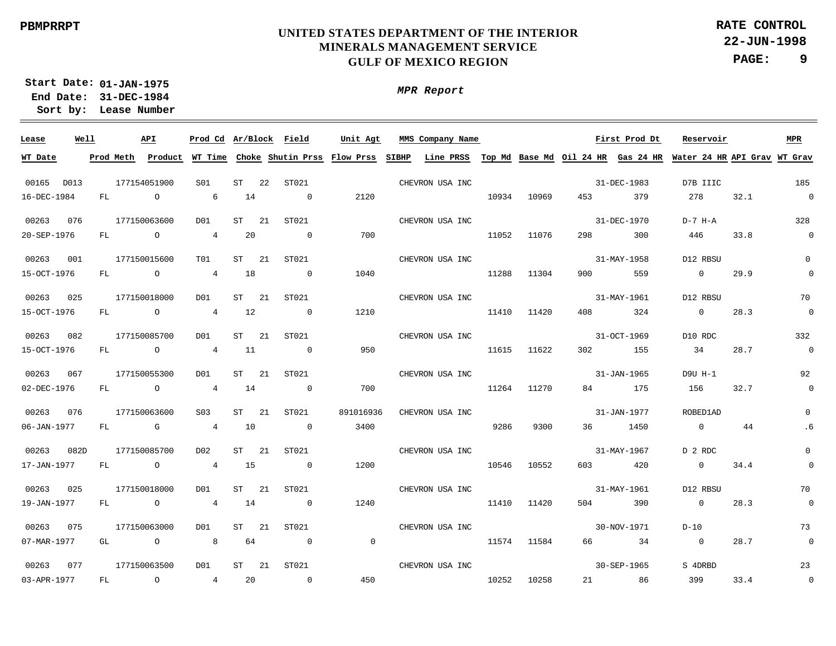**22-JUN-1998 PAGE: 9 RATE CONTROL**

**01-JAN-1975 Start Date: 31-DEC-1984 End Date: Lease Number Sort by:**

| Lease       | Well |           | API            | Prod Cd Ar/Block |    | Field                                       | Unit Agt       | MMS Company Name |       |       |     | First Prod Dt | Reservoir                                                                 |      | MPR                      |
|-------------|------|-----------|----------------|------------------|----|---------------------------------------------|----------------|------------------|-------|-------|-----|---------------|---------------------------------------------------------------------------|------|--------------------------|
| WT Date     |      | Prod Meth |                |                  |    | Product WT Time Choke Shutin Prss Flow Prss |                | SIBHP            |       |       |     |               | Line PRSS Top Md Base Md Oil 24 HR Gas 24 HR Water 24 HR API Grav WT Grav |      |                          |
|             |      |           |                |                  |    |                                             |                |                  |       |       |     |               |                                                                           |      |                          |
| 00165 D013  |      |           | 177154051900   | S01              | ST | ST021<br>22                                 |                | CHEVRON USA INC  |       |       |     | 31-DEC-1983   | D7B IIIC                                                                  |      | 185                      |
| 16-DEC-1984 |      | FL        | $\circ$        | 6                | 14 | $\overline{0}$                              | 2120           |                  | 10934 | 10969 | 453 | 379           | 278                                                                       | 32.1 | $\overline{\phantom{0}}$ |
| 00263       | 076  |           | 177150063600   | D <sub>0</sub> 1 | ST | ST021<br>21                                 |                | CHEVRON USA INC  |       |       |     | 31-DEC-1970   | D-7 H-A                                                                   |      | 328                      |
| 20-SEP-1976 |      | FL        | $\circ$        | 4                | 20 | $\overline{0}$                              | 700            |                  | 11052 | 11076 | 298 | 300           | 446                                                                       | 33.8 | $\overline{0}$           |
| 00263       | 001  |           | 177150015600   | TO1              | ST | 21<br>ST021                                 |                | CHEVRON USA INC  |       |       |     | 31-MAY-1958   | D12 RBSU                                                                  |      | $\mathbf{0}$             |
| 15-OCT-1976 |      | FL        | $\overline{O}$ | $\overline{4}$   | 18 | $\overline{0}$                              | 1040           |                  | 11288 | 11304 | 900 | 559           | $\overline{0}$                                                            | 29.9 | $\mathbf 0$              |
| 00263       | 025  |           | 177150018000   | D <sub>0</sub> 1 | ST | 21<br>ST021                                 |                | CHEVRON USA INC  |       |       |     | 31-MAY-1961   | D12 RBSU                                                                  |      | 70                       |
| 15-OCT-1976 |      | FL        | $\circ$        | $\overline{4}$   | 12 | $\overline{0}$                              | 1210           |                  | 11410 | 11420 | 408 | 324           | $\overline{0}$                                                            | 28.3 | $\overline{0}$           |
| 00263       | 082  |           | 177150085700   | D <sub>0</sub> 1 | ST | 21<br>ST021                                 |                | CHEVRON USA INC  |       |       |     | 31-OCT-1969   | D10 RDC                                                                   |      | 332                      |
| 15-OCT-1976 |      | FL        | $\circ$        | $\overline{4}$   | 11 | $\overline{0}$                              | 950            |                  | 11615 | 11622 | 302 | 155           | 34                                                                        | 28.7 | $\mathbf 0$              |
| 00263       | 067  |           | 177150055300   | D <sub>0</sub> 1 | ST | ST021<br>21                                 |                | CHEVRON USA INC  |       |       |     | 31-JAN-1965   | D9U H-1                                                                   |      | 92                       |
| 02-DEC-1976 |      | FL        | $\overline{O}$ | $\overline{4}$   | 14 | $\overline{0}$                              | 700            |                  | 11264 | 11270 | 84  | 175           | 156                                                                       | 32.7 | $\overline{0}$           |
| 00263       | 076  |           | 177150063600   | S <sub>03</sub>  | ST | 21<br>ST021                                 | 891016936      | CHEVRON USA INC  |       |       |     | 31-JAN-1977   | ROBED1AD                                                                  |      | $\Omega$                 |
| 06-JAN-1977 |      | FL        | $\overline{G}$ | $\overline{4}$   | 10 | $\overline{0}$                              | 3400           |                  | 9286  | 9300  | 36  | 1450          | $\overline{0}$                                                            | 44   | . 6                      |
| 00263       | 082D |           | 177150085700   | D <sub>0</sub> 2 | ST | ST021<br>21                                 |                | CHEVRON USA INC  |       |       |     | 31-MAY-1967   | D 2 RDC                                                                   |      | $\mathsf{O}$             |
| 17-JAN-1977 |      | FL        | $\overline{O}$ | $\overline{4}$   | 15 | $\sim$ 0                                    | 1200           |                  | 10546 | 10552 | 603 | 420           | $\overline{0}$                                                            | 34.4 | $\overline{0}$           |
| 00263       | 025  |           | 177150018000   | D01              | ST | 21<br>ST021                                 |                | CHEVRON USA INC  |       |       |     | 31-MAY-1961   | D12 RBSU                                                                  |      | 70                       |
| 19-JAN-1977 |      | FL        | $\overline{a}$ | 4                | 14 | $\overline{0}$                              | 1240           |                  | 11410 | 11420 | 504 | 390           | $\overline{0}$                                                            | 28.3 | $\overline{0}$           |
| 00263       | 075  |           | 177150063000   | D01              | ST | 21<br>ST021                                 |                | CHEVRON USA INC  |       |       |     | 30-NOV-1971   | $D-10$                                                                    |      | 73                       |
| 07-MAR-1977 |      | GL        | $\circ$        | 8                | 64 | $\overline{0}$                              | $\overline{0}$ |                  | 11574 | 11584 | 66  | 34            | $\overline{0}$                                                            | 28.7 | $\overline{0}$           |
| 00263       | 077  |           | 177150063500   | DO1              | ST | 21<br>ST021                                 |                | CHEVRON USA INC  |       |       |     | 30-SEP-1965   | S 4DRBD                                                                   |      | 23                       |
| 03-APR-1977 |      | FL        | $\circ$        | $4\overline{ }$  | 20 | $\overline{0}$                              | 450            |                  | 10252 | 10258 |     | 86            | 399                                                                       | 33.4 | $\overline{\phantom{0}}$ |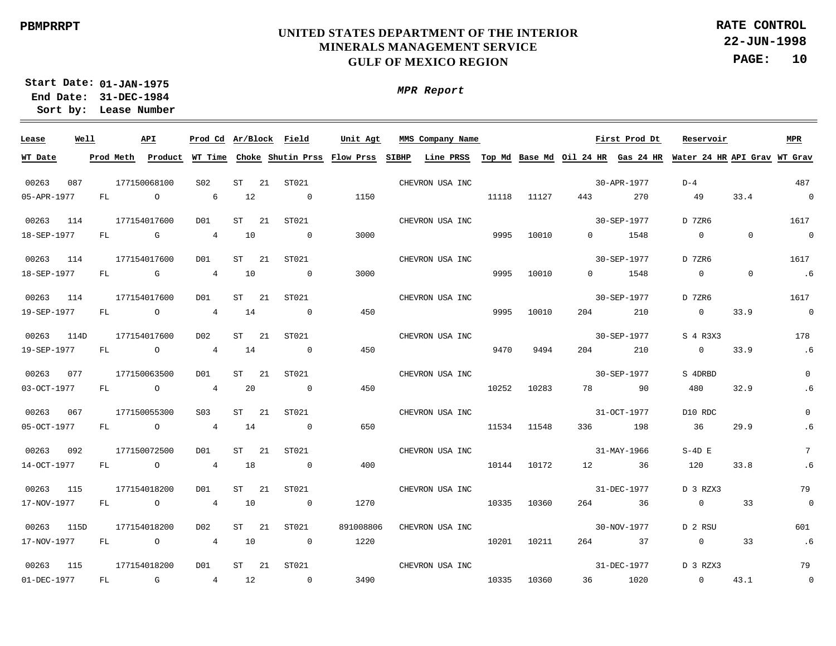**22-JUN-1998 PAGE: 10 RATE CONTROL**

**01-JAN-1975 Start Date: 31-DEC-1984 End Date: Lease Number Sort by:**

| Lease       | Well |           | API            |                 |          | Prod Cd Ar/Block Field              | Unit Agt  | MMS Company Name                                                                   |       |             |          | First Prod Dt | Reservoir      |                | MPR                      |
|-------------|------|-----------|----------------|-----------------|----------|-------------------------------------|-----------|------------------------------------------------------------------------------------|-------|-------------|----------|---------------|----------------|----------------|--------------------------|
| WT Date     |      | Prod Meth | Product        |                 |          | WT Time Choke Shutin Prss Flow Prss |           | SIBHP<br>Line PRSS Top Md Base Md Oil 24 HR Gas 24 HR Water 24 HR API Grav WT Grav |       |             |          |               |                |                |                          |
| 00263       | 087  |           | 177150068100   | S02             | ST       | 21<br>ST021                         |           | CHEVRON USA INC                                                                    |       |             |          | 30-APR-1977   | $D-4$          |                | 487                      |
| 05-APR-1977 |      | FL        | $\overline{O}$ | $6\overline{6}$ | 12       | $\overline{0}$                      | 1150      |                                                                                    | 11118 | 11127       | 443      | 270           | 49             | 33.4           | $\overline{\phantom{0}}$ |
| 00263       | 114  |           | 177154017600   | DO1             | ST<br>21 | ST021                               |           | CHEVRON USA INC                                                                    |       |             |          | 30-SEP-1977   | D 7ZR6         |                | 1617                     |
| 18-SEP-1977 |      | FL        | $\mathbb G$    | $\overline{4}$  | 10       | $\overline{0}$                      | 3000      |                                                                                    | 9995  | 10010       | $\Omega$ | 1548          | $\overline{0}$ | $\overline{0}$ | $\overline{0}$           |
| 00263       | 114  |           | 177154017600   | DO1             | ST       | -21<br>ST021                        |           | CHEVRON USA INC                                                                    |       |             |          | 30-SEP-1977   | D 7ZR6         |                | 1617                     |
| 18-SEP-1977 |      | FL        | <b>G</b>       | 4               | 10       | $\overline{0}$                      | 3000      |                                                                                    | 9995  | 10010       |          | $0 \t 1548$   | $\overline{0}$ | $\overline{0}$ | .6                       |
| 00263       | 114  |           | 177154017600   | DO1             | ST       | ST021<br>-21                        |           | CHEVRON USA INC                                                                    |       |             |          | 30-SEP-1977   | D 7ZR6         |                | 1617                     |
| 19-SEP-1977 |      | FL        | $\overline{O}$ | $\overline{4}$  | 14       | $\overline{0}$                      | 450       |                                                                                    | 9995  | 10010       | 204      | 210           | $\overline{0}$ | 33.9           | $\sim$ 0                 |
| 00263       | 114D |           | 177154017600   | D02             | ST<br>21 | ST021                               |           | CHEVRON USA INC                                                                    |       |             |          | 30-SEP-1977   | S 4 R3X3       |                | 178                      |
| 19-SEP-1977 |      | FL        | $\overline{a}$ | 4               | 14       | $\overline{0}$                      | 450       |                                                                                    | 9470  | 9494        | 204      | 210           | $\overline{0}$ | 33.9           | .6                       |
| 00263       | 077  |           | 177150063500   | DO1             | ST<br>21 | ST021                               |           | CHEVRON USA INC                                                                    |       |             |          | 30-SEP-1977   | S 4DRBD        |                | $\overline{0}$           |
| 03-OCT-1977 |      | FL        | $\overline{O}$ | $\overline{4}$  | 20       | $\overline{0}$                      | 450       |                                                                                    |       | 10252 10283 |          | 78 90         | 480            | 32.9           | . 6                      |
| 00263       | 067  |           | 177150055300   | S <sub>03</sub> | $ST$ 21  | ST021                               |           | CHEVRON USA INC                                                                    |       |             |          | 31-OCT-1977   | D10 RDC        |                | 0                        |
| 05-OCT-1977 |      |           | FL O           | $\overline{4}$  | 14       | $\sim$ 0                            | 650       |                                                                                    |       | 11534 11548 | 336 70   | 198           | 36             | 29.9           | . 6                      |
| 00263       | 092  |           | 177150072500   | DO1             | ST<br>21 | ST021                               |           | CHEVRON USA INC                                                                    |       |             |          | 31-MAY-1966   | $S-4D$ E       |                | $7\overline{ }$          |
| 14-OCT-1977 |      |           | FL O           | $\overline{4}$  | 18       | $\sim$ 0                            | 400       |                                                                                    |       | 10144 10172 |          | 12 36         | 120            | 33.8           | .6                       |
| 00263       | 115  |           | 177154018200   | DO1             | ST<br>21 | ST021                               |           | CHEVRON USA INC                                                                    |       |             |          | 31-DEC-1977   | D 3 RZX3       |                | 79                       |
| 17-NOV-1977 |      | FL        | $\overline{a}$ | 4               | 10       | $\overline{0}$                      | 1270      |                                                                                    | 10335 | 10360       |          | 264 36        | $\overline{0}$ | 33             | $\overline{\phantom{0}}$ |
| 00263       | 115D |           | 177154018200   | D02             | 21<br>ST | ST021                               | 891008806 | CHEVRON USA INC                                                                    |       |             |          | 30-NOV-1977   | D 2 RSU        |                | 601                      |
| 17-NOV-1977 |      | FL        | $\overline{a}$ | $\overline{4}$  | 10       | $\overline{0}$                      | 1220      |                                                                                    | 10201 | 10211       |          | 264 37        | $\overline{0}$ | 33             | .6                       |
| 00263       | 115  |           | 177154018200   | DO1             | ST<br>21 | ST021                               |           | CHEVRON USA INC                                                                    |       |             |          | 31-DEC-1977   | D 3 RZX3       |                | 79                       |
| 01-DEC-1977 |      | FL        | $\mathbb G$    | 4 12            |          | $\sim$ 0                            | 3490      |                                                                                    | 10335 | 10360       | 36       | 1020          | $\overline{0}$ | 43.1           | $\overline{\phantom{0}}$ |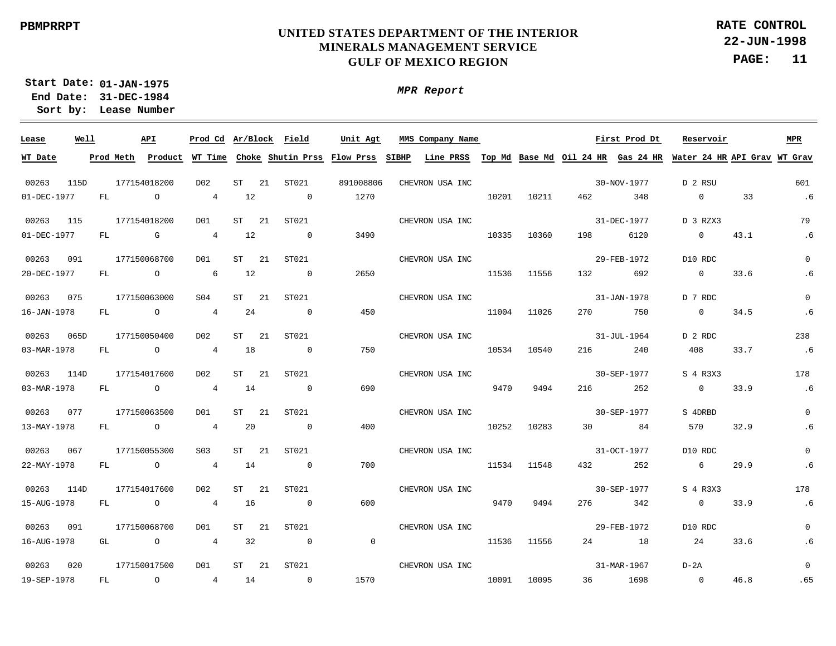**22-JUN-1998 PAGE: 11 RATE CONTROL**

**01-JAN-1975 Start Date: 31-DEC-1984 End Date: Lease Number Sort by:**

| Lease       | Well |     | API            | Prod Cd Ar/Block Field |         |     |                          | Unit Agt       | MMS Company Name                                                                                                                      |       |             |                        | First Prod Dt | Reservoir       |      | <b>MPR</b>     |
|-------------|------|-----|----------------|------------------------|---------|-----|--------------------------|----------------|---------------------------------------------------------------------------------------------------------------------------------------|-------|-------------|------------------------|---------------|-----------------|------|----------------|
| WT Date     |      |     |                |                        |         |     |                          |                | Prod Meth Product WT Time Choke Shutin Prss Flow Prss SIBHP Line PRSS Top Md Base Md Oil 24 HR Gas 24 HR Water 24 HR API Grav WT Grav |       |             |                        |               |                 |      |                |
| 00263       | 115D |     | 177154018200   | D02                    | $ST$ 21 |     | ST021                    | 891008806      | CHEVRON USA INC                                                                                                                       |       |             |                        | 30-NOV-1977   | D 2 RSU         |      | 601            |
| 01-DEC-1977 |      | FL  | $\overline{a}$ | $\overline{4}$         | 12      |     | $\sim$ 0                 | 1270           |                                                                                                                                       | 10201 | 10211       | 462 and $\overline{a}$ | 348           | $\overline{0}$  | 33   | .6             |
| 00263 115   |      |     | 177154018200   | D01                    | ST 21   |     | ST021                    |                | CHEVRON USA INC                                                                                                                       |       |             |                        | 31-DEC-1977   | D 3 RZX3        |      | 79             |
| 01-DEC-1977 |      | FL  | $\mathbb G$    | $\overline{4}$         | 12      |     | $\overline{\phantom{0}}$ | 3490           |                                                                                                                                       | 10335 | 10360       |                        | 198 6120      | $\overline{0}$  | 43.1 | .6             |
| 00263 091   |      |     | 177150068700   | D01                    | ST 21   |     | ST021                    |                | CHEVRON USA INC                                                                                                                       |       |             |                        | 29-FEB-1972   | D10 RDC         |      | $\Omega$       |
| 20-DEC-1977 |      | FL  | $\overline{O}$ | $6\overline{6}$        | 12      |     | $\sim$ 0                 | 2650           |                                                                                                                                       | 11536 | 11556       | 132 and 132            | 692           | $\sim$ 0        | 33.6 | . 6            |
| 00263 075   |      |     | 177150063000   | S04                    | ST 21   |     | ST021                    |                | CHEVRON USA INC                                                                                                                       |       |             |                        | 31-JAN-1978   | D 7 RDC         |      | $\Omega$       |
| 16-JAN-1978 |      | FL. | $\overline{O}$ | $4\overline{4}$        | 24      |     | $\overline{0}$           | 450            |                                                                                                                                       | 11004 | 11026       | 270                    | 750           | $\overline{0}$  | 34.5 | .6             |
| 00263       | 065D |     | 177150050400   | DO2                    | ST      | 21  | ST021                    |                | CHEVRON USA INC                                                                                                                       |       |             |                        | 31-JUL-1964   | D 2 RDC         |      | 238            |
| 03-MAR-1978 |      | FL  | $\overline{O}$ | 4 18                   |         |     | $\sim$ 0                 | 750            |                                                                                                                                       | 10534 | 10540       | 216                    | 240           | 408             | 33.7 | .6             |
| 00263       | 114D |     | 177154017600   | D02                    | ST 21   |     | ST021                    |                | CHEVRON USA INC                                                                                                                       |       |             |                        | 30-SEP-1977   | S 4 R3X3        |      | 178            |
| 03-MAR-1978 |      | FL  | $\overline{O}$ | 4 14                   |         |     | $\overline{0}$           | 690            |                                                                                                                                       | 9470  | 9494        | 216                    | 252           | $\overline{0}$  | 33.9 | .6             |
| 00263 077   |      |     | 177150063500   | DO1                    | ST      | -21 | ST021                    |                | CHEVRON USA INC                                                                                                                       |       |             |                        | 30-SEP-1977   | S 4DRBD         |      | $\mathbf{0}$   |
| 13-MAY-1978 |      | FL  | $\overline{O}$ | $\overline{4}$         | 20      |     | $\overline{0}$           | 400            |                                                                                                                                       |       | 10252 10283 |                        | 30 84         | 570             | 32.9 | . 6            |
| 00263 067   |      |     | 177150055300   | S03                    | ST 21   |     | ST021                    |                | CHEVRON USA INC                                                                                                                       |       |             |                        | 31-OCT-1977   | D10 RDC         |      | $\mathbf{0}$   |
| 22-MAY-1978 |      |     | FL O           | $\overline{4}$         | 14      |     | $\sim$ 0                 | 700            |                                                                                                                                       |       | 11534 11548 | 432                    | 252           | $6\overline{6}$ | 29.9 | .6             |
| 00263 114D  |      |     | 177154017600   | D02                    | $ST$ 21 |     | ST021                    |                | CHEVRON USA INC                                                                                                                       |       |             |                        | 30-SEP-1977   | S 4 R3X3        |      | 178            |
| 15-AUG-1978 |      |     | FL O           | $\overline{4}$         | 16      |     | $\overline{0}$           | 600            |                                                                                                                                       |       | 9470 9494   |                        | 276 342       | $\overline{0}$  | 33.9 | .6             |
| 00263       | 091  |     | 177150068700   | DO1                    | ST 21   |     | ST021                    |                | CHEVRON USA INC                                                                                                                       |       |             |                        | 29-FEB-1972   | D10 RDC         |      | $\overline{0}$ |
| 16-AUG-1978 |      |     | GL O           | $\overline{4}$         | 32      |     | $\sim$ 0                 | $\overline{0}$ |                                                                                                                                       |       | 11536 11556 |                        | 24 18         | 24              | 33.6 | . 6            |
| 00263 020   |      |     | 177150017500   | D01                    | $ST$ 21 |     | ST021                    |                | CHEVRON USA INC                                                                                                                       |       |             |                        | 31-MAR-1967   | D-2A            |      | $\Omega$       |
| 19-SEP-1978 |      | FL  | $\overline{O}$ | 4 14                   |         |     | $\sim$ 0                 | 1570           |                                                                                                                                       |       | 10091 10095 |                        | 36 1698       | $\sim$ 0        | 46.8 | .65            |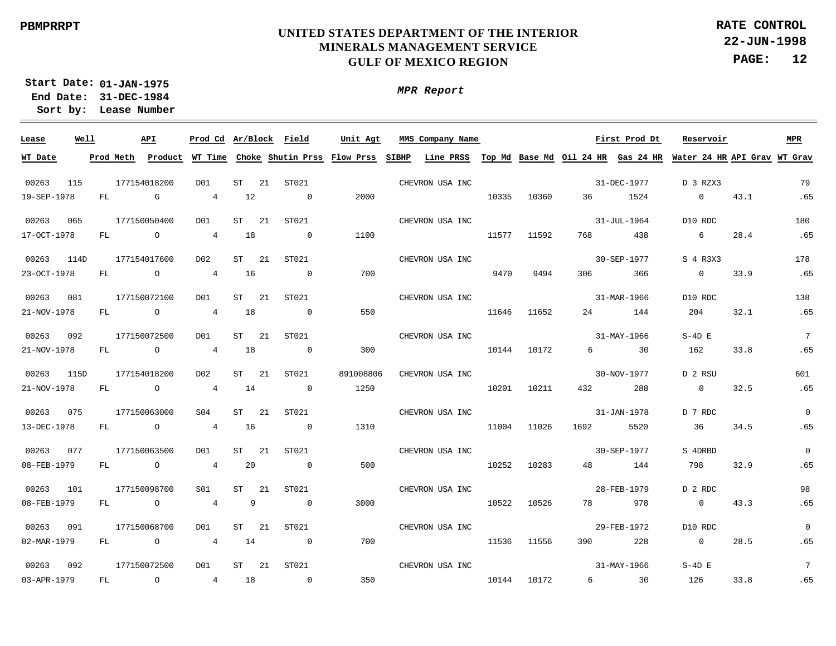**22-JUN-1998 PAGE: 12 RATE CONTROL**

**01-JAN-1975 Start Date: 31-DEC-1984 End Date: Lease Number Sort by:**

| Lease                | Well |           | API            | Prod Cd Ar/Block Field |           |      |                          | Unit Agt                                    |              | MMS Company Name                                                          |       |       |                                | First Prod Dt | Reservoir                  |      | <b>MPR</b>      |
|----------------------|------|-----------|----------------|------------------------|-----------|------|--------------------------|---------------------------------------------|--------------|---------------------------------------------------------------------------|-------|-------|--------------------------------|---------------|----------------------------|------|-----------------|
| WT Date              |      | Prod Meth |                |                        |           |      |                          | Product WT Time Choke Shutin Prss Flow Prss | <b>SIBHP</b> | Line PRSS Top Md Base Md Oil 24 HR Gas 24 HR Water 24 HR API Grav WT Grav |       |       |                                |               |                            |      |                 |
| 00263                | 115  |           | 177154018200   | D01                    | <b>ST</b> | 21   | ST021                    |                                             |              | CHEVRON USA INC                                                           |       |       |                                | 31-DEC-1977   | D 3 RZX3                   |      | 79              |
| 19-SEP-1978          |      | FL        | $\mathbb{G}$   | $\overline{4}$         | 12        |      | $\sim$ 0                 | 2000                                        |              |                                                                           | 10335 | 10360 | 36                             | 1524          | $\overline{0}$             | 43.1 | .65             |
|                      | 065  |           | 177150050400   | D01                    | <b>ST</b> | 21   | ST021                    |                                             |              |                                                                           |       |       |                                | 31-JUL-1964   |                            |      | 180             |
| 00263<br>17-OCT-1978 |      | FL        | $\overline{O}$ | $4\overline{ }$        | 18        |      | $\sim$ 0                 | 1100                                        |              | CHEVRON USA INC                                                           | 11577 | 11592 | 768                            | 438           | D10 RDC<br>$6\overline{6}$ | 28.4 | .65             |
|                      |      |           |                |                        |           |      |                          |                                             |              |                                                                           |       |       |                                |               |                            |      |                 |
| 00263                | 114D |           | 177154017600   | D <sub>0</sub> 2       | <b>ST</b> | 21   | ST021                    |                                             |              | CHEVRON USA INC                                                           |       |       |                                | 30-SEP-1977   | S 4 R3X3                   |      | 178             |
| 23-OCT-1978          |      | FL        | $\overline{a}$ | $\overline{4}$         | 16        |      | $\sim$ 0                 | 700                                         |              |                                                                           | 9470  | 9494  | 306                            | 366           | $\overline{0}$             | 33.9 | .65             |
| 00263                | 081  |           | 177150072100   | D01                    | <b>ST</b> | 21   | ST021                    |                                             |              | CHEVRON USA INC                                                           |       |       |                                | 31-MAR-1966   | D10 RDC                    |      | 138             |
| 21-NOV-1978          |      | FL        | $\overline{a}$ | $\overline{4}$         | 18        |      | $\overline{0}$           | 550                                         |              |                                                                           | 11646 | 11652 | 24                             | 144           | 204                        | 32.1 | .65             |
| 00263                | 092  |           | 177150072500   | DO1                    | ST        | 21   | ST021                    |                                             |              | CHEVRON USA INC                                                           |       |       |                                | 31-MAY-1966   | $S-4D$ E                   |      | $7\phantom{.0}$ |
| 21-NOV-1978          |      | FL        | $\overline{a}$ | $\overline{4}$         | 18        |      | $\overline{\phantom{0}}$ | 300                                         |              |                                                                           | 10144 | 10172 | $6 \left( \frac{1}{2} \right)$ | 30            | 162                        | 33.8 | .65             |
|                      |      |           |                |                        |           |      |                          |                                             |              |                                                                           |       |       |                                |               |                            |      |                 |
| 00263                | 115D |           | 177154018200   | D02                    | ST        | 21   | ST021                    | 891008806                                   |              | CHEVRON USA INC                                                           |       |       |                                | 30-NOV-1977   | D 2 RSU                    |      | 601             |
| 21-NOV-1978          |      | FL        | $\overline{a}$ | $\overline{4}$         | 14        |      | $\overline{0}$           | 1250                                        |              |                                                                           | 10201 | 10211 | 432                            | 288           | $\overline{0}$             | 32.5 | .65             |
| 00263                | 075  |           | 177150063000   | SO4                    | ST        | 21   | ST021                    |                                             |              | CHEVRON USA INC                                                           |       |       |                                | 31-JAN-1978   | D 7 RDC                    |      | $\Omega$        |
| 13-DEC-1978          |      | FL        | $\overline{a}$ | $\overline{4}$         | 16        |      | $\overline{0}$           | 1310                                        |              |                                                                           | 11004 | 11026 | 1692                           | 5520          | 36                         | 34.5 | .65             |
| 00263                | 077  |           | 177150063500   | DO1                    | ST        | 21   | ST021                    |                                             |              | CHEVRON USA INC                                                           |       |       |                                | 30-SEP-1977   | S 4DRBD                    |      | $\Omega$        |
| 08-FEB-1979          |      | FL        | $\overline{a}$ | $4\overline{ }$        | 20        |      | $\overline{0}$           | 500                                         |              |                                                                           | 10252 | 10283 | 48 — 18                        | 144           | 798                        | 32.9 | .65             |
| 00263                | 101  |           | 177150098700   | S01                    | ST        | 21   | ST021                    |                                             |              | CHEVRON USA INC                                                           |       |       |                                | 28-FEB-1979   | D 2 RDC                    |      | 98              |
| 08-FEB-1979          |      | FL        | $\overline{a}$ | $4\overline{ }$        | 9         |      | $\overline{0}$           | 3000                                        |              |                                                                           | 10522 | 10526 | 78 — 178                       | 978           | $\overline{0}$             | 43.3 | .65             |
|                      |      |           |                |                        |           |      |                          |                                             |              |                                                                           |       |       |                                |               |                            |      |                 |
| 00263                | 091  |           | 177150068700   | DO1                    | ST        | 21   | ST021                    |                                             |              | CHEVRON USA INC                                                           |       |       |                                | 29-FEB-1972   | D10 RDC                    |      | $\mathbf 0$     |
| 02-MAR-1979          |      | FL        | $\overline{a}$ | $4\overline{ }$        | 14        |      | $\overline{0}$           | 700                                         |              |                                                                           | 11536 | 11556 | 390                            | 228           | $\overline{0}$             | 28.5 | .65             |
| 00263                | 092  |           | 177150072500   | DO1                    | ST        | - 21 | ST021                    |                                             |              | CHEVRON USA INC                                                           |       |       |                                | 31-MAY-1966   | $S-4D$ E                   |      | $7\phantom{.0}$ |
| 03-APR-1979          |      | FL        | $\circ$        | $4\overline{ }$        | 18        |      | $\overline{\phantom{0}}$ | 350                                         |              |                                                                           | 10144 | 10172 | $6\overline{}$                 | 30            | 126                        | 33.8 | .65             |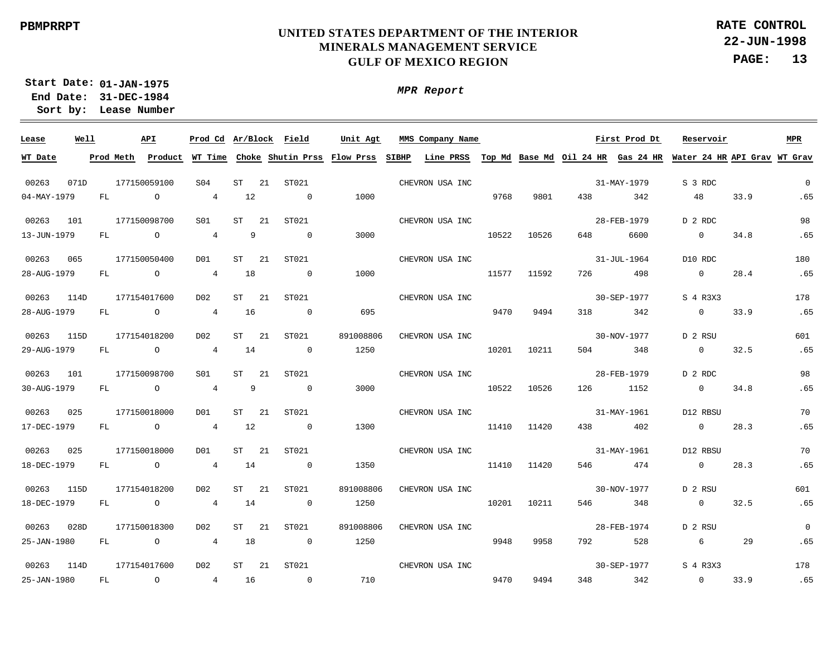**22-JUN-1998 PAGE: 13 RATE CONTROL**

**01-JAN-1975 Start Date: 31-DEC-1984 End Date: Lease Number Sort by:**

| Lease       | Well |           |                | API            | Prod Cd Ar/Block Field |           |      |                          | Unit Agt                            |       | MMS Company Name |       |       |     | First Prod Dt                      | Reservoir                    |      | <b>MPR</b>  |
|-------------|------|-----------|----------------|----------------|------------------------|-----------|------|--------------------------|-------------------------------------|-------|------------------|-------|-------|-----|------------------------------------|------------------------------|------|-------------|
| WT Date     |      | Prod Meth |                | Product        |                        |           |      |                          | WT Time Choke Shutin Prss Flow Prss | SIBHP | Line PRSS        |       |       |     | Top Md Base Md Oil 24 HR Gas 24 HR | Water 24 HR API Grav WT Grav |      |             |
|             |      |           |                |                |                        |           |      |                          |                                     |       |                  |       |       |     |                                    |                              |      |             |
| 00263       | 071D |           |                | 177150059100   | S <sub>04</sub>        | ST        | 21   | ST021                    |                                     |       | CHEVRON USA INC  |       |       |     | 31-MAY-1979                        | S 3 RDC                      |      | $\Omega$    |
| 04-MAY-1979 |      | FL        |                | $\circ$        | $\overline{4}$         | 12        |      | $\overline{0}$           | 1000                                |       |                  | 9768  | 9801  | 438 | 342                                | 48                           | 33.9 | .65         |
| 00263       | 101  |           |                | 177150098700   | S01                    | <b>ST</b> | 21   | ST021                    |                                     |       | CHEVRON USA INC  |       |       |     | 28-FEB-1979                        | D 2 RDC                      |      | 98          |
| 13-JUN-1979 |      | FL        |                | $\circ$        | $\overline{4}$         |           | 9    | $\overline{0}$           | 3000                                |       |                  | 10522 | 10526 | 648 | 6600                               | $\overline{0}$               | 34.8 | .65         |
| 00263       | 065  |           |                | 177150050400   | DO1                    | ST        | 21   | ST021                    |                                     |       | CHEVRON USA INC  |       |       |     | $31 - JUL - 1964$                  | D10 RDC                      |      | 180         |
| 28-AUG-1979 |      | FL        |                | $\overline{O}$ | $\overline{4}$         | 18        |      | $\sim$ 0                 | 1000                                |       |                  | 11577 | 11592 | 726 | 498                                | $\overline{0}$               | 28.4 | .65         |
|             |      |           |                |                |                        |           |      |                          |                                     |       |                  |       |       |     |                                    |                              |      |             |
| 00263       | 114D |           |                | 177154017600   | D <sub>0</sub> 2       | ST        | 21   | ST021                    |                                     |       | CHEVRON USA INC  |       |       |     | 30-SEP-1977                        | S 4 R3X3                     |      | 178         |
| 28-AUG-1979 |      | FL        |                | $\circ$        | $\overline{4}$         | 16        |      | $\overline{0}$           | 695                                 |       |                  | 9470  | 9494  | 318 | 342                                | $\overline{0}$               | 33.9 | .65         |
| 00263       | 115D |           |                | 177154018200   | D <sub>0</sub> 2       | ST        | 21   | ST021                    | 891008806                           |       | CHEVRON USA INC  |       |       |     | 30-NOV-1977                        | D 2 RSU                      |      | 601         |
| 29-AUG-1979 |      | FL        |                | $\circ$        | $\overline{4}$         | 14        |      | $\overline{0}$           | 1250                                |       |                  | 10201 | 10211 | 504 | 348                                | $\overline{0}$               | 32.5 | .65         |
| 00263       | 101  |           |                | 177150098700   | S01                    | ST        | -21  | ST021                    |                                     |       | CHEVRON USA INC  |       |       |     | 28-FEB-1979                        | D 2 RDC                      |      | 98          |
| 30-AUG-1979 |      | FL        | $\overline{a}$ |                | $\overline{4}$         |           | 9    | $\overline{0}$           | 3000                                |       |                  | 10522 | 10526 | 126 | 1152                               | $\overline{0}$               | 34.8 | .65         |
|             |      |           |                |                |                        |           |      |                          |                                     |       |                  |       |       |     |                                    |                              |      |             |
| 00263       | 025  |           |                | 177150018000   | D01                    | ST        | -21  | ST021                    |                                     |       | CHEVRON USA INC  |       |       |     | 31-MAY-1961                        | D12 RBSU                     |      | 70          |
| 17-DEC-1979 |      | FL        |                | $\circ$        | $\overline{4}$         | 12        |      | $\overline{0}$           | 1300                                |       |                  | 11410 | 11420 | 438 | 402                                | $\overline{0}$               | 28.3 | .65         |
| 00263       | 025  |           |                | 177150018000   | D01                    | ST        | 21   | ST021                    |                                     |       | CHEVRON USA INC  |       |       |     | 31-MAY-1961                        | D12 RBSU                     |      | 70          |
| 18-DEC-1979 |      | FL        |                | $\circ$        | $\overline{4}$         | 14        |      | $\overline{0}$           | 1350                                |       |                  | 11410 | 11420 | 546 | 474                                | $\overline{0}$               | 28.3 | .65         |
| 00263       | 115D |           |                | 177154018200   | D02                    | ST        | -21  | ST021                    | 891008806                           |       | CHEVRON USA INC  |       |       |     | 30-NOV-1977                        | D 2 RSU                      |      | 601         |
| 18-DEC-1979 |      | FL        |                | $\circ$        | $\overline{4}$         | 14        |      | $\overline{\phantom{0}}$ | 1250                                |       |                  | 10201 | 10211 | 546 | 348                                | $\overline{0}$               | 32.5 | .65         |
| 00263       | 028D |           |                | 177150018300   | D02                    | ST        | -21  | ST021                    | 891008806                           |       | CHEVRON USA INC  |       |       |     | 28-FEB-1974                        | D 2 RSU                      |      | $\mathbf 0$ |
|             |      |           |                |                |                        |           |      |                          |                                     |       |                  |       |       |     |                                    |                              |      |             |
| 25-JAN-1980 |      | FL        |                | $\circ$        | 4                      | 18        |      | $\overline{0}$           | 1250                                |       |                  | 9948  | 9958  | 792 | 528                                | 6                            | 29   | .65         |
| 00263       | 114D |           |                | 177154017600   | D02                    | ST        | - 21 | ST021                    |                                     |       | CHEVRON USA INC  |       |       |     | 30-SEP-1977                        | S 4 R3X3                     |      | 178         |
| 25-JAN-1980 |      | FL        |                | $\circ$        | $4\overline{ }$        | 16        |      | $\overline{0}$           | 710                                 |       |                  | 9470  | 9494  | 348 | 342                                | $\overline{0}$               | 33.9 | .65         |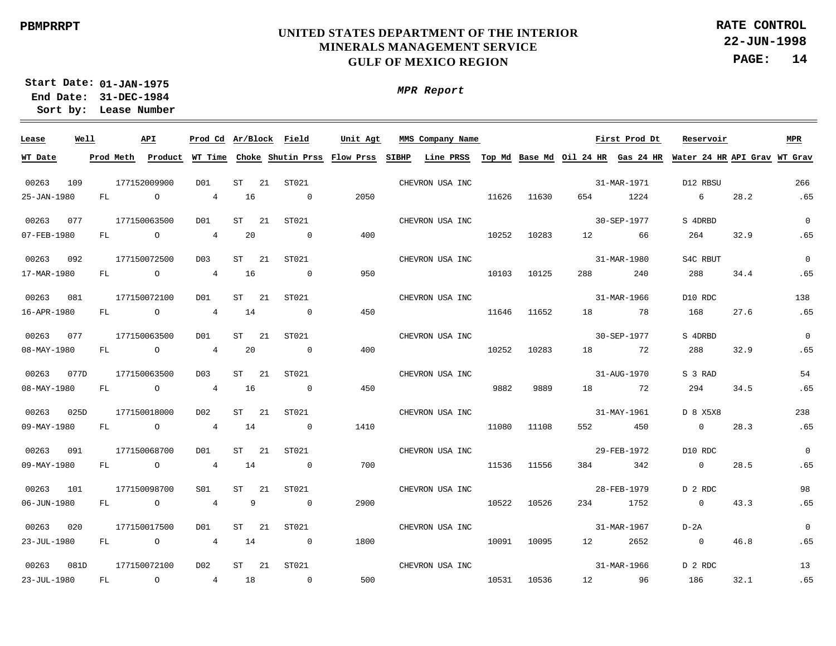**22-JUN-1998 PAGE: 14 RATE CONTROL**

**01-JAN-1975 Start Date: 31-DEC-1984 End Date: Lease Number Sort by:**

| Lease                | Well |           | API            | Prod Cd Ar/Block Field |          |     |                          | Unit Agt                                    |       | MMS Company Name                             |       |       |                       | First Prod Dt | Reservoir                    |      | MPR         |
|----------------------|------|-----------|----------------|------------------------|----------|-----|--------------------------|---------------------------------------------|-------|----------------------------------------------|-------|-------|-----------------------|---------------|------------------------------|------|-------------|
| WT Date              |      | Prod Meth |                |                        |          |     |                          | Product WT Time Choke Shutin Prss Flow Prss | SIBHP | Line PRSS Top Md Base Md Oil 24 HR Gas 24 HR |       |       |                       |               | Water 24 HR API Grav WT Grav |      |             |
| 00263                | 109  |           | 177152009900   | DO1                    | ST       | 21  | ST021                    |                                             |       | CHEVRON USA INC                              |       |       |                       | 31-MAR-1971   | D12 RBSU                     |      | 266         |
| 25-JAN-1980          |      | FL        | $\circ$        | $\overline{4}$         | 16       |     | $\overline{0}$           | 2050                                        |       |                                              | 11626 | 11630 | 654                   | 1224          | 6                            | 28.2 | .65         |
|                      |      |           |                |                        |          |     |                          |                                             |       |                                              |       |       |                       |               |                              |      |             |
| 00263                | 077  |           | 177150063500   | DO1                    | ST       | -21 | ST021                    |                                             |       | CHEVRON USA INC                              |       |       |                       | 30-SEP-1977   | S 4DRBD                      |      | $\mathbf 0$ |
| 07-FEB-1980          |      | FL        | $\circ$        | $\overline{4}$         | 20       |     | $\overline{0}$           | 400                                         |       |                                              | 10252 | 10283 | 12                    | 66            | 264                          | 32.9 | .65         |
| 00263                | 092  |           | 177150072500   | D <sub>0</sub> 3       | ST       | 21  | ST021                    |                                             |       | CHEVRON USA INC                              |       |       |                       | 31-MAR-1980   | S4C RBUT                     |      | $\mathbf 0$ |
| 17-MAR-1980          |      | FL        | $\overline{a}$ | $4\overline{ }$        | 16       |     | $\overline{\phantom{0}}$ | 950                                         |       |                                              | 10103 | 10125 | 288                   | 240           | 288                          | 34.4 | .65         |
|                      |      |           |                |                        |          |     |                          |                                             |       |                                              |       |       |                       |               |                              |      |             |
| 00263                | 081  |           | 177150072100   | DO1                    | ST       | -21 | ST021                    |                                             |       | CHEVRON USA INC                              |       |       |                       | 31-MAR-1966   | D10 RDC                      |      | 138         |
| 16-APR-1980          |      | FL        | $\overline{a}$ | $4\overline{ }$        | 14       |     | $\overline{0}$           | 450                                         |       |                                              | 11646 | 11652 | 18                    | 78            | 168                          | 27.6 | .65         |
| 00263                | 077  |           | 177150063500   | DO1                    | ST       | 21  | ST021                    |                                             |       | CHEVRON USA INC                              |       |       |                       | 30-SEP-1977   | S 4DRBD                      |      | $\mathbf 0$ |
| 08-MAY-1980          |      | FL        | $\overline{a}$ | $4\overline{ }$        | 20       |     | $\overline{\phantom{0}}$ | 400                                         |       |                                              | 10252 | 10283 | 18                    | 72            | 288                          | 32.9 | .65         |
|                      |      |           |                |                        |          |     |                          |                                             |       |                                              |       |       |                       |               |                              |      |             |
| 00263                | 077D |           | 177150063500   | D03                    | ST       | -21 | ST021                    |                                             |       | CHEVRON USA INC                              |       |       |                       | 31-AUG-1970   | S 3 RAD                      |      | 54          |
| 08-MAY-1980          |      | FL        | $\overline{a}$ | $\overline{4}$         | 16       |     | $\overline{\phantom{0}}$ | 450                                         |       |                                              | 9882  | 9889  | 18                    | 72            | 294                          | 34.5 | .65         |
|                      |      |           |                |                        |          |     |                          |                                             |       |                                              |       |       |                       |               |                              |      |             |
| 00263                | 025D |           | 177150018000   | D02<br>$\overline{4}$  | ST<br>14 | -21 | ST021                    |                                             |       | CHEVRON USA INC                              |       |       |                       | 31-MAY-1961   | D 8 X5X8<br>$\overline{0}$   | 28.3 | 238<br>.65  |
| 09-MAY-1980          |      | FL        | $\overline{a}$ |                        |          |     | $\overline{\phantom{0}}$ | 1410                                        |       |                                              | 11080 | 11108 | 552                   | 450           |                              |      |             |
| 00263                | 091  |           | 177150068700   | D01                    | ST       | -21 | ST021                    |                                             |       | CHEVRON USA INC                              |       |       |                       | 29-FEB-1972   | D10 RDC                      |      | $\mathbf 0$ |
| 09-MAY-1980          |      | FL        | $\overline{a}$ | $4\overline{ }$        | 14       |     | $\sim$ 0                 | 700                                         |       |                                              | 11536 | 11556 | 384                   | 342           | $\overline{0}$               | 28.5 | .65         |
|                      |      |           |                |                        |          |     |                          |                                             |       |                                              |       |       |                       |               |                              |      |             |
| 00263<br>06-JUN-1980 | 101  | FL        | 177150098700   | S01<br>$4\overline{ }$ | ST<br>9  | 21  | ST021<br>$\overline{0}$  |                                             |       | CHEVRON USA INC                              |       |       |                       | 28-FEB-1979   | D 2 RDC<br>$\overline{0}$    |      | 98<br>.65   |
|                      |      |           | $\circ$        |                        |          |     |                          | 2900                                        |       |                                              | 10522 | 10526 |                       | 234 1752      |                              | 43.3 |             |
| 00263                | 020  |           | 177150017500   | D01                    | ST       | 21  | ST021                    |                                             |       | CHEVRON USA INC                              |       |       |                       | 31-MAR-1967   | $D-2A$                       |      | $\mathbf 0$ |
| 23-JUL-1980          |      | FL        | $\circ$        | 4                      | 14       |     | $\overline{0}$           | 1800                                        |       |                                              | 10091 | 10095 | 12 and $\overline{a}$ | 2652          | $\overline{0}$               | 46.8 | .65         |
|                      |      |           |                |                        |          |     |                          |                                             |       |                                              |       |       |                       |               |                              |      |             |
| 00263                | 081D |           | 177150072100   | D02                    | ST       | -21 | ST021                    |                                             |       | CHEVRON USA INC                              |       |       |                       | 31-MAR-1966   | D 2 RDC                      |      | 13          |
| 23-JUL-1980          |      | FL        | $\circ$        | 4                      | 18       |     | $\overline{0}$           | 500                                         |       |                                              | 10531 | 10536 | 12 and $\overline{a}$ | 96            | 186                          | 32.1 | .65         |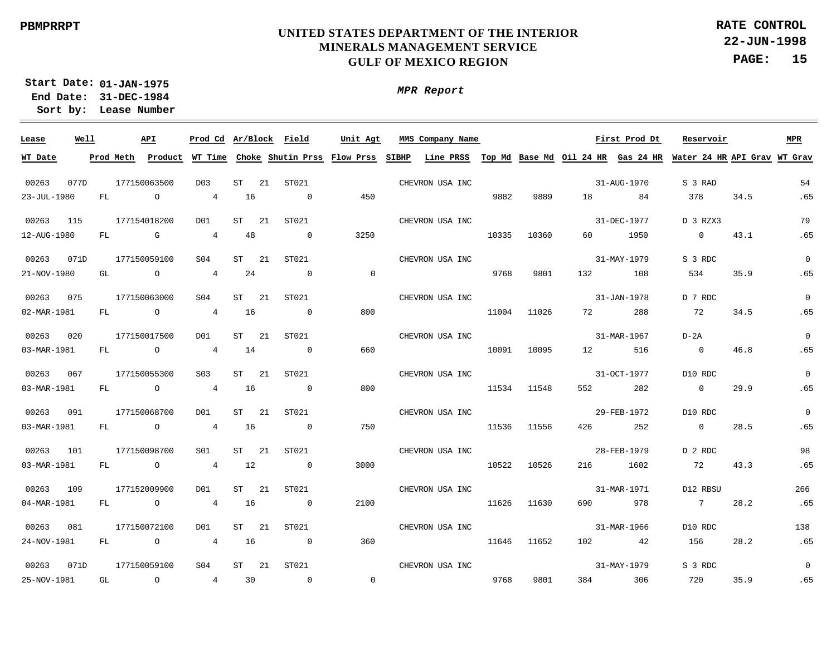**22-JUN-1998 PAGE: 15 RATE CONTROL**

**01-JAN-1975 Start Date: 31-DEC-1984 End Date: Lease Number Sort by:**

| Lease       | Well |           | API            |                  |          | Prod Cd Ar/Block Field              | Unit Agt       | MMS Company Name |       |             |        | First Prod Dt | Reservoir                                                                 |      | MPR            |
|-------------|------|-----------|----------------|------------------|----------|-------------------------------------|----------------|------------------|-------|-------------|--------|---------------|---------------------------------------------------------------------------|------|----------------|
| WT Date     |      | Prod Meth | Product        |                  |          | WT Time Choke Shutin Prss Flow Prss |                | SIBHP            |       |             |        |               | Line PRSS Top Md Base Md Oil 24 HR Gas 24 HR Water 24 HR API Grav WT Grav |      |                |
| 00263       | 077D |           | 177150063500   | D <sub>0</sub> 3 | ST       | 21<br>ST021                         |                | CHEVRON USA INC  |       |             |        | 31-AUG-1970   | S 3 RAD                                                                   |      | 54             |
| 23-JUL-1980 |      | FL        | $\circ$        | $\overline{4}$   | 16       | $\overline{0}$                      | 450            |                  | 9882  | 9889        | 18     | 84            | 378                                                                       | 34.5 | .65            |
| 00263       | 115  |           | 177154018200   | DO1              | ST       | ST021<br>21                         |                | CHEVRON USA INC  |       |             |        | 31-DEC-1977   | D 3 RZX3                                                                  |      | 79             |
| 12-AUG-1980 |      | FL        | <b>G</b>       | $\overline{4}$   | 48       | $\overline{0}$                      | 3250           |                  | 10335 | 10360       | 60     | 1950          | $\overline{0}$                                                            | 43.1 | .65            |
| 00263       | 071D |           | 177150059100   | S04              | ST       | 21<br>ST021                         |                | CHEVRON USA INC  |       |             |        | 31-MAY-1979   | S 3 RDC                                                                   |      | $\mathbf 0$    |
| 21-NOV-1980 |      | GL        | $\overline{O}$ | $\overline{4}$   | 24       | $\overline{0}$                      | $\overline{0}$ |                  | 9768  | 9801        | 132    | 108           | 534                                                                       | 35.9 | .65            |
| 00263       | 075  |           | 177150063000   | S <sub>04</sub>  | ST       | ST021<br>-21                        |                | CHEVRON USA INC  |       |             |        | 31-JAN-1978   | D 7 RDC                                                                   |      | $\mathbf{0}$   |
| 02-MAR-1981 |      | FL        | $\overline{O}$ | $\overline{4}$   | 16       | $\sim$ 0                            | 800            |                  | 11004 | 11026       | 72 — 1 | 288           | 72                                                                        | 34.5 | .65            |
| 00263       | 020  |           | 177150017500   | DO1              | ST       | ST021<br>-21                        |                | CHEVRON USA INC  |       |             |        | 31-MAR-1967   | $D-2A$                                                                    |      | $\mathbf{0}$   |
| 03-MAR-1981 |      | FL        | $\overline{O}$ | $\overline{4}$   | 14       | $\sim$ 0                            | 660            |                  | 10091 | 10095       | 12     | 516           | $\overline{0}$                                                            | 46.8 | .65            |
| 00263       | 067  |           | 177150055300   | S <sub>03</sub>  | ST       | ST021<br>-21                        |                | CHEVRON USA INC  |       |             |        | 31-OCT-1977   | D10 RDC                                                                   |      | $\mathbf 0$    |
| 03-MAR-1981 |      | FL        | $\overline{O}$ | 4                | 16       | $\overline{0}$                      | 800            |                  |       | 11534 11548 | 552    | 282           | $\overline{0}$                                                            | 29.9 | .65            |
| 00263       | 091  |           | 177150068700   | D01              | ST       | 21<br>ST021                         |                | CHEVRON USA INC  |       |             |        | 29-FEB-1972   | D10 RDC                                                                   |      | $\mathbf 0$    |
| 03-MAR-1981 |      | FL        | $\overline{a}$ | $4\overline{ }$  | 16       | $\sim$ 0                            | 750            |                  | 11536 | 11556       | 426    | 252           | $\overline{0}$                                                            | 28.5 | .65            |
| 00263       | 101  |           | 177150098700   | SO1              | ST<br>21 | ST021                               |                | CHEVRON USA INC  |       |             |        | 28-FEB-1979   | D 2 RDC                                                                   |      | 98             |
| 03-MAR-1981 |      | FL        | $\overline{a}$ | $\overline{4}$   | 12       | $\overline{0}$                      | 3000           |                  | 10522 | 10526       | 216    | 1602          | 72                                                                        | 43.3 | .65            |
| 00263       | 109  |           | 177152009900   | DO1              | ST       | 21<br>ST021                         |                | CHEVRON USA INC  |       |             |        | 31-MAR-1971   | D12 RBSU                                                                  |      | 266            |
| 04-MAR-1981 |      | FL        | $\overline{O}$ | $4\overline{ }$  | 16       | $\overline{0}$                      | 2100           |                  | 11626 | 11630       | 690    | 978           | $7\overline{ }$                                                           | 28.2 | .65            |
| 00263       | 081  |           | 177150072100   | DO1              | ST       | 21<br>ST021                         |                | CHEVRON USA INC  |       |             |        | 31-MAR-1966   | D10 RDC                                                                   |      | 138            |
| 24-NOV-1981 |      | FL        | $\overline{a}$ | $\overline{4}$   | 16       | $\sim$ 0                            | 360            |                  | 11646 | 11652       |        | 102 42        | 156                                                                       | 28.2 | .65            |
| 00263       | 071D |           | 177150059100   | S04              | ST       | ST021<br>21                         |                | CHEVRON USA INC  |       |             |        | 31-MAY-1979   | S 3 RDC                                                                   |      | $\overline{0}$ |
| 25-NOV-1981 |      | GL        | $\overline{O}$ | $4\overline{ }$  | 30       | $\overline{0}$                      | $\overline{0}$ |                  | 9768  | 9801        | 384    | 306           | 720                                                                       | 35.9 | .65            |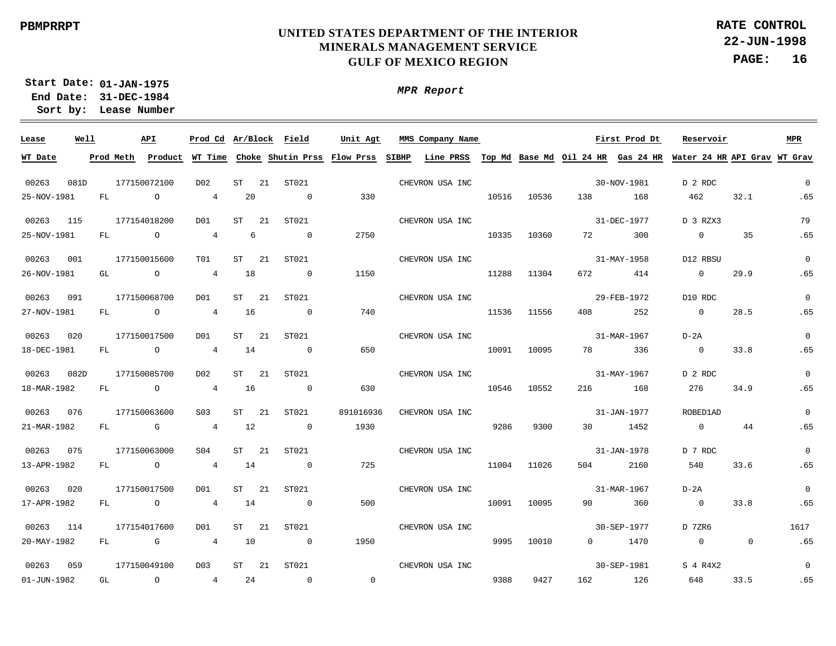**22-JUN-1998 PAGE: 16 RATE CONTROL**

**01-JAN-1975 Start Date: 31-DEC-1984 End Date: Lease Number Sort by:**

*MPR Report*

| Lease       | Well |     | API                                                                                                                                                                                                                            | Prod Cd Ar/Block Field |    |     |                          | Unit Agt       | MMS Company Name                                                                                                                      |       |       |          | First Prod Dt | Reservoir      |          | <b>MPR</b>  |
|-------------|------|-----|--------------------------------------------------------------------------------------------------------------------------------------------------------------------------------------------------------------------------------|------------------------|----|-----|--------------------------|----------------|---------------------------------------------------------------------------------------------------------------------------------------|-------|-------|----------|---------------|----------------|----------|-------------|
| WT Date     |      |     |                                                                                                                                                                                                                                |                        |    |     |                          |                | Prod Meth Product WT Time Choke Shutin Prss Flow Prss SIBHP Line PRSS Top Md Base Md Oil 24 HR Gas 24 HR Water 24 HR API Grav WT Grav |       |       |          |               |                |          |             |
| 00263       | 081D |     | 177150072100                                                                                                                                                                                                                   | D02                    | ST | 21  | ST021                    |                | CHEVRON USA INC                                                                                                                       |       |       |          | 30-NOV-1981   | D 2 RDC        |          | $\mathbf 0$ |
| 25-NOV-1981 |      | FL. | $\circ$                                                                                                                                                                                                                        | 4                      | 20 |     | $\sim$ 0                 | 330            |                                                                                                                                       | 10516 | 10536 | 138      | 168           | 462            | 32.1     | .65         |
| 00263       | 115  |     | 177154018200                                                                                                                                                                                                                   | D01                    | ST | -21 | ST021                    |                | CHEVRON USA INC                                                                                                                       |       |       |          | 31-DEC-1977   | D 3 RZX3       |          | 79          |
| 25-NOV-1981 |      | FL  | $\overline{a}$                                                                                                                                                                                                                 | 4                      | 6  |     | $\overline{0}$           | 2750           |                                                                                                                                       | 10335 | 10360 | 72 — 1   | 300           | $\overline{0}$ | 35       | .65         |
| 00263       | 001  |     | 177150015600                                                                                                                                                                                                                   | TO1                    | ST | 21  | ST021                    |                | CHEVRON USA INC                                                                                                                       |       |       |          | 31-MAY-1958   | D12 RBSU       |          | $\mathbf 0$ |
| 26-NOV-1981 |      | GL  | $\overline{O}$                                                                                                                                                                                                                 | $4\overline{ }$        | 18 |     | $\overline{\phantom{0}}$ | 1150           |                                                                                                                                       | 11288 | 11304 | 672 — 10 | 414           | $\overline{0}$ | 29.9     | .65         |
| 00263       | 091  |     | 177150068700                                                                                                                                                                                                                   | DO1                    | ST | -21 | ST021                    |                | CHEVRON USA INC                                                                                                                       |       |       |          | 29-FEB-1972   | D10 RDC        |          | $\mathbf 0$ |
| 27-NOV-1981 |      | FL  | $\circ$                                                                                                                                                                                                                        | $\overline{4}$         | 16 |     | $\overline{0}$           | 740            |                                                                                                                                       | 11536 | 11556 | 408      | 252           | $\overline{0}$ | 28.5     | .65         |
| 00263       | 020  |     | 177150017500                                                                                                                                                                                                                   | DO1                    | ST | 21  | ST021                    |                | CHEVRON USA INC                                                                                                                       |       |       |          | 31-MAR-1967   | $D-2A$         |          | $\Omega$    |
| 18-DEC-1981 |      | FL. | $\circ$                                                                                                                                                                                                                        | $\overline{4}$         | 14 |     | $\overline{0}$           | 650            |                                                                                                                                       | 10091 | 10095 | 78       | 336           | $\overline{0}$ | 33.8     | .65         |
| 00263       | 082D |     | 177150085700                                                                                                                                                                                                                   | D02                    | ST | 21  | ST021                    |                | CHEVRON USA INC                                                                                                                       |       |       |          | 31-MAY-1967   | D 2 RDC        |          | $\Omega$    |
| 18-MAR-1982 |      | FL  | $\circ$                                                                                                                                                                                                                        | $\overline{4}$         | 16 |     | $\overline{0}$           | 630            |                                                                                                                                       | 10546 | 10552 | 216      | 168           | 276            | 34.9     | .65         |
| 00263       | 076  |     | 177150063600                                                                                                                                                                                                                   | S <sub>03</sub>        | ST | 21  | ST021                    | 891016936      | CHEVRON USA INC                                                                                                                       |       |       |          | 31-JAN-1977   | ROBED1AD       |          | $\Omega$    |
| 21-MAR-1982 |      | FL  | $\mathbb G$                                                                                                                                                                                                                    | $\overline{4}$         | 12 |     | $\overline{\phantom{0}}$ | 1930           |                                                                                                                                       | 9286  | 9300  | 30       | 1452          | $\overline{0}$ | 44       | .65         |
| 00263       | 075  |     | 177150063000                                                                                                                                                                                                                   | S <sub>04</sub>        | ST | -21 | ST021                    |                | CHEVRON USA INC                                                                                                                       |       |       |          | 31-JAN-1978   | D 7 RDC        |          | $\mathbf 0$ |
| 13-APR-1982 |      | FL. | $\overline{a}$                                                                                                                                                                                                                 | $\overline{4}$         | 14 |     | $\overline{0}$           | 725            |                                                                                                                                       | 11004 | 11026 | 504      | 2160          | 540            | 33.6     | .65         |
| 00263       | 020  |     | 177150017500                                                                                                                                                                                                                   | DO1                    | ST | 21  | ST021                    |                | CHEVRON USA INC                                                                                                                       |       |       |          | 31-MAR-1967   | $D-2A$         |          | $\mathbf 0$ |
| 17-APR-1982 |      | FL  | $\overline{a}$                                                                                                                                                                                                                 | $4\overline{ }$        | 14 |     | $\overline{0}$           | 500            |                                                                                                                                       | 10091 | 10095 | 90       | 360           | $\overline{0}$ | 33.8     | .65         |
| 00263       | 114  |     | 177154017600                                                                                                                                                                                                                   | DO1                    | ST | -21 | ST021                    |                | CHEVRON USA INC                                                                                                                       |       |       |          | 30-SEP-1977   | D 7ZR6         |          | 1617        |
| 20-MAY-1982 |      | FL. | discovered the control of the control of the control of the control of the control of the control of the control of the control of the control of the control of the control of the control of the control of the control of t | $\overline{4}$         | 10 |     | $\overline{0}$           | 1950           |                                                                                                                                       | 9995  | 10010 |          | $0 \t 1470$   | $\overline{0}$ | $\Omega$ | .65         |
| 00263       | 059  |     | 177150049100                                                                                                                                                                                                                   | D03                    | ST | -21 | ST021                    |                | CHEVRON USA INC                                                                                                                       |       |       |          | 30-SEP-1981   | S 4 R4X2       |          | $\Omega$    |
| 01-JUN-1982 |      | GL  | $\overline{a}$                                                                                                                                                                                                                 | 4                      | 24 |     | $\sim$ 0                 | $\overline{0}$ |                                                                                                                                       | 9388  | 9427  |          | 162 126       | 648            | 33.5     | .65         |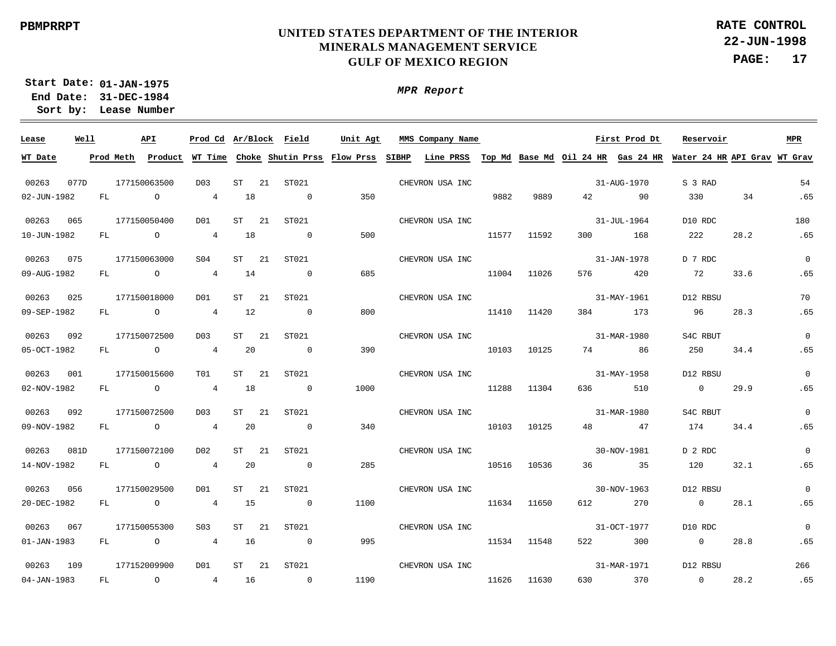# **UNITED STATES DEPARTMENT OF THE INTERIOR MINERALS MANAGEMENT SERVICE GULF OF MEXICO REGION**

**22-JUN-1998 PAGE: 17 RATE CONTROL**

**01-JAN-1975 Start Date: 31-DEC-1984 End Date: Lease Number Sort by:**

| Lease             | Well |      | API            |                  |          | Prod Cd Ar/Block Field | Unit Agt | MMS Company Name                                                                                                                      |       |             | <b>Example 18 First Prod Dt</b> |             | Reservoir      |      | MPR            |
|-------------------|------|------|----------------|------------------|----------|------------------------|----------|---------------------------------------------------------------------------------------------------------------------------------------|-------|-------------|---------------------------------|-------------|----------------|------|----------------|
| WT Date           |      |      |                |                  |          |                        |          | Prod Meth Product WT Time Choke Shutin Prss Flow Prss SIBHP Line PRSS Top Md Base Md Oil 24 HR Gas 24 HR Water 24 HR API Grav WT Grav |       |             |                                 |             |                |      |                |
| 00263             | 077D |      | 177150063500   | D03              | ST       | 21<br>ST021            |          | CHEVRON USA INC                                                                                                                       |       |             |                                 | 31-AUG-1970 | S 3 RAD        |      | 54             |
| 02-JUN-1982       |      | FL   | $\circ$        | $4\overline{ }$  | 18       | $\overline{0}$         | 350      |                                                                                                                                       | 9882  | 9889        |                                 | 42 90       | 330 34         |      | .65            |
| 00263             | 065  |      | 177150050400   | DO1              | ST<br>21 | ST021                  |          | CHEVRON USA INC                                                                                                                       |       |             |                                 | 31-JUL-1964 | D10 RDC        |      | 180            |
| 10-JUN-1982       |      | FL O |                | $\overline{4}$   | 18       | $\sim$ 0               | 500      |                                                                                                                                       | 11577 | 11592       |                                 | 300 168     | 222            | 28.2 | .65            |
| 00263 075         |      |      | 177150063000   | SO4              | ST 21    | ST021                  |          | CHEVRON USA INC                                                                                                                       |       |             |                                 | 31-JAN-1978 | D 7 RDC        |      | $\overline{0}$ |
| 09-AUG-1982       |      | FL O |                | $\overline{4}$   | 14       | $\sim$ 0               | 685      |                                                                                                                                       | 11004 | 11026       |                                 | 576 420     | 72             | 33.6 | .65            |
| 00263             | 025  |      | 177150018000   | DO1              | ST<br>21 | ST021                  |          | CHEVRON USA INC                                                                                                                       |       |             |                                 | 31-MAY-1961 | D12 RBSU       |      | 70             |
| 09-SEP-1982       |      | FL O |                | $\overline{4}$   | 12       | $\sim$ 0               | 800      |                                                                                                                                       | 11410 | 11420       |                                 | 384 173     | 96             | 28.3 | .65            |
| 00263             | 092  |      | 177150072500   | D <sub>0</sub> 3 | ST       | ST021<br>21            |          | CHEVRON USA INC                                                                                                                       |       |             |                                 | 31-MAR-1980 | S4C RBUT       |      | $\Omega$       |
| 05-OCT-1982       |      | FL   | $\overline{O}$ | $4\overline{ }$  | 20       | $\sim$ 0               | 390      |                                                                                                                                       | 10103 | 10125       |                                 | 74 86       | 250            | 34.4 | .65            |
| 00263             | 001  |      | 177150015600   | T01              | ST       | 21<br>ST021            |          | CHEVRON USA INC                                                                                                                       |       |             |                                 | 31-MAY-1958 | D12 RBSU       |      | $\mathbf{0}$   |
| 02-NOV-1982       |      | FL   | $\overline{O}$ | $\overline{4}$   | 18       | $\sim$ 0               | 1000     |                                                                                                                                       | 11288 | 11304       | 636 7                           | 510         | $\overline{0}$ | 29.9 | .65            |
| 00263 092         |      |      | 177150072500   | D <sub>0</sub> 3 | ST       | 21<br>ST021            |          | CHEVRON USA INC                                                                                                                       |       |             |                                 | 31-MAR-1980 | S4C RBUT       |      | $\mathbf 0$    |
| 09-NOV-1982       |      | FL   | $\overline{a}$ | 4                | -20      | $\overline{0}$         | 340      |                                                                                                                                       | 10103 | 10125       |                                 | 48 47       | 174            | 34.4 | .65            |
| 00263             | 081D |      | 177150072100   | D02              | ST       | 21<br>ST021            |          | CHEVRON USA INC                                                                                                                       |       |             |                                 | 30-NOV-1981 | D 2 RDC        |      | $\mathbf 0$    |
| 14-NOV-1982       |      | FL   | $\overline{O}$ | $\overline{4}$   | 20       | $\overline{0}$         | 285      |                                                                                                                                       |       | 10516 10536 |                                 | 36 35       | 120            | 32.1 | .65            |
| 00263 056         |      |      | 177150029500   | DO1              | ST<br>21 | ST021                  |          | CHEVRON USA INC                                                                                                                       |       |             |                                 | 30-NOV-1963 | D12 RBSU       |      | $\Omega$       |
| 20-DEC-1982       |      |      | FL O           | $\overline{4}$   | 15       | $\sim$ 0               | 1100     |                                                                                                                                       |       | 11634 11650 |                                 | 612 270     | $\overline{0}$ | 28.1 | .65            |
| 00263 067         |      |      | 177150055300   | S03              | ST<br>21 | ST021                  |          | CHEVRON USA INC                                                                                                                       |       |             |                                 | 31-OCT-1977 | D10 RDC        |      | $\mathbf{0}$   |
| $01 - JAN - 1983$ |      |      | FL O           | $\overline{4}$   | 16       | $\overline{0}$         | 995      |                                                                                                                                       |       | 11534 11548 |                                 | 522 300     | $\overline{0}$ | 28.8 | .65            |
| 00263 109         |      |      | 177152009900   | DO1              | ST<br>21 | ST021                  |          | CHEVRON USA INC                                                                                                                       |       |             |                                 | 31-MAR-1971 | D12 RBSU       |      | 266            |
| 04-JAN-1983       |      | FL   | $\overline{O}$ | 4 16             |          | $\sim$ 0               | 1190     |                                                                                                                                       |       | 11626 11630 |                                 | 630 370     | $\overline{0}$ | 28.2 | .65            |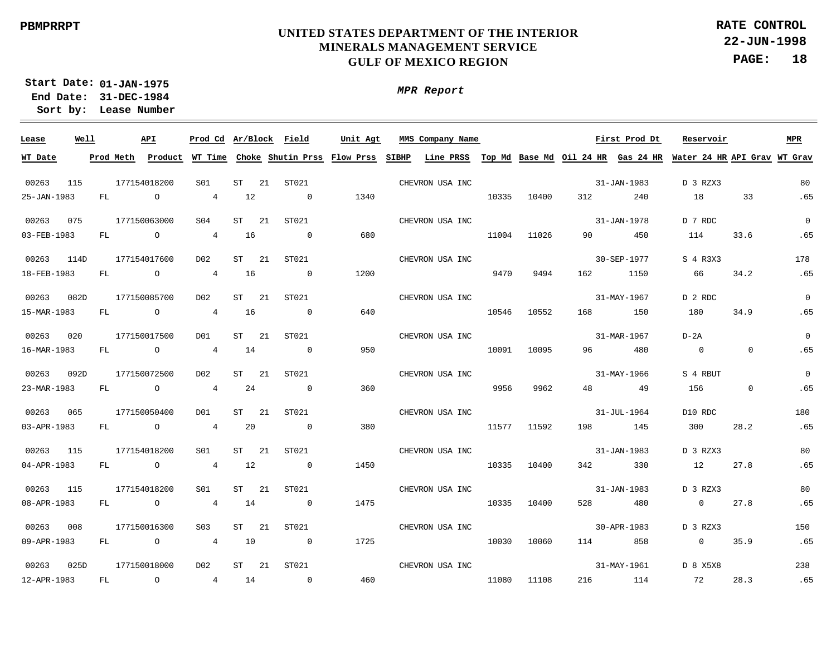**22-JUN-1998 PAGE: 18 RATE CONTROL**

**01-JAN-1975 Start Date: 31-DEC-1984 End Date: Lease Number Sort by:**

| Lease       | Well |           | API            | Prod Cd Ar/Block Field |           |    |                          | Unit Agt                            |       | MMS Company Name |       |       |     | First Prod Dt | Reservoir                                                       |                | <b>MPR</b>     |
|-------------|------|-----------|----------------|------------------------|-----------|----|--------------------------|-------------------------------------|-------|------------------|-------|-------|-----|---------------|-----------------------------------------------------------------|----------------|----------------|
| WT Date     |      | Prod Meth | Product        |                        |           |    |                          | WT Time Choke Shutin Prss Flow Prss | SIBHP | <b>Line PRSS</b> |       |       |     |               | Top Md Base Md Oil 24 HR Gas 24 HR Water 24 HR API Grav WT Grav |                |                |
| 00263       | 115  |           | 177154018200   | S01                    | ST        | 21 | ST021                    |                                     |       | CHEVRON USA INC  |       |       |     | 31-JAN-1983   | D 3 RZX3                                                        |                | 80             |
| 25-JAN-1983 |      | FL        | $\circ$        | $4\overline{ }$        | 12        |    | $\overline{\phantom{0}}$ | 1340                                |       |                  | 10335 | 10400 | 312 | 240           | 18                                                              | 33             | .65            |
| 00263       | 075  |           | 177150063000   | S <sub>04</sub>        | ST        | 21 | ST021                    |                                     |       | CHEVRON USA INC  |       |       |     | 31-JAN-1978   | D 7 RDC                                                         |                | $\Omega$       |
| 03-FEB-1983 |      | FL        | $\circ$        | $\overline{4}$         | 16        |    | $\overline{0}$           | 680                                 |       |                  | 11004 | 11026 | 90  | 450           | 114                                                             | 33.6           | .65            |
| 00263       | 114D |           | 177154017600   | D <sub>0</sub> 2       | <b>ST</b> | 21 | ST021                    |                                     |       | CHEVRON USA INC  |       |       |     | 30-SEP-1977   | S 4 R3X3                                                        |                | 178            |
| 18-FEB-1983 |      | FL        | $\overline{O}$ | $\overline{4}$         | 16        |    | $\overline{0}$           | 1200                                |       |                  | 9470  | 9494  | 162 | 1150          | 66                                                              | 34.2           | .65            |
| 00263       | 082D |           | 177150085700   | D <sub>0</sub> 2       | ST        | 21 | ST021                    |                                     |       | CHEVRON USA INC  |       |       |     | 31-MAY-1967   | D 2 RDC                                                         |                | $\overline{0}$ |
| 15-MAR-1983 |      | FL        | $\circ$        | $\overline{4}$         | 16        |    | $\overline{0}$           | 640                                 |       |                  | 10546 | 10552 | 168 | 150           | 180                                                             | 34.9           | .65            |
| 00263       | 020  |           | 177150017500   | D01                    | ST        | 21 | ST021                    |                                     |       | CHEVRON USA INC  |       |       |     | 31-MAR-1967   | $D-2A$                                                          |                | $\Omega$       |
| 16-MAR-1983 |      | FL        | $\overline{O}$ | $\overline{4}$         | 14        |    | $\overline{0}$           | 950                                 |       |                  | 10091 | 10095 | 96  | 480           | $\overline{0}$                                                  | $\overline{0}$ | .65            |
| 00263       | 092D |           | 177150072500   | D <sub>0</sub> 2       | ST        | 21 | ST021                    |                                     |       | CHEVRON USA INC  |       |       |     | 31-MAY-1966   | S 4 RBUT                                                        |                | $\Omega$       |
| 23-MAR-1983 |      | FL.       | $\overline{O}$ | $\overline{4}$         | 24        |    | $\overline{0}$           | 360                                 |       |                  | 9956  | 9962  | 48  | 49            | 156                                                             | $\mathbf 0$    | .65            |
| 00263       | 065  |           | 177150050400   | D01                    | ST        | 21 | ST021                    |                                     |       | CHEVRON USA INC  |       |       |     | 31-JUL-1964   | D10 RDC                                                         |                | 180            |
| 03-APR-1983 |      | FL        | $\overline{a}$ | $\overline{4}$         | 20        |    | $\overline{0}$           | 380                                 |       |                  | 11577 | 11592 | 198 | 145           | 300                                                             | 28.2           | .65            |
| 00263       | 115  |           | 177154018200   | S01                    | ST        | 21 | ST021                    |                                     |       | CHEVRON USA INC  |       |       |     | 31-JAN-1983   | D 3 RZX3                                                        |                | 80             |
| 04-APR-1983 |      | FL        | $\overline{O}$ | $\overline{4}$         | 12        |    | $\overline{0}$           | 1450                                |       |                  | 10335 | 10400 | 342 | 330           | 12                                                              | 27.8           | .65            |
| 00263       | 115  |           | 177154018200   | S01                    | ST        | 21 | ST021                    |                                     |       | CHEVRON USA INC  |       |       |     | 31-JAN-1983   | D 3 RZX3                                                        |                | 80             |
| 08-APR-1983 |      | FL        | $\overline{a}$ | $\overline{4}$         | 14        |    | $\overline{0}$           | 1475                                |       |                  | 10335 | 10400 | 528 | 480           | $\overline{0}$                                                  | 27.8           | .65            |
| 00263       | 008  |           | 177150016300   | S <sub>03</sub>        | ST        | 21 | ST021                    |                                     |       | CHEVRON USA INC  |       |       |     | 30-APR-1983   | D 3 RZX3                                                        |                | 150            |
| 09-APR-1983 |      | FL        | $\overline{O}$ | $\overline{4}$         | 10        |    | $\overline{0}$           | 1725                                |       |                  | 10030 | 10060 | 114 | 858           | $\overline{0}$                                                  | 35.9           | .65            |
| 00263       | 025D |           | 177150018000   | D <sub>0</sub> 2       | <b>ST</b> | 21 | ST021                    |                                     |       | CHEVRON USA INC  |       |       |     | 31-MAY-1961   | D 8 X5X8                                                        |                | 238            |
| 12-APR-1983 |      | FL        | $\circ$        | $\overline{4}$         | 14        |    | $\overline{0}$           | 460                                 |       |                  | 11080 | 11108 | 216 | 114           | 72                                                              | 28.3           | .65            |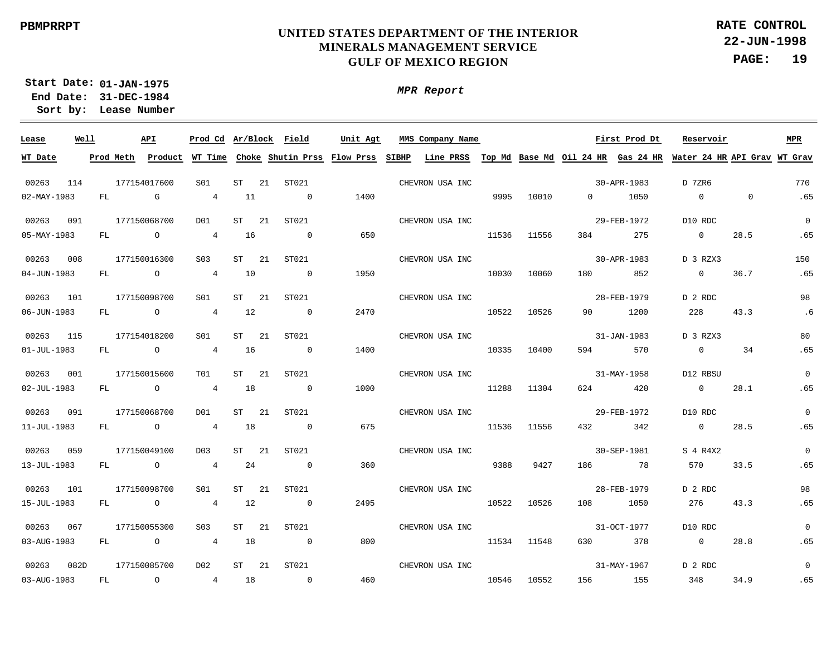**22-JUN-1998 PAGE: 19 RATE CONTROL**

**01-JAN-1975 Start Date: 31-DEC-1984 End Date: Lease Number Sort by:**

| Lease             | Well |           | API            |                  |    | Prod Cd Ar/Block Field                      | Unit Agt | MMS Company Name |       |             | <b>Example 1</b> First Prod Dt |             | Reservoir                                                                 |                | MPR            |
|-------------------|------|-----------|----------------|------------------|----|---------------------------------------------|----------|------------------|-------|-------------|--------------------------------|-------------|---------------------------------------------------------------------------|----------------|----------------|
| WT Date           |      | Prod Meth |                |                  |    | Product WT Time Choke Shutin Prss Flow Prss |          | SIBHP            |       |             |                                |             | Line PRSS Top Md Base Md Oil 24 HR Gas 24 HR Water 24 HR API Grav WT Grav |                |                |
|                   |      |           |                |                  |    |                                             |          |                  |       |             |                                |             |                                                                           |                |                |
| 00263             | 114  |           | 177154017600   | S01              | ST | 21 ST021                                    |          | CHEVRON USA INC  |       |             |                                | 30-APR-1983 | D 7ZR6                                                                    |                | 770            |
| 02-MAY-1983       |      | FL        | $\mathbb G$    | $\overline{4}$   | 11 | $\sim$ 0                                    | 1400     |                  | 9995  | 10010       | $0 \qquad \qquad$              | 1050        | $\overline{0}$                                                            | $\overline{0}$ | .65            |
| 00263             | 091  |           | 177150068700   | D <sub>0</sub> 1 | ST | ST021<br>21                                 |          | CHEVRON USA INC  |       |             |                                | 29-FEB-1972 | D10 RDC                                                                   |                | $\overline{0}$ |
| 05-MAY-1983       |      | FL        | $\overline{a}$ | $\overline{4}$   | 16 | $\overline{0}$                              | 650      |                  | 11536 | 11556       | 384                            | 275         | $\overline{0}$                                                            | 28.5           | .65            |
| 00263             | 008  |           | 177150016300   | S <sub>03</sub>  | ST | ST021<br>21                                 |          | CHEVRON USA INC  |       |             |                                | 30-APR-1983 | D 3 RZX3                                                                  |                | 150            |
| 04-JUN-1983       |      | FL        | $\overline{a}$ | $\overline{4}$   | 10 | $\overline{0}$                              | 1950     |                  | 10030 | 10060       | 180                            | 852         | $\overline{0}$                                                            | 36.7           | .65            |
| 00263             | 101  |           | 177150098700   | S <sub>01</sub>  | ST | 21<br>ST021                                 |          | CHEVRON USA INC  |       |             |                                | 28-FEB-1979 | D 2 RDC                                                                   |                | 98             |
| 06-JUN-1983       |      | FL        | $\overline{a}$ | $\overline{4}$   | 12 | $\sim$ 0                                    | 2470     |                  | 10522 | 10526       | 90                             | 1200        | 228                                                                       | 43.3           | .6             |
| 00263             | 115  |           | 177154018200   | S01              | ST | 21<br>ST021                                 |          | CHEVRON USA INC  |       |             |                                | 31-JAN-1983 | D 3 RZX3                                                                  |                | 80             |
| $01 - JUL - 1983$ |      | FL        | $\overline{a}$ | $\overline{4}$   | 16 | $\overline{0}$                              | 1400     |                  | 10335 | 10400       | 594                            | 570         | $\overline{0}$                                                            | 34             | .65            |
| 00263             | 001  |           | 177150015600   | TO1              | ST | 21<br>ST021                                 |          | CHEVRON USA INC  |       |             |                                | 31-MAY-1958 | D12 RBSU                                                                  |                | $\mathbf{0}$   |
| $02 - JUL - 1983$ |      | FL        | $\overline{O}$ | $\overline{4}$   | 18 | $\overline{0}$                              | 1000     |                  | 11288 | 11304       | 624                            | 420         | $\overline{0}$                                                            | 28.1           | .65            |
| 00263             | 091  |           | 177150068700   | D <sub>0</sub> 1 | ST | 21<br>ST021                                 |          | CHEVRON USA INC  |       |             |                                | 29-FEB-1972 | D10 RDC                                                                   |                | $\mathbf 0$    |
| 11-JUL-1983       |      | FL        | $\overline{O}$ | $\overline{4}$   | 18 | $\overline{0}$                              | 675      |                  |       | 11536 11556 | 432                            | 342         | $\overline{0}$                                                            | 28.5           | .65            |
| 00263             | 059  |           | 177150049100   | D03              | ST | ST021<br>-21                                |          | CHEVRON USA INC  |       |             |                                | 30-SEP-1981 | S 4 R4X2                                                                  |                | $\Omega$       |
| 13-JUL-1983       |      | FL        | $\overline{a}$ | $\overline{4}$   | 24 | $\overline{0}$                              | 360      |                  | 9388  | 9427        | 186                            | 78          | 570                                                                       | 33.5           | .65            |
| 00263             | 101  |           | 177150098700   | S01              | ST | -21<br>ST021                                |          | CHEVRON USA INC  |       |             |                                | 28-FEB-1979 | D 2 RDC                                                                   |                | 98             |
| 15-JUL-1983       |      | FL        | $\overline{a}$ | $\overline{4}$   | 12 | $\overline{0}$                              | 2495     |                  | 10522 | 10526       | 108                            | 1050        | 276                                                                       | 43.3           | .65            |
| 00263             | 067  |           | 177150055300   | S <sub>03</sub>  | ST | 21<br>ST021                                 |          | CHEVRON USA INC  |       |             |                                | 31-OCT-1977 | D10 RDC                                                                   |                | $\mathbf{0}$   |
| 03-AUG-1983       |      | FL        | $\overline{a}$ | $\overline{4}$   | 18 | $\overline{0}$                              | 800      |                  |       | 11534 11548 | 630                            | 378         | $\overline{0}$                                                            | 28.8           | .65            |
| 00263             | 082D |           | 177150085700   | D02              | ST | 21<br>ST021                                 |          | CHEVRON USA INC  |       |             |                                | 31-MAY-1967 | D 2 RDC                                                                   |                | $\mathbf{0}$   |
| 03-AUG-1983       |      | FL        | $\overline{a}$ | $\overline{4}$   | 18 | $\overline{0}$                              | 460      |                  |       | 10546 10552 | 156 150                        | 155         | 348                                                                       | 34.9           | .65            |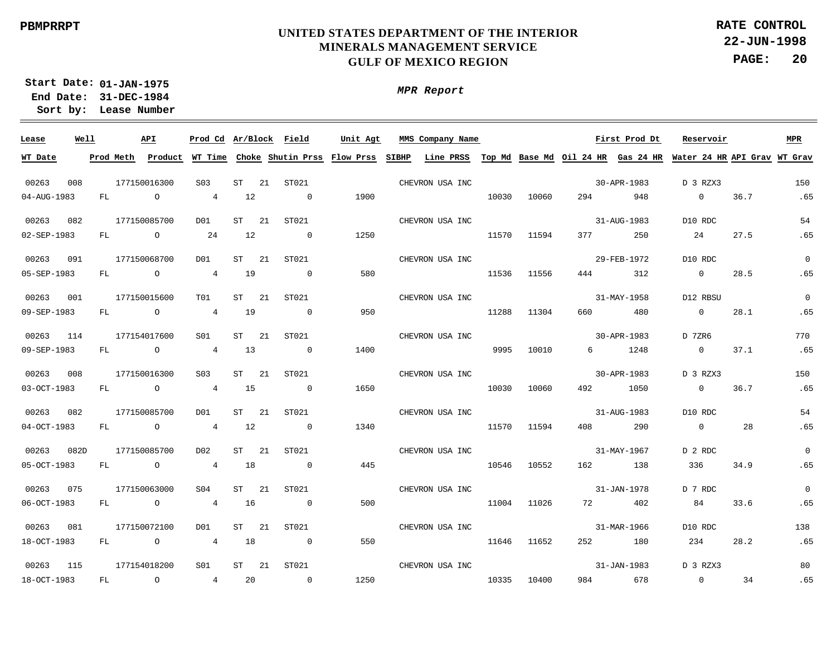**22-JUN-1998 PAGE: 20 RATE CONTROL**

**01-JAN-1975 Start Date: 31-DEC-1984 End Date: Lease Number Sort by:**

| Lease       | Well |           | API            | Prod Cd Ar/Block Field |    |    |                | Unit Agt                            |       | MMS Company Name |       |       |           | First Prod Dt | Reservoir                                                                 |      | MPR          |
|-------------|------|-----------|----------------|------------------------|----|----|----------------|-------------------------------------|-------|------------------|-------|-------|-----------|---------------|---------------------------------------------------------------------------|------|--------------|
| WT Date     |      | Prod Meth | Product        |                        |    |    |                | WT Time Choke Shutin Prss Flow Prss | SIBHP |                  |       |       |           |               | Line PRSS Top Md Base Md Oil 24 HR Gas 24 HR Water 24 HR API Grav WT Grav |      |              |
| 00263       | 008  |           | 177150016300   | S <sub>03</sub>        | ST | 21 | ST021          |                                     |       | CHEVRON USA INC  |       |       |           | 30-APR-1983   | D 3 RZX3                                                                  |      | 150          |
| 04-AUG-1983 |      | FL        | $\circ$        | $\overline{4}$         | 12 |    | $\overline{0}$ | 1900                                |       |                  | 10030 | 10060 | 294       | 948           | $\overline{0}$                                                            | 36.7 | .65          |
| 00263       | 082  |           | 177150085700   | D01                    | ST | 21 | ST021          |                                     |       | CHEVRON USA INC  |       |       |           | 31-AUG-1983   | D10 RDC                                                                   |      | 54           |
| 02-SEP-1983 |      | FL        | $\circ$        | 24                     | 12 |    | $\overline{0}$ | 1250                                |       |                  | 11570 | 11594 | 377       | 250           | 24                                                                        | 27.5 | .65          |
| 00263       | 091  |           | 177150068700   | D01                    | ST | 21 | ST021          |                                     |       | CHEVRON USA INC  |       |       |           | 29-FEB-1972   | D10 RDC                                                                   |      | $\Omega$     |
| 05-SEP-1983 |      | FL        | $\overline{O}$ | $\overline{4}$         | 19 |    | $\overline{0}$ | 580                                 |       |                  | 11536 | 11556 | 444       | 312           | $\overline{0}$                                                            | 28.5 | .65          |
| 00263       | 001  |           | 177150015600   | TO1                    | ST | 21 | ST021          |                                     |       | CHEVRON USA INC  |       |       |           | 31-MAY-1958   | D12 RBSU                                                                  |      | $\mathbf 0$  |
| 09-SEP-1983 |      | FL        | $\overline{O}$ | $\overline{4}$         | 19 |    | $\overline{0}$ | 950                                 |       |                  | 11288 | 11304 | 660       | 480           | $\overline{0}$                                                            | 28.1 | .65          |
| 00263       | 114  |           | 177154017600   | S01                    | ST | 21 | ST021          |                                     |       | CHEVRON USA INC  |       |       |           | 30-APR-1983   | D 7ZR6                                                                    |      | 770          |
| 09-SEP-1983 |      | FL        | $\overline{O}$ | $\overline{4}$         | 13 |    | $\sim$ 0       | 1400                                |       |                  | 9995  | 10010 | 6 —       | 1248          | $\overline{0}$                                                            | 37.1 | .65          |
| 00263       | 008  |           | 177150016300   | S <sub>03</sub>        | ST | 21 | ST021          |                                     |       | CHEVRON USA INC  |       |       |           | 30-APR-1983   | D 3 RZX3                                                                  |      | 150          |
| 03-OCT-1983 |      | FL        | $\overline{O}$ | $\overline{4}$         | 15 |    | $\sim$ 0       | 1650                                |       |                  | 10030 | 10060 | 492       | 1050          | $\overline{0}$                                                            | 36.7 | .65          |
| 00263       | 082  |           | 177150085700   | D01                    | ST | 21 | ST021          |                                     |       | CHEVRON USA INC  |       |       |           | 31-AUG-1983   | D10 RDC                                                                   |      | 54           |
| 04-OCT-1983 |      | FL        | $\overline{a}$ | $\overline{4}$         | 12 |    | $\sim$ 0       | 1340                                |       |                  | 11570 | 11594 | 408       | 290           | $\overline{0}$                                                            | 28   | .65          |
| 00263       | 082D |           | 177150085700   | D02                    | ST | 21 | ST021          |                                     |       | CHEVRON USA INC  |       |       |           | 31-MAY-1967   | D 2 RDC                                                                   |      | $\mathbf 0$  |
| 05-OCT-1983 |      | FL        | $\overline{O}$ | $\overline{4}$         | 18 |    | $\sim$ 0       | 445                                 |       |                  | 10546 | 10552 | 162       | 138           | 336                                                                       | 34.9 | .65          |
| 00263       | 075  |           | 177150063000   | S04                    | ST | 21 | ST021          |                                     |       | CHEVRON USA INC  |       |       |           | 31-JAN-1978   | D 7 RDC                                                                   |      | $\mathbf{0}$ |
| 06-OCT-1983 |      | FL        | $\overline{a}$ | $\overline{4}$         | 16 |    | $\overline{0}$ | 500                                 |       |                  | 11004 | 11026 | 72        | 402           | 84                                                                        | 33.6 | .65          |
| 00263       | 081  |           | 177150072100   | DO1                    | ST | 21 | ST021          |                                     |       | CHEVRON USA INC  |       |       |           | 31-MAR-1966   | D10 RDC                                                                   |      | 138          |
| 18-OCT-1983 |      | FL        | $\overline{a}$ | $\overline{4}$         | 18 |    | $\overline{0}$ | 550                                 |       |                  | 11646 | 11652 | 252       | 180           | 234                                                                       | 28.2 | .65          |
| 00263       | 115  |           | 177154018200   | S01                    | ST | 21 | ST021          |                                     |       | CHEVRON USA INC  |       |       |           | 31-JAN-1983   | D 3 RZX3                                                                  |      | 80           |
| 18-OCT-1983 |      | FL        | $\overline{a}$ | $\overline{4}$         | 20 |    | $\overline{0}$ | 1250                                |       |                  | 10335 | 10400 | 984 — 100 | 678           | $\overline{0}$                                                            | 34   | .65          |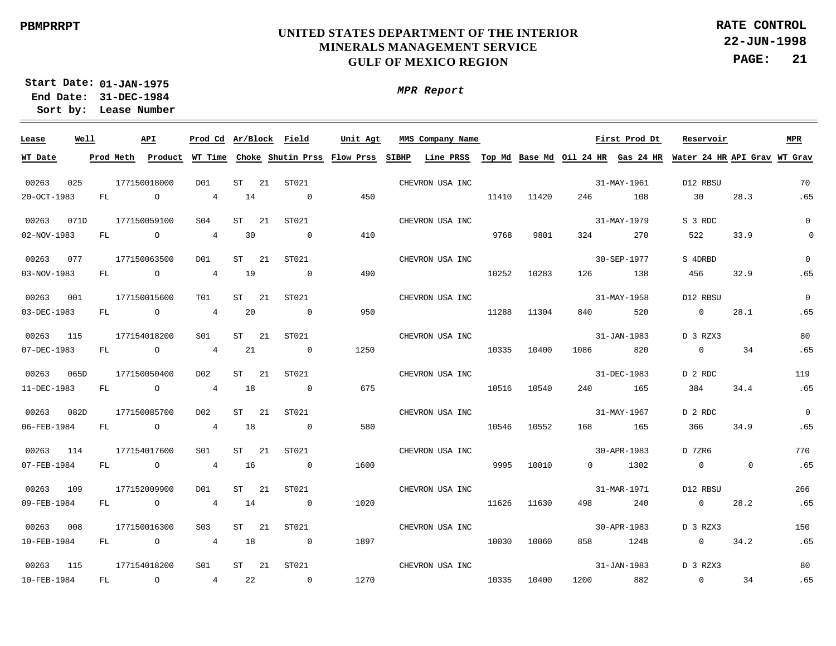**22-JUN-1998 PAGE: 21 RATE CONTROL**

**01-JAN-1975 Start Date: 31-DEC-1984 End Date: Lease Number Sort by:**

| Lease       | Well |           | API            | Prod Cd Ar/Block Field |           |      |                | Unit Agt                                    |              | MMS Company Name |       |       |      | First Prod Dt | Reservoir                                                       |             | <b>MPR</b>  |
|-------------|------|-----------|----------------|------------------------|-----------|------|----------------|---------------------------------------------|--------------|------------------|-------|-------|------|---------------|-----------------------------------------------------------------|-------------|-------------|
| WT Date     |      | Prod Meth |                |                        |           |      |                | Product WT Time Choke Shutin Prss Flow Prss | <b>SIBHP</b> | Line PRSS        |       |       |      |               | Top Md Base Md Oil 24 HR Gas 24 HR Water 24 HR API Grav WT Grav |             |             |
| 00263       | 025  |           | 177150018000   | D01                    | <b>ST</b> | 21   | ST021          |                                             |              | CHEVRON USA INC  |       |       |      | 31-MAY-1961   | D12 RBSU                                                        |             | 70          |
| 20-OCT-1983 |      | FL        | $\circ$        | $4\overline{ }$        | 14        |      | $\overline{0}$ | 450                                         |              |                  | 11410 | 11420 | 246  | 108           | 30                                                              | 28.3        | .65         |
| 00263       | 071D |           | 177150059100   | S <sub>04</sub>        | <b>ST</b> | 21   | ST021          |                                             |              | CHEVRON USA INC  |       |       |      | 31-MAY-1979   | S 3 RDC                                                         |             | $\Omega$    |
| 02-NOV-1983 |      | FL        | $\overline{a}$ | $4\overline{ }$        | 30        |      | $\overline{0}$ | 410                                         |              |                  | 9768  | 9801  | 324  | 270           | 522                                                             | 33.9        | $\mathbf 0$ |
| 00263       | 077  |           | 177150063500   | D01                    | <b>ST</b> | 21   | ST021          |                                             |              | CHEVRON USA INC  |       |       |      | 30-SEP-1977   | S 4DRBD                                                         |             | $\Omega$    |
| 03-NOV-1983 |      | FL        | $\overline{a}$ | $4\overline{ }$        | 19        |      | $\overline{0}$ | 490                                         |              |                  | 10252 | 10283 | 126  | 138           | 456                                                             | 32.9        | .65         |
| 00263       | 001  |           | 177150015600   | T01                    | <b>ST</b> | 2.1  | ST021          |                                             |              |                  |       |       |      | 31-MAY-1958   | D12 RBSU                                                        |             | $\Omega$    |
| 03-DEC-1983 |      | FL        | $\overline{a}$ | $\overline{4}$         | 20        |      | $\overline{0}$ | 950                                         |              | CHEVRON USA INC  | 11288 | 11304 | 840  | 520           | $\overline{0}$                                                  | 28.1        | .65         |
|             |      |           |                |                        |           |      |                |                                             |              |                  |       |       |      |               |                                                                 |             |             |
| 00263       | 115  |           | 177154018200   | S01                    | ST        | -21  | ST021          |                                             |              | CHEVRON USA INC  |       |       |      | 31-JAN-1983   | D 3 RZX3                                                        |             | 80          |
| 07-DEC-1983 |      | FL        | $\overline{a}$ | $4\overline{ }$        | 21        |      | $\sim$ 0       | 1250                                        |              |                  | 10335 | 10400 | 1086 | 820           | $\overline{0}$                                                  | 34          | .65         |
| 00263       | 065D |           | 177150050400   | D02                    | ST        | 21   | ST021          |                                             |              | CHEVRON USA INC  |       |       |      | 31-DEC-1983   | D 2 RDC                                                         |             | 119         |
| 11-DEC-1983 |      | FL        | $\overline{a}$ | $4\overline{ }$        | 18        |      | $\overline{0}$ | 675                                         |              |                  | 10516 | 10540 | 240  | 165           | 384                                                             | 34.4        | .65         |
| 00263       | 082D |           | 177150085700   | D <sub>0</sub> 2       | ST        | 21   | ST021          |                                             |              | CHEVRON USA INC  |       |       |      | 31-MAY-1967   | D 2 RDC                                                         |             | $\Omega$    |
| 06-FEB-1984 |      | FL        | $\overline{a}$ | $\overline{4}$         | 18        |      | $\overline{0}$ | 580                                         |              |                  | 10546 | 10552 | 168  | 165           | 366                                                             | 34.9        | .65         |
| 00263       | 114  |           | 177154017600   | S01                    | ST        | - 21 | ST021          |                                             |              | CHEVRON USA INC  |       |       |      | 30-APR-1983   | D 7ZR6                                                          |             | 770         |
| 07-FEB-1984 |      | FL        | $\overline{a}$ | $\overline{4}$         | 16        |      | $\overline{0}$ | 1600                                        |              |                  | 9995  | 10010 |      | $0 \t 1302$   | $\overline{0}$                                                  | $\mathbf 0$ | .65         |
| 00263       | 109  |           | 177152009900   | DO1                    | ST        | - 21 | ST021          |                                             |              | CHEVRON USA INC  |       |       |      | 31-MAR-1971   | D12 RBSU                                                        |             | 266         |
| 09-FEB-1984 |      | FL        | $\overline{a}$ | $4\overline{ }$        | 14        |      | $\overline{0}$ | 1020                                        |              |                  | 11626 | 11630 | 498  | 240           | $\overline{0}$                                                  | 28.2        | .65         |
| 00263       | 008  |           | 177150016300   | S <sub>03</sub>        | ST        | 21   | ST021          |                                             |              | CHEVRON USA INC  |       |       |      | 30-APR-1983   | D 3 RZX3                                                        |             | 150         |
| 10-FEB-1984 |      | FL        | $\circ$        | $4\overline{ }$        | 18        |      | $\overline{0}$ | 1897                                        |              |                  | 10030 | 10060 | 858  | 1248          | $\overline{0}$                                                  | 34.2        | .65         |
| 00263       | 115  |           | 177154018200   | S01                    | ST        | 21   | ST021          |                                             |              | CHEVRON USA INC  |       |       |      | 31-JAN-1983   | D 3 RZX3                                                        |             | 80          |
| 10-FEB-1984 |      | FL        | $\circ$        | $4\overline{ }$        | 22        |      | $\overline{0}$ | 1270                                        |              |                  | 10335 | 10400 | 1200 | 882           | $\overline{0}$                                                  | 34          | .65         |
|             |      |           |                |                        |           |      |                |                                             |              |                  |       |       |      |               |                                                                 |             |             |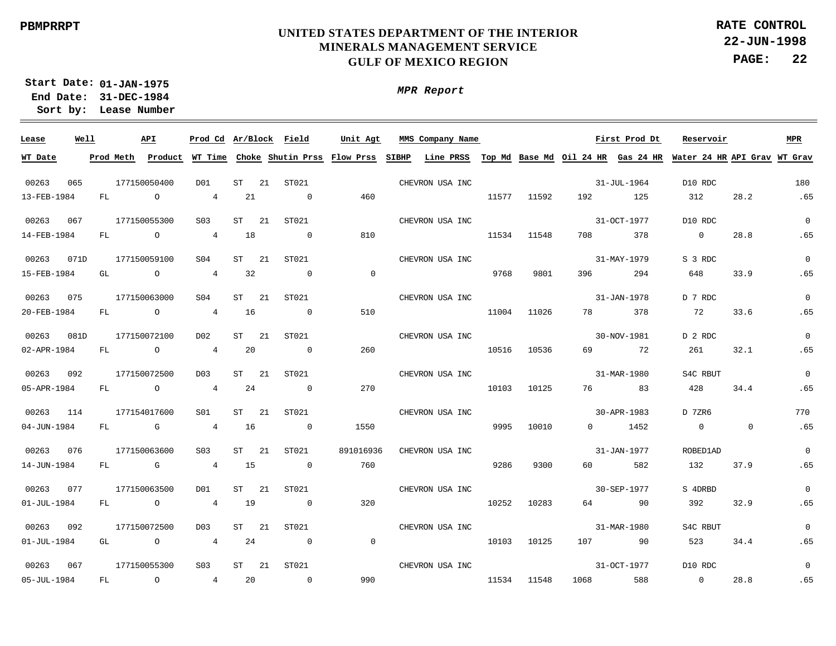**22-JUN-1998 PAGE: 22 RATE CONTROL**

**01-JAN-1975 Start Date: 31-DEC-1984 End Date: Lease Number Sort by:**

| Lease       | Well |           | API            |                  |                 | Prod Cd Ar/Block Field              | Unit Agt                 | MMS Company Name          |       |       |      | First Prod Dt                      | Reservoir                    |          | <b>MPR</b>     |
|-------------|------|-----------|----------------|------------------|-----------------|-------------------------------------|--------------------------|---------------------------|-------|-------|------|------------------------------------|------------------------------|----------|----------------|
| WT Date     |      | Prod Meth | Product        |                  |                 | WT Time Choke Shutin Prss Flow Prss |                          | SIBHP<br><b>Line PRSS</b> |       |       |      | Top Md Base Md Oil 24 HR Gas 24 HR | Water 24 HR API Grav WT Grav |          |                |
|             |      |           |                |                  |                 |                                     |                          |                           |       |       |      |                                    |                              |          |                |
| 00263       | 065  |           | 177150050400   | D <sub>0</sub> 1 | ST              | 21<br>ST021                         |                          | CHEVRON USA INC           |       |       |      | 31-JUL-1964                        | D10 RDC                      |          | 180            |
| 13-FEB-1984 |      | FL        | $\circ$        | $4\overline{ }$  | 21              | $\sim$ 0                            | 460                      |                           | 11577 | 11592 | 192  | 125                                | 312                          | 28.2     | .65            |
| 00263       | 067  |           | 177150055300   | S <sub>03</sub>  | <b>ST</b>       | 21<br>ST021                         |                          | CHEVRON USA INC           |       |       |      | 31-OCT-1977                        | D10 RDC                      |          | $\Omega$       |
| 14-FEB-1984 |      | FL        | $\overline{a}$ | $\overline{4}$   | 18              | $\sim$ 0                            | 810                      |                           | 11534 | 11548 | 708  | 378                                | $\overline{0}$               | 28.8     | .65            |
| 00263       | 071D |           | 177150059100   | SO <sub>4</sub>  | ST              | 21<br>ST021                         |                          | CHEVRON USA INC           |       |       |      | 31-MAY-1979                        | S 3 RDC                      |          | $\mathbf 0$    |
| 15-FEB-1984 |      | GL        | $\overline{O}$ | $\overline{4}$   | 32              | $\sim$ 0                            | $\overline{0}$           |                           | 9768  | 9801  | 396  | 294                                | 648                          | 33.9     | .65            |
| 00263       | 075  |           | 177150063000   | S <sub>04</sub>  | ST              | ST021<br>21                         |                          | CHEVRON USA INC           |       |       |      | 31-JAN-1978                        | D 7 RDC                      |          | $\overline{0}$ |
| 20-FEB-1984 |      | FL        | $\overline{a}$ | $\overline{4}$   | 16              | $\sim$ 0                            | 510                      |                           | 11004 | 11026 | 78   | 378                                | 72                           | 33.6     | .65            |
| 00263       | 081D |           | 177150072100   | D02              | ST              | 21<br>ST021                         |                          | CHEVRON USA INC           |       |       |      | 30-NOV-1981                        | D 2 RDC                      |          | $\overline{0}$ |
| 02-APR-1984 |      | FL        | $\overline{a}$ | $\overline{4}$   | 20              | $\sim$ 0                            | 260                      |                           | 10516 | 10536 | 69   | 72                                 | 261                          | 32.1     | .65            |
| 00263       | 092  |           | 177150072500   | D03              | ST              | 21<br>ST021                         |                          | CHEVRON USA INC           |       |       |      | 31-MAR-1980                        | S4C RBUT                     |          | $\Omega$       |
| 05-APR-1984 |      |           | FL O           | $\overline{4}$   | 24              | $\sim$ 0                            | 270                      |                           | 10103 | 10125 | 76   | 83                                 | 428                          | 34.4     | .65            |
| 00263       | 114  |           | 177154017600   | S01              | ST<br>21        | ST021                               |                          | CHEVRON USA INC           |       |       |      | 30-APR-1983                        | D 7ZR6                       |          | 770            |
| 04-JUN-1984 |      | FL        | $\mathbb G$    | $\overline{4}$   | 16              | $\sim$ 0                            | 1550                     |                           | 9995  | 10010 |      | $0 \t1452$                         | $\overline{0}$               | $\Omega$ | .65            |
| 00263       | 076  |           | 177150063600   | S <sub>03</sub>  | <b>ST</b><br>21 | ST021                               | 891016936                | CHEVRON USA INC           |       |       |      | 31-JAN-1977                        | ROBED1AD                     |          | $\Omega$       |
| 14-JUN-1984 |      | FL        | $\mathbb G$    | $\overline{4}$   | 15              | $\sim$ 0                            | 760                      |                           | 9286  | 9300  | 60   | 582                                | 132                          | 37.9     | .65            |
| 00263       | 077  |           | 177150063500   | D01              | ST              | 21<br>ST021                         |                          | CHEVRON USA INC           |       |       |      | 30-SEP-1977                        | S 4DRBD                      |          | $\Omega$       |
| 01-JUL-1984 |      | FL        | $\overline{a}$ | $4\overline{ }$  | 19              | $\sim$ 0                            | 320                      |                           | 10252 | 10283 | 64   | 90                                 | 392                          | 32.9     | .65            |
| 00263       | 092  |           | 177150072500   | D03              | ST              | 21<br>ST021                         |                          | CHEVRON USA INC           |       |       |      | 31-MAR-1980                        | S4C RBUT                     |          | $\Omega$       |
| 01-JUL-1984 |      | GL        | $\overline{a}$ | $\overline{4}$   | 24              | $\overline{0}$                      | $\overline{\phantom{0}}$ |                           | 10103 | 10125 | 107  | 90                                 | 523                          | 34.4     | .65            |
| 00263       | 067  |           | 177150055300   | S <sub>03</sub>  | ST<br>21        | ST021                               |                          | CHEVRON USA INC           |       |       |      | 31-OCT-1977                        | D10 RDC                      |          | $\mathbf 0$    |
| 05-JUL-1984 |      | FL        | $\circ$        | $4\overline{ }$  | 20              | $\sim$ 0                            | 990                      |                           | 11534 | 11548 | 1068 | 588                                | $\overline{0}$               | 28.8     | .65            |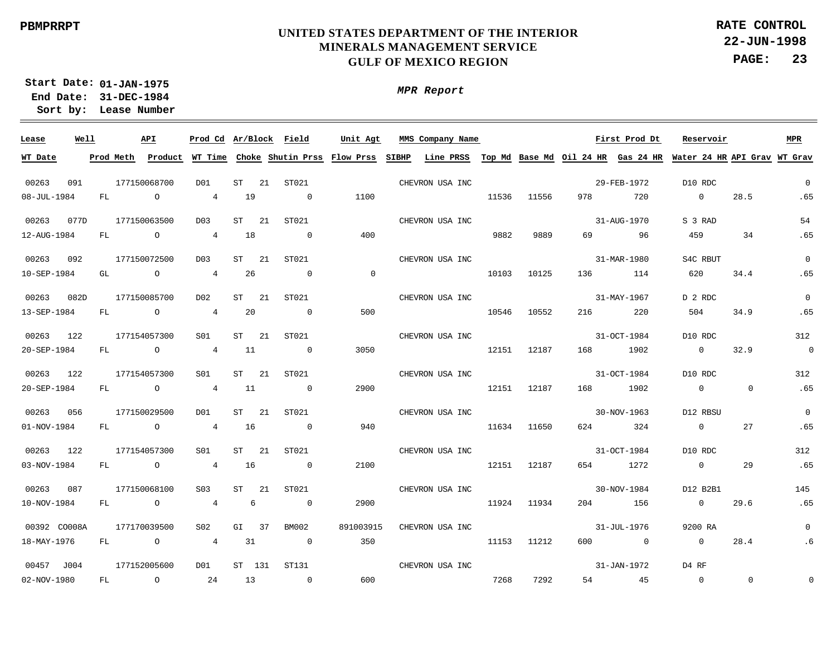**22-JUN-1998 PAGE: 23 RATE CONTROL**

**01-JAN-1975 Start Date: 31-DEC-1984 End Date: Lease Number Sort by:**

| Lease        | Well |           | API            | Prod Cd Ar/Block Field |         |              |                | Unit Agt                                    |       | MMS Company Name                             |       |       |     | First Prod Dt | Reservoir                    |                | MPR            |
|--------------|------|-----------|----------------|------------------------|---------|--------------|----------------|---------------------------------------------|-------|----------------------------------------------|-------|-------|-----|---------------|------------------------------|----------------|----------------|
| WT Date      |      | Prod Meth |                |                        |         |              |                | Product WT Time Choke Shutin Prss Flow Prss | SIBHP | Line PRSS Top Md Base Md Oil 24 HR Gas 24 HR |       |       |     |               | Water 24 HR API Grav WT Grav |                |                |
| 00263        | 091  |           | 177150068700   | DO1                    | ST      | 21<br>ST021  |                |                                             |       | CHEVRON USA INC                              |       |       |     | 29-FEB-1972   | D10 RDC                      |                | $\overline{0}$ |
|              |      |           |                |                        |         |              |                |                                             |       |                                              |       |       |     |               |                              |                |                |
| 08-JUL-1984  |      | FL        | $\circ$        | $4\overline{ }$        | 19      |              | $\overline{0}$ | 1100                                        |       |                                              | 11536 | 11556 | 978 | 720           | $\overline{0}$               | 28.5           | .65            |
| 00263        | 077D |           | 177150063500   | D <sub>0</sub> 3       | ST      | -21          | ST021          |                                             |       | CHEVRON USA INC                              |       |       |     | 31-AUG-1970   | S 3 RAD                      |                | 54             |
| 12-AUG-1984  |      | FL        | $\overline{O}$ | $\overline{4}$         | 18      |              | $\sim$ 0       | 400                                         |       |                                              | 9882  | 9889  | 69  | 96            | 459                          | 34             | .65            |
| 00263        | 092  |           | 177150072500   | D <sub>0</sub> 3       | ST      | -21          | ST021          |                                             |       | CHEVRON USA INC                              |       |       |     | 31-MAR-1980   | S4C RBUT                     |                | $\Omega$       |
| 10-SEP-1984  |      | GL        | $\overline{a}$ | $\overline{4}$         | 26      |              | $\overline{0}$ | $\overline{0}$                              |       |                                              | 10103 | 10125 | 136 | 114           | 620                          | 34.4           | .65            |
|              |      |           |                |                        |         |              |                |                                             |       |                                              |       |       |     |               |                              |                |                |
| 00263        | 082D |           | 177150085700   | D02                    | ST      | 21           | ST021          |                                             |       | CHEVRON USA INC                              |       |       |     | 31-MAY-1967   | D 2 RDC                      |                | $\mathbf 0$    |
| 13-SEP-1984  |      | FL        | $\overline{a}$ | $\overline{4}$         | 20      |              | $\overline{0}$ | 500                                         |       |                                              | 10546 | 10552 | 216 | 220           | 504                          | 34.9           | .65            |
| 00263        | 122  |           | 177154057300   | S01                    | ST      | 21           | ST021          |                                             |       | CHEVRON USA INC                              |       |       |     | 31-OCT-1984   | D10 RDC                      |                | 312            |
| 20-SEP-1984  |      | FL        | $\overline{a}$ | $\overline{4}$         | 11      |              | $\overline{0}$ | 3050                                        |       |                                              | 12151 | 12187 | 168 | 1902          | $\overline{0}$               | 32.9           | $\overline{0}$ |
|              |      |           |                |                        |         |              |                |                                             |       |                                              |       |       |     |               |                              |                |                |
| 00263        | 122  |           | 177154057300   | S01                    | ST      | -21<br>ST021 |                |                                             |       | CHEVRON USA INC                              |       |       |     | 31-OCT-1984   | D10 RDC                      |                | 312            |
| 20-SEP-1984  |      | FL        | $\overline{a}$ | $\overline{4}$         | 11      |              | $\sim$ 0       | 2900                                        |       |                                              | 12151 | 12187 | 168 | 1902          | $\overline{0}$               | $\overline{0}$ | .65            |
| 00263        | 056  |           | 177150029500   | DO1                    | ST      | - 21         | ST021          |                                             |       | CHEVRON USA INC                              |       |       |     | 30-NOV-1963   | D12 RBSU                     |                | $\mathbf 0$    |
| 01-NOV-1984  |      | FL        | $\overline{O}$ | $\overline{4}$         | 16      |              | $\sim$ 0       | 940                                         |       |                                              | 11634 | 11650 | 624 | 324           | $\overline{0}$               | 27             | .65            |
|              |      |           |                |                        |         |              |                |                                             |       |                                              |       |       |     |               |                              |                |                |
| 00263        | 122  |           | 177154057300   | S01                    | ST      | 21           | ST021          |                                             |       | CHEVRON USA INC                              |       |       |     | 31-OCT-1984   | D10 RDC                      |                | 312            |
| 03-NOV-1984  |      | FL        | $\overline{a}$ | $\overline{4}$         | 16      |              | $\sim$ 0       | 2100                                        |       |                                              | 12151 | 12187 |     | 654 1272      | $\overline{0}$               | 29             | .65            |
| 00263        | 087  |           | 177150068100   | S <sub>03</sub>        | $ST$ 21 |              | ST021          |                                             |       | CHEVRON USA INC                              |       |       |     | 30-NOV-1984   | D12 B2B1                     |                | 145            |
| 10-NOV-1984  |      | FL        | $\overline{a}$ | $\overline{4}$         | 6       |              | $\overline{0}$ | 2900                                        |       |                                              | 11924 | 11934 | 204 | 156           | $\overline{0}$               | 29.6           | .65            |
|              |      |           |                |                        |         |              |                |                                             |       |                                              |       |       |     |               |                              |                |                |
| 00392 CO008A |      |           | 177170039500   | S <sub>02</sub>        | GI      | 37           | BM002          | 891003915                                   |       | CHEVRON USA INC                              |       |       |     | 31-JUL-1976   | 9200 RA                      |                | $\mathbf 0$    |
| 18-MAY-1976  |      | FL        | $\circ$        | $\overline{4}$         | 31      |              | $\sim$ 0       | 350                                         |       |                                              | 11153 | 11212 | 600 | $\sim$ 0      | $\overline{0}$               | 28.4           | .6             |
| 00457 J004   |      |           | 177152005600   | DO1                    | ST 131  | ST131        |                |                                             |       | CHEVRON USA INC                              |       |       |     | 31-JAN-1972   | D4 RF                        |                |                |
| 02-NOV-1980  |      | FL        | $\circ$        | 24                     | 13      |              | $\sim$ 0       | 600                                         |       |                                              | 7268  | 7292  | 54  | 45            | $\overline{0}$               | $\mathbf{0}$   | $\Omega$       |
|              |      |           |                |                        |         |              |                |                                             |       |                                              |       |       |     |               |                              |                |                |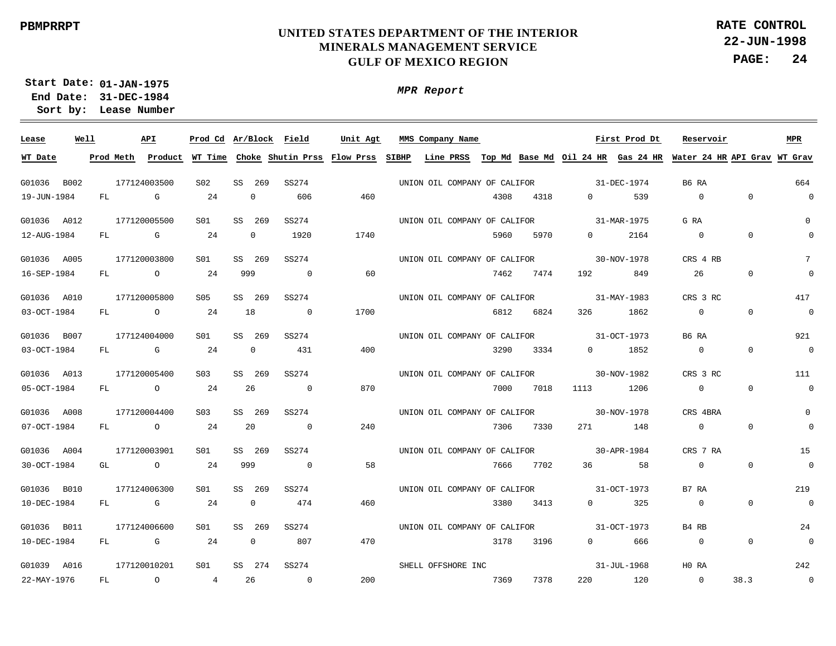*MPR Report*

**22-JUN-1998 PAGE: 24 RATE CONTROL**

**01-JAN-1975 Start Date: 31-DEC-1984 End Date:** 

**Lease Number Sort by:**

| Lease       | Well |    | API                                                                                                                                                                                                                            | Prod Cd Ar/Block Field |     |              |                | Unit Agt | MMS Company Name                                                                                                     |      |      |                                                                                                                | First Prod Dt | Reservoir                                                                                                                             |                | <b>MPR</b>     |
|-------------|------|----|--------------------------------------------------------------------------------------------------------------------------------------------------------------------------------------------------------------------------------|------------------------|-----|--------------|----------------|----------|----------------------------------------------------------------------------------------------------------------------|------|------|----------------------------------------------------------------------------------------------------------------|---------------|---------------------------------------------------------------------------------------------------------------------------------------|----------------|----------------|
| WT Date     |      |    |                                                                                                                                                                                                                                |                        |     |              |                |          |                                                                                                                      |      |      |                                                                                                                |               | Prod Meth Product WT Time Choke Shutin Prss Flow Prss SIBHP Line PRSS Top Md Base Md Oil 24 HR Gas 24 HR Water 24 HR API Grav WT Grav |                |                |
| G01036 B002 |      |    | 177124003500                                                                                                                                                                                                                   | S02                    |     | SS 269       | SS274          |          | UNION OIL COMPANY OF CALIFOR                                                                                         |      |      |                                                                                                                | 31-DEC-1974   | B6 RA                                                                                                                                 |                | 664            |
| 19-JUN-1984 |      | FL | G                                                                                                                                                                                                                              | 24                     |     | $\mathbf{0}$ | 606            | 460      |                                                                                                                      | 4308 | 4318 | $\Omega$                                                                                                       | 539           | $\overline{0}$                                                                                                                        | $\overline{0}$ | $\overline{0}$ |
| G01036 A012 |      |    | 177120005500                                                                                                                                                                                                                   | S01                    |     | SS 269       | SS274          |          | UNION OIL COMPANY OF CALIFOR                                                                                         |      |      |                                                                                                                | 31-MAR-1975   | G RA                                                                                                                                  |                | $\mathbf{0}$   |
| 12-AUG-1984 |      | FL | $\overline{G}$                                                                                                                                                                                                                 | 24                     |     | $\mathbf 0$  | 1920           | 1740     |                                                                                                                      | 5960 | 5970 | $0 \qquad \qquad$                                                                                              | 2164          | $\overline{0}$                                                                                                                        | $\overline{0}$ | $\Omega$       |
| G01036 A005 |      |    | 177120003800                                                                                                                                                                                                                   | S01                    | SS  | 269          | SS274          |          | UNION OIL COMPANY OF CALIFOR                                                                                         |      |      |                                                                                                                | 30-NOV-1978   | CRS 4 RB                                                                                                                              |                | 7              |
| 16-SEP-1984 |      | FL | $\overline{O}$                                                                                                                                                                                                                 | 24                     | 999 |              | $\sim$ 0       | 60       |                                                                                                                      | 7462 | 7474 | 192 — 192 — 193 — 193 — 193 — 194 — 194 — 194 — 194 — 195 — 196 — 196 — 197 — 198 — 198 — 198 — 198 — 198 — 19 | 849           | 26                                                                                                                                    | $\overline{0}$ | $\mathbf 0$    |
| G01036 A010 |      |    | 177120005800                                                                                                                                                                                                                   | S05                    |     | SS 269       | SS274          |          | UNION OIL COMPANY OF CALIFOR                                                                                         |      |      |                                                                                                                | 31-MAY-1983   | CRS 3 RC                                                                                                                              |                | 417            |
| 03-OCT-1984 |      | FL | $\overline{O}$                                                                                                                                                                                                                 | 24                     |     | 18           | $\overline{0}$ | 1700     |                                                                                                                      | 6812 | 6824 | 326                                                                                                            | 1862          | $\overline{0}$                                                                                                                        | $\overline{0}$ | $\overline{0}$ |
| G01036 B007 |      |    | 177124004000                                                                                                                                                                                                                   | S01                    | SS  | 269          | SS274          |          | UNION OIL COMPANY OF CALIFOR                                                                                         |      |      |                                                                                                                | 31-OCT-1973   | B6 RA                                                                                                                                 |                | 921            |
| 03-OCT-1984 |      | FL | and the control of the control of the control of the control of the control of the control of the control of the control of the control of the control of the control of the control of the control of the control of the cont | 24                     |     | $\mathbf{0}$ | 431            | 400      |                                                                                                                      | 3290 | 3334 | $\Omega$                                                                                                       | 1852          | $\overline{0}$                                                                                                                        | $\Omega$       | $\overline{0}$ |
| G01036 A013 |      |    | 177120005400                                                                                                                                                                                                                   | S03                    |     | SS 269       | SS274          |          | UNION OIL COMPANY OF CALIFOR 30-NOV-1982                                                                             |      |      |                                                                                                                |               | CRS 3 RC                                                                                                                              |                | 111            |
| 05-OCT-1984 |      | FL | $\overline{0}$                                                                                                                                                                                                                 | 24                     |     | 26           | $\overline{0}$ | 870      |                                                                                                                      | 7000 | 7018 | 1113                                                                                                           | 1206          | $\overline{0}$                                                                                                                        | $\overline{0}$ | $\overline{0}$ |
| G01036 A008 |      |    | 177120004400                                                                                                                                                                                                                   | S <sub>03</sub>        |     | SS 269       | SS274          |          | UNION OIL COMPANY OF CALIFOR                                                                                         |      |      | $30 - NOV - 1978$                                                                                              |               | CRS 4BRA                                                                                                                              |                | 0              |
| 07-OCT-1984 |      |    | FL O                                                                                                                                                                                                                           | 24                     |     | 20           | $\overline{0}$ | 240      |                                                                                                                      | 7306 | 7330 |                                                                                                                | 271 148       | $\overline{0}$                                                                                                                        | $\overline{0}$ | $\overline{0}$ |
| G01036 A004 |      |    | 177120003901                                                                                                                                                                                                                   | S01                    |     | SS 269       | SS274          |          | UNION OIL COMPANY OF CALIFOR                                                                                         |      |      | $30 - APR - 1984$                                                                                              |               | CRS 7 RA                                                                                                                              |                | 15             |
| 30-OCT-1984 |      | GL | $\overline{a}$                                                                                                                                                                                                                 | 24                     | 999 |              | $\overline{0}$ | 58       |                                                                                                                      | 7666 | 7702 | 36                                                                                                             | 58            | $\Omega$                                                                                                                              | $\Omega$       | $\overline{0}$ |
| G01036 B010 |      |    | 177124006300                                                                                                                                                                                                                   | S01                    |     | SS 269       | SS274          |          | UNION OIL COMPANY OF CALIFOR                                                                                         |      |      |                                                                                                                | 31-OCT-1973   | B7 RA                                                                                                                                 |                | 219            |
| 10-DEC-1984 |      | FL | $\mathbb{G}$                                                                                                                                                                                                                   | 24                     |     | $\mathbf{0}$ | 474            | 460      |                                                                                                                      | 3380 | 3413 | $\Omega$                                                                                                       | 325           | $\Omega$                                                                                                                              | $\Omega$       | $\overline{0}$ |
| G01036 B011 |      |    | 177124006600                                                                                                                                                                                                                   | S01                    |     | SS 269       | SS274          |          | UNION OIL COMPANY OF CALIFOR                                                                                         |      |      |                                                                                                                | 31-OCT-1973   | B4 RB                                                                                                                                 |                | 24             |
| 10-DEC-1984 |      | FL | $\mathbf{G}$                                                                                                                                                                                                                   | 24                     |     | $\mathbf{0}$ | 807            | 470      |                                                                                                                      | 3178 | 3196 | $\Omega$                                                                                                       | 666           | $\overline{0}$                                                                                                                        | $\overline{0}$ | $\overline{0}$ |
| G01039 A016 |      |    | 177120010201                                                                                                                                                                                                                   | S01                    |     | SS 274       | SS274          |          | SHELL OFFSHORE INC                                                                                                   |      |      |                                                                                                                | 31-JUL-1968   | HO RA                                                                                                                                 |                | 242            |
| 22-MAY-1976 |      | FL | $\overline{O}$                                                                                                                                                                                                                 | $\overline{4}$         |     | 26           | $\sim$ 0       | 200      | <u>2369 maga beberapa sebagai sebagai sebagai sebagai sebagai sebagai sebagai sebagai sebagai sebagai sebagai se</u> |      | 7378 |                                                                                                                | 220 120       | $\overline{0}$                                                                                                                        | 38.3           | $\overline{0}$ |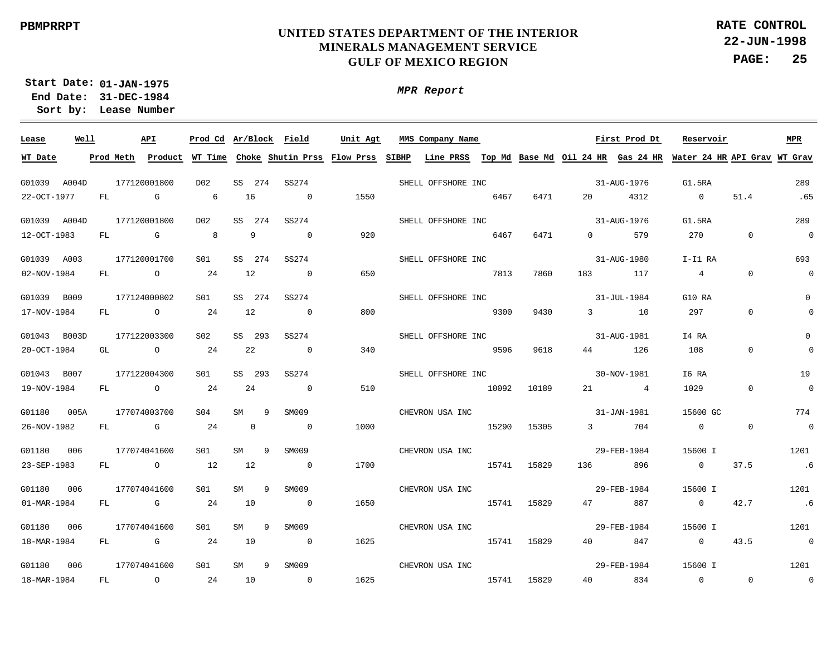*MPR Report*

**22-JUN-1998 PAGE: 25 RATE CONTROL**

**01-JAN-1975 Start Date: 31-DEC-1984 End Date:** 

**Lease Number Sort by:**

 $\frac{1}{2}$ **Lease Well API Ar/Block Prod Cd MMS Company Name Field Unit Agt First Prod Dt Reservoir MPR WT Date** <u>Prod Meth Product WT Time Choke Shutin Prss Flow Prss SIBHP Line PRSS Top Md Base Md Oil 24 HR Gas 24 HR Water 24 HR API Grav WT Grav</u> G01039 A004D 177120001800 D02 SS 274 SS274 SHELL OFFSHORE INC 31-AUG-1976 G1.5RA 289 51.4  $22 - 0$ CT-1977 FL. G 6 16  $\Omega$ 1550 6467 6471  $20$ 4312  $\Omega$ .65 177120001800 D02 SS274 31-AUG-1976 G1.5RA 289 G01039 A004D SS 274 SHELL OFFSHORE INC 12-OCT-1983 FL.  $G$ 8 9  $\Omega$ 920 6467 6471  $\Omega$ 579 270  $\Omega$  $\Omega$ 177120001700 S01 SS274 SHELL OFFSHORE INC 31-AUG-1980 I-I1 RA 693 G01039 A003 SS 274 12  $\Omega$ 02-NOV-1984 FL.  $\Omega$  $24$  $\Omega$ 650 7813 7860 183 117 4  $\Omega$ 31-JUL-1984 177124000802  $S<sub>01</sub>$ SS274 SHELL OFFSHORE INC G10 RA 0 G01039 B009 SS 274 17-NOV-1984 FL.  $\Omega$ 24 12  $\Omega$ 800 9300 9430 3 10 297  $\Omega$  $\Omega$ 177122003300 S02 SS274 SHELL OFFSHORE INC 31-AUG-1981 I4 RA 0 G01043 B003D SS 293 20-OCT-1984 GL  $\cap$ 24 22  $\Omega$ 340 9596 9618 44 126 108 0  $\Omega$ 177122004300 S01 SS274 SHELL OFFSHORE INC 30-NOV-1981 I6 RA 19 G01043 B007 SS 293 19-NOV-1984 FL.  $\Omega$  $24$  $24$  $\Omega$ 510 10092 10189 21 4 1029  $\Omega$  $\Omega$ 177074003700 SM009 31-JAN-1981 774 G01180 005A S04 SM 9 CHEVRON USA INC 15600 GC 26-NOV-1982 FL.  $G$ 24  $\Omega$  $\Omega$ 1000 15290 15305 3 704  $\Omega$  $\Omega$  $\Omega$ G01180 006 177074041600 S01 SM 9 SM009 CHEVRON USA INC 29-FEB-1984 15600 I 1201 23-SEP-1983 FL. O 12 12  $\Omega$ 1700 15741 15829 136 896  $\Omega$ 37.5 .6 177074041600 15600 I 1201 G01180 006  $S<sub>01</sub>$ SM 9 SM009 CHEVRON USA INC 29-FEB-1984 42.7 01-MAR-1984 FL G 24 10  $\Omega$ 1650 15741 15829 47 887  $\Omega$ .6 G01180 006 177074041600 S01 SM 9 SM009 CHEVRON USA INC 29-FEB-1984 15600 I 1201 18-MAR-1984 FL G 24 10  $\Omega$ 1625 15741 15829  $40$ 847  $\Omega$ 43.5  $\Omega$ 29-FEB-1984 G01180  $006$ 177074041600 S01**CM**  $\alpha$ SM009 15600 I 1201 CHEVRON USA INC 24  $\Omega$ 1625 40 834  $\Omega$  $\Omega$  $\Omega$ 18-MAR-1984 FL O 10 15741 15829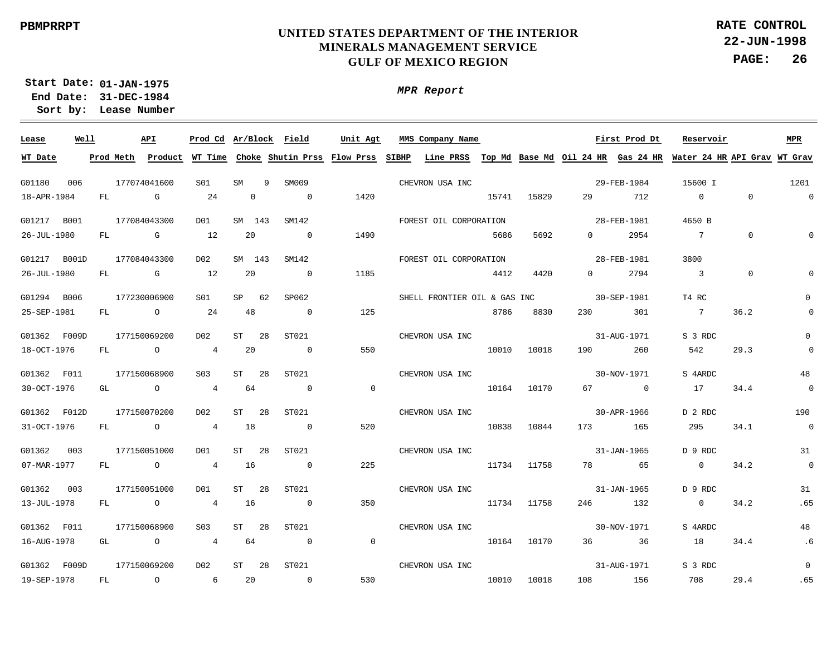**22-JUN-1998 PAGE: 26 RATE CONTROL**

**01-JAN-1975 Start Date: 31-DEC-1984 End Date: Lease Number Sort by:**

| Lease        | Well |    |                | API            | Prod Cd Ar/Block Field |              |    |                | Unit Agt       | MMS Company Name             |       |             |        | First Prod Dt | Reservoir                                                                                                                             |                | <b>MPR</b>               |
|--------------|------|----|----------------|----------------|------------------------|--------------|----|----------------|----------------|------------------------------|-------|-------------|--------|---------------|---------------------------------------------------------------------------------------------------------------------------------------|----------------|--------------------------|
| WT Date      |      |    |                |                |                        |              |    |                |                |                              |       |             |        |               | Prod Meth Product WT Time Choke Shutin Prss Flow Prss SIBHP Line PRSS Top Md Base Md Oil 24 HR Gas 24 HR Water 24 HR API Grav WT Grav |                |                          |
| G01180       | 006  |    | 177074041600   |                | S01                    | SM           | 9  | SM009          |                | CHEVRON USA INC              |       |             |        | 29-FEB-1984   | 15600 I                                                                                                                               |                | 1201                     |
|              |      |    |                |                |                        |              |    |                |                |                              |       |             |        |               |                                                                                                                                       |                | $\mathbf 0$              |
| 18-APR-1984  |      |    | $FL$ and $FL$  | G              | 24                     | $\mathbf{0}$ |    | $\overline{0}$ | 1420           |                              | 15741 | 15829       | 29     | 712           | $\overline{0}$                                                                                                                        | $\Omega$       |                          |
| G01217 B001  |      |    | 177084043300   |                | D01                    | SM 143       |    | SM142          |                | FOREST OIL CORPORATION       |       |             |        | 28-FEB-1981   | 4650 B                                                                                                                                |                |                          |
| 26-JUL-1980  |      |    | FL G           |                | 12                     | 20           |    | $\overline{0}$ | 1490           |                              | 5686  | 5692        |        | $0$ 2954      | $\overline{7}$                                                                                                                        | $\mathbf 0$    | $\Omega$                 |
| G01217 B001D |      |    | 177084043300   |                | D02                    | SM 143       |    | SM142          |                | FOREST OIL CORPORATION       |       |             |        | 28-FEB-1981   | 3800                                                                                                                                  |                |                          |
| 26-JUL-1980  |      |    | FL G           |                | 12                     | 20           |    | $\overline{0}$ | 1185           |                              | 4412  | 4420        |        | $0 \t 2794$   | $\overline{\phantom{a}}$                                                                                                              | $\overline{0}$ | $\cap$                   |
| G01294 B006  |      |    | 177230006900   |                | S01                    | $SP$ 62      |    | SP062          |                | SHELL FRONTIER OIL & GAS INC |       |             |        | 30-SEP-1981   | T4 RC                                                                                                                                 |                | $\mathbf 0$              |
| 25-SEP-1981  |      |    | FL O           |                | 24                     | 48           |    | $\overline{0}$ | 125            |                              | 8786  | 8830        |        | 230 301       | $\overline{7}$                                                                                                                        | 36.2           | $\mathbf 0$              |
| G01362 F009D |      |    | 177150069200   |                | D02                    | ST           | 28 | ST021          |                | CHEVRON USA INC              |       |             |        | 31-AUG-1971   | S 3 RDC                                                                                                                               |                | $\mathbf 0$              |
| 18-OCT-1976  |      |    | FL O           |                | $\overline{4}$         | 20           |    | $\sim$ 0       | 550            |                              | 10010 | 10018       |        | 190 260       | 542                                                                                                                                   | 29.3           | $\mathsf 0$              |
|              |      |    |                |                |                        |              |    |                |                |                              |       |             |        |               |                                                                                                                                       |                |                          |
| G01362 F011  |      |    | 177150068900   |                | S03                    | ST           | 28 | ST021          |                | CHEVRON USA INC              |       |             |        | 30-NOV-1971   | S 4ARDC                                                                                                                               |                | 48                       |
| 30-OCT-1976  |      |    | GL O           |                | $\overline{4}$         | 64           |    | $\overline{0}$ | $\overline{0}$ |                              | 10164 | 10170       |        | 67 0          | 17                                                                                                                                    | 34.4           | $\overline{\phantom{0}}$ |
| G01362 F012D |      |    | 177150070200   |                | D02                    | ST           | 28 | ST021          |                | CHEVRON USA INC              |       |             |        | 30-APR-1966   | D 2 RDC                                                                                                                               |                | 190                      |
| 31-OCT-1976  |      | FL |                | $\overline{O}$ | $\overline{4}$         | 18           |    | $\overline{0}$ | 520            |                              | 10838 | 10844       |        | 173 165       | 295                                                                                                                                   | 34.1           | $\overline{0}$           |
| G01362 003   |      |    | 177150051000   |                | DO1                    | ST           | 28 | ST021          |                | CHEVRON USA INC              |       |             |        | 31-JAN-1965   | D 9 RDC                                                                                                                               |                | 31                       |
| 07-MAR-1977  |      | FL | $\overline{O}$ |                | $\overline{4}$         | 16           |    | $\overline{0}$ | 225            |                              |       | 11734 11758 |        | 78 65         | $\overline{0}$                                                                                                                        | 34.2           | $\mathsf 0$              |
| G01362 003   |      |    | 177150051000   |                | D01                    | ST           | 28 | ST021          |                | CHEVRON USA INC              |       |             |        | 31-JAN-1965   | D 9 RDC                                                                                                                               |                | 31                       |
| 13-JUL-1978  |      | FL | $\overline{O}$ |                | 4 16                   |              |    | $\overline{0}$ | 350            |                              |       | 11734 11758 |        | 246 132       | $\overline{0}$                                                                                                                        | 34.2           | .65                      |
| G01362 F011  |      |    | 177150068900   |                | S <sub>03</sub>        | <b>ST</b>    | 28 | ST021          |                | CHEVRON USA INC              |       |             |        | 30-NOV-1971   | S 4ARDC                                                                                                                               |                | 48                       |
| 16-AUG-1978  |      |    | GL O           |                | $\overline{4}$         | 64           |    | $\overline{0}$ | $\overline{0}$ |                              |       | 10164 10170 |        | 36 36         | 18                                                                                                                                    | 34.4           | .6                       |
|              |      |    |                |                |                        |              |    |                |                |                              |       |             |        |               |                                                                                                                                       |                |                          |
| G01362 F009D |      |    | 177150069200   |                | D02                    | ST           | 28 | ST021          |                | CHEVRON USA INC              |       |             |        | 31-AUG-1971   | S 3 RDC                                                                                                                               |                | $\mathbf 0$              |
| 19-SEP-1978  |      | FL | $\overline{a}$ |                | $6\overline{6}$        | 20           |    | $\overline{0}$ | 530            |                              | 10010 | 10018       | 108 70 | 156           | 708                                                                                                                                   | 29.4           | .65                      |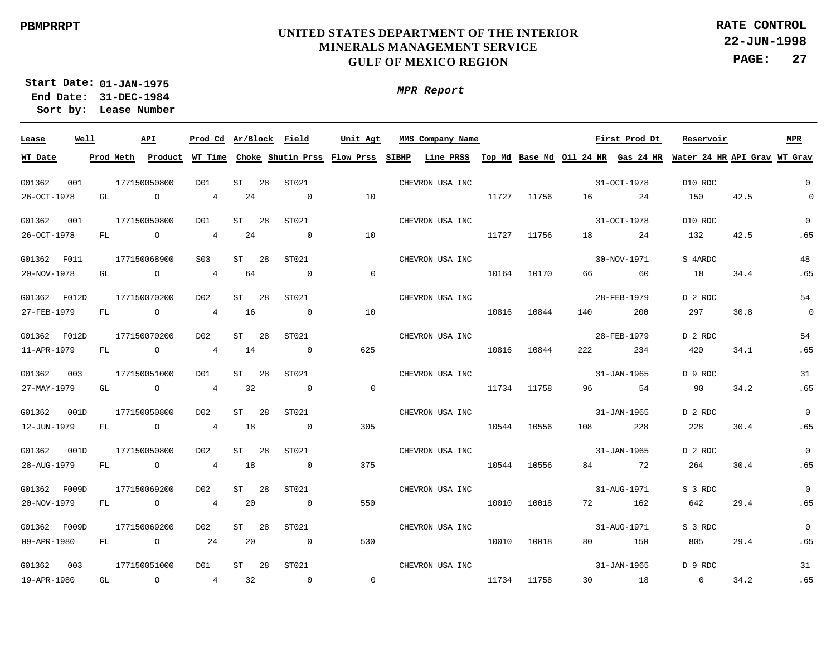**22-JUN-1998 PAGE: 27 RATE CONTROL**

**01-JAN-1975 Start Date: 31-DEC-1984 End Date: Lease Number Sort by:**

| Lease        | Well |           | API            |                  |                 | Prod Cd Ar/Block Field | Unit Agt       | MMS Company Name                                                                                                            |       |       | First Prod Dt |             | Reservoir      |      | <b>MPR</b>               |
|--------------|------|-----------|----------------|------------------|-----------------|------------------------|----------------|-----------------------------------------------------------------------------------------------------------------------------|-------|-------|---------------|-------------|----------------|------|--------------------------|
| WT Date      |      | Prod Meth |                |                  |                 |                        |                | Product WT Time Choke Shutin Prss Flow Prss SIBHP Line PRSS Top Md Base Md Oil 24 HR Gas 24 HR Water 24 HR API Grav WT Grav |       |       |               |             |                |      |                          |
| G01362       | 001  |           | 177150050800   | D <sub>0</sub> 1 | ST<br>28        | ST021                  |                | CHEVRON USA INC                                                                                                             |       |       |               | 31-OCT-1978 | D10 RDC        |      | $\overline{0}$           |
| 26-OCT-1978  |      | GL        | $\overline{a}$ | 4                | 24              | $\overline{0}$         | 10             |                                                                                                                             | 11727 | 11756 |               | 24          | 150            | 42.5 | $\overline{0}$           |
| G01362       | 001  |           | 177150050800   | D01              | ST<br>28        | ST021                  |                | CHEVRON USA INC                                                                                                             |       |       |               | 31-OCT-1978 | D10 RDC        |      | $\mathbf{0}$             |
| 26-OCT-1978  |      | FL        | $\overline{a}$ | 4                | 24              | $\overline{0}$         | 10             |                                                                                                                             | 11727 | 11756 |               | 24          | 132            | 42.5 | .65                      |
| G01362 F011  |      |           | 177150068900   | S <sub>03</sub>  | 28<br>ST        | ST021                  |                | CHEVRON USA INC                                                                                                             |       |       |               | 30-NOV-1971 | S 4ARDC        |      | 48                       |
| 20-NOV-1978  |      | GL        | $\overline{a}$ | 4                | 64              | $\overline{0}$         | $\overline{0}$ |                                                                                                                             | 10164 | 10170 | 66            | 60          | 18             | 34.4 | .65                      |
| G01362 F012D |      |           | 177150070200   | D02              | ST<br>28        | ST021                  |                | CHEVRON USA INC                                                                                                             |       |       |               | 28-FEB-1979 | D 2 RDC        |      | 54                       |
| 27-FEB-1979  |      | FL        | $\overline{O}$ | $\overline{4}$   | 16              | $\overline{0}$         | 10             |                                                                                                                             | 10816 | 10844 | 140           | 200         | 297            | 30.8 | $\overline{\phantom{0}}$ |
| G01362 F012D |      |           | 177150070200   | D02              | ST<br>28        | ST021                  |                | CHEVRON USA INC                                                                                                             |       |       |               | 28-FEB-1979 | D 2 RDC        |      | 54                       |
| 11-APR-1979  |      | FL        | $\overline{O}$ | $\overline{4}$   | 14              | $\overline{0}$         | 625            |                                                                                                                             | 10816 | 10844 | 222           | 234         | 420            | 34.1 | .65                      |
| G01362       | 003  |           | 177150051000   | D <sub>0</sub> 1 | ST<br>28        | ST021                  |                | CHEVRON USA INC                                                                                                             |       |       |               | 31-JAN-1965 | D 9 RDC        |      | 31                       |
| 27-MAY-1979  |      | GL        | $\overline{O}$ | $\overline{4}$   | 32              | $\Omega$               | $\sim$ 0       |                                                                                                                             | 11734 | 11758 | 96            | 54          | 90             | 34.2 | .65                      |
| G01362       | 001D |           | 177150050800   | D02              | ST<br>28        | ST021                  |                | CHEVRON USA INC                                                                                                             |       |       |               | 31-JAN-1965 | D 2 RDC        |      | $\Omega$                 |
| 12-JUN-1979  |      | FL        | $\overline{O}$ | $\overline{4}$   | 18              | $\overline{0}$         | 305            |                                                                                                                             | 10544 | 10556 | 108           | 228         | 228            | 30.4 | .65                      |
| G01362       | 001D |           | 177150050800   | D02              | ST<br>28        | ST021                  |                | CHEVRON USA INC                                                                                                             |       |       |               | 31-JAN-1965 | D 2 RDC        |      | $\overline{0}$           |
| 28-AUG-1979  |      | FL        | $\overline{O}$ | $\overline{4}$   | 18              | $\overline{0}$         | 375            |                                                                                                                             | 10544 | 10556 |               | 84 72       | 264            | 30.4 | .65                      |
| G01362 F009D |      |           | 177150069200   | D02              | ST<br>-28       | ST021                  |                | CHEVRON USA INC                                                                                                             |       |       |               | 31-AUG-1971 | S 3 RDC        |      | $\overline{0}$           |
| 20-NOV-1979  |      | FL.       | $\overline{a}$ | $\overline{4}$   | 20              | $\Omega$               | 550            |                                                                                                                             | 10010 | 10018 | 72 — 1        | 162         | 642            | 29.4 | .65                      |
| G01362 F009D |      |           | 177150069200   | D02              | ST<br>-28       | ST021                  |                | CHEVRON USA INC                                                                                                             |       |       |               | 31-AUG-1971 | S 3 RDC        |      | $\overline{0}$           |
| 09-APR-1980  |      | FL        | $\overline{O}$ | 24               | 20              | $\overline{0}$         | 530            |                                                                                                                             | 10010 | 10018 | 80            | 150         | 805            | 29.4 | .65                      |
| G01362       | 003  |           | 177150051000   | D01              | <b>ST</b><br>28 | ST021                  |                | CHEVRON USA INC                                                                                                             |       |       |               | 31-JAN-1965 | D 9 RDC        |      | 31                       |
| 19-APR-1980  |      | GL        | $\circ$        | $\overline{4}$   | 32              | $\overline{0}$         | $\overline{0}$ |                                                                                                                             | 11734 | 11758 | 30            | 18          | $\overline{0}$ | 34.2 | .65                      |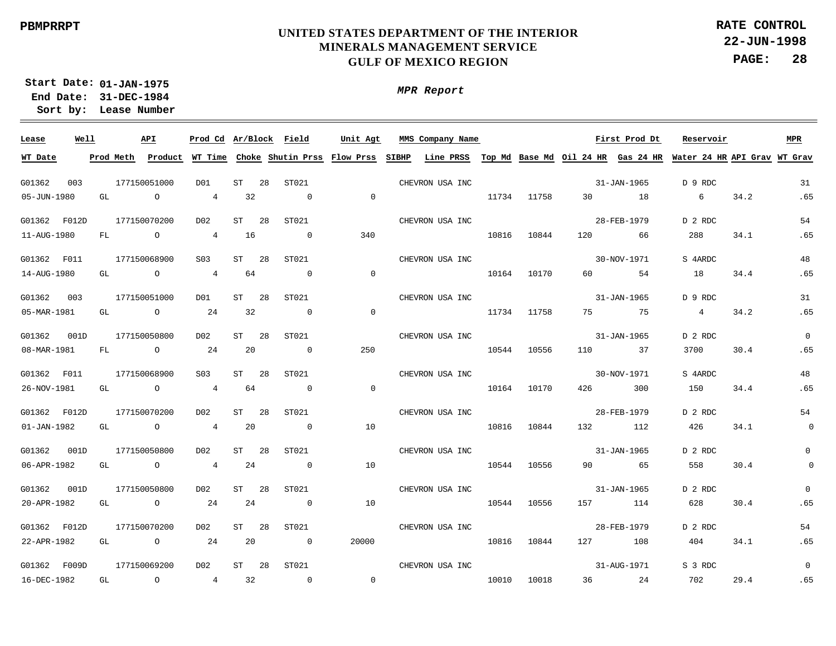**22-JUN-1998 PAGE: 28 RATE CONTROL**

**01-JAN-1975 Start Date: 31-DEC-1984 End Date: Lease Number Sort by:**

| Lease        | Well |    | API                                                                                                                                                                                                                                                                                                                                |                 |         | Prod Cd Ar/Block Field | Unit Agt       | MMS Company Name Company Name Company Name Company Name Company Name Company Service Service Service Service S                        |       |             |                   | Reservoir       |      | MPR            |
|--------------|------|----|------------------------------------------------------------------------------------------------------------------------------------------------------------------------------------------------------------------------------------------------------------------------------------------------------------------------------------|-----------------|---------|------------------------|----------------|---------------------------------------------------------------------------------------------------------------------------------------|-------|-------------|-------------------|-----------------|------|----------------|
| WT Date      |      |    |                                                                                                                                                                                                                                                                                                                                    |                 |         |                        |                | Prod Meth Product WT Time Choke Shutin Prss Flow Prss SIBHP Line PRSS Top Md Base Md Oil 24 HR Gas 24 HR Water 24 HR API Grav WT Grav |       |             |                   |                 |      |                |
| G01362       | 003  |    | 177150051000                                                                                                                                                                                                                                                                                                                       | D01             | $ST$ 28 | ST021                  |                | CHEVRON USA INC                                                                                                                       |       |             | 31-JAN-1965       | D 9 RDC         |      | 31             |
| 05-JUN-1980  |      |    | GL O                                                                                                                                                                                                                                                                                                                               | $\overline{4}$  | 32      | $\overline{0}$         | $\overline{0}$ |                                                                                                                                       |       | 11734 11758 | 30 18             | $6\overline{6}$ | 34.2 | .65            |
| G01362 F012D |      |    | 177150070200                                                                                                                                                                                                                                                                                                                       | D02             | ST 28   | ST021                  |                | CHEVRON USA INC                                                                                                                       |       |             | 28-FEB-1979       | D 2 RDC         |      | 54             |
| 11-AUG-1980  |      | FL | $\overline{O}$ and $\overline{O}$ and $\overline{O}$ and $\overline{O}$ and $\overline{O}$ and $\overline{O}$ and $\overline{O}$ and $\overline{O}$ and $\overline{O}$ and $\overline{O}$ and $\overline{O}$ and $\overline{O}$ and $\overline{O}$ and $\overline{O}$ and $\overline{O}$ and $\overline{O}$ and $\overline{O}$ and | 4 16            |         | $\overline{0}$         | 340            |                                                                                                                                       | 10816 | 10844       | 120 66            | 288             | 34.1 | .65            |
| G01362 F011  |      |    | 177150068900                                                                                                                                                                                                                                                                                                                       | S <sub>03</sub> | ST 28   | ST021                  |                | CHEVRON USA INC                                                                                                                       |       |             | 30-NOV-1971       | S 4ARDC         |      | 48             |
| 14-AUG-1980  |      |    | GL O                                                                                                                                                                                                                                                                                                                               | 4 64            |         | $\sim$ 0               | $\overline{0}$ |                                                                                                                                       | 10164 | 10170       | 60 54             | 18              | 34.4 | .65            |
| G01362 003   |      |    | 177150051000                                                                                                                                                                                                                                                                                                                       | DO1             | ST 28   | ST021                  |                | CHEVRON USA INC                                                                                                                       |       |             | 31-JAN-1965       | D 9 RDC         |      | 31             |
| 05-MAR-1981  |      | GL | $\overline{O}$                                                                                                                                                                                                                                                                                                                     | 24              | 32      | $\overline{0}$         | $\overline{0}$ |                                                                                                                                       | 11734 | 11758       | 75 75             | 4               | 34.2 | .65            |
| G01362       | 001D |    | 177150050800                                                                                                                                                                                                                                                                                                                       | D02             | ST 28   | ST021                  |                | CHEVRON USA INC                                                                                                                       |       |             | 31-JAN-1965       | D 2 RDC         |      | $\Omega$       |
| 08-MAR-1981  |      | FL | $\overline{a}$                                                                                                                                                                                                                                                                                                                     | 24              | 20      | $\overline{0}$         | 250            |                                                                                                                                       | 10544 | 10556       | 110 37            | 3700            | 30.4 | .65            |
| G01362 F011  |      |    | 177150068900                                                                                                                                                                                                                                                                                                                       | S <sub>03</sub> | ST 28   | ST021                  |                | CHEVRON USA INC                                                                                                                       |       |             | 30-NOV-1971       | S 4ARDC         |      | 48             |
| 26-NOV-1981  |      | GL | $\overline{O}$                                                                                                                                                                                                                                                                                                                     | $4\overline{4}$ | 64      | $\sim$ 0               | $\overline{0}$ |                                                                                                                                       | 10164 | 10170       | 426 300           | 150             | 34.4 | .65            |
| G01362 F012D |      |    | 177150070200                                                                                                                                                                                                                                                                                                                       | D02             | ST 28   | ST021                  |                | CHEVRON USA INC                                                                                                                       |       |             | 28-FEB-1979       | D 2 RDC         |      | 54             |
| 01-JAN-1982  |      | GL | $\overline{O}$                                                                                                                                                                                                                                                                                                                     | $\overline{4}$  | 20      | $\overline{0}$         | 10             |                                                                                                                                       |       | 10816 10844 | 132 112           | 426             | 34.1 | $\overline{0}$ |
| G01362       | 001D |    | 177150050800                                                                                                                                                                                                                                                                                                                       | DO2             | ST 28   | ST021                  |                | CHEVRON USA INC                                                                                                                       |       |             | $31 - JAN - 1965$ | D 2 RDC         |      | $\Omega$       |
| 06-APR-1982  |      |    | GL O                                                                                                                                                                                                                                                                                                                               | $\overline{4}$  | 24      | $\overline{0}$         | 10             |                                                                                                                                       |       | 10544 10556 | 90 65             | 558             | 30.4 | $\overline{0}$ |
| G01362       | 001D |    | 177150050800                                                                                                                                                                                                                                                                                                                       | D02             | ST 28   | ST021                  |                | CHEVRON USA INC                                                                                                                       |       |             | 31-JAN-1965       | D 2 RDC         |      | $\Omega$       |
| 20-APR-1982  |      |    | GL O                                                                                                                                                                                                                                                                                                                               | 24              | 24      | $\overline{0}$         | 10             |                                                                                                                                       |       | 10544 10556 | 157 114           | 628             | 30.4 | .65            |
| G01362 F012D |      |    | 177150070200                                                                                                                                                                                                                                                                                                                       | D02             | ST 28   | ST021                  |                | CHEVRON USA INC                                                                                                                       |       |             | 28-FEB-1979       | D 2 RDC         |      | 54             |
| 22-APR-1982  |      | GL | $\overline{O}$                                                                                                                                                                                                                                                                                                                     | 24              | 20      | $\overline{0}$         | 20000          |                                                                                                                                       | 10816 | 10844       | 127 108           | 404             | 34.1 | .65            |
| G01362 F009D |      |    | 177150069200                                                                                                                                                                                                                                                                                                                       | D02             | ST 28   | ST021                  |                | CHEVRON USA INC                                                                                                                       |       |             | 31-AUG-1971       | S 3 RDC         |      | $\Omega$       |
| 16-DEC-1982  |      |    | GL O                                                                                                                                                                                                                                                                                                                               | 4 32            |         | $\sim$ 0               | $\overline{0}$ |                                                                                                                                       | 10010 | 10018       | 36 24 702         |                 | 29.4 | .65            |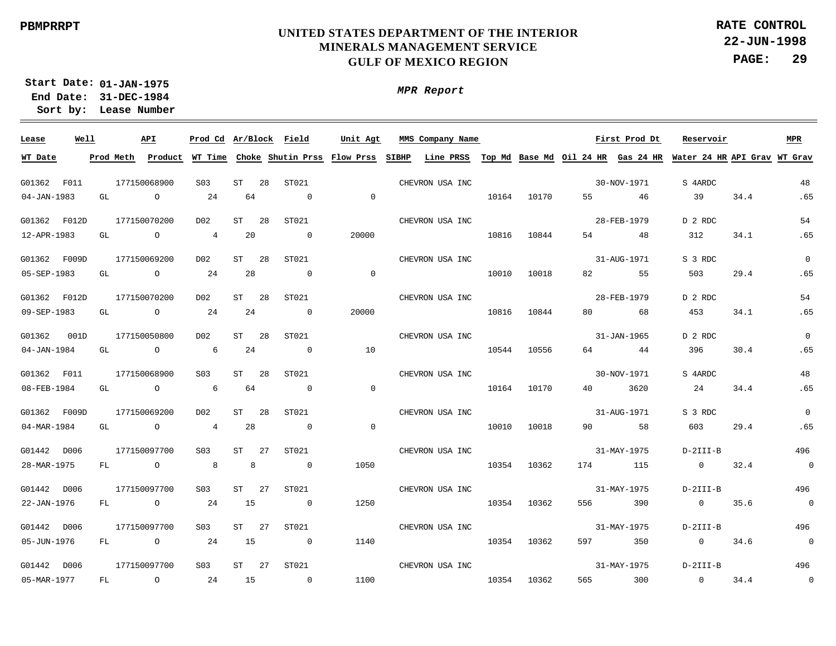**22-JUN-1998 PAGE: 29 RATE CONTROL**

**01-JAN-1975 Start Date: 31-DEC-1984 End Date: Lease Number Sort by:**

| Lease        | Well |    | API            |                 |           |     | Prod Cd Ar/Block Field   | Unit Agt       | MMS Company Name Company Name Company Name Company Name Company Name Company State Street Street Street Street |       |             |     |                                                                                                                                       | Reservoir      |      | MPR            |
|--------------|------|----|----------------|-----------------|-----------|-----|--------------------------|----------------|----------------------------------------------------------------------------------------------------------------|-------|-------------|-----|---------------------------------------------------------------------------------------------------------------------------------------|----------------|------|----------------|
| WT Date      |      |    |                |                 |           |     |                          |                |                                                                                                                |       |             |     | Prod Meth Product WT Time Choke Shutin Prss Flow Prss SIBHP Line PRSS Top Md Base Md Oil 24 HR Gas 24 HR Water 24 HR API Grav WT Grav |                |      |                |
| G01362 F011  |      |    | 177150068900   | S03             | ST 28     |     | ST021                    |                | CHEVRON USA INC                                                                                                |       |             |     | 30-NOV-1971                                                                                                                           | S 4ARDC        |      | 48             |
| 04-JAN-1983  |      | GL | $\overline{a}$ | 24              | 64        |     | $\sim$ 0                 | $\overline{0}$ |                                                                                                                | 10164 | 10170       |     | 55 46                                                                                                                                 | 39             | 34.4 | .65            |
| G01362 F012D |      |    | 177150070200   | D02             | ST        | 28  | ST021                    |                | CHEVRON USA INC                                                                                                |       |             |     | 28-FEB-1979                                                                                                                           | D 2 RDC        |      | 54             |
| 12-APR-1983  |      | GL | $\overline{O}$ | $\overline{4}$  | 20        |     | $\overline{0}$           | 20000          |                                                                                                                | 10816 | 10844       |     | 54 7<br>48                                                                                                                            | 312            | 34.1 | .65            |
| G01362 F009D |      |    | 177150069200   | D02             | <b>ST</b> | 28  | ST021                    |                | CHEVRON USA INC                                                                                                |       |             |     | 31-AUG-1971                                                                                                                           | S 3 RDC        |      | $\overline{0}$ |
| 05-SEP-1983  |      | GL | $\overline{O}$ | 24              | 28        |     | $\overline{\phantom{0}}$ | $\overline{0}$ |                                                                                                                | 10010 | 10018       |     | 82 and $\overline{a}$<br>55                                                                                                           | 503            | 29.4 | .65            |
| G01362 F012D |      |    | 177150070200   | D02             | ST        | 28  | ST021                    |                | CHEVRON USA INC                                                                                                |       |             |     | 28-FEB-1979                                                                                                                           | D 2 RDC        |      | 54             |
| 09-SEP-1983  |      | GL | $\overline{O}$ | 24              | 24        |     | $\overline{0}$           | 20000          |                                                                                                                | 10816 | 10844       |     | 80 68                                                                                                                                 | 453            | 34.1 | .65            |
| G01362 001D  |      |    | 177150050800   | D02             | ST        | 28  | ST021                    |                | CHEVRON USA INC                                                                                                |       |             |     | 31-JAN-1965                                                                                                                           | D 2 RDC        |      | $\overline{0}$ |
| 04-JAN-1984  |      | GL | $\overline{O}$ | $6\overline{6}$ | 24        |     | $\overline{0}$           | 10             |                                                                                                                | 10544 | 10556       |     | 64 — 10<br>44                                                                                                                         | 396            | 30.4 | .65            |
| G01362 F011  |      |    | 177150068900   | S03             | ST        | -28 | ST021                    |                | CHEVRON USA INC                                                                                                |       |             |     | 30-NOV-1971                                                                                                                           | S 4ARDC        |      | 48             |
| 08-FEB-1984  |      | GL | $\overline{O}$ | $6\overline{6}$ | 64        |     | $\overline{0}$           | $\overline{0}$ |                                                                                                                | 10164 | 10170       |     | 40 — 10<br>3620                                                                                                                       | 24             | 34.4 | .65            |
| G01362 F009D |      |    | 177150069200   | D02             | ST        | 28  | ST021                    |                | CHEVRON USA INC                                                                                                |       |             |     | 31-AUG-1971                                                                                                                           | S 3 RDC        |      | $\overline{0}$ |
| 04-MAR-1984  |      | GL | $\overline{O}$ | $\overline{4}$  | 28        |     | $\overline{0}$           | $\overline{0}$ |                                                                                                                |       | 10010 10018 |     | 90 58                                                                                                                                 | 603            | 29.4 | .65            |
| G01442 D006  |      |    | 177150097700   | S03             | $ST$ 27   |     | ST021                    |                | CHEVRON USA INC                                                                                                |       |             |     | 31-MAY-1975                                                                                                                           | $D-2III-B$     |      | 496            |
| 28-MAR-1975  |      |    | FL O           | 8 <sup>8</sup>  | 8         |     | $\overline{0}$           | 1050           |                                                                                                                |       | 10354 10362 |     | 174 115                                                                                                                               | $\overline{0}$ | 32.4 | $\sim$ 0       |
| G01442 D006  |      |    | 177150097700   | S03             | $ST$ 27   |     | ST021                    |                | CHEVRON USA INC                                                                                                |       |             |     | 31-MAY-1975                                                                                                                           | D-2III-B       |      | 496            |
| 22-JAN-1976  |      |    | FL O           | 24              | 15        |     | $\overline{0}$           | 1250           |                                                                                                                |       | 10354 10362 | 556 | 390                                                                                                                                   | $\overline{0}$ | 35.6 | $\overline{0}$ |
| G01442 D006  |      |    | 177150097700   | S03             | $ST$ 27   |     | ST021                    |                | CHEVRON USA INC                                                                                                |       |             |     | 31-MAY-1975                                                                                                                           | $D-2III-B$     |      | 496            |
| 05-JUN-1976  |      |    | FL O           | 24              | 15        |     | $\overline{0}$           | 1140           |                                                                                                                |       | 10354 10362 |     | 597 350                                                                                                                               | $\overline{0}$ | 34.6 | $\sim$ 0       |
| G01442 D006  |      |    | 177150097700   | S <sub>03</sub> | $ST$ 27   |     | ST021                    |                | CHEVRON USA INC                                                                                                |       |             |     | 31-MAY-1975                                                                                                                           | $D-2III-B$     |      | 496            |
| 05-MAR-1977  |      | FL | $\overline{O}$ | 24              | 15        |     | $\sim$ 0                 | 1100           |                                                                                                                | 10354 | 10362       |     | 565 300<br>300                                                                                                                        | $\sim$ 0       | 34.4 | $\overline{a}$ |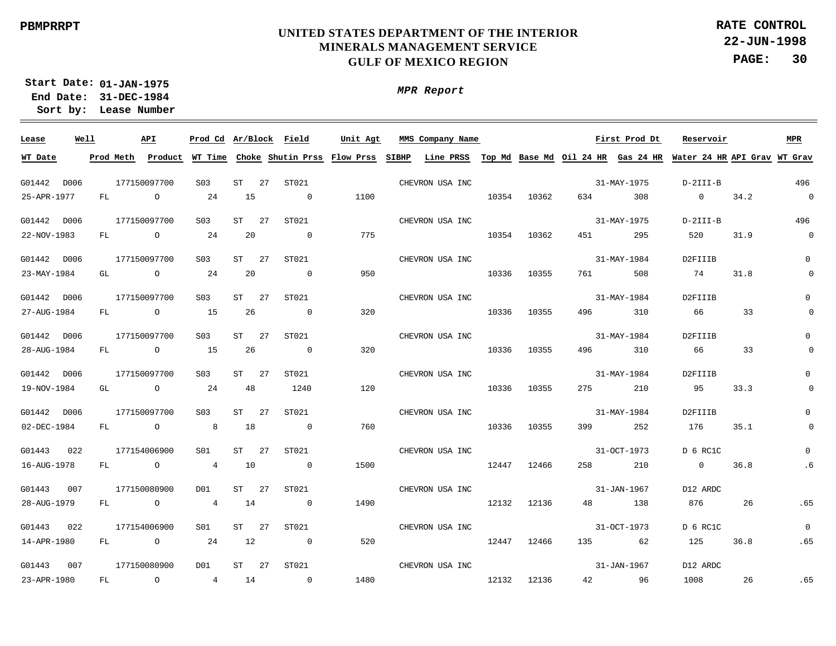**22-JUN-1998 PAGE: 30 RATE CONTROL**

**01-JAN-1975 Start Date: 31-DEC-1984 End Date: Lease Number Sort by:**

| Lease       | Well |           | API            |                 |    | Prod Cd Ar/Block Field                            | Unit Agt | MMS Company Name |       |             |         | First Prod Dt | Reservoir                                                                 |      | MPR            |
|-------------|------|-----------|----------------|-----------------|----|---------------------------------------------------|----------|------------------|-------|-------------|---------|---------------|---------------------------------------------------------------------------|------|----------------|
| WT Date     |      | Prod Meth |                |                 |    | Product WT Time Choke Shutin Prss Flow Prss SIBHP |          |                  |       |             |         |               | Line PRSS Top Md Base Md Oil 24 HR Gas 24 HR Water 24 HR API Grav WT Grav |      |                |
|             |      |           |                |                 |    |                                                   |          |                  |       |             |         |               |                                                                           |      |                |
| G01442 D006 |      |           | 177150097700   | S <sub>03</sub> | ST | 27<br>ST021                                       |          | CHEVRON USA INC  |       |             |         | 31-MAY-1975   | D-2III-B                                                                  |      | 496            |
| 25-APR-1977 |      | FL        | $\overline{a}$ | 24              | 15 | $\overline{0}$                                    | 1100     |                  | 10354 | 10362       | 634 634 | 308           | $\overline{0}$                                                            | 34.2 | $\overline{0}$ |
| G01442 D006 |      |           | 177150097700   | S03             | ST | ST021<br>27                                       |          | CHEVRON USA INC  |       |             |         | 31-MAY-1975   | $D-2III-B$                                                                |      | 496            |
| 22-NOV-1983 |      | FL        | $\overline{a}$ | 24              | 20 | $\overline{0}$                                    | 775      |                  | 10354 | 10362       | 451     | 295           | 520                                                                       | 31.9 | $\overline{0}$ |
| G01442 D006 |      |           | 177150097700   | S03             | ST | ST021<br>27                                       |          | CHEVRON USA INC  |       |             |         | 31-MAY-1984   | D2FIIIB                                                                   |      | $\mathbf 0$    |
| 23-MAY-1984 |      | GL        | $\overline{a}$ | 24              | 20 | $\overline{0}$                                    | 950      |                  | 10336 | 10355       |         | 508           | 74                                                                        | 31.8 | $\overline{0}$ |
| G01442 D006 |      |           | 177150097700   | S <sub>03</sub> | ST | 27<br>ST021                                       |          | CHEVRON USA INC  |       |             |         | 31-MAY-1984   | D2FIIIB                                                                   |      | $\Omega$       |
| 27-AUG-1984 |      | FL        | $\overline{O}$ | 15              | 26 | $\overline{0}$                                    | 320      |                  | 10336 | 10355       | 496     | 310           | 66                                                                        | 33   | $\Omega$       |
| G01442 D006 |      |           | 177150097700   | S <sub>03</sub> | ST | 27<br>ST021                                       |          | CHEVRON USA INC  |       |             |         | 31-MAY-1984   | D2FIIIB                                                                   |      | $\cap$         |
| 28-AUG-1984 |      | FL        | $\overline{O}$ | 15              | 26 | $\overline{0}$                                    | 320      |                  | 10336 | 10355       | 496     | 310           | 66                                                                        | 33   |                |
| G01442 D006 |      |           | 177150097700   | S <sub>03</sub> | ST | 27<br>ST021                                       |          | CHEVRON USA INC  |       |             |         | 31-MAY-1984   | D2FIIIB                                                                   |      |                |
| 19-NOV-1984 |      | GL        | $\overline{O}$ | 24              | 48 | 1240                                              | 120      |                  | 10336 | 10355       | 275     | 210           | 95                                                                        | 33.3 | $\Omega$       |
| G01442 D006 |      |           | 177150097700   | S <sub>03</sub> | ST | 27<br>ST021                                       |          | CHEVRON USA INC  |       |             |         | 31-MAY-1984   | D2FIIIB                                                                   |      | $\Omega$       |
| 02-DEC-1984 |      | FL        | $\circ$        | 8               | 18 | $\overline{0}$                                    | 760      |                  | 10336 | 10355       | 399     | 252           | 176 —                                                                     | 35.1 | $\mathbf 0$    |
| G01443      | 022  |           | 177154006900   | S01             | ST | ST021<br>27                                       |          | CHEVRON USA INC  |       |             |         | 31-OCT-1973   | D 6 RC1C                                                                  |      | $\Omega$       |
| 16-AUG-1978 |      | FL        | $\overline{O}$ | 4               | 10 | $\overline{0}$                                    | 1500     |                  |       | 12447 12466 | 258     | 210           | $\overline{0}$                                                            | 36.8 | . 6            |
| G01443      | 007  |           | 177150080900   | D01             | ST | 27<br>ST021                                       |          | CHEVRON USA INC  |       |             |         | 31-JAN-1967   | D12 ARDC                                                                  |      |                |
| 28-AUG-1979 |      | FL        | $\overline{a}$ | $\overline{4}$  | 14 | $\overline{0}$                                    | 1490     |                  |       | 12132 12136 | 48      | 138           | 876 — 10                                                                  | 26   | .65            |
| G01443      | 022  |           | 177154006900   | S01             | ST | ST021<br>27                                       |          | CHEVRON USA INC  |       |             |         | 31-OCT-1973   | D 6 RC1C                                                                  |      | $\overline{0}$ |
| 14-APR-1980 |      | FL .      | $\overline{a}$ | 24              | 12 | $\overline{0}$                                    | 520      |                  |       | 12447 12466 | 135     | 62            | 125                                                                       | 36.8 | .65            |
| G01443      | 007  |           | 177150080900   | DO1             | ST | ST021<br>27                                       |          | CHEVRON USA INC  |       |             |         | 31-JAN-1967   | D12 ARDC                                                                  |      |                |
| 23-APR-1980 |      | FL        | $\overline{a}$ | $\overline{4}$  | 14 | $\overline{0}$                                    | 1480     |                  |       | 12132 12136 |         | 42 96         | 1008                                                                      | 26   | .65            |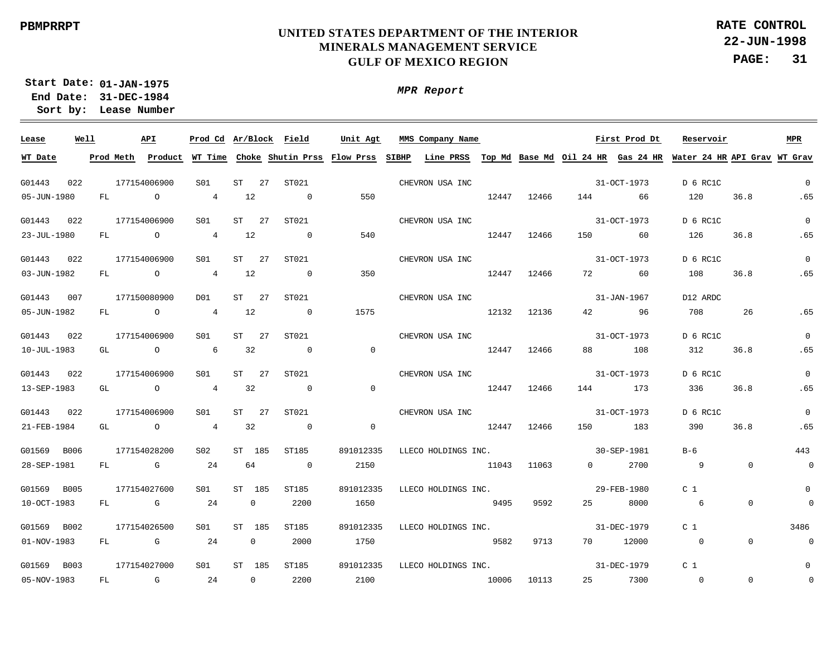**22-JUN-1998 PAGE: 31 RATE CONTROL**

**01-JAN-1975 Start Date: 31-DEC-1984 End Date: Lease Number Sort by:**

| Lease       | Well |      | API            | Prod Cd Ar/Block Field |                |    |                          | Unit Agt       | MMS Company Name                                                                                                                      |       |             |          | First Prod Dt     | Reservoir       |                | MPR                      |
|-------------|------|------|----------------|------------------------|----------------|----|--------------------------|----------------|---------------------------------------------------------------------------------------------------------------------------------------|-------|-------------|----------|-------------------|-----------------|----------------|--------------------------|
| WT Date     |      |      |                |                        |                |    |                          |                | Prod Meth Product WT Time Choke Shutin Prss Flow Prss SIBHP Line PRSS Top Md Base Md Oil 24 HR Gas 24 HR Water 24 HR API Grav WT Grav |       |             |          |                   |                 |                |                          |
| G01443      | 022  |      | 177154006900   | S01                    | ST 27          |    | ST021                    |                | CHEVRON USA INC                                                                                                                       |       |             |          | 31-OCT-1973       | D 6 RC1C        |                | $\Omega$                 |
| 05-JUN-1980 |      | FL   | $\overline{a}$ | 4                      | 12             |    | $\sim$ 0                 | 550            |                                                                                                                                       | 12447 | 12466       |          | 144 66            | 120             | 36.8           | .65                      |
| G01443 022  |      |      | 177154006900   | S01                    | $ST$ 27        |    | ST021                    |                | CHEVRON USA INC                                                                                                                       |       |             |          | $31 - OCT - 1973$ | D 6 RC1C        |                | $\overline{0}$           |
| 23-JUL-1980 |      | FL   | $\overline{a}$ | $\overline{4}$         | 12             |    | $\overline{\phantom{0}}$ | 540            |                                                                                                                                       | 12447 | 12466       |          | 150 60            | 126             | 36.8           | .65                      |
| G01443 022  |      |      | 177154006900   | S01                    | ST             | 27 | ST021                    |                | CHEVRON USA INC                                                                                                                       |       |             |          | 31-OCT-1973       | D 6 RC1C        |                | $\overline{0}$           |
| 03-JUN-1982 |      | FL   | $\overline{O}$ | 4 12                   |                |    | $\overline{0}$           | 350            |                                                                                                                                       | 12447 | 12466       |          | 72 60             | 108             | 36.8           | .65                      |
| G01443 007  |      |      | 177150080900   | DO1                    | ST             | 27 | ST021                    |                | CHEVRON USA INC                                                                                                                       |       |             |          | 31-JAN-1967       | D12 ARDC        |                |                          |
| 05-JUN-1982 |      | FL   | $\overline{O}$ | 4 12                   |                |    | $\overline{0}$           | 1575           |                                                                                                                                       | 12132 | 12136       |          | 42 96             | 708             | 26             | .65                      |
| G01443 022  |      |      | 177154006900   | S01                    | $ST$ 27        |    | ST021                    |                | CHEVRON USA INC                                                                                                                       |       |             |          | 31-OCT-1973       | D 6 RC1C        |                | $\overline{0}$           |
| 10-JUL-1983 |      | GL   | $\circ$        | $6\overline{6}$        | 32             |    | $\overline{0}$           | $\overline{0}$ |                                                                                                                                       | 12447 | 12466       |          | 88 108            | 312             | 36.8           | .65                      |
| G01443 022  |      |      | 177154006900   | S01                    | $ST$ 27        |    | ST021                    |                | CHEVRON USA INC                                                                                                                       |       |             |          | 31-OCT-1973       | D 6 RC1C        |                | $\overline{0}$           |
| 13-SEP-1983 |      |      | GL O           | $\overline{4}$         | 32             |    | $\overline{0}$           | $\overline{0}$ |                                                                                                                                       |       | 12447 12466 |          | 144 173           | 336             | 36.8           | .65                      |
| G01443 022  |      |      | 177154006900   | S01                    | $ST$ 27        |    | ST021                    |                | CHEVRON USA INC                                                                                                                       |       |             |          | 31-OCT-1973       | D 6 RC1C        |                | $\overline{0}$           |
| 21-FEB-1984 |      |      | GL O           | $\overline{4}$         | 32             |    | $\overline{0}$           | $\Omega$       |                                                                                                                                       |       | 12447 12466 |          | 150 183           | 390             | 36.8           | .65                      |
| G01569 B006 |      |      | 177154028200   | S02                    | ST 185         |    | ST185                    | 891012335      | LLECO HOLDINGS INC.                                                                                                                   |       |             |          | 30-SEP-1981       | $B-6$           |                | 443                      |
| 28-SEP-1981 |      | FL . | $\mathbb{G}$   | 2.4                    | 64             |    | $\overline{0}$           | 2150           |                                                                                                                                       |       | 11043 11063 | $\Omega$ | 2700              | $\overline{9}$  | $\Omega$       | $\overline{\phantom{0}}$ |
| G01569 B005 |      |      | 177154027600   | S01                    | ST 185         |    | ST185                    | 891012335      | LLECO HOLDINGS INC.                                                                                                                   |       |             |          | 29-FEB-1980       | C <sub>1</sub>  |                | $\mathbf{0}$             |
| 10-OCT-1983 |      | FL   | <b>G</b>       | 24                     | $\overline{0}$ |    | 2200                     | 1650           |                                                                                                                                       | 9495  | 9592        | 25       | 8000              | $6\overline{6}$ | $\overline{0}$ | $\overline{0}$           |
| G01569 B002 |      |      | 177154026500   | S01                    | ST 185         |    | ST185                    | 891012335      | LLECO HOLDINGS INC.                                                                                                                   |       |             |          | $31 - DEC - 1979$ | C <sub>1</sub>  |                | 3486                     |
| 01-NOV-1983 |      | FL   | $\mathbb G$    | 24                     | $\overline{0}$ |    | 2000                     | 1750           |                                                                                                                                       | 9582  | 9713        | 70       | 12000             | $\sim$ 0        | $\overline{0}$ | $\overline{0}$           |
| G01569 B003 |      |      | 177154027000   | S01                    | ST 185         |    | ST185                    | 891012335      | LLECO HOLDINGS INC.                                                                                                                   |       |             |          | 31-DEC-1979       | C <sub>1</sub>  |                | $\Omega$                 |
| 05-NOV-1983 |      |      | FL G           | 24                     | $\overline{0}$ |    | 2200                     | 2100           | 10006 10113                                                                                                                           |       |             |          | 25 7300           | $\sim$ 0        | $\Omega$       | $\mathbf 0$              |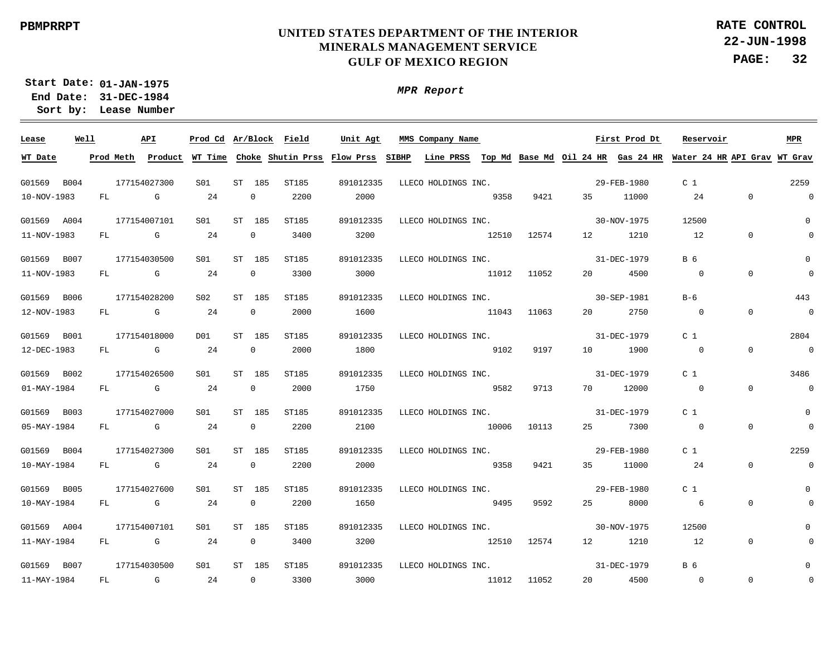**22-JUN-1998 PAGE: 32 RATE CONTROL**

**01-JAN-1975 Start Date: 31-DEC-1984 End Date: Lease Number Sort by:**

*MPR Report*

<u> 1989 - Andrea Andrea Andrea Andrea Andrea Andrea Andrea Andrea Andrea Andrea Andrea Andrea Andrea Andrea Andr</u>

| Lease       | Well |      | API          |     |                | Prod Cd Ar/Block Field | Unit Agt  | MMS Company Name                                                                                                                      |             |             |    | First Prod Dt     | Reservoir       |                | <b>MPR</b>               |
|-------------|------|------|--------------|-----|----------------|------------------------|-----------|---------------------------------------------------------------------------------------------------------------------------------------|-------------|-------------|----|-------------------|-----------------|----------------|--------------------------|
| WT Date     |      |      |              |     |                |                        |           | Prod Meth Product WT Time Choke Shutin Prss Flow Prss SIBHP Line PRSS Top Md Base Md Oil 24 HR Gas 24 HR Water 24 HR API Grav WT Grav |             |             |    |                   |                 |                |                          |
| G01569 B004 |      |      | 177154027300 | S01 | ST 185         | ST185                  | 891012335 | LLECO HOLDINGS INC.                                                                                                                   |             |             |    | 29-FEB-1980       | C <sub>1</sub>  |                | 2259                     |
| 10-NOV-1983 |      | FL   | G            | 24  | $\mathbf{0}$   | 2200                   | 2000      |                                                                                                                                       | 9358        | 9421        | 35 | 11000             | 24              | $\Omega$       | $\overline{\phantom{0}}$ |
| G01569 A004 |      |      | 177154007101 | S01 | ST 185         | ST185                  | 891012335 | LLECO HOLDINGS INC.                                                                                                                   |             |             |    | $30 - NOV - 1975$ | 12500           |                | $\overline{0}$           |
| 11-NOV-1983 |      | FL G |              | 24  | $\mathbf{0}$   | 3400                   | 3200      |                                                                                                                                       |             | 12510 12574 |    | 12 1210           | 12              | $\overline{0}$ | $\overline{0}$           |
| G01569 B007 |      |      | 177154030500 | S01 | ST 185         | ST185                  | 891012335 | LLECO HOLDINGS INC.                                                                                                                   |             |             |    | 31-DEC-1979       | B 6             |                | $\mathbf 0$              |
| 11-NOV-1983 |      | FL G |              | 24  | $\overline{0}$ | 3300                   | 3000      |                                                                                                                                       |             | 11012 11052 |    | 20 4500           | $\overline{0}$  | $\Omega$       | $\overline{0}$           |
| G01569 B006 |      |      | 177154028200 | S02 | ST 185         | ST185                  | 891012335 | LLECO HOLDINGS INC.                                                                                                                   |             |             |    | 30-SEP-1981       | $B-6$           |                | 443                      |
| 12-NOV-1983 |      |      | FL G         | 24  | $\overline{0}$ | 2000                   | 1600      |                                                                                                                                       | 11043 11063 |             |    | 20 2750           | $\overline{0}$  | $\overline{0}$ | $\overline{\phantom{0}}$ |
| G01569 B001 |      |      | 177154018000 | DO1 | ST 185         | ST185                  | 891012335 | LLECO HOLDINGS INC.                                                                                                                   |             |             |    | 31-DEC-1979       | C <sub>1</sub>  |                | 2804                     |
| 12-DEC-1983 |      |      | FL G         | 24  | $\overline{0}$ | 2000                   | 1800      |                                                                                                                                       | 9102        | 9197        |    | 10 1900           | $\overline{0}$  | $\Omega$       | $\overline{\phantom{0}}$ |
| G01569 B002 |      |      | 177154026500 | S01 | ST 185         | ST185                  | 891012335 | LLECO HOLDINGS INC.                                                                                                                   |             |             |    | 31-DEC-1979       | C <sub>1</sub>  |                | 3486                     |
| 01-MAY-1984 |      | FL   | $\mathbb G$  | 24  | $\overline{0}$ | 2000                   | 1750      |                                                                                                                                       | 2582        | 9713        |    | 70 12000          | $\overline{0}$  | $\overline{0}$ | $\overline{\phantom{0}}$ |
| G01569 B003 |      |      | 177154027000 | S01 | ST 185         | ST185                  | 891012335 | LLECO HOLDINGS INC.                                                                                                                   |             |             |    | 31-DEC-1979       | C <sub>1</sub>  |                | $\Omega$                 |
| 05-MAY-1984 |      | FL   | $\mathbf G$  | 24  | $\Omega$       | 2200                   | 2100      |                                                                                                                                       | 10006       | 10113       | 25 | 7300              | $\overline{0}$  | $\Omega$       | $\overline{0}$           |
| G01569 B004 |      |      | 177154027300 | SO1 | ST 185         | ST185                  | 891012335 | LLECO HOLDINGS INC.                                                                                                                   |             |             |    | 29-FEB-1980       | C <sub>1</sub>  |                | 2259                     |
| 10-MAY-1984 |      | FL   | $\mathbb G$  | 24  | $\overline{0}$ | 2200                   | 2000      |                                                                                                                                       | 5358        | 9421        | 35 | 11000             | 24              | $\overline{0}$ | $\mathbf 0$              |
| G01569 B005 |      |      | 177154027600 | S01 | ST 185         | ST185                  | 891012335 | LLECO HOLDINGS INC.                                                                                                                   |             |             |    | 29-FEB-1980       | C <sub>1</sub>  |                | 0                        |
| 10-MAY-1984 |      | FL   | $\mathbb G$  | 24  | $\overline{0}$ | 2200                   | 1650      |                                                                                                                                       | 9495 9592   |             | 25 | 8000              | $6\overline{6}$ | $\Omega$       |                          |
| G01569 A004 |      |      | 177154007101 | S01 | ST 185         | ST185                  | 891012335 | LLECO HOLDINGS INC.                                                                                                                   |             |             |    | 30-NOV-1975       | 12500           |                | 0                        |
| 11-MAY-1984 |      |      | FL G         | 24  | $\overline{0}$ | 3400                   | 3200      |                                                                                                                                       | 12510 12574 |             |    | 12 1210           | 12              | $\overline{0}$ |                          |
| G01569 B007 |      |      | 177154030500 | SO1 | ST 185         | ST185                  | 891012335 | LLECO HOLDINGS INC.                                                                                                                   |             |             |    | 31-DEC-1979       | B 6             |                | $\Omega$                 |
| 11-MAY-1984 |      |      | FL G 24      |     | $\overline{0}$ | 3300                   | 3000      |                                                                                                                                       | 11012 11052 |             |    | 20 4500           | $\overline{0}$  | $\overline{0}$ | 0                        |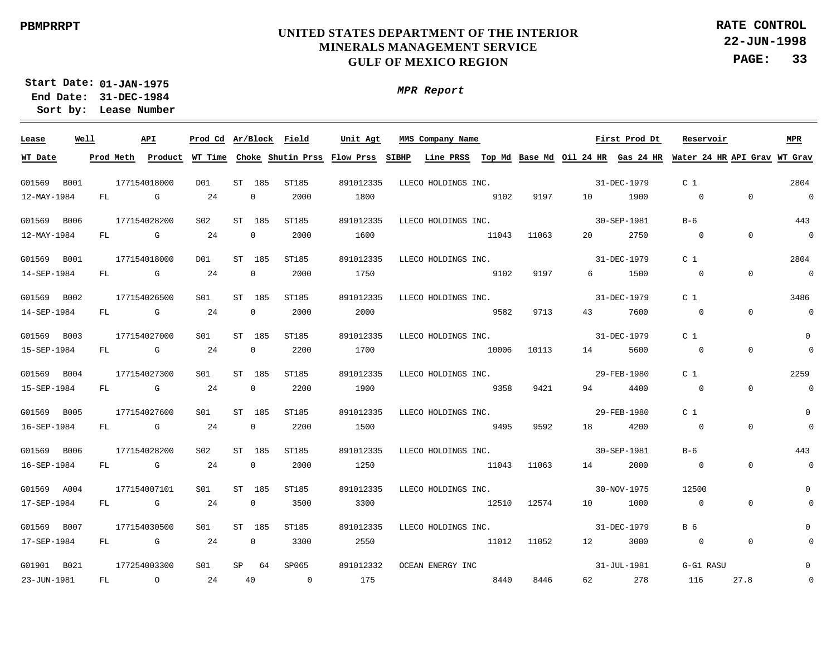**22-JUN-1998 PAGE: 33 RATE CONTROL**

**01-JAN-1975 Start Date: 31-DEC-1984 End Date: Lease Number Sort by:**

*MPR Report*

<u> 1989 - Andrea Andrea Andrea Andrea Andrea Andrea Andrea Andrea Andrea Andrea Andrea Andrea Andrea Andrea Andr</u>

| Lease       | Well |              | API          |     |                | Prod Cd Ar/Block Field | Unit Agt  | MMS Company Name                                                                                                                      |             |             |        | First Prod Dt | Reservoir      |                | <b>MPR</b>               |
|-------------|------|--------------|--------------|-----|----------------|------------------------|-----------|---------------------------------------------------------------------------------------------------------------------------------------|-------------|-------------|--------|---------------|----------------|----------------|--------------------------|
| WT Date     |      |              |              |     |                |                        |           | Prod Meth Product WT Time Choke Shutin Prss Flow Prss SIBHP Line PRSS Top Md Base Md Oil 24 HR Gas 24 HR Water 24 HR API Grav WT Grav |             |             |        |               |                |                |                          |
| G01569 B001 |      |              | 177154018000 | D01 | ST 185         | ST185                  | 891012335 | LLECO HOLDINGS INC. 31-DEC-1979                                                                                                       |             |             |        |               | C <sub>1</sub> |                | 2804                     |
| 12-MAY-1984 |      |              | FL G         | 24  | $\overline{0}$ | 2000                   | 1800      |                                                                                                                                       | 9102        | 9197        |        | 10 1900       | $\overline{0}$ | $\Omega$       | $\overline{0}$           |
| G01569 B006 |      | 177154028200 |              | S02 | ST 185         | ST185                  | 891012335 | LLECO HOLDINGS INC.                                                                                                                   |             |             |        | 30-SEP-1981   | $B-6$          |                | 443                      |
| 12-MAY-1984 |      |              | FL G         | 24  | $\overline{0}$ | 2000                   | 1600      |                                                                                                                                       |             | 11043 11063 |        | 20 2750       | $\overline{0}$ | $\Omega$       | $\overline{\phantom{0}}$ |
| G01569 B001 |      | 177154018000 |              | DO1 | ST 185         | ST185                  | 891012335 | LLECO HOLDINGS INC.                                                                                                                   |             |             |        | 31-DEC-1979   | C <sub>1</sub> |                | 2804                     |
| 14-SEP-1984 |      |              | FL G         | 24  | $\overline{0}$ | 2000                   | 1750      |                                                                                                                                       | 9102        | 9197        |        | 6 1500        | $\overline{0}$ | $\Omega$       | $\overline{\phantom{0}}$ |
| G01569 B002 |      |              | 177154026500 | S01 | ST 185         | ST185                  | 891012335 | LLECO HOLDINGS INC.                                                                                                                   |             |             |        | 31-DEC-1979   | C <sub>1</sub> |                | 3486                     |
| 14-SEP-1984 |      |              | FL G         | 24  | $\overline{0}$ | 2000                   | 2000      |                                                                                                                                       | 5582        | 9713        |        | 43 7600       | $\overline{0}$ | $\overline{0}$ | $\overline{\phantom{0}}$ |
| G01569 B003 |      |              | 177154027000 | S01 | ST 185         | ST185                  | 891012335 | LLECO HOLDINGS INC.                                                                                                                   |             |             |        | 31-DEC-1979   | C <sub>1</sub> |                | $\overline{0}$           |
| 15-SEP-1984 |      |              | FL G         | 24  | $\overline{0}$ | 2200                   | 1700      | 10006 10113                                                                                                                           |             |             |        | 14 5600       | $\overline{0}$ | $\overline{0}$ | $\overline{\mathbf{0}}$  |
| G01569 B004 |      |              | 177154027300 | S01 | ST 185         | ST185                  | 891012335 | LLECO HOLDINGS INC.                                                                                                                   |             |             |        | 29-FEB-1980   | C <sub>1</sub> |                | 2259                     |
| 15-SEP-1984 |      | FL           | $\mathbf G$  | 24  | $\overline{0}$ | 2200                   | 1900      | 9358                                                                                                                                  |             | 9421        |        | 94 4400       | $\overline{0}$ | $\Omega$       | $\overline{0}$           |
| G01569 B005 |      |              | 177154027600 | S01 | ST 185         | ST185                  | 891012335 | LLECO HOLDINGS INC.                                                                                                                   |             |             |        | 29-FEB-1980   | C <sub>1</sub> |                | $\Omega$                 |
| 16-SEP-1984 |      | FL           | $\mathbf G$  | 24  | $\overline{0}$ | 2200                   | 1500      | 9495                                                                                                                                  |             | 9592        |        | 18 4200       | $\overline{0}$ | $\Omega$       | $\overline{0}$           |
| G01569 B006 |      |              | 177154028200 | S02 | ST 185         | ST185                  | 891012335 | LLECO HOLDINGS INC.                                                                                                                   |             |             |        | 30-SEP-1981   | $B-6$          |                | 443                      |
| 16-SEP-1984 |      | FL           | $\mathbf G$  | 24  | $\overline{0}$ | 2000                   | 1250      | 11043 11063                                                                                                                           |             |             |        | 14 2000       | $\overline{0}$ | $\Omega$       | $\mathbf 0$              |
| G01569 A004 |      |              | 177154007101 | S01 | ST 185         | ST185                  | 891012335 | LLECO HOLDINGS INC.                                                                                                                   |             |             |        | 30-NOV-1975   | 12500          |                | $\mathbf{0}$             |
| 17-SEP-1984 |      |              | FL G         | 24  | $\overline{0}$ | 3500                   | 3300      |                                                                                                                                       | 12510 12574 |             |        | 10 1000       | $\sim$ 0       | $\overline{0}$ | $\overline{0}$           |
| G01569 B007 |      |              | 177154030500 | S01 | ST 185         | ST185                  | 891012335 | LLECO HOLDINGS INC.                                                                                                                   |             |             |        | 31-DEC-1979   | B 6            |                | 0                        |
| 17-SEP-1984 |      |              | FL G         | 24  | $\overline{0}$ | 3300                   | 2550      |                                                                                                                                       | 11012 11052 |             |        | 12 3000       | $\overline{0}$ | $\overline{0}$ |                          |
| G01901 B021 |      |              | 177254003300 | SO1 | SP 64          | SP065                  | 891012332 | OCEAN ENERGY INC                                                                                                                      |             |             |        | 31-JUL-1981   | G-G1 RASU      |                | 0                        |
| 23-JUN-1981 |      |              | FL 0 24      |     | 40             | $\sim$ 0               | 175       |                                                                                                                                       | 8440        | 8446        | 62 — 1 | 278           | 116            | 27.8           | $\overline{0}$           |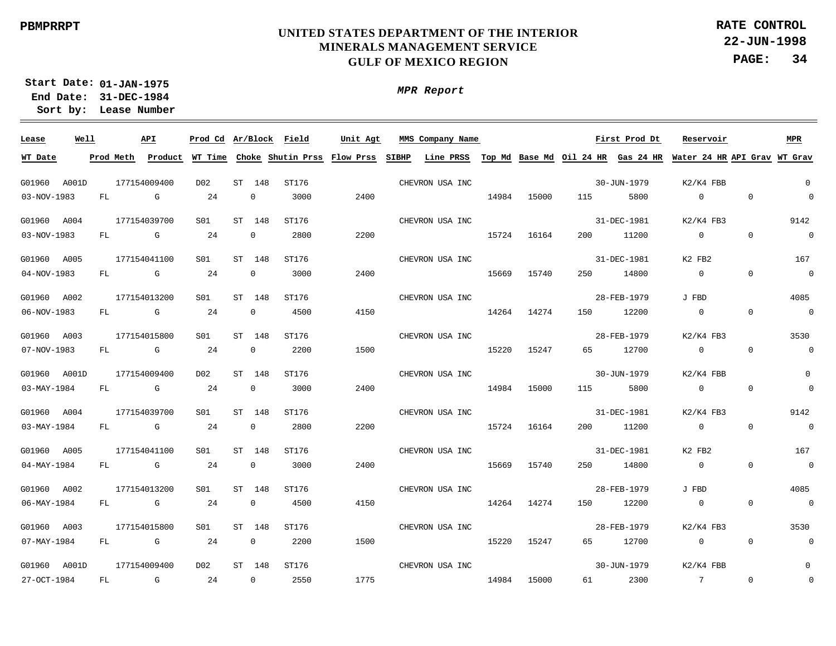*MPR Report*

**22-JUN-1998 PAGE: 34 RATE CONTROL**

**01-JAN-1975 Start Date: 31-DEC-1984 End Date:** 

**Lease Number Sort by:**

| Lease        | Well |           | API                                                                                                                                                                                                                            | Prod Cd Ar/Block |    |                | Field | Unit Agt | MMS Company Name |       |             |     | First Prod Dt                                                                                                               | Reservoir       |                | <b>MPR</b>               |
|--------------|------|-----------|--------------------------------------------------------------------------------------------------------------------------------------------------------------------------------------------------------------------------------|------------------|----|----------------|-------|----------|------------------|-------|-------------|-----|-----------------------------------------------------------------------------------------------------------------------------|-----------------|----------------|--------------------------|
| WT Date      |      | Prod Meth |                                                                                                                                                                                                                                |                  |    |                |       |          |                  |       |             |     | Product WT Time Choke Shutin Prss Flow Prss SIBHP Line PRSS Top Md Base Md Oil 24 HR Gas 24 HR Water 24 HR API Grav WT Grav |                 |                |                          |
| G01960 A001D |      |           | 177154009400                                                                                                                                                                                                                   | D02              |    | ST 148         | ST176 |          | CHEVRON USA INC  |       |             |     | 30-JUN-1979                                                                                                                 | $K2/K4$ FBB     |                | $\overline{0}$           |
| 03-NOV-1983  |      | FL        | G                                                                                                                                                                                                                              | 24               |    | $\mathbf{0}$   | 3000  | 2400     |                  | 14984 | 15000       | 115 | 5800                                                                                                                        | $\mathbf 0$     | $\overline{0}$ | $\overline{0}$           |
| G01960 A004  |      |           | 177154039700                                                                                                                                                                                                                   | S01              |    | ST 148         | ST176 |          | CHEVRON USA INC  |       |             |     | 31-DEC-1981                                                                                                                 | $K2/K4$ FB3     |                | 9142                     |
| 03-NOV-1983  |      | FL        | <b>G</b> G                                                                                                                                                                                                                     | 24               |    | 0              | 2800  | 2200     |                  | 15724 | 16164       | 200 | 11200                                                                                                                       | $\overline{0}$  | $\overline{0}$ | $\overline{0}$           |
| G01960 A005  |      |           | 177154041100                                                                                                                                                                                                                   | S01              | ST | 148            | ST176 |          | CHEVRON USA INC  |       |             |     | 31-DEC-1981                                                                                                                 | K2 FB2          |                | 167                      |
| 04-NOV-1983  |      | FL        | <b>G</b> G                                                                                                                                                                                                                     | 24               |    | $\mathbf 0$    | 3000  | 2400     |                  | 15669 | 15740       | 250 | 14800                                                                                                                       | $\overline{0}$  | $\overline{0}$ | $\overline{\phantom{0}}$ |
| G01960 A002  |      |           | 177154013200                                                                                                                                                                                                                   | S01              | ST | 148            | ST176 |          | CHEVRON USA INC  |       |             |     | 28-FEB-1979                                                                                                                 | J FBD           |                | 4085                     |
| 06-NOV-1983  |      | FL        | discovered the control of the control of the control of the control of the control of the control of the control of the control of the control of the control of the control of the control of the control of the control of t | 24               |    | $\mathbf{0}$   | 4500  | 4150     |                  | 14264 | 14274       | 150 | 12200                                                                                                                       | $\overline{0}$  | $\overline{0}$ | $\overline{0}$           |
| G01960 A003  |      |           | 177154015800                                                                                                                                                                                                                   | S01              | ST | 148            | ST176 |          | CHEVRON USA INC  |       |             |     | 28-FEB-1979                                                                                                                 | $K2/K4$ FB3     |                | 3530                     |
| 07-NOV-1983  |      | FL        | $\mathbb G$                                                                                                                                                                                                                    | 24               |    | 0              | 2200  | 1500     |                  | 15220 | 15247       | 65  | 12700                                                                                                                       | $\overline{0}$  | $\overline{0}$ | $\overline{0}$           |
| G01960 A001D |      |           | 177154009400                                                                                                                                                                                                                   | D02              |    | ST 148         | ST176 |          | CHEVRON USA INC  |       |             |     | 30-JUN-1979                                                                                                                 | $K2/K4$ FBB     |                | $\mathbf{0}$             |
| 03-MAY-1984  |      | FL        | $\mathbb G$ and $\mathbb G$                                                                                                                                                                                                    | 24               |    | $\mathbf 0$    | 3000  | 2400     |                  | 14984 | 15000       | 115 | 5800                                                                                                                        | $\overline{0}$  | $\overline{0}$ | $\overline{0}$           |
| G01960 A004  |      |           | 177154039700                                                                                                                                                                                                                   | S01              |    | ST 148         | ST176 |          | CHEVRON USA INC  |       |             |     | 31-DEC-1981                                                                                                                 | $K2/K4$ FB3     |                | 9142                     |
| 03-MAY-1984  |      | FL        | <b>G</b> G                                                                                                                                                                                                                     | 24               |    | $\mathbf{0}$   | 2800  | 2200     |                  |       | 15724 16164 | 200 | 11200                                                                                                                       | $\overline{0}$  | $\overline{0}$ | $\overline{0}$           |
| G01960 A005  |      |           | 177154041100                                                                                                                                                                                                                   | SO1              |    | ST 148         | ST176 |          | CHEVRON USA INC  |       |             |     | 31-DEC-1981                                                                                                                 | K2 FB2          |                | 167                      |
| 04-MAY-1984  |      | FL        | $\mathbb{G}$                                                                                                                                                                                                                   | 24               |    | 0              | 3000  | 2400     |                  | 15669 | 15740       | 250 | 14800                                                                                                                       | $\overline{0}$  | $\overline{0}$ | $\overline{0}$           |
| G01960 A002  |      |           | 177154013200                                                                                                                                                                                                                   | S01              | ST | 148            | ST176 |          | CHEVRON USA INC  |       |             |     | 28-FEB-1979                                                                                                                 | J FBD           |                | 4085                     |
| 06-MAY-1984  |      | FL.       | G                                                                                                                                                                                                                              | 24               |    | $\mathbf 0$    | 4500  | 4150     |                  | 14264 | 14274       | 150 | 12200                                                                                                                       | $\overline{0}$  | $\Omega$       | $\sim$ 0                 |
| G01960 A003  |      |           | 177154015800                                                                                                                                                                                                                   | S01              |    | ST 148         | ST176 |          | CHEVRON USA INC  |       |             |     | 28-FEB-1979                                                                                                                 | $K2/K4$ FB3     |                | 3530                     |
| 07-MAY-1984  |      | FL        | G                                                                                                                                                                                                                              | 24               |    | 0              | 2200  | 1500     |                  | 15220 | 15247       | 65  | 12700                                                                                                                       | $\overline{0}$  | $\overline{0}$ | $\overline{0}$           |
| G01960 A001D |      |           | 177154009400                                                                                                                                                                                                                   | D02              |    | ST 148         | ST176 |          | CHEVRON USA INC  |       |             |     | 30-JUN-1979                                                                                                                 | $K2/K4$ FBB     |                | $\mathsf{O}\xspace$      |
| 27-OCT-1984  |      | FL        | $\mathbb G$                                                                                                                                                                                                                    | 24               |    | $\overline{0}$ | 2550  | 1775     |                  | 14984 | 15000       |     | 61 2300                                                                                                                     | $7\overline{ }$ | $\mathbf 0$    | $\,0\,$                  |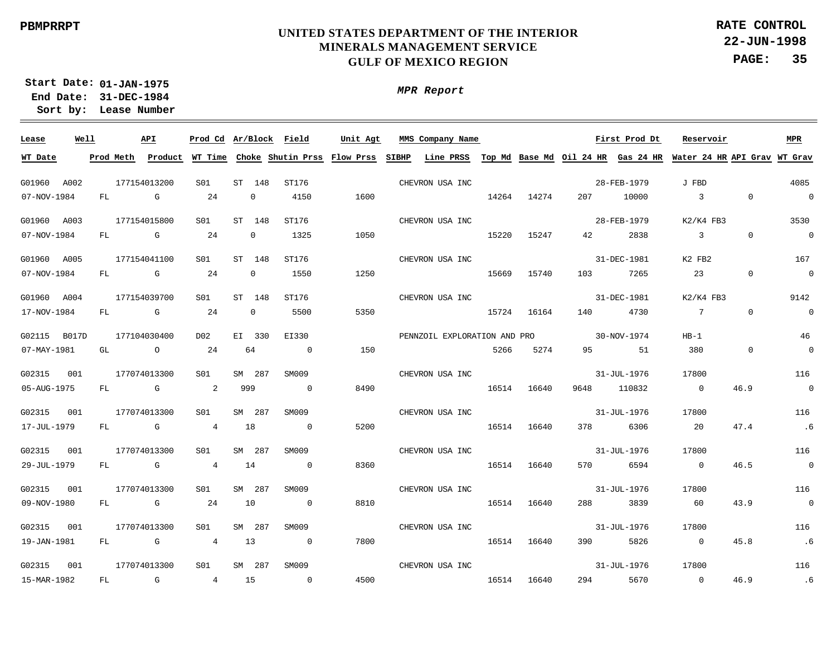**22-JUN-1998 PAGE: 35 RATE CONTROL**

**01-JAN-1975 Start Date: 31-DEC-1984 End Date: Lease Number Sort by:**

| Lease        | Well |           | API                                                                                                                                                                                                                            |                 |              | Prod Cd Ar/Block Field              | Unit Agt | MMS Company Name                                                                |       |             |          | First Prod Dt | Reservoir      |                | MPR                      |
|--------------|------|-----------|--------------------------------------------------------------------------------------------------------------------------------------------------------------------------------------------------------------------------------|-----------------|--------------|-------------------------------------|----------|---------------------------------------------------------------------------------|-------|-------------|----------|---------------|----------------|----------------|--------------------------|
| WT Date      |      | Prod Meth | Product                                                                                                                                                                                                                        |                 |              | WT Time Choke Shutin Prss Flow Prss |          | SIBHP Line PRSS Top Md Base Md Oil 24 HR Gas 24 HR Water 24 HR API Grav WT Grav |       |             |          |               |                |                |                          |
| G01960 A002  |      |           | 177154013200                                                                                                                                                                                                                   | S01             | ST 148       | ST176                               |          | CHEVRON USA INC                                                                 |       |             |          | 28-FEB-1979   | J FBD          |                | 4085                     |
| 07-NOV-1984  |      | FL        | G                                                                                                                                                                                                                              | 24              | 0            | 4150                                | 1600     |                                                                                 | 14264 | 14274       | 207      | 10000         | $\overline{3}$ | $\Omega$       | $\overline{0}$           |
| G01960 A003  |      |           | 177154015800                                                                                                                                                                                                                   | S01             | ST 148       | ST176                               |          | CHEVRON USA INC                                                                 |       |             |          | 28-FEB-1979   | $K2/K4$ FB3    |                | 3530                     |
| 07-NOV-1984  |      | FL        | G                                                                                                                                                                                                                              | 24              | $\mathbf 0$  | 1325                                | 1050     |                                                                                 | 15220 | 15247       | 42       | 2838          | $\overline{3}$ | $\Omega$       | $\overline{0}$           |
| G01960 A005  |      |           | 177154041100                                                                                                                                                                                                                   | S01             | ST 148       | ST176                               |          | CHEVRON USA INC                                                                 |       |             |          | 31-DEC-1981   | K2 FB2         |                | 167                      |
| 07-NOV-1984  |      | FL        | and the control of the control of the control of the control of the control of the control of the control of the control of the control of the control of the control of the control of the control of the control of the cont | 24              | $\mathbf{0}$ | 1550                                | 1250     |                                                                                 | 15669 | 15740       | 103      | 7265          | 23             | $\Omega$       | $\overline{0}$           |
| G01960 A004  |      |           | 177154039700                                                                                                                                                                                                                   | S <sub>01</sub> | ST 148       | ST176                               |          | CHEVRON USA INC                                                                 |       |             |          | 31-DEC-1981   | $K2/K4$ FB3    |                | 9142                     |
| 17-NOV-1984  |      | FL        | <b>G</b>                                                                                                                                                                                                                       | 24              | 0            | 5500                                | 5350     |                                                                                 | 15724 | 16164       | 140      | 4730          | $\overline{7}$ | $\mathbf{0}$   | $\overline{0}$           |
| G02115 B017D |      |           | 177104030400                                                                                                                                                                                                                   | D02             | EI 330       | EI330                               |          | PENNZOIL EXPLORATION AND PRO                                                    |       |             |          | 30-NOV-1974   | $HB-1$         |                | 46                       |
| 07-MAY-1981  |      | GL        | $\overline{a}$                                                                                                                                                                                                                 | 24              | 64           | $\overline{0}$                      | 150      |                                                                                 | 5266  | 5274        |          | 51            | 380            | $\overline{0}$ | $\overline{0}$           |
| G02315       | 001  |           | 177074013300                                                                                                                                                                                                                   | S01             | SM 287       | SM009                               |          | CHEVRON USA INC                                                                 |       |             |          | 31-JUL-1976   | 17800          |                | 116                      |
| 05-AUG-1975  |      | FL        | $\mathbb G$                                                                                                                                                                                                                    | 2               | 999          | $\overline{0}$                      | 8490     |                                                                                 | 16514 | 16640       | 9648     | 110832        | $\overline{0}$ | 46.9           | $\overline{0}$           |
| G02315       | 001  |           | 177074013300                                                                                                                                                                                                                   | S01             | SM 287       | SM009                               |          | CHEVRON USA INC                                                                 |       |             |          | 31-JUL-1976   | 17800          |                | 116                      |
| 17-JUL-1979  |      | FL        | $\mathbf G$                                                                                                                                                                                                                    | $\overline{4}$  | 18           | $\overline{0}$                      | 5200     |                                                                                 | 16514 | 16640       | 378      | 6306          | 20             | 47.4           | .6                       |
| G02315       | 001  |           | 177074013300                                                                                                                                                                                                                   | S01             | SM 287       | SM009                               |          | CHEVRON USA INC                                                                 |       |             |          | 31-JUL-1976   | 17800          |                | 116                      |
| 29-JUL-1979  |      | FL        | <b>G</b>                                                                                                                                                                                                                       | $\overline{4}$  | 14           | $\overline{0}$                      | 8360     |                                                                                 | 16514 | 16640       | 570      | 6594          | $\overline{0}$ | 46.5           | $\overline{0}$           |
| G02315       | 001  |           | 177074013300                                                                                                                                                                                                                   | S01             | SM 287       | SM009                               |          | CHEVRON USA INC                                                                 |       |             |          | 31-JUL-1976   | 17800          |                | 116                      |
| 09-NOV-1980  |      | FL        | <b>G</b> G                                                                                                                                                                                                                     | 24              | 10           | $\overline{\phantom{0}}$            | 8810     |                                                                                 |       | 16514 16640 | 288 — 10 | 3839          | 60             | 43.9           | $\overline{\phantom{0}}$ |
| G02315       | 001  |           | 177074013300                                                                                                                                                                                                                   | S <sub>01</sub> | SM 287       | SM009                               |          | CHEVRON USA INC                                                                 |       |             |          | 31-JUL-1976   | 17800          |                | 116                      |
| 19-JAN-1981  |      | FL        | $\overline{G}$                                                                                                                                                                                                                 | $4\overline{ }$ | 13           | $\overline{\phantom{0}}$            | 7800     |                                                                                 |       | 16514 16640 |          | 5826          | $\overline{0}$ | 45.8           | .6                       |
| G02315       | 001  |           | 177074013300                                                                                                                                                                                                                   | SO1             | SM 287       | SM009                               |          | CHEVRON USA INC                                                                 |       |             |          | 31-JUL-1976   | 17800          |                | 116                      |
| 15-MAR-1982  |      | FL        | $\mathbb G$                                                                                                                                                                                                                    | $\overline{4}$  | 15           | $\overline{0}$                      | 4500     |                                                                                 | 16514 | 16640       | 294      | 5670          | $\overline{0}$ | 46.9           | .6                       |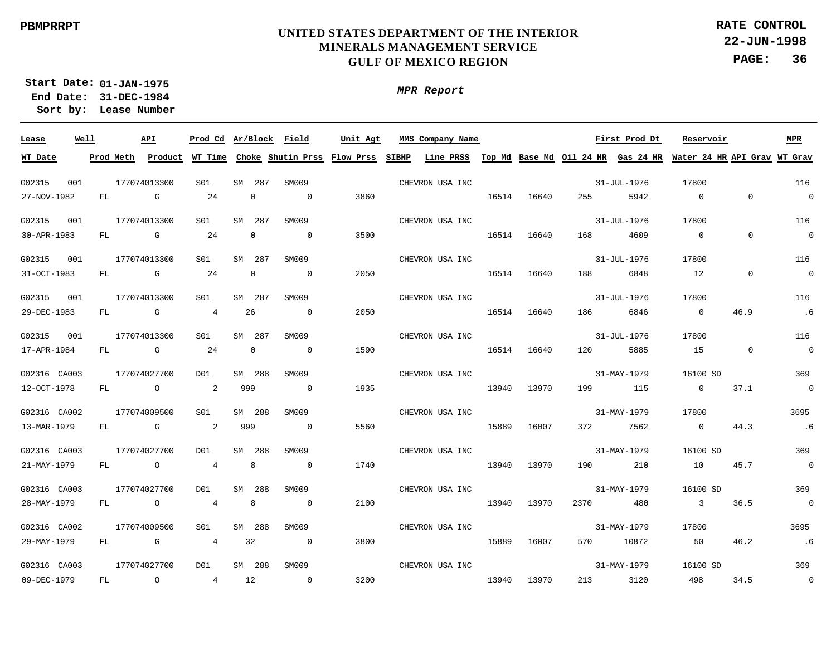**22-JUN-1998 PAGE: 36 RATE CONTROL**

**01-JAN-1975 Start Date: 31-DEC-1984 End Date: Lease Number Sort by:**

| Lease        | Well |           | API            | Prod Cd Ar/Block Field |        |                |                          | Unit Agt                                    | MMS Company Name                                                                   |       |       |         | First Prod Dt | Reservoir                  |             | <b>MPR</b>               |
|--------------|------|-----------|----------------|------------------------|--------|----------------|--------------------------|---------------------------------------------|------------------------------------------------------------------------------------|-------|-------|---------|---------------|----------------------------|-------------|--------------------------|
| WT Date      |      | Prod Meth |                |                        |        |                |                          | Product WT Time Choke Shutin Prss Flow Prss | SIBHP<br>Line PRSS Top Md Base Md Oil 24 HR Gas 24 HR Water 24 HR API Grav WT Grav |       |       |         |               |                            |             |                          |
| G02315       | 001  |           | 177074013300   | S01                    | SM 287 |                | SM009                    |                                             | CHEVRON USA INC                                                                    |       |       |         | 31-JUL-1976   | 17800                      |             | 116                      |
| 27-NOV-1982  |      | FL        | G              | 24                     |        | $\mathbf 0$    | $\overline{0}$           | 3860                                        |                                                                                    | 16514 | 16640 | 255     | 5942          | $\Omega$                   | $\mathbf 0$ | $\overline{0}$           |
| G02315       | 001  |           | 177074013300   | S01                    | SM 287 |                | SM009                    |                                             | CHEVRON USA INC                                                                    |       |       |         | 31-JUL-1976   | 17800                      |             | 116                      |
| 30-APR-1983  |      | FL        | G              | 24                     |        | $\mathbf{0}$   | $\overline{0}$           | 3500                                        |                                                                                    | 16514 | 16640 | 168     | 4609          | $\Omega$                   | $\mathbf 0$ | $\overline{0}$           |
| G02315       | 001  |           | 177074013300   | S01                    | SM 287 |                | SM009                    |                                             | CHEVRON USA INC                                                                    |       |       |         | 31-JUL-1976   | 17800                      |             | 116                      |
| 31-OCT-1983  |      | FL        | <b>G</b> G     | 24                     |        | 0              | $\overline{0}$           | 2050                                        |                                                                                    | 16514 | 16640 | 188     | 6848          | 12                         | $\mathbf 0$ | $\overline{0}$           |
| G02315       | 001  |           | 177074013300   | S01                    | SM 287 |                | SM009                    |                                             | CHEVRON USA INC                                                                    |       |       |         | 31-JUL-1976   | 17800                      |             | 116                      |
| 29-DEC-1983  |      | FL        | $\mathbb G$    | $4\overline{ }$        | 26     |                | $\overline{\phantom{0}}$ | 2050                                        |                                                                                    | 16514 | 16640 | 186 180 | 6846          | $\overline{0}$             | 46.9        | .6                       |
| G02315       | 001  |           | 177074013300   | S01                    | SM 287 |                | SM009                    |                                             | CHEVRON USA INC                                                                    |       |       |         | 31-JUL-1976   | 17800                      |             | 116                      |
| 17-APR-1984  |      | FL        | $\mathbb G$    | 24                     |        | $\overline{0}$ | $\overline{0}$           | 1590                                        |                                                                                    | 16514 | 16640 | 120     | 5885          | 15                         | $\mathbf 0$ | $\overline{0}$           |
| G02316 CA003 |      |           | 177074027700   | DO1                    | SM 288 |                | SM009                    |                                             | CHEVRON USA INC                                                                    |       |       |         | 31-MAY-1979   | 16100 SD                   |             | 369                      |
| 12-OCT-1978  |      | FL        | $\overline{a}$ | 2                      | 999    |                | $\overline{0}$           | 1935                                        |                                                                                    | 13940 | 13970 | 199     | 115           | $\overline{0}$             | 37.1        | $\overline{0}$           |
| G02316 CA002 |      |           | 177074009500   | S01                    | SM 288 |                | SM009                    |                                             | CHEVRON USA INC                                                                    |       |       |         | 31-MAY-1979   | 17800                      |             | 3695                     |
| 13-MAR-1979  |      | FL        | $\mathbb G$    | 2                      | 999    |                | $\overline{0}$           | 5560                                        |                                                                                    | 15889 | 16007 | 372     | 7562          | $\overline{0}$             | 44.3        | .6                       |
| G02316 CA003 |      |           | 177074027700   | D01                    | SM 288 |                | SM009                    |                                             | CHEVRON USA INC                                                                    |       |       |         | 31-MAY-1979   | 16100 SD                   |             | 369                      |
| 21-MAY-1979  |      | FL        | $\circ$        | $4\overline{ }$        |        | 8              | $\overline{0}$           | 1740                                        |                                                                                    | 13940 | 13970 | 190     | 210           | 10                         | 45.7        | $\overline{\phantom{0}}$ |
| G02316 CA003 |      |           | 177074027700   | D01                    | SM 288 |                | SM009                    |                                             | CHEVRON USA INC                                                                    |       |       |         | 31-MAY-1979   | 16100 SD                   |             | 369                      |
| 28-MAY-1979  |      | FL        | $\overline{a}$ | $4\overline{ }$        |        | 8              | $\overline{0}$           | 2100                                        |                                                                                    | 13940 | 13970 | 2370    | 480           | $\overline{\phantom{a}}$ 3 | 36.5        | $\overline{0}$           |
| G02316 CA002 |      |           | 177074009500   | S01                    | SM 288 |                | SM009                    |                                             | CHEVRON USA INC                                                                    |       |       |         | 31-MAY-1979   | 17800                      |             | 3695                     |
| 29-MAY-1979  |      | FL        | $\mathbb G$    | $4\overline{ }$        | 32     |                | $\overline{0}$           | 3800                                        |                                                                                    | 15889 | 16007 |         | 570 10872     | 50                         | 46.2        | .6                       |
| G02316 CA003 |      |           | 177074027700   | DO1                    | SM 288 |                | SM009                    |                                             | CHEVRON USA INC                                                                    |       |       |         | 31-MAY-1979   | 16100 SD                   |             | 369                      |
| 09-DEC-1979  |      | FL        | $\circ$        | $4\overline{ }$        | 12     |                | $\overline{0}$           | 3200                                        |                                                                                    | 13940 | 13970 | 213     | 3120          | 498                        | 34.5        | $\overline{0}$           |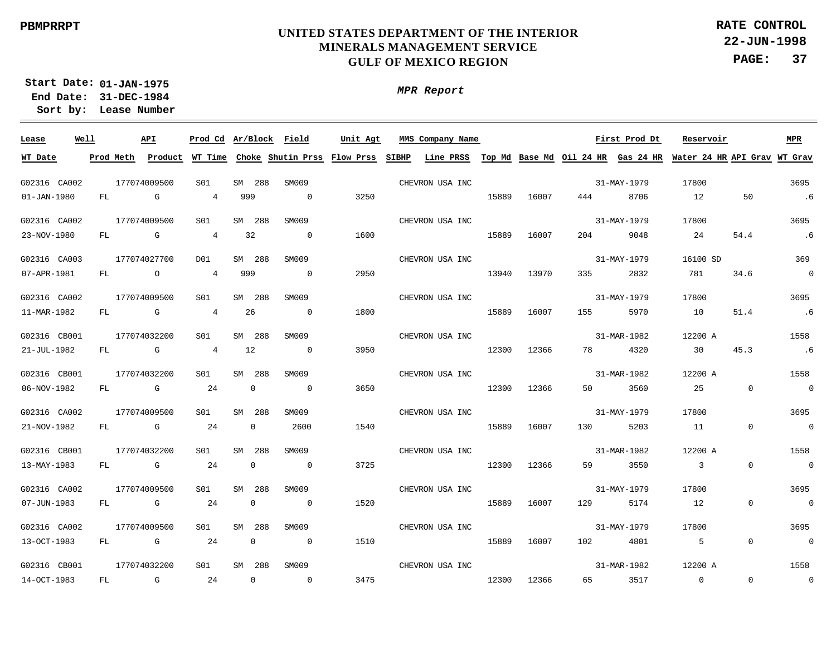*MPR Report*

**22-JUN-1998 PAGE: 37 RATE CONTROL**

**01-JAN-1975 Start Date: 31-DEC-1984 End Date:** 

**Lease Number Sort by:**

G02316 CA002 G02316 CA002 G02316 CA003 G02316 CA002 G02316 CB001 G02316 CB001 G02316 CA002 G02316 CB001 G02316 CA002 G02316 CA002 G02316 CB001 **Lease Well** 177074009500 177074009500 177074027700 177074009500 177074032200 177074032200 177074009500 177074032200 177074009500 177074009500 177074032200 **API** SM 288 SM 288 SM 288  $<sub>SM</sub>$ </sub> SM 288 SM 288 SM SM  $<sub>cm</sub>$ </sub> SM **CM Ar/Block Prod Cd MMS Company Name** 288 288 288 288 288 288 SM009 SM009 SM009 SM009 SM009 SM009 SM009 SM009 SM009 SM009 SM009 **Field Unit Agt** 31-MAY-1979 31-MAY-1979 31-MAY-1979 31-MAY-1979 31-MAR-1982 31-MAR-1982 31-MAY-1979 31-MAR-1982 31-MAY-1979 31-MAY-1979 31-MAR-1982 **First Prod Dt** 17800 17800 16100 SD 17800 12200 A 12200 A 17800 12200 A 17800 17800 12200 A **Reservoir** 3695 3695 369 3695 1558 1558 3695 1558 3695 3695 1558 **MPR**  $01 - JAN - 1980$ 23-NOV-1980 07-APR-1981 11-MAR-1982 21-JUL-1982 06-NOV-1982 21-NOV-1982 13-MAY-1983 07-JUN-1983 13-OCT-1983 14-OCT-1983 **WT Date** FL. FL. FL. FL. FL FL. FL. FL. FL FL FL **Prod Meth Product** G  $\Gamma$  $\Omega$ G G G  $G$ G G G G 4 4 4 4 4  $24$ 24  $24$ 24 24 24 **WT Time Choke Shutin Prss Flow Prss SIBHP Line PRSS Top Md Base Md Oil 24 HR Gas 24 HR Water 24 HR API Grav WT Grav** 999 32 999 26 12  $\Omega$  $\Omega$  $\Omega$ 0 0 0  $\Omega$  $\Omega$  $\Omega$  $\Omega$  $\Omega$  $\Omega$ 2600  $\Omega$  $\Omega$  $\Omega$  $\Omega$ 3250 1600 2950 1800 3950 3650 1540 3725 1520 1510 3475 15889 15889 13940 15889 12300 12300 15889 12300 15889 15889 12300 16007 16007 13970 16007 12366 12366 16007 12366 16007 16007 12366 444 204 335 155 78 50 130 59 129 102 65 8706 9048 2832 5970 4320 3560 5203 3550 5174 4801 3517 12 24 781 10 30  $25$ 11 3 12 5  $\Omega$  $50$ 54.4 34.6 51.4 45.3  $\Omega$  $\Omega$  $\Omega$  $\Omega$  $\Omega$  $\Omega$ .6 .6  $\Omega$ .6 .6  $\Omega$  $\Omega$  $\Omega$  $\Omega$  $\Omega$  $\Omega$ CHEVRON USA INC CHEVRON USA INC CHEVRON USA INC CHEVRON USA INC CHEVRON USA INC CHEVRON USA INC CHEVRON USA INC CHEVRON USA INC CHEVRON USA INC CHEVRON USA INC CHEVRON USA INC S01 S01 D01  $S<sub>01</sub>$ S01 S01 S01  $S<sub>01</sub>$ S01 S01 S01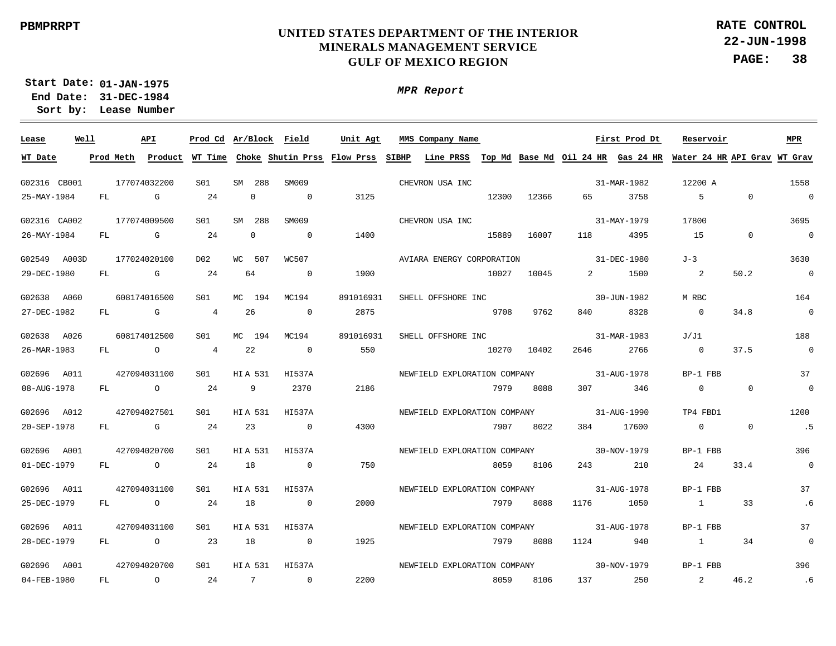**22-JUN-1998 PAGE: 38 RATE CONTROL**

**01-JAN-1975 Start Date: 31-DEC-1984 End Date: Lease Number Sort by:**

*MPR Report*

| Lease        | Well |           |                | API            |                |                |                | Prod Cd Ar/Block Field                                                                                              | Unit Agt  |  | MMS Company Name             |       |                              |                                                                                                                                                                                                                                 |                                | First Prod Dt     |                | Reservoir                      |                | <b>MPR</b>               |
|--------------|------|-----------|----------------|----------------|----------------|----------------|----------------|---------------------------------------------------------------------------------------------------------------------|-----------|--|------------------------------|-------|------------------------------|---------------------------------------------------------------------------------------------------------------------------------------------------------------------------------------------------------------------------------|--------------------------------|-------------------|----------------|--------------------------------|----------------|--------------------------|
| WT Date      |      | Prod Meth |                | Product        |                |                |                | WT Time Choke Shutin Prss Flow Prss SIBHP Line PRSS Top Md Base Md Oil 24 HR Gas 24 HR Water 24 HR API Grav WT Grav |           |  |                              |       |                              |                                                                                                                                                                                                                                 |                                |                   |                |                                |                |                          |
| G02316 CB001 |      |           |                | 177074032200   | S01            |                | SM 288         | SM009                                                                                                               |           |  | CHEVRON USA INC              |       |                              |                                                                                                                                                                                                                                 |                                | 31-MAR-1982       | 12200 A        |                                |                | 1558                     |
| 25-MAY-1984  |      | FL.       |                | G              | 24             |                | $\Omega$       | $\Omega$                                                                                                            | 3125      |  |                              | 12300 | 12366                        |                                                                                                                                                                                                                                 | 65 — 1                         | 3758              | $5^{\circ}$    |                                | $\Omega$       | $\sim$ 0                 |
| G02316 CA002 |      |           |                | 177074009500   | S01            |                | SM 288         | SM009                                                                                                               |           |  | CHEVRON USA INC              |       |                              |                                                                                                                                                                                                                                 |                                | 31-MAY-1979       | 17800          |                                |                | 3695                     |
| 26-MAY-1984  |      | FL        | $\mathbb G$    |                | 24             |                | $\mathbf 0$    | $\Omega$                                                                                                            | 1400      |  |                              | 15889 | 16007                        | 118                                                                                                                                                                                                                             |                                | 4395              | 15             |                                | $\overline{0}$ | $\sim$ 0                 |
| G02549 A003D |      |           |                | 177024020100   | D02            | WС             | 507            | WC507                                                                                                               |           |  | AVIARA ENERGY CORPORATION    |       |                              |                                                                                                                                                                                                                                 |                                | 31-DEC-1980       | $J-3$          |                                |                | 3630                     |
| 29-DEC-1980  |      | FL        | $\mathbb G$    |                | 24             | 64             |                | $\overline{0}$                                                                                                      | 1900      |  |                              | 10027 | 10045                        |                                                                                                                                                                                                                                 | $2 \left( \frac{1}{2} \right)$ | 1500              | $\overline{a}$ |                                | 50.2           | $\overline{\phantom{0}}$ |
| G02638 A060  |      |           |                | 608174016500   | S01            | МC             | 194            | MC194                                                                                                               | 891016931 |  | SHELL OFFSHORE INC           |       |                              |                                                                                                                                                                                                                                 |                                | 30-JUN-1982       | M RBC          |                                |                | 164                      |
| 27-DEC-1982  |      | FL        | $\mathbb G$    |                | $\overline{4}$ | 26             |                | $\overline{0}$                                                                                                      | 2875      |  | 9708                         |       | 9762                         | 840 — 100 — 100 — 100 — 100 — 100 — 100 — 100 — 100 — 100 — 100 — 100 — 100 — 100 — 100 — 100 — 100 — 100 — 100 — 100 — 100 — 100 — 100 — 100 — 100 — 100 — 100 — 100 — 100 — 100 — 100 — 100 — 100 — 100 — 100 — 100 — 100 — 1 |                                | 8328              | $\overline{0}$ |                                | 34.8           | $\overline{0}$           |
| G02638 A026  |      |           |                | 608174012500   | S01            | МC             | 194            | MC194                                                                                                               | 891016931 |  | SHELL OFFSHORE INC           |       |                              |                                                                                                                                                                                                                                 |                                | 31-MAR-1983       | J/J1           |                                |                | 188                      |
| 26-MAR-1983  |      |           | FL O           |                | $\overline{4}$ | 22             |                | $\overline{0}$                                                                                                      | 550       |  |                              | 10270 | 10402                        | 2646                                                                                                                                                                                                                            |                                | 2766              | $\overline{0}$ |                                | 37.5           | $\overline{0}$           |
| G02696 A011  |      |           |                | 427094031100   | S01            | HIA 531        |                | HI537A                                                                                                              |           |  | NEWFIELD EXPLORATION COMPANY |       |                              |                                                                                                                                                                                                                                 |                                | 31-AUG-1978       |                | BP-1 FBB                       |                | 37                       |
| 08-AUG-1978  |      | FL        | $\overline{O}$ |                | 24             |                | 9              | 2370                                                                                                                | 2186      |  |                              | 7979  | 8088                         |                                                                                                                                                                                                                                 |                                | 307 346           |                | $\overline{0}$                 | $\overline{0}$ | $\overline{\phantom{0}}$ |
| G02696 A012  |      |           |                | 427094027501   | SO1            |                | HIA 531        | HI537A                                                                                                              |           |  | NEWFIELD EXPLORATION COMPANY |       |                              |                                                                                                                                                                                                                                 |                                | 31-AUG-1990       |                | TP4 FBD1                       |                | 1200                     |
| 20-SEP-1978  |      |           |                | FL G           | 24             |                | 23             | $\overline{0}$                                                                                                      | 4300      |  |                              | 7907  | 8022                         | 384                                                                                                                                                                                                                             |                                | 17600             |                | $\overline{0}$                 | $\overline{0}$ | .5                       |
| G02696 A001  |      |           |                | 427094020700   | S01            |                | <b>HIA 531</b> | HI537A                                                                                                              |           |  |                              |       | NEWFIELD EXPLORATION COMPANY |                                                                                                                                                                                                                                 |                                | 30-NOV-1979       |                | BP-1 FBB                       |                | 396                      |
| 01-DEC-1979  |      | FL        | $\overline{0}$ |                | 24             | 18             |                | $\overline{0}$                                                                                                      | 750       |  |                              | 8059  | 8106                         | 243                                                                                                                                                                                                                             |                                | 210               |                | 24                             | 33.4           | $\sim$ 0                 |
| G02696 A011  |      |           |                | 427094031100   | S01            |                | <b>HIA 531</b> | HI537A                                                                                                              |           |  | NEWFIELD EXPLORATION COMPANY |       |                              |                                                                                                                                                                                                                                 |                                | 31-AUG-1978       |                | BP-1 FBB                       |                | 37                       |
| 25-DEC-1979  |      | FL        | $\overline{O}$ |                | 24             | 18             |                | $\overline{0}$                                                                                                      | 2000      |  |                              | 7979  | 8088                         | 1176                                                                                                                                                                                                                            |                                | 1050              |                | $\sim$ 1                       | 33             | .6                       |
| G02696 A011  |      |           |                | 427094031100   | S01            |                | <b>HIA 531</b> | HI537A                                                                                                              |           |  | NEWFIELD EXPLORATION COMPANY |       |                              |                                                                                                                                                                                                                                 |                                | 31-AUG-1978       |                | BP-1 FBB                       |                | 37                       |
| 28-DEC-1979  |      | FL        |                | $\overline{O}$ | 23             | 18             |                | $\sim$ 0                                                                                                            | 1925      |  |                              | 7979  | 8088                         | 1124                                                                                                                                                                                                                            |                                | 940               |                | 1                              | 34             | $\mathbf 0$              |
| G02696 A001  |      |           |                | 427094020700   | S01            |                | <b>HIA 531</b> | HI537A                                                                                                              |           |  | NEWFIELD EXPLORATION COMPANY |       |                              |                                                                                                                                                                                                                                 |                                | $30 - NOV - 1979$ |                | BP-1 FBB                       |                | 396                      |
| 04-FEB-1980  |      | FL        | $\overline{a}$ |                | 24             | $\overline{7}$ |                | $\overline{0}$                                                                                                      | 2200      |  | 8059                         |       | 8106                         | 137                                                                                                                                                                                                                             |                                | 250               |                | $2 \left( \frac{1}{2} \right)$ | 46.2           | .6                       |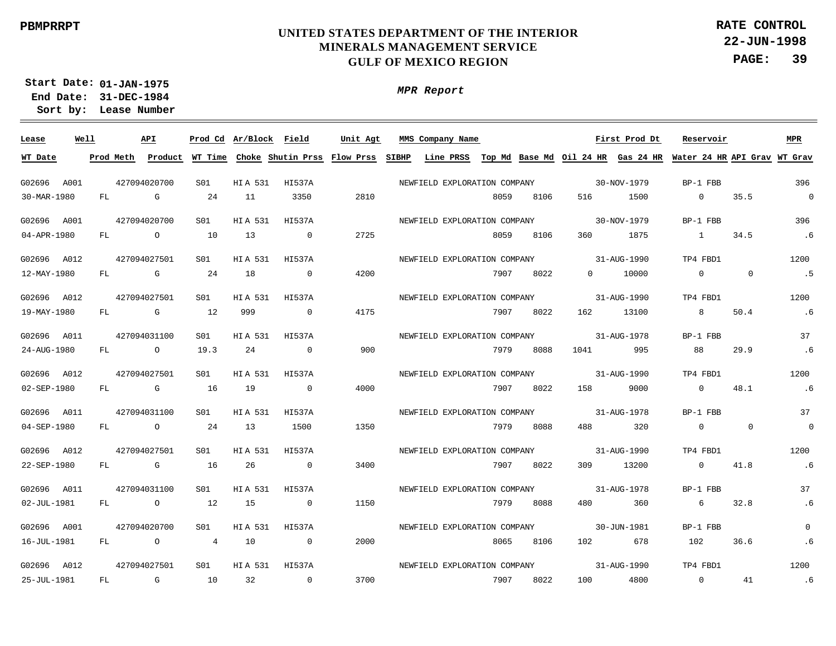*MPR Report*

**22-JUN-1998 PAGE: 39 RATE CONTROL**

**01-JAN-1975 Start Date: 31-DEC-1984 End Date:** 

**Lease Number Sort by:**

 $\frac{1}{2}$ **Lease Well API Ar/Block Prod Cd MMS Company Name Field Unit Agt First Prod Dt Reservoir MPR WT Date** <u>Prod Meth Product WT Time Choke Shutin Prss Flow Prss SIBHP Line PRSS Top Md Base Md Oil 24 HR Gas 24 HR Water 24 HR API Grav WT Grav</u> G02696 A001 427094020700 S01 HI A 531 HI537A NEWFIELD EXPLORATION COMPANY 30-NOV-1979 BP-1 FBB 396 35.5 30-MAR-1980  $FT.$ G  $24$ 11 3350 2810 8059 8106 516 1500  $\cap$  $\Omega$ 427094020700  $S<sub>01</sub>$ HI537A 30-NOV-1979 BP-1 FBB 396 G02696 A001 HI A 531 NEWFIELD EXPLORATION COMPANY 04-APR-1980 FL. O 10 13  $\Omega$ 2725 8059 8106 360 1875 1 34.5 .6 427094027501 S01 HI537A NEWFIELD EXPLORATION COMPANY 31-AUG-1990 TP4 FBD1 1200 G02696 A012 HI A 531 12-MAY-1980 FL. G  $24$ 18  $\Omega$ 4200 7907 8022  $\Omega$ 10000  $\Omega$  $\Omega$ .5 427094027501  $SO1$ HI537A NEWFIELD EXPLORATION COMPANY 31-AUG-1990 TP4 FBD1 1200 G02696 A012 HI A 531 19-MAY-1980 FL. G 12 999  $\Omega$ 4175 7907 8022 162 13100 8 50.4 .6 427094031100 S01 HI537A NEWFIELD EXPLORATION COMPANY 31-AUG-1978 BP-1 FBB 37 G02696 A011 HI A 531 24-AUG-1980 19.3  $24$  $\Omega$ 900 7979 8088 1041 995 88 29.9 FL.  $\cap$ .6 427094027501 S01 HI537A NEWFIELD EXPLORATION COMPANY 31-AUG-1990 TP4 FBD1 1200 G02696 A012 HI A 531 02-SEP-1980 FL. G 16 19  $\Omega$ 4000 7907 8022 158 9000  $\Omega$ 48.1 .6 31-AUG-1978 G02696 A011 427094031100  $S<sub>01</sub>$ HI A 531 HI537A NEWFIELD EXPLORATION COMPANY BP-1 FBB 37 04-SEP-1980 FL.  $\Omega$ 24 13 1500 1350 7979 8088 488 320  $\Omega$  $\Omega$  $\Omega$ 427094027501  $S<sub>01</sub>$ HI537A NEWFIELD EXPLORATION COMPANY  $31 - \Delta TIG - 1990$ TP4 FBD1 1200 G02696 A012 HI A 531 22-SEP-1980 FL. G 16  $26$  $\Omega$ 3400 7907 8022 309 13200  $\Omega$ 41.8 .6 G02696 A011 427094031100  $S<sub>01</sub>$ HI A 531 HI537A NEWFIELD EXPLORATION COMPANY 31-AUG-1978 BP-1 FBB 37 02-JUL-1981 FL  $\Omega$ 12 15  $\Omega$ 1150 7979 8088 480 360 6 32.8 .6 G02696 A001 427094020700 S01 HI A 531 HI537A NEWFIELD EXPLORATION COMPANY 30-JUN-1981 BP-1 FBB  $\Omega$ 16-JUL-1981 FL. O 4 10  $\Omega$ 2000 8065 8106 102 678 102 36.6 .6 31-AUG-1990 427094027501 S01HI537A NEWFIELD EXPLORATION COMPANY TP4 FBD1 1200 G02696 A012 HI A 531 25-JUL-1981 G 10 32  $\Omega$ 3700 7907 8022 100 4800  $\overline{0}$ 41 FL. .6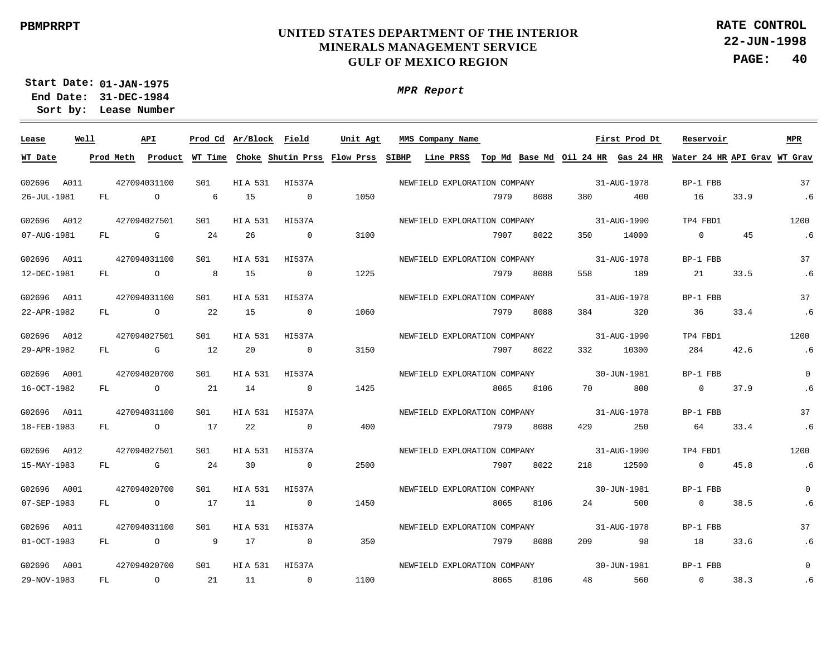*MPR Report*

**22-JUN-1998 PAGE: 40 RATE CONTROL**

**01-JAN-1975 Start Date: 31-DEC-1984 End Date:** 

**Lease Number Sort by:**

| Lease       | Well | <b>API</b> |              |                 |          |                | Prod Cd Ar/Block Field Unit Agt | MMS Company Name Tirst Prod Dt           |      |      |                     |                                       | Reservoir                                                                                                                             |      | MPR         |
|-------------|------|------------|--------------|-----------------|----------|----------------|---------------------------------|------------------------------------------|------|------|---------------------|---------------------------------------|---------------------------------------------------------------------------------------------------------------------------------------|------|-------------|
| WT Date     |      |            |              |                 |          |                |                                 |                                          |      |      |                     |                                       | Prod Meth Product WT Time Choke Shutin Prss Flow Prss SIBHP Line PRSS Top Md Base Md Oil 24 HR Gas 24 HR Water 24 HR API Grav WT Grav |      |             |
| G02696 A011 |      |            |              | S <sub>01</sub> |          |                |                                 |                                          |      |      |                     | 31-AUG-1978                           | BP-1 FBB                                                                                                                              |      | 37          |
|             |      |            | 427094031100 |                 |          | HIA 531 HI537A |                                 | NEWFIELD EXPLORATION COMPANY             |      |      |                     |                                       |                                                                                                                                       |      | .6          |
| 26-JUL-1981 |      |            | $FL$ 0       | $6\overline{6}$ | 15       | $\sim$ 0       | 1050                            |                                          | 7979 | 8088 | 380 380             | 400                                   | 16 33.9                                                                                                                               |      |             |
| G02696 A012 |      |            | 427094027501 | S01             | HIA 531  | HI537A         |                                 | NEWFIELD EXPLORATION COMPANY 31-AUG-1990 |      |      |                     |                                       | TP4 FBD1                                                                                                                              |      | 1200        |
| 07-AUG-1981 |      |            | $FL$ G       | 24              | 26       | $\overline{0}$ | 3100                            |                                          | 7907 | 8022 | 350 350             | 14000                                 | $0 \qquad \qquad 45$                                                                                                                  |      | .6          |
| G02696 A011 |      |            | 427094031100 | S01             | HIA 531  | HI537A         |                                 | NEWFIELD EXPLORATION COMPANY 31-AUG-1978 |      |      |                     |                                       | BP-1 FBB                                                                                                                              |      | 37          |
| 12-DEC-1981 |      |            | $FL$ 0       | 8 <sup>8</sup>  | 15       | $\overline{0}$ | 1225                            |                                          | 7979 | 8088 |                     | 558 189                               | 21 33.5                                                                                                                               |      | .6          |
| G02696 A011 |      |            | 427094031100 | S01             | HIA 531  | HI537A         |                                 | NEWFIELD EXPLORATION COMPANY 31-AUG-1978 |      |      |                     |                                       | BP-1 FBB                                                                                                                              |      | 37          |
| 22-APR-1982 |      |            | FL O         | 2.2             | 15       | $\overline{0}$ | 1060                            |                                          | 7979 | 8088 |                     | 384 320                               | 36 33.4                                                                                                                               |      | .6          |
| G02696 A012 |      |            | 427094027501 | S01             | HIA 531  | HI537A         |                                 | NEWFIELD EXPLORATION COMPANY 31-AUG-1990 |      |      |                     |                                       | TP4 FBD1                                                                                                                              |      | 1200        |
| 29-APR-1982 |      |            | $FL$ G $G$   | 12              | 20       | $\sim$ 0       | 3150                            |                                          | 7907 | 8022 |                     | 332 10300                             | 284 42.6                                                                                                                              |      | .6          |
| G02696 A001 |      |            | 427094020700 | S01             |          | HIA 531 HI537A |                                 | NEWFIELD EXPLORATION COMPANY 30-JUN-1981 |      |      |                     |                                       | BP-1 FBB                                                                                                                              |      | $\Omega$    |
| 16-OCT-1982 |      |            | FL O         | 21              | 14       | $\overline{0}$ | 1425                            |                                          | 8065 | 8106 | 70 — 20             | 800                                   | 0 37.9                                                                                                                                |      | .6          |
| G02696 A011 |      |            | 427094031100 | SO1             | HI A 531 | HI537A         |                                 | NEWFIELD EXPLORATION COMPANY             |      |      |                     | 31-AUG-1978                           | BP-1 FBB                                                                                                                              |      | 37          |
| 18-FEB-1983 |      | FL O       |              | 17              | 22       | $\overline{0}$ | 400                             |                                          | 7979 | 8088 | 429                 | 250                                   | 64 33.4                                                                                                                               |      | .6          |
| G02696 A012 |      |            | 427094027501 | S <sub>01</sub> | HIA 531  | HI537A         |                                 | NEWFIELD EXPLORATION COMPANY             |      |      |                     | $31 - \text{A} \cdot \text{I} - 1990$ | TP4 FBD1                                                                                                                              |      | 1200        |
| 15-MAY-1983 |      |            | FL G         | 24              | 30       | $\overline{0}$ | 2500                            |                                          | 7907 | 8022 |                     | 218 12500                             | $\overline{0}$                                                                                                                        | 45.8 | .6          |
| G02696 A001 |      |            | 427094020700 | S <sub>01</sub> | HIA 531  | HI537A         |                                 | NEWFIELD EXPLORATION COMPANY             |      |      | $30 - J$ UN $-1981$ |                                       | BP-1 FBB                                                                                                                              |      | $\Omega$    |
| 07-SEP-1983 |      |            | FL O         | 17              | 11       | $\overline{0}$ | 1450                            |                                          | 8065 | 8106 |                     | 24 500                                | $0 \t38.5$                                                                                                                            |      | .6          |
| G02696 A011 |      |            | 427094031100 | S01             | HIA 531  | HI537A         |                                 | NEWFIELD EXPLORATION COMPANY             |      |      |                     | 31-AUG-1978                           | BP-1 FBB                                                                                                                              |      | 37          |
| 01-OCT-1983 |      |            | FL O 9       |                 | 17       | $\sim$ 0       | 350                             |                                          | 7979 | 8088 |                     | 209 98                                | 18 33.6                                                                                                                               |      | .6          |
| G02696 A001 |      |            | 427094020700 | S <sub>01</sub> |          | HIA 531 HI537A |                                 | NEWFIELD EXPLORATION COMPANY 30-JUN-1981 |      |      |                     |                                       | BP-1 FBB                                                                                                                              |      | $\mathbf 0$ |
| 29-NOV-1983 |      |            | FL O         | 21              |          | 11 0           | 1100                            | 8065 8106                                |      |      | 48 560              |                                       | $0 \t 38.3$                                                                                                                           |      | .6          |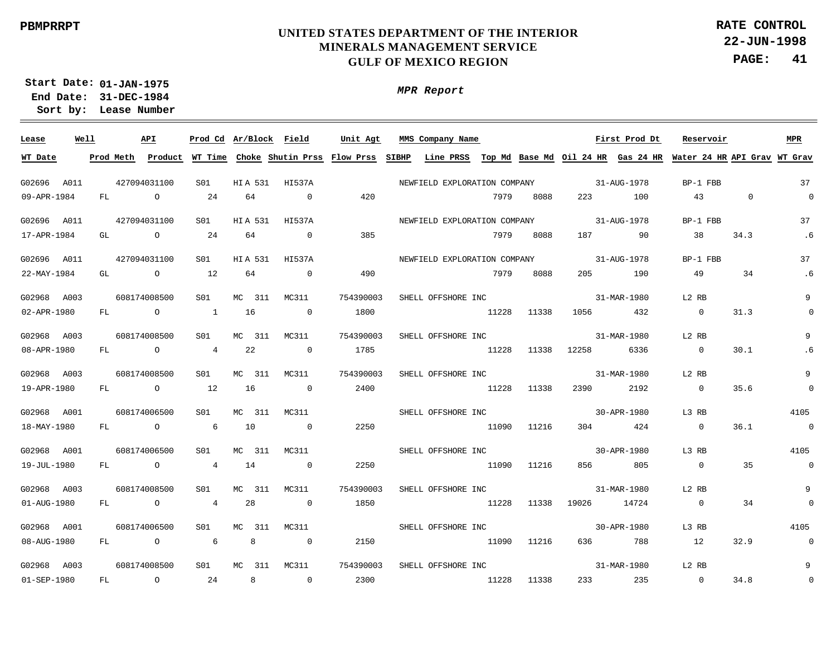**22-JUN-1998 PAGE: 41 RATE CONTROL**

**01-JAN-1975 Start Date: 31-DEC-1984 End Date: Lease Number Sort by:**

| Lease       | Well |           |                | API            | Prod Cd Ar/Block Field |                |        |                | Unit Agt                                    |       | MMS Company Name                             |       |       |       | First Prod Dt | Reservoir      |                              | <b>MPR</b>     |
|-------------|------|-----------|----------------|----------------|------------------------|----------------|--------|----------------|---------------------------------------------|-------|----------------------------------------------|-------|-------|-------|---------------|----------------|------------------------------|----------------|
| WT Date     |      | Prod Meth |                |                |                        |                |        |                | Product WT Time Choke Shutin Prss Flow Prss | SIBHP | Line PRSS Top Md Base Md Oil 24 HR Gas 24 HR |       |       |       |               |                | Water 24 HR API Grav WT Grav |                |
|             |      |           |                |                |                        |                |        |                |                                             |       |                                              |       |       |       |               |                |                              |                |
| G02696 A011 |      |           |                | 427094031100   | S01                    | <b>HIA 531</b> |        | HI537A         |                                             |       | NEWFIELD EXPLORATION COMPANY                 |       |       |       | 31-AUG-1978   | BP-1 FBB       |                              | 37             |
| 09-APR-1984 |      | FL        |                | $\overline{a}$ | 24                     | 64             |        | $\overline{0}$ | 420                                         |       |                                              | 7979  | 8088  | 223   | 100           | 43             | $\Omega$                     | $\Omega$       |
| G02696 A011 |      |           |                | 427094031100   | S01                    | <b>HIA 531</b> |        | HI537A         |                                             |       | NEWFIELD EXPLORATION COMPANY                 |       |       |       | 31-AUG-1978   | BP-1 FBB       |                              | 37             |
| 17-APR-1984 |      | GL        |                | $\overline{a}$ | 24                     | 64             |        | $\sim$ 0       | 385                                         |       |                                              | 7979  | 8088  | 187   | 90            | 38             | 34.3                         | .6             |
| G02696 A011 |      |           |                | 427094031100   | S01                    | <b>HIA 531</b> |        | HI537A         |                                             |       | NEWFIELD EXPLORATION COMPANY                 |       |       |       | 31-AUG-1978   | BP-1 FBB       |                              | 37             |
| 22-MAY-1984 |      | GL        | $\overline{O}$ |                | 12                     | 64             |        | $\sim$ 0       | 490                                         |       |                                              | 7979  | 8088  | 205   | 190           | 49             | 34                           | .6             |
|             |      |           |                |                |                        |                |        |                |                                             |       |                                              |       |       |       |               |                |                              |                |
| G02968 A003 |      |           |                | 608174008500   | S01                    | MC 311         |        | MC311          | 754390003                                   |       | SHELL OFFSHORE INC                           |       |       |       | 31-MAR-1980   | L2 RB          |                              | 9              |
| 02-APR-1980 |      | FL.       | $\overline{a}$ |                | $\overline{1}$         | 16             |        | $\overline{0}$ | 1800                                        |       |                                              | 11228 | 11338 | 1056  | 432           | $\overline{0}$ | 31.3                         | $\Omega$       |
| G02968 A003 |      |           |                | 608174008500   | S01                    | MC 311         |        | MC311          | 754390003                                   |       | SHELL OFFSHORE INC                           |       |       |       | 31-MAR-1980   | L2 RB          |                              | 9              |
| 08-APR-1980 |      |           | FL O           |                | $\overline{4}$         | 22             |        | $\overline{0}$ | 1785                                        |       |                                              | 11228 | 11338 | 12258 | 6336          | $\overline{0}$ | 30.1                         | .6             |
| G02968 A003 |      |           |                | 608174008500   | S01                    | MC 311         |        | MC311          | 754390003                                   |       | SHELL OFFSHORE INC                           |       |       |       | 31-MAR-1980   | L2 RB          |                              | 9              |
| 19-APR-1980 |      |           | FL O           |                | 12                     | 16             |        | $\overline{0}$ | 2400                                        |       |                                              | 11228 | 11338 | 2390  | 2192          | $\overline{0}$ | 35.6                         | $\Omega$       |
| G02968 A001 |      |           |                | 608174006500   | S01                    |                | MC 311 | MC311          |                                             |       | SHELL OFFSHORE INC                           |       |       |       | 30-APR-1980   | L3 RB          |                              | 4105           |
| 18-MAY-1980 |      | FL        | $\overline{O}$ |                | 6                      | 10             |        | $\overline{0}$ | 2250                                        |       |                                              | 11090 | 11216 | 304   | 424           | $\overline{0}$ | 36.1                         | $\overline{0}$ |
| G02968 A001 |      |           |                | 608174006500   |                        |                |        | MC311          |                                             |       |                                              |       |       |       | 30-APR-1980   |                |                              | 4105           |
|             |      |           |                |                | S01                    |                | MC 311 |                |                                             |       | SHELL OFFSHORE INC                           |       |       |       |               | L3 RB          |                              |                |
| 19-JUL-1980 |      | FL        | $\overline{a}$ |                | $\overline{4}$         | 14             |        | $\sim$ 0       | 2250                                        |       |                                              | 11090 | 11216 | 856   | 805           | $\overline{0}$ | 35                           | $\sim$ 0       |
| G02968 A003 |      |           |                | 608174008500   | S01                    | MC 311         |        | MC311          | 754390003                                   |       | SHELL OFFSHORE INC                           |       |       |       | 31-MAR-1980   | L2 RB          |                              | 9              |
| 01-AUG-1980 |      | FL        | $\overline{a}$ |                | 4                      | 28             |        | $\overline{0}$ | 1850                                        |       |                                              | 11228 | 11338 | 19026 | 14724         | $\overline{0}$ | 34                           | $\overline{0}$ |
| G02968 A001 |      |           |                | 608174006500   | S01                    | MC 311         |        | MC311          |                                             |       | SHELL OFFSHORE INC                           |       |       |       | 30-APR-1980   | L3 RB          |                              | 4105           |
| 08-AUG-1980 |      | FL        |                | $\circ$        | 6                      |                | 8      | $\overline{0}$ | 2150                                        |       |                                              | 11090 | 11216 | 636   | 788           | 12             | 32.9                         | $\sim$ 0       |
| G02968 A003 |      |           |                | 608174008500   | S01                    | MC 311         |        | MC311          | 754390003                                   |       | SHELL OFFSHORE INC                           |       |       |       | 31-MAR-1980   | L2 RB          |                              | 9              |
| 01-SEP-1980 |      | FL        |                | $\circ$        | 24                     |                | 8      | $\overline{0}$ | 2300                                        |       |                                              | 11228 | 11338 | 233   | 235           | $\overline{0}$ | 34.8                         | $\mathbf 0$    |
|             |      |           |                |                |                        |                |        |                |                                             |       |                                              |       |       |       |               |                |                              |                |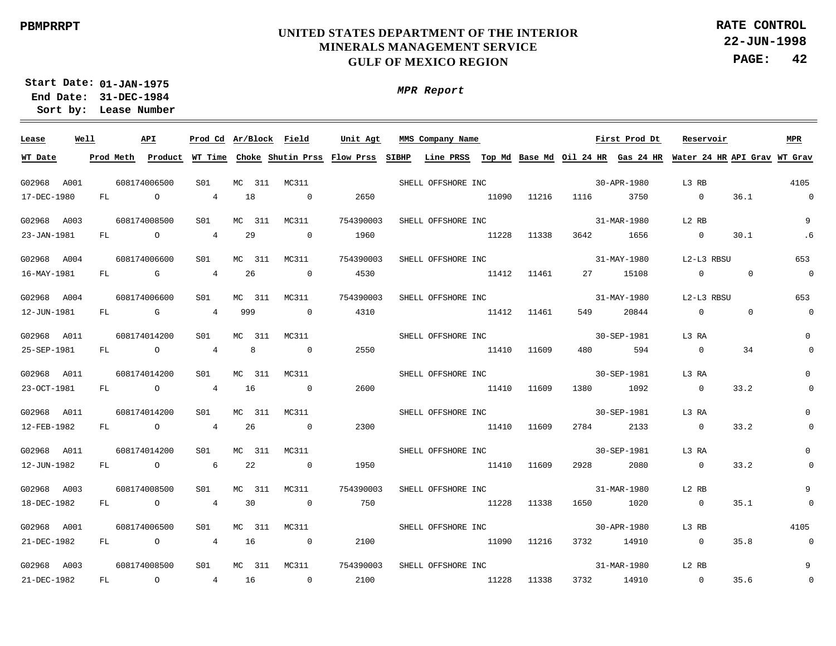**22-JUN-1998 PAGE: 42 RATE CONTROL**

**01-JAN-1975 Start Date: 31-DEC-1984 End Date: Lease Number Sort by:**

| Lease       | Well |              | API    |                 |                | Prod Cd Ar/Block Field | Unit Agt                                                                                                                              | MMS Company Name               |             |             |      | First Prod Dt | Reservoir         |                | MPR            |
|-------------|------|--------------|--------|-----------------|----------------|------------------------|---------------------------------------------------------------------------------------------------------------------------------------|--------------------------------|-------------|-------------|------|---------------|-------------------|----------------|----------------|
| WT Date     |      |              |        |                 |                |                        | Prod Meth Product WT Time Choke Shutin Prss Flow Prss SIBHP Line PRSS Top Md Base Md Oil 24 HR Gas 24 HR Water 24 HR API Grav WT Grav |                                |             |             |      |               |                   |                |                |
| G02968 A001 |      | 608174006500 |        | S01             |                | MC 311 MC311           |                                                                                                                                       | SHELL OFFSHORE INC             |             |             |      | 30-APR-1980   | L3 RB             |                | 4105           |
| 17-DEC-1980 |      | FL O         |        | $\overline{4}$  | 18             | $\overline{0}$         | 2650                                                                                                                                  |                                |             | 11090 11216 |      | 1116 3750     | $\overline{0}$    | 36.1           | $\overline{0}$ |
| G02968 A003 |      | 608174008500 |        | S01             | MC 311         | MC311                  | 754390003                                                                                                                             | SHELL OFFSHORE INC             |             |             |      | 31-MAR-1980   | L2 RB             |                | 9              |
| 23-JAN-1981 |      | FL O         |        | $\overline{4}$  | 29             | $\overline{0}$         | 1960                                                                                                                                  | 11228 11338                    |             |             |      | 3642 1656     | $\sim$ 0          | 30.1           | .6             |
| G02968 A004 |      | 608174006600 |        | S01             | MC 311         | MC311                  | 754390003                                                                                                                             | SHELL OFFSHORE INC 31-MAY-1980 |             |             |      |               | L2-L3 RBSU        |                | 653            |
| 16-MAY-1981 |      |              | FL G   | $\overline{4}$  | 26             | $\sim$ 0               | 4530                                                                                                                                  | 11412 11461                    |             |             |      | 27 15108      | $\Omega$          | $\Omega$       | $\overline{0}$ |
| G02968 A004 |      | 608174006600 |        | S01             | MC 311         | MC311                  | 754390003                                                                                                                             | SHELL OFFSHORE INC             |             |             |      | 31-MAY-1980   | L2-L3 RBSU        |                | 653            |
| 12-JUN-1981 |      | FL G         |        | $\overline{4}$  | 999            | $\sim$ 0               | 4310                                                                                                                                  | 11412 11461                    |             |             | 549  | 20844         | $\overline{0}$    | $\overline{0}$ | $\overline{0}$ |
| G02968 A011 |      | 608174014200 |        | S01             | MC 311         | MC311                  |                                                                                                                                       | SHELL OFFSHORE INC             |             |             |      | 30-SEP-1981   | L3 RA             |                | $\Omega$       |
| 25-SEP-1981 |      | FL O         |        | $\overline{4}$  | 8 <sup>1</sup> | $\sim$ 0               | 2550                                                                                                                                  | 11410                          |             | 11609       |      | 480 594       | $\overline{0}$    | 34             | $\mathbf 0$    |
| G02968 A011 |      | 608174014200 |        | S01             | MC 311         | MC311                  |                                                                                                                                       | SHELL OFFSHORE INC             |             |             |      | 30-SEP-1981   | L3 RA             |                | $\Omega$       |
| 23-OCT-1981 |      |              | FL O   | 4 16            |                | $\sim$ 0               | 2600                                                                                                                                  | 11410                          |             | 11609       |      | 1380 1092     | $\overline{0}$    | 33.2           | $\mathbf 0$    |
| G02968 A011 |      | 608174014200 |        | S01             | MC 311         | MC311                  |                                                                                                                                       | SHELL OFFSHORE INC 30-SEP-1981 |             |             |      |               | L3 RA             |                |                |
| 12-FEB-1982 |      |              | $FL$ 0 | $4\overline{ }$ | -26            | $\overline{0}$         | 2300                                                                                                                                  | 11410 11609                    |             |             |      | 2784 2133     | $\overline{0}$    | 33.2           | $\mathbf 0$    |
| G02968 A011 |      | 608174014200 |        | S01             | MC 311         | MC311                  |                                                                                                                                       | SHELL OFFSHORE INC             |             |             |      | 30-SEP-1981   | L3 RA             |                | $\mathbf{0}$   |
| 12-JUN-1982 |      |              | FL O   | $6\overline{6}$ | 22             | $\overline{0}$         | 1950                                                                                                                                  | 11410 11609                    |             |             | 2928 | 2080          | $\overline{0}$    | 33.2           | $\mathbf 0$    |
| G02968 A003 |      | 608174008500 |        | S01             | MC 311         | MC311                  | 754390003                                                                                                                             | SHELL OFFSHORE INC             |             |             |      | 31-MAR-1980   | L2 RB             |                | 9              |
| 18-DEC-1982 |      |              | FL O   | $\overline{4}$  | 30             | $\sim$ 0               | 750                                                                                                                                   |                                | 11228 11338 |             |      | 1650 1020     | $\overline{0}$    | 35.1           | $\mathbf 0$    |
| G02968 A001 |      | 608174006500 |        | S01             | MC 311         | MC311                  |                                                                                                                                       | SHELL OFFSHORE INC             |             |             |      | 30-APR-1980   | L3 RB             |                | 4105           |
| 21-DEC-1982 |      |              | FL O   | $\overline{4}$  | 16             | $\sim$ 0               | 2100                                                                                                                                  |                                | 11090 11216 |             |      | 3732 14910    | $\overline{0}$    | 35.8           | $\overline{0}$ |
| G02968 A003 |      | 608174008500 |        | S01             |                | MC 311 MC311           | 754390003                                                                                                                             | SHELL OFFSHORE INC             |             |             |      | 31-MAR-1980   | L <sub>2</sub> RB |                | 9              |
| 21-DEC-1982 |      | FL O         |        | 4 16            |                | $\overline{0}$         | 2100                                                                                                                                  | 11228                          |             | 11338       |      | 3732 14910    | $\overline{0}$    | 35.6           | $\mathbf 0$    |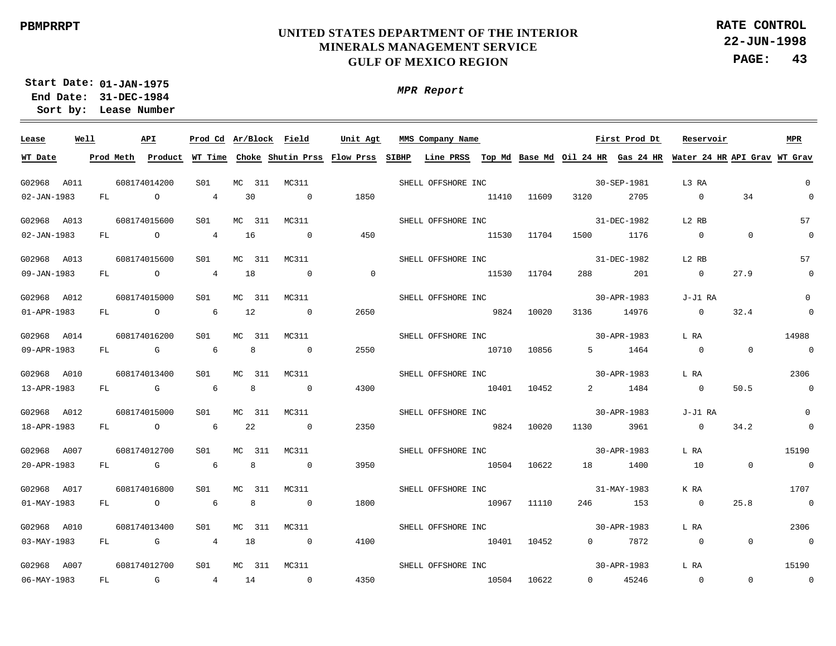**22-JUN-1998 PAGE: 43 RATE CONTROL**

**01-JAN-1975 Start Date: 31-DEC-1984 End Date: Lease Number Sort by:**

| Lease             | Well | API            |                 |        |        |                | Prod Cd Ar/Block Field Unit Agt | MMS Company Name Tirst Prod Dt |             |       |             |                                                                                                                                       | Reservoir      |                | MPR                     |
|-------------------|------|----------------|-----------------|--------|--------|----------------|---------------------------------|--------------------------------|-------------|-------|-------------|---------------------------------------------------------------------------------------------------------------------------------------|----------------|----------------|-------------------------|
| WT Date           |      |                |                 |        |        |                |                                 |                                |             |       |             | Prod Meth Product WT Time Choke Shutin Prss Flow Prss SIBHP Line PRSS Top Md Base Md Oil 24 HR Gas 24 HR Water 24 HR API Grav WT Grav |                |                |                         |
| G02968 A011       |      | 608174014200   | SO1             |        |        | MC 311 MC311   |                                 | SHELL OFFSHORE INC             |             |       |             | 30-SEP-1981                                                                                                                           | L3 RA          |                | $\overline{0}$          |
| 02-JAN-1983       |      | FL O           | $\overline{4}$  | 30     |        | $\sim$ 0       | 1850                            |                                | 11410       | 11609 | 3120 2705   |                                                                                                                                       | $\sim$ 0       | 34             | $\overline{0}$          |
| G02968 A013       |      | 608174015600   | S01             |        | MC 311 | MC311          |                                 | SHELL OFFSHORE INC             |             |       |             | 31-DEC-1982                                                                                                                           | L2 RB          |                | 57                      |
| 02-JAN-1983       | FL   | $\overline{a}$ | $4\overline{ }$ | 16     |        | $\overline{0}$ | 450                             |                                | 11530       | 11704 | 1500        | 1176                                                                                                                                  | $\overline{0}$ | $\overline{0}$ | $\overline{0}$          |
| G02968 A013       |      | 608174015600   | S01             |        | MC 311 | MC311          |                                 | SHELL OFFSHORE INC             |             |       |             | 31-DEC-1982                                                                                                                           | L2 RB          |                | 57                      |
| 09-JAN-1983       | FL   | $\overline{a}$ | $\overline{4}$  | 18     |        | $\overline{0}$ | $\overline{\phantom{0}}$        |                                | 11530       | 11704 | 288         | 201                                                                                                                                   | $\overline{0}$ | 27.9           | $\overline{0}$          |
| G02968 A012       |      | 608174015000   | S01             |        | MC 311 | MC311          |                                 | SHELL OFFSHORE INC             |             |       |             | 30-APR-1983                                                                                                                           | J-J1 RA        |                | $\Omega$                |
| $01 - APR - 1983$ | FL   | $\overline{O}$ | 6 <sup>6</sup>  | 12     |        | $\overline{0}$ | 2650                            | 9824                           |             | 10020 | 3136        | 14976                                                                                                                                 | $\Omega$       | 32.4           | $\overline{0}$          |
| G02968 A014       |      | 608174016200   | S01             | MC 311 |        | MC311          |                                 | SHELL OFFSHORE INC             |             |       |             | 30-APR-1983                                                                                                                           | L RA           |                | 14988                   |
| 09-APR-1983       | FL   | $\mathbb G$    | $6\overline{6}$ |        | 8      | $\overline{0}$ | 2550                            | 10710                          |             | 10856 |             | 5 1464                                                                                                                                | $\overline{0}$ | $\overline{0}$ | $\overline{0}$          |
| G02968 A010       |      | 608174013400   | S01             | MC 311 |        | MC311          |                                 | SHELL OFFSHORE INC             |             |       |             | 30-APR-1983                                                                                                                           | L RA           |                | 2306                    |
| 13-APR-1983       | FL   | $\mathbb G$    | 6 <sup>6</sup>  |        | 8      | $\overline{0}$ | 4300                            | 10401 10452                    |             |       |             | 2 1484                                                                                                                                | $\sim$ 0       | 50.5           | $\overline{0}$          |
| G02968 A012       |      | 608174015000   | S01             | MC 311 |        | MC311          |                                 | SHELL OFFSHORE INC             |             |       |             | 30-APR-1983                                                                                                                           | J-J1 RA        |                | $\Omega$                |
| 18-APR-1983       | FL   | $\overline{O}$ | $6\overline{6}$ | 22     |        | $\overline{0}$ | 2350                            | 9824 10020                     |             |       |             | 1130 3961                                                                                                                             | $\overline{0}$ | 34.2           | $\overline{\mathbf{0}}$ |
| G02968 A007       |      | 608174012700   | S01             |        | MC 311 | MC311          |                                 | SHELL OFFSHORE INC             |             |       | 30-APR-1983 |                                                                                                                                       | L RA           |                | 15190                   |
| 20-APR-1983       |      | FL G           | - 6             |        | 8      | $\overline{0}$ | 3950                            |                                | 10504 10622 |       |             | 18 1400                                                                                                                               | 10             | $\Omega$       | $\sim$ 0                |
| G02968 A017       |      | 608174016800   | S01             | MC 311 |        | MC311          |                                 | SHELL OFFSHORE INC             |             |       |             | 31-MAY-1983                                                                                                                           | K RA           |                | 1707                    |
| $01 - MAX - 1983$ |      | FL O           | $6\overline{6}$ |        | 8      | $\overline{0}$ | 1800                            |                                | 10967 11110 |       | 246         | 153                                                                                                                                   | $\overline{0}$ | 25.8           | $\sim$ 0                |
| G02968 A010       |      | 608174013400   | S01             |        | MC 311 | MC311          |                                 | SHELL OFFSHORE INC             |             |       |             | 30-APR-1983                                                                                                                           | L RA           |                | 2306                    |
| $03 - MAX - 1983$ |      | FL G           | $\overline{4}$  | 18     |        | $\overline{0}$ | 4100                            |                                | 10401 10452 |       |             | 0 7872                                                                                                                                | $\overline{0}$ | $\Omega$       | $\sim$ 0                |
| G02968 A007       |      | 608174012700   | S01             |        | MC 311 | MC311          |                                 | SHELL OFFSHORE INC             |             |       |             | 30-APR-1983                                                                                                                           | L RA           |                | 15190                   |
| 06-MAY-1983       | FL   | $\mathbb G$    | 4 14            |        |        | $\overline{0}$ | 4350                            |                                | 10504       | 10622 |             | 0 45246                                                                                                                               | $\overline{0}$ | $\overline{0}$ | $\overline{0}$          |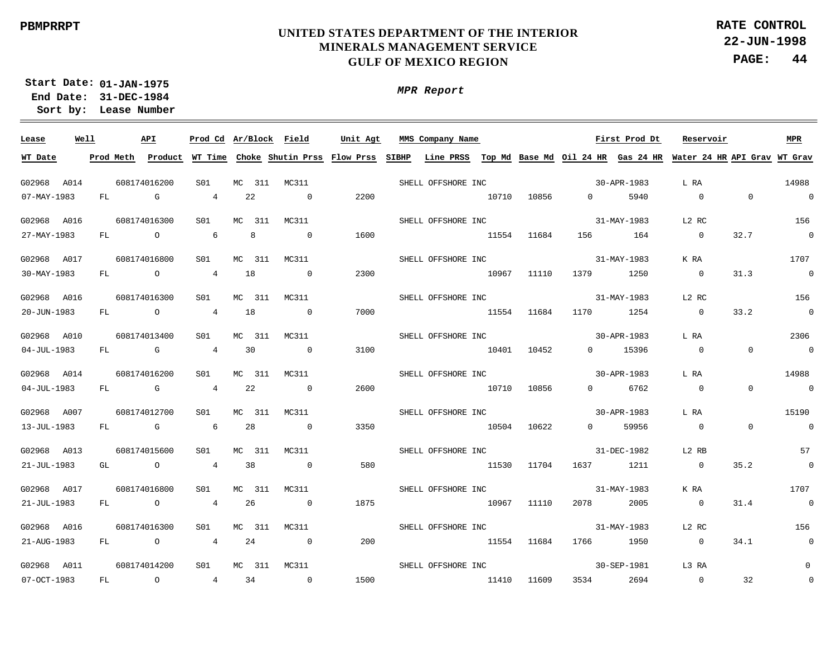**22-JUN-1998 PAGE: 44 RATE CONTROL**

**01-JAN-1975 Start Date: 31-DEC-1984 End Date: Lease Number Sort by:**

| Lease       | Well | API |              |                 |                |        |                | Prod Cd Ar/Block Field Unit Agt | MMS Company Name <b>Eirst</b> Prod Dt |             |       |             |             | Reservoir                                                                                                                             |                | <b>MPR</b>               |
|-------------|------|-----|--------------|-----------------|----------------|--------|----------------|---------------------------------|---------------------------------------|-------------|-------|-------------|-------------|---------------------------------------------------------------------------------------------------------------------------------------|----------------|--------------------------|
| WT Date     |      |     |              |                 |                |        |                |                                 |                                       |             |       |             |             | Prod Meth Product WT Time Choke Shutin Prss Flow Prss SIBHP Line PRSS Top Md Base Md Oil 24 HR Gas 24 HR Water 24 HR API Grav WT Grav |                |                          |
| G02968 A014 |      |     | 608174016200 | S01             |                |        | MC 311 MC311   |                                 | SHELL OFFSHORE INC                    |             |       |             | 30-APR-1983 | L RA                                                                                                                                  |                | 14988                    |
| 07-MAY-1983 |      |     | $FL$ G       | $\overline{4}$  |                | 22     | $\sim$ 0       | 2200                            | 10710 10856                           |             |       | 0 5940      |             | $\sim$ 0                                                                                                                              | $\Omega$       | $\sim$ 0                 |
| G02968 A016 |      |     | 608174016300 | S01             |                | MC 311 | MC311          |                                 | SHELL OFFSHORE INC                    |             |       |             | 31-MAY-1983 | L2 RC                                                                                                                                 |                | 156                      |
| 27-MAY-1983 |      |     | FL O         | $6\overline{6}$ | 8 <sup>8</sup> |        | $\sim$ 0       | 1600                            | 11554 11684                           |             |       |             | 156 164     | $\overline{\phantom{0}}$                                                                                                              | 32.7           | $\sim$ 0                 |
| G02968 A017 |      |     | 608174016800 | S01             |                | MC 311 | MC311          |                                 | SHELL OFFSHORE INC                    |             |       |             | 31-MAY-1983 | K RA                                                                                                                                  |                | 1707                     |
| 30-MAY-1983 |      |     | FL O         | 4 18            |                |        | $\sim$ 0       | 2300                            | 10967                                 |             | 11110 | 1379 1250   |             | $\overline{0}$                                                                                                                        | 31.3           | $\sim$ 0                 |
| G02968 A016 |      |     | 608174016300 | S01             |                | MC 311 | MC311          |                                 | SHELL OFFSHORE INC                    |             |       | 31-MAY-1983 |             | L2 RC                                                                                                                                 |                | 156                      |
| 20-JUN-1983 |      |     | FL O         | 4 18            |                |        | $\overline{0}$ | 7000                            | 11554                                 |             | 11684 | 1170 1254   |             | $\overline{0}$                                                                                                                        | 33.2           | $\sim$ 0                 |
| G02968 A010 |      |     | 608174013400 | SO1             |                | MC 311 | MC311          |                                 | SHELL OFFSHORE INC 30-APR-1983        |             |       |             |             | L RA                                                                                                                                  |                | 2306                     |
| 04-JUL-1983 |      |     | FL G         | 4 30            |                |        | $\sim$ 0       | 3100                            | 10401 10452                           |             |       |             | 0 15396     | $\overline{0}$                                                                                                                        | $\overline{0}$ | $\sim$ 0                 |
| G02968 A014 |      |     | 608174016200 | S01             |                | MC 311 | MC311          |                                 | SHELL OFFSHORE INC                    |             |       |             | 30-APR-1983 | L RA                                                                                                                                  |                | 14988                    |
| 04-JUL-1983 |      |     | FL G         | 4 22            |                |        | $\overline{0}$ | 2600                            | 10710 10856                           |             |       |             | 0 6762      | $\overline{0}$                                                                                                                        | $\Omega$       | $\overline{0}$           |
| G02968 A007 |      |     | 608174012700 | SO1             |                | MC 311 | MC311          |                                 | SHELL OFFSHORE INC                    |             |       |             | 30-APR-1983 | L RA                                                                                                                                  |                | 15190                    |
| 13-JUL-1983 |      |     | FL G         | $6\overline{6}$ |                | 28     | $\overline{0}$ | 3350                            | 10504 10622                           |             |       | $\Omega$    | 59956       | $\overline{0}$                                                                                                                        | $\overline{0}$ | $\overline{0}$           |
| G02968 A013 |      |     | 608174015600 | S01             |                | MC 311 | MC311          |                                 | SHELL OFFSHORE INC                    |             |       |             | 31-DEC-1982 | L2 RB                                                                                                                                 |                | 57                       |
| 21-JUL-1983 |      |     | GL O         | $\overline{4}$  | 38             |        | $\overline{0}$ | 580                             |                                       | 11530 11704 |       | 1637 1211   |             | $\overline{0}$                                                                                                                        | 35.2           | $\overline{\phantom{0}}$ |
| G02968 A017 |      |     | 608174016800 | S01             |                | MC 311 | MC311          |                                 | SHELL OFFSHORE INC                    |             |       |             | 31-MAY-1983 | K RA                                                                                                                                  |                | 1707                     |
| 21-JUL-1983 |      |     | FL O         | $\overline{4}$  |                | 26     | $\sim$ 0       | 1875                            |                                       | 10967 11110 |       | 2078 2005   |             | $\sim$ 0                                                                                                                              | 31.4           | $\overline{\phantom{0}}$ |
| G02968 A016 |      |     | 608174016300 | SO1             |                | MC 311 | MC311          |                                 | SHELL OFFSHORE INC                    |             |       |             | 31-MAY-1983 | L2 RC                                                                                                                                 |                | 156                      |
| 21-AUG-1983 |      |     | FL O         | $\overline{4}$  |                | 24     | $\sim$ 0       | 200                             |                                       | 11554 11684 |       | 1766 1950   |             | $\sim$ 0                                                                                                                              | 34.1           | $\overline{0}$           |
| G02968 A011 |      |     | 608174014200 | SO1             |                | MC 311 | MC311          |                                 | SHELL OFFSHORE INC                    |             |       |             | 30-SEP-1981 | L3 RA                                                                                                                                 |                | $\mathbf{0}$             |
| 07-OCT-1983 |      |     | FL O         | 4 34            |                |        | $\sim$ 0       | 1500                            | 11410 11609                           |             |       | 3534 2694   |             | $\overline{\phantom{0}}$                                                                                                              | 32             | $\mathbf 0$              |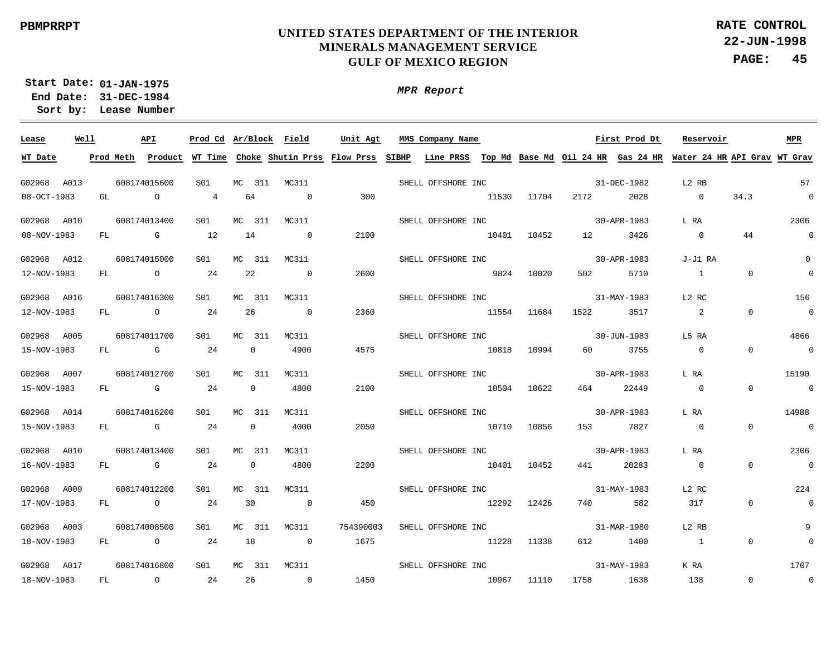**22-JUN-1998 PAGE: 45 RATE CONTROL**

**01-JAN-1975 Start Date: 31-DEC-1984 End Date: Lease Number Sort by:**

*MPR Report*

| Lease       | Well |    | API                                                                                                                                                                                                                            |         | Prod Cd Ar/Block Field |              |     |                | Unit Agt  | MMS Company Name               |             |       |                       | First Prod Dt | Reservoir                                                                                                           |                | <b>MPR</b>               |
|-------------|------|----|--------------------------------------------------------------------------------------------------------------------------------------------------------------------------------------------------------------------------------|---------|------------------------|--------------|-----|----------------|-----------|--------------------------------|-------------|-------|-----------------------|---------------|---------------------------------------------------------------------------------------------------------------------|----------------|--------------------------|
| WT Date     |      |    | Prod Meth Product                                                                                                                                                                                                              |         |                        |              |     |                |           |                                |             |       |                       |               | WT Time Choke Shutin Prss Flow Prss SIBHP Line PRSS Top Md Base Md Oil 24 HR Gas 24 HR Water 24 HR API Grav WT Grav |                |                          |
| G02968 A013 |      |    | 608174015600                                                                                                                                                                                                                   |         | S01                    | MC 311       |     | MC311          |           | SHELL OFFSHORE INC             |             |       |                       | 31-DEC-1982   | L2 RB                                                                                                               |                | 57                       |
| 08-OCT-1983 |      | GL |                                                                                                                                                                                                                                | $\circ$ | $\overline{4}$         | 64           |     | $\Omega$       | 300       |                                | 11530       | 11704 | 2172                  | 2028          | $\overline{0}$                                                                                                      | 34.3           | $\sim$ 0                 |
|             |      |    |                                                                                                                                                                                                                                |         |                        |              |     |                |           |                                |             |       |                       |               |                                                                                                                     |                |                          |
| G02968 A010 |      |    | 608174013400                                                                                                                                                                                                                   |         | S01                    | MC 311       |     | MC311          |           | SHELL OFFSHORE INC             |             |       |                       | 30-APR-1983   | L RA                                                                                                                |                | 2306                     |
| 08-NOV-1983 |      | FL | <b>G</b> G                                                                                                                                                                                                                     |         | 12                     | 14           |     | $\sim$ 0       | 2100      |                                | 10401       | 10452 | 12 and $\overline{a}$ | 3426          | $\overline{0}$                                                                                                      | 44             | $\overline{0}$           |
| G02968 A012 |      |    | 608174015000                                                                                                                                                                                                                   |         | S01                    | MC 311       |     | MC311          |           | SHELL OFFSHORE INC             |             |       |                       | 30-APR-1983   | J-J1 RA                                                                                                             |                | $\mathsf 0$              |
| 12-NOV-1983 |      |    | FL O                                                                                                                                                                                                                           |         | 24                     | 22           |     | $\sim$ 0       | 2600      |                                | 9824 10020  |       | 502 702               | 5710          | $\sim$ 1                                                                                                            | $\mathbf{0}$   | $\overline{0}$           |
| G02968 A016 |      |    | 608174016300                                                                                                                                                                                                                   |         | S01                    | МC           | 311 | MC311          |           | SHELL OFFSHORE INC             |             |       |                       | 31-MAY-1983   | L2 RC                                                                                                               |                | 156                      |
| 12-NOV-1983 |      |    | FL O                                                                                                                                                                                                                           |         | 24                     | 26           |     | $\sim$ 0       | 2360      | 11554                          |             | 11684 | 1522                  | 3517          | $\overline{\phantom{a}}$ 2                                                                                          | $\overline{0}$ | $\overline{0}$           |
| G02968 A005 |      |    | 608174011700                                                                                                                                                                                                                   |         | S01                    | MC           | 311 | MC311          |           | SHELL OFFSHORE INC             |             |       |                       | 30-JUN-1983   | L5 RA                                                                                                               |                | 4866                     |
| 15-NOV-1983 |      | FL | $\mathbb G$                                                                                                                                                                                                                    |         | 24                     | $\mathbf 0$  |     | 4900           | 4575      | 10818                          |             | 10994 | 60 000                | 3755          | $\overline{0}$                                                                                                      | $\overline{0}$ | $\overline{\phantom{0}}$ |
| G02968 A007 |      |    | 608174012700                                                                                                                                                                                                                   |         | S01                    | MC           | 311 | MC311          |           | SHELL OFFSHORE INC             |             |       |                       | 30-APR-1983   | L RA                                                                                                                |                | 15190                    |
| 15-NOV-1983 |      | FL |                                                                                                                                                                                                                                |         | 24                     | $\mathbf 0$  |     | 4800           | 2100      | 10504                          |             | 10622 | 464                   | 22449         | $\overline{0}$                                                                                                      | $\overline{0}$ | $\overline{0}$           |
| G02968 A014 |      |    | 608174016200                                                                                                                                                                                                                   |         | S01                    | MC           | 311 | MC311          |           | SHELL OFFSHORE INC 30-APR-1983 |             |       |                       |               | L RA                                                                                                                |                | 14988                    |
| 15-NOV-1983 |      | FL | discovered the control of the control of the control of the control of the control of the control of the control of the control of the control of the control of the control of the control of the control of the control of t |         | 24                     | $\mathbf{0}$ |     | 4000           | 2050      | 10710 10856                    |             |       | 153                   | 7827          | $\overline{0}$                                                                                                      | $\overline{0}$ | $\overline{0}$           |
|             |      |    |                                                                                                                                                                                                                                |         |                        |              |     |                |           |                                |             |       |                       |               |                                                                                                                     |                |                          |
| G02968 A010 |      |    | 608174013400                                                                                                                                                                                                                   |         | S01                    | МC           | 311 | MC311          |           | SHELL OFFSHORE INC             |             |       |                       | 30-APR-1983   | L RA                                                                                                                |                | 2306                     |
| 16-NOV-1983 |      | FL | <b>G</b>                                                                                                                                                                                                                       |         | 24                     | 0            |     | 4800           | 2200      | 10401 10452                    |             |       | 441                   | 20283         | $\overline{\phantom{0}}$                                                                                            | $\overline{0}$ | $\sim$ 0                 |
| G02968 A009 |      |    | 608174012200                                                                                                                                                                                                                   |         | SO1                    | MC 311       |     | MC311          |           | SHELL OFFSHORE INC             |             |       |                       | 31-MAY-1983   | L2 RC                                                                                                               |                | 224                      |
| 17-NOV-1983 |      | FL | $\overline{a}$                                                                                                                                                                                                                 |         | 24                     | 30           |     | $\overline{0}$ | 450       |                                | 12292 12426 |       | 740 740               | 582           | 317                                                                                                                 | $\overline{0}$ | $\overline{0}$           |
| G02968 A003 |      |    | 608174008500                                                                                                                                                                                                                   |         | S01                    | MC 311       |     | MC311          | 754390003 | SHELL OFFSHORE INC             |             |       |                       | 31-MAR-1980   | L2 RB                                                                                                               |                | 9                        |
| 18-NOV-1983 |      |    | FL O                                                                                                                                                                                                                           |         | 24                     | 18           |     | $\sim$ 0       | 1675      |                                | 11228 11338 |       |                       | 612 1400      | $\sim$ 1                                                                                                            | $\overline{0}$ | $\mathbf 0$              |
| G02968 A017 |      |    | 608174016800                                                                                                                                                                                                                   |         | S01                    | MC 311       |     | MC311          |           | SHELL OFFSHORE INC             |             |       |                       | 31-MAY-1983   | K RA                                                                                                                |                | 1707                     |
| 18-NOV-1983 |      | FL | $\overline{a}$                                                                                                                                                                                                                 |         | 24                     | 26           |     | $\sim$ 0       | 1450      |                                | 10967       | 11110 |                       | 1758 1638     | 138                                                                                                                 | $\overline{0}$ | $\overline{\phantom{0}}$ |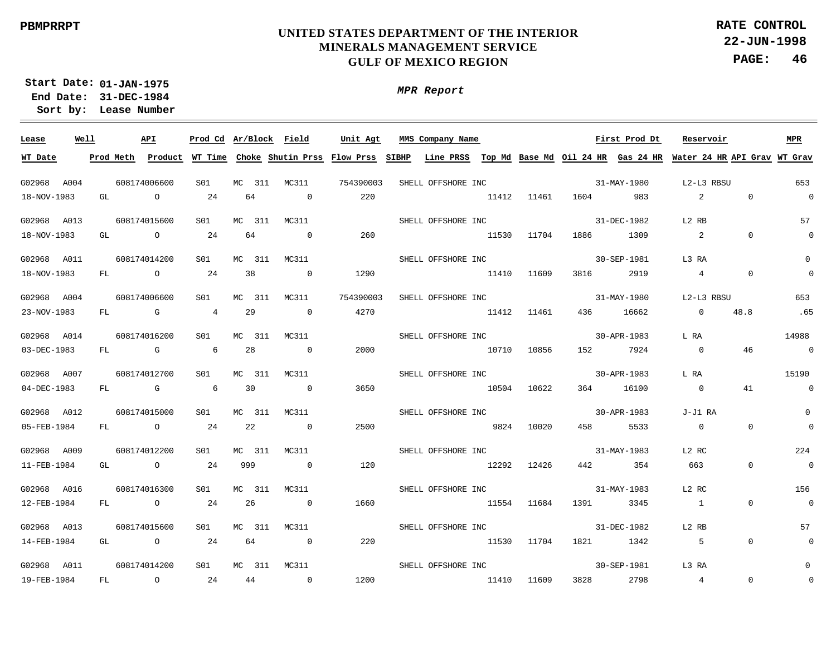**22-JUN-1998 PAGE: 46 RATE CONTROL**

**01-JAN-1975 Start Date: 31-DEC-1984 End Date: Lease Number Sort by:**

| Lease       | Well      | API            |                 | Prod Cd Ar/Block Field |                                     | Unit Agt  |       | MMS Company Name   |       |             |           | First Prod Dt | Reservoir                                                                 |             | <b>MPR</b>     |
|-------------|-----------|----------------|-----------------|------------------------|-------------------------------------|-----------|-------|--------------------|-------|-------------|-----------|---------------|---------------------------------------------------------------------------|-------------|----------------|
| WT Date     | Prod Meth | Product        |                 |                        | WT Time Choke Shutin Prss Flow Prss |           | SIBHP |                    |       |             |           |               | Line PRSS Top Md Base Md Oil 24 HR Gas 24 HR Water 24 HR API Grav WT Grav |             |                |
| G02968 A004 |           | 608174006600   | S01             | MC.<br>311             | MC311                               | 754390003 |       | SHELL OFFSHORE INC |       |             |           | 31-MAY-1980   | L2-L3 RBSU                                                                |             | 653            |
| 18-NOV-1983 | GL        | $\overline{O}$ | 24              | 64                     | $\overline{0}$                      | 220       |       |                    | 11412 | 11461       | 1604      | 983           | 2                                                                         | $\Omega$    | $\Omega$       |
| G02968 A013 |           | 608174015600   | S <sub>01</sub> | 311<br>MC.             | MC311                               |           |       | SHELL OFFSHORE INC |       |             |           | 31-DEC-1982   | L2 RB                                                                     |             | 57             |
| 18-NOV-1983 | GL        | $\overline{a}$ | 24              | 64                     | $\overline{0}$                      | 260       |       |                    | 11530 | 11704       | 1886      | 1309          | 2                                                                         | $\Omega$    |                |
| G02968 A011 |           | 608174014200   | S <sub>01</sub> | MC.<br>311             | MC311                               |           |       | SHELL OFFSHORE INC |       |             |           | 30-SEP-1981   | L3 RA                                                                     |             |                |
| 18-NOV-1983 | FL        | $\overline{a}$ | 24              | 38                     | $\overline{\phantom{0}}$            | 1290      |       |                    | 11410 | 11609       | 3816      | 2919          | $4\overline{ }$                                                           | $\mathbf 0$ |                |
| G02968 A004 |           | 608174006600   | S01             | МC<br>311              | MC311                               | 754390003 |       | SHELL OFFSHORE INC |       |             |           | 31-MAY-1980   | L2-L3 RBSU                                                                |             | 653            |
| 23-NOV-1983 | FL        | $\mathbb G$    | $\overline{4}$  | 29                     | $\overline{\phantom{0}}$            | 4270      |       |                    | 11412 | 11461       | 436       | 16662         | $\overline{0}$                                                            | 48.8        | .65            |
| G02968 A014 |           | 608174016200   | S01             | МC<br>311              | MC311                               |           |       | SHELL OFFSHORE INC |       |             |           | 30-APR-1983   | L RA                                                                      |             | 14988          |
| 03-DEC-1983 | FL        | $\mathbb G$    | 6               | 28                     | $\sim$ 0                            | 2000      |       |                    | 10710 | 10856       | 152       | 7924          | $\overline{\phantom{0}}$                                                  | 46          | $\overline{0}$ |
| G02968 A007 |           | 608174012700   | S01             | 311<br>МC              | MC311                               |           |       | SHELL OFFSHORE INC |       |             |           | 30-APR-1983   | L RA                                                                      |             | 15190          |
| 04-DEC-1983 | FL        | $\overline{G}$ | 6               | 30                     | $\overline{0}$                      | 3650      |       |                    | 10504 | 10622       | 364       | 16100         | $\overline{0}$                                                            | 41          | $\Omega$       |
| G02968 A012 |           | 608174015000   | S01             | MC 311                 | MC311                               |           |       | SHELL OFFSHORE INC |       |             |           | 30-APR-1983   | J-J1 RA                                                                   |             | $\Omega$       |
| 05-FEB-1984 | FL        | $\overline{a}$ | 24              | 22                     | $\overline{0}$                      | 2500      |       |                    | 9824  | 10020       | 458       | 5533          | $\overline{0}$                                                            | $\Omega$    | $\Omega$       |
| G02968 A009 |           | 608174012200   | S01             | MC 311                 | MC311                               |           |       | SHELL OFFSHORE INC |       |             |           | 31-MAY-1983   | L2 RC                                                                     |             | 224            |
| 11-FEB-1984 | GL        | $\overline{a}$ | 24              | 999                    | $\overline{0}$                      | 120       |       |                    | 12292 | 12426       | 442       | 354           | 663                                                                       | $\mathbf 0$ | $\overline{0}$ |
| G02968 A016 |           | 608174016300   | S01             | MC 311                 | MC311                               |           |       | SHELL OFFSHORE INC |       |             |           | 31-MAY-1983   | L2 RC                                                                     |             | 156            |
| 12-FEB-1984 | FL        | $\overline{a}$ | 24              | 26                     | $\sim$ 0                            | 1660      |       |                    |       | 11554 11684 | 1391      | 3345          | $\overline{\phantom{a}}$                                                  | $\Omega$    | $\overline{0}$ |
| G02968 A013 |           | 608174015600   | S01             | MC 311                 | MC311                               |           |       | SHELL OFFSHORE INC |       |             |           | 31-DEC-1982   | L2 RB                                                                     |             | 57             |
| 14-FEB-1984 | GL        | $\overline{a}$ | 24              | 64                     | $\sim$ 0                            | 220       |       |                    |       | 11530 11704 | 1821 1342 |               | $5^{\circ}$                                                               | $\Omega$    |                |
| G02968 A011 |           | 608174014200   | S01             | MC 311                 | MC311                               |           |       | SHELL OFFSHORE INC |       |             |           | 30-SEP-1981   | L3 RA                                                                     |             |                |
| 19-FEB-1984 | FL        | $\overline{a}$ | 24              | 44                     | $\overline{0}$                      | 1200      |       |                    | 11410 | 11609       | 3828      | 2798          | $\overline{4}$                                                            | $\Omega$    |                |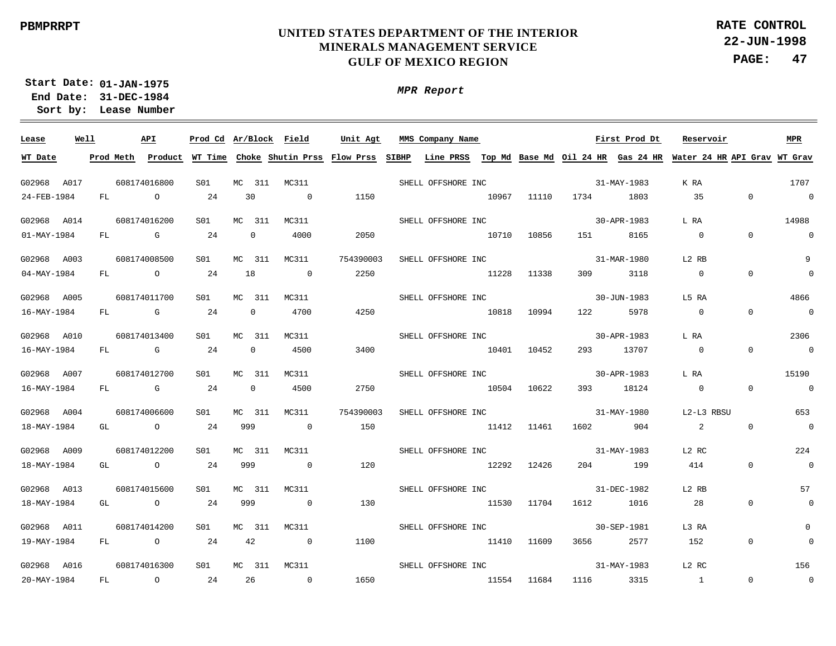**22-JUN-1998 PAGE: 47 RATE CONTROL**

**01-JAN-1975 Start Date: 31-DEC-1984 End Date: Lease Number Sort by:**

*MPR Report*

| Lease       | Well |    | API                                                                                                                                                                                                                            |     |              | Prod Cd Ar/Block Field                                                                                              | Unit Agt  | MMS Company Name               |       |             |          | First Prod Dt | Reservoir                |                | <b>MPR</b>               |
|-------------|------|----|--------------------------------------------------------------------------------------------------------------------------------------------------------------------------------------------------------------------------------|-----|--------------|---------------------------------------------------------------------------------------------------------------------|-----------|--------------------------------|-------|-------------|----------|---------------|--------------------------|----------------|--------------------------|
| WT Date     |      |    | Prod Meth Product                                                                                                                                                                                                              |     |              | WT Time Choke Shutin Prss Flow Prss SIBHP Line PRSS Top Md Base Md Oil 24 HR Gas 24 HR Water 24 HR API Grav WT Grav |           |                                |       |             |          |               |                          |                |                          |
| G02968 A017 |      |    | 608174016800                                                                                                                                                                                                                   | S01 | MC 311       | MC311                                                                                                               |           | SHELL OFFSHORE INC             |       |             |          | 31-MAY-1983   | K RA                     |                | 1707                     |
| 24-FEB-1984 |      | FL | $\circ$                                                                                                                                                                                                                        | 24  | 30           | $\overline{0}$                                                                                                      | 1150      |                                | 10967 | 11110       | 1734     | 1803          | 35                       | $\overline{0}$ | $\sim$ 0                 |
| G02968 A014 |      |    | 608174016200                                                                                                                                                                                                                   | S01 | MC 311       | MC311                                                                                                               |           | SHELL OFFSHORE INC             |       |             |          | 30-APR-1983   | L RA                     |                | 14988                    |
| 01-MAY-1984 |      |    | $FL$ G                                                                                                                                                                                                                         | 24  | $\mathbf 0$  | 4000                                                                                                                | 2050      | 10710                          |       | 10856       | 151 7    | 8165          | $\overline{0}$           | $\overline{0}$ | $\overline{\phantom{0}}$ |
| G02968 A003 |      |    | 608174008500                                                                                                                                                                                                                   | S01 | 311<br>МC    | MC311                                                                                                               | 754390003 | SHELL OFFSHORE INC             |       |             |          | 31-MAR-1980   | L2 RB                    |                | $\overline{9}$           |
| 04-MAY-1984 |      |    | FL O                                                                                                                                                                                                                           | 24  | 18           | $\sim$ 0                                                                                                            | 2250      | 11228                          |       | 11338       | 309      | 3118          | $\overline{0}$           | $\overline{0}$ | $\overline{0}$           |
| G02968 A005 |      |    | 608174011700                                                                                                                                                                                                                   | S01 | MC<br>311    | MC311                                                                                                               |           | SHELL OFFSHORE INC             |       |             |          | 30-JUN-1983   | L5 RA                    |                | 4866                     |
| 16-MAY-1984 |      | FL | <b>G</b>                                                                                                                                                                                                                       | 24  | 0            | 4700                                                                                                                | 4250      | 10818                          |       | 10994       | 122      | 5978          | $\overline{\phantom{0}}$ | $\overline{0}$ | $\overline{0}$           |
| G02968 A010 |      |    | 608174013400                                                                                                                                                                                                                   | S01 | MC<br>311    | MC311                                                                                                               |           | SHELL OFFSHORE INC             |       |             |          | 30-APR-1983   | L RA                     |                | 2306                     |
| 16-MAY-1984 |      | FL | and the control of the control of the control of the control of the control of the control of the control of the control of the control of the control of the control of the control of the control of the control of the cont | 24  | $\mathbf 0$  | 4500                                                                                                                | 3400      | 10401                          |       | 10452       | 293      | 13707         | $\overline{0}$           | $\overline{0}$ | $\sim$ 0                 |
| G02968 A007 |      |    | 608174012700                                                                                                                                                                                                                   | S01 | MC.<br>311   | MC311                                                                                                               |           | SHELL OFFSHORE INC             |       |             |          | 30-APR-1983   | L RA                     |                | 15190                    |
| 16-MAY-1984 |      | FL | G GO COMPUTE                                                                                                                                                                                                                   | 24  | $\mathbf{0}$ | 4500                                                                                                                | 2750      | 10504                          |       | 10622       | 393      | 18124         | $\overline{0}$           | $\overline{0}$ | $\overline{0}$           |
| G02968 A004 |      |    | 608174006600                                                                                                                                                                                                                   | S01 | 311<br>МC    | MC311                                                                                                               | 754390003 | SHELL OFFSHORE INC 31-MAY-1980 |       |             |          |               | L2-L3 RBSU               |                | 653                      |
| 18-MAY-1984 |      | GL | $\overline{O}$                                                                                                                                                                                                                 | 24  | 999          | $\sim$ 0                                                                                                            | 150       | 11412 11461                    |       |             | 1602 160 | 904           | 2                        | $\Omega$       | $\sim$ 0                 |
| G02968 A009 |      |    | 608174012200                                                                                                                                                                                                                   | S01 | МC<br>311    | MC311                                                                                                               |           | SHELL OFFSHORE INC 31-MAY-1983 |       |             |          |               | L2 RC                    |                | 224                      |
| 18-MAY-1984 |      |    | GL O                                                                                                                                                                                                                           | 24  | 999          | $\overline{0}$                                                                                                      | 120       | 12292 12426                    |       |             |          | 204 199       | 414                      | $\overline{0}$ | $\overline{0}$           |
| G02968 A013 |      |    | 608174015600                                                                                                                                                                                                                   | S01 | MC 311       | MC311                                                                                                               |           | SHELL OFFSHORE INC             |       |             |          | 31-DEC-1982   | L2 RB                    |                | 57                       |
| 18-MAY-1984 |      |    | GL O                                                                                                                                                                                                                           | 24  | 999          | $\overline{0}$                                                                                                      | 130       | 11530 11704                    |       |             |          | 1612 1016     | 28                       | $\mathbf{0}$   | $\overline{0}$           |
| G02968 A011 |      |    | 608174014200                                                                                                                                                                                                                   | S01 | MC 311       | MC311                                                                                                               |           | SHELL OFFSHORE INC             |       |             |          | 30-SEP-1981   | L3 RA                    |                | 0                        |
| 19-MAY-1984 |      |    | FL O                                                                                                                                                                                                                           | 24  | 42           | $\sim$ 0                                                                                                            | 1100      |                                |       | 11410 11609 |          | 2577          | 152                      | $\overline{0}$ | $\mathbf 0$              |
| G02968 A016 |      |    | 608174016300                                                                                                                                                                                                                   | S01 | MC 311       | MC311                                                                                                               |           | SHELL OFFSHORE INC             |       |             |          | 31-MAY-1983   | L2 RC                    |                | 156                      |
| 20-MAY-1984 |      | FL | $\overline{a}$                                                                                                                                                                                                                 | 24  | 26           | $\overline{0}$                                                                                                      | 1650      |                                | 11554 | 11684       | 1116     | 3315          | $\overline{1}$           | $\overline{0}$ | $\overline{0}$           |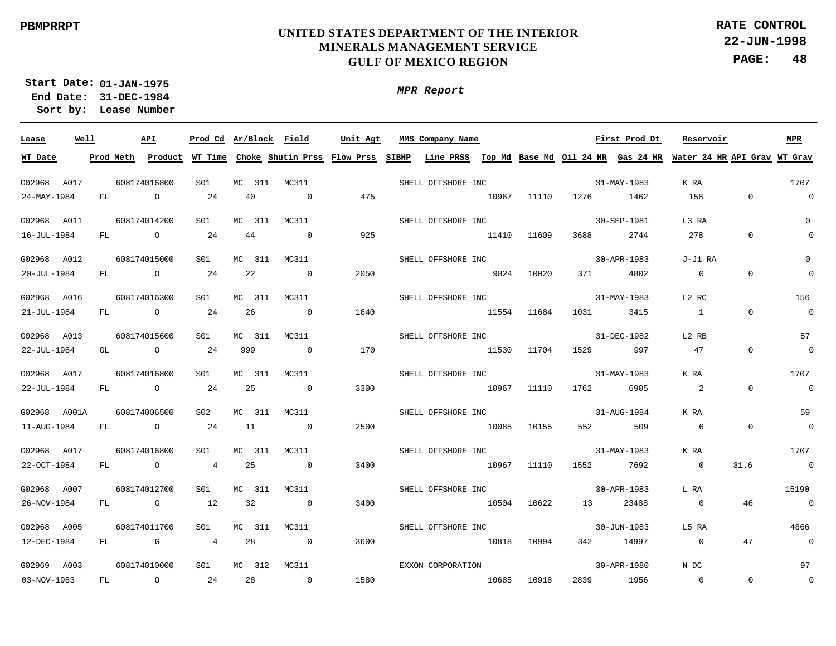**22-JUN-1998 PAGE: 48 RATE CONTROL**

**01-JAN-1975 Start Date: 31-DEC-1984 End Date: Lease Number Sort by:**

*MPR Report*

| Lease        | Well |      | API          |                 |            | Prod Cd Ar/Block Field                                                                                                                | Unit Agt | MMS Company Name First Prod Dt |             |             |             |             | Reservoir       |                | <b>MPR</b>               |
|--------------|------|------|--------------|-----------------|------------|---------------------------------------------------------------------------------------------------------------------------------------|----------|--------------------------------|-------------|-------------|-------------|-------------|-----------------|----------------|--------------------------|
| WT Date      |      |      |              |                 |            | Prod Meth Product WT Time Choke Shutin Prss Flow Prss SIBHP Line PRSS Top Md Base Md Oil 24 HR Gas 24 HR Water 24 HR API Grav WT Grav |          |                                |             |             |             |             |                 |                |                          |
| G02968 A017  |      |      | 608174016800 | S01             |            | MC 311 MC311                                                                                                                          |          | SHELL OFFSHORE INC             |             |             |             | 31-MAY-1983 | K RA            | 1707           |                          |
| 24-MAY-1984  |      | FL O |              | 24              | 40         | $\overline{0}$                                                                                                                        | 475      |                                | 10967 11110 |             | 1276 1462   |             | 158 0           |                | $\overline{0}$           |
| G02968 A011  |      |      | 608174014200 | S01             | MC 311     | MC311                                                                                                                                 |          | SHELL OFFSHORE INC             |             |             |             | 30-SEP-1981 | L3 RA           |                | $\mathbf{0}$             |
| 16-JUL-1984  |      |      | FL O         | 24              | 44         | $\overline{0}$                                                                                                                        | 925      | 11410 11609                    |             |             |             | 3688 2744   | 278             | $\mathbf{0}$   | $\Omega$                 |
| G02968 A012  |      |      | 608174015000 | S01             | MC 311     | MC311                                                                                                                                 |          | SHELL OFFSHORE INC             |             |             |             | 30-APR-1983 | J-J1 RA         |                | $\mathbf 0$              |
| 20-JUL-1984  |      |      | FL O         | 24              | 22         | $\sim$ 0                                                                                                                              | 2050     | 9824 10020                     |             |             |             | 371 4802    | $\overline{0}$  | $\overline{0}$ | $\overline{0}$           |
| G02968 A016  |      |      | 608174016300 | S01             | MC 311     | MC311                                                                                                                                 |          | SHELL OFFSHORE INC             |             |             |             | 31-MAY-1983 | L2 RC           |                | 156                      |
| 21-JUL-1984  |      |      | $FL$ 0       | 24              | 26         | $\sim$ 0                                                                                                                              | 1640     | 11554 11684                    |             |             |             | 1031 3415   | $\sim$ 1        | $\overline{0}$ | $\overline{0}$           |
| G02968 A013  |      |      | 608174015600 | SO1             | МC<br>311  | MC311                                                                                                                                 |          | SHELL OFFSHORE INC             |             |             | 31-DEC-1982 |             | L2 RB           |                | 57                       |
| 22-JUL-1984  |      |      | GL O         | 24              | 999        | $\sim$ 0                                                                                                                              | 170      | 11530                          |             | 11704       |             | 1529 997    | 47              | $\overline{0}$ | $\overline{\phantom{0}}$ |
| G02968 A017  |      |      | 608174016800 | S01             | MC 311     | MC311                                                                                                                                 |          | SHELL OFFSHORE INC 31-MAY-1983 |             |             |             |             | K RA            |                | 1707                     |
| 22-JUL-1984  |      |      | FL O         | 24              | 25         | $\overline{0}$                                                                                                                        | 3300     | 10967                          |             | 11110       | 1762        | 6905        | $\sim$ 2        | $\Omega$       | $\sim$ 0                 |
| G02968 A001A |      |      | 608174006500 | S02             | MC 311     | MC311                                                                                                                                 |          | SHELL OFFSHORE INC 31-AUG-1984 |             |             |             |             | K RA            |                | 59                       |
| 11-AUG-1984  |      |      | FL O         | 24              | 11         | $\sim$ 0                                                                                                                              | 2500     | 10085 10155                    |             |             | 552 7       | 509         | $6\overline{6}$ | $\overline{0}$ | $\overline{\phantom{0}}$ |
| G02968 A017  |      |      | 608174016800 | S <sub>01</sub> | MC.<br>311 | MC311                                                                                                                                 |          | SHELL OFFSHORE INC 31-MAY-1983 |             |             |             |             | K RA            |                | 1707                     |
| 22-OCT-1984  |      |      | FL O         | $\overline{4}$  | 25         | $\overline{0}$                                                                                                                        | 3400     | 10967 11110                    |             |             |             | 1552 7692   | $\overline{0}$  | 31.6           | $\overline{0}$           |
| G02968 A007  |      |      | 608174012700 | S01             | MC 311     | MC311                                                                                                                                 |          | SHELL OFFSHORE INC 30-APR-1983 |             |             |             |             | L RA            |                | 15190                    |
| 26-NOV-1984  |      |      | FL G         | 12              | 32         | $\overline{0}$                                                                                                                        | 3400     | 10504 10622                    |             |             |             | 13 23488    | $\overline{0}$  | 46             | $\overline{0}$           |
| G02968 A005  |      |      | 608174011700 | S01             | MC 311     | MC311                                                                                                                                 |          | SHELL OFFSHORE INC             |             |             |             | 30-JUN-1983 | L5 RA           |                | 4866                     |
| 12-DEC-1984  |      |      | FL G         | $\overline{4}$  | 28         | $\sim$ 0                                                                                                                              | 3600     | 10818 10994                    |             |             |             | 342 14997   | $\overline{0}$  | 47             | $\sim$ 0                 |
| G02969 A003  |      |      | 608174010000 | S01             | MC 312     | MC311                                                                                                                                 |          | EXXON CORPORATION              |             |             |             | 30-APR-1980 | N DC            |                | 97                       |
| 03-NOV-1983  |      |      | FL O         | 24              | 28         | $\sim$ 0                                                                                                                              | 1580     |                                |             | 10685 10918 |             | 2839 1956   | $\overline{0}$  | $\overline{0}$ | $\overline{0}$           |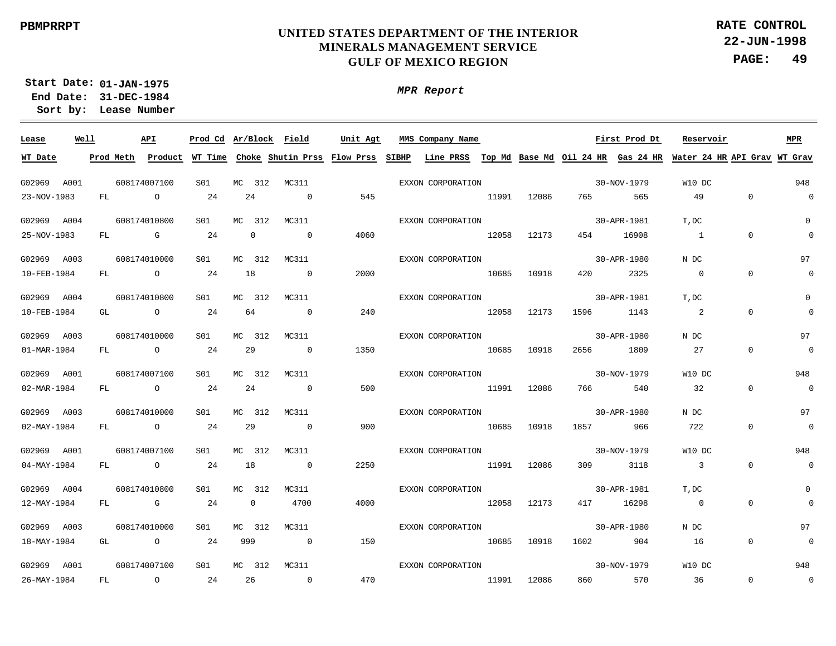**22-JUN-1998 PAGE: 49 RATE CONTROL**

**01-JAN-1975 Start Date: 31-DEC-1984 End Date: Lease Number Sort by:**

| Lease       | Well |     | API            | Prod Cd Ar/Block Field |     |                |                | Unit Agt | MMS Company Name  |       |             |      | First Prod Dt | Reservoir                                                                                                                             |                | MPR            |
|-------------|------|-----|----------------|------------------------|-----|----------------|----------------|----------|-------------------|-------|-------------|------|---------------|---------------------------------------------------------------------------------------------------------------------------------------|----------------|----------------|
| WT Date     |      |     |                |                        |     |                |                |          |                   |       |             |      |               | Prod Meth Product WT Time Choke Shutin Prss Flow Prss SIBHP Line PRSS Top Md Base Md Oil 24 HR Gas 24 HR Water 24 HR API Grav WT Grav |                |                |
|             |      |     |                |                        |     |                |                |          |                   |       |             |      |               |                                                                                                                                       |                |                |
| G02969 A001 |      |     | 608174007100   | S01                    |     | MC 312         | MC311          |          | EXXON CORPORATION |       |             |      | 30-NOV-1979   | W10 DC                                                                                                                                |                | 948            |
| 23-NOV-1983 |      | FL  | $\overline{a}$ | 24                     |     | 24             | $\sim$ 0       | 545      |                   | 11991 | 12086       | 765  | 565           | 49                                                                                                                                    | $\overline{0}$ | $\mathbf 0$    |
| G02969 A004 |      |     | 608174010800   | S01                    | MC  | 312            | MC311          |          | EXXON CORPORATION |       |             |      | 30-APR-1981   | T, DC                                                                                                                                 |                | $\Omega$       |
| 25-NOV-1983 |      | FL  | <b>G</b> G     | 24                     |     | $\overline{0}$ | $\overline{0}$ | 4060     |                   | 12058 | 12173       | 454  | 16908         | $\sim$ 1                                                                                                                              | $\mathbf{0}$   | $\Omega$       |
| G02969 A003 |      |     | 608174010000   | S01                    | MC. | 312            | MC311          |          | EXXON CORPORATION |       |             |      | 30-APR-1980   | N DC                                                                                                                                  |                | 97             |
| 10-FEB-1984 |      | FL  | $\overline{O}$ | 24                     | 18  |                | $\overline{0}$ | 2000     |                   | 10685 | 10918       | 420  | 2325          | $\overline{0}$                                                                                                                        | $\mathbf{0}$   | 0              |
| G02969 A004 |      |     | 608174010800   | S01                    |     | MC 312         | MC311          |          | EXXON CORPORATION |       |             |      | 30-APR-1981   | T, DC                                                                                                                                 |                | $\Omega$       |
| 10-FEB-1984 |      | GL  | $\overline{a}$ | 24                     |     | 64             | $\overline{0}$ | 240      | 12058             |       | 12173       | 1596 | 1143          | -2                                                                                                                                    | $\Omega$       | $\Omega$       |
| G02969 A003 |      |     | 608174010000   | S01                    | MC. | 312            | MC311          |          | EXXON CORPORATION |       |             |      | 30-APR-1980   | N DC                                                                                                                                  |                | 97             |
| 01-MAR-1984 |      | FL  | $\overline{O}$ | 24                     |     | 29             | $\overline{0}$ | 1350     | 10685             |       | 10918       | 2656 | 1809          | 27                                                                                                                                    | $\Omega$       | $\mathbf 0$    |
| G02969 A001 |      |     | 608174007100   | S01                    |     | MC 312         | MC311          |          | EXXON CORPORATION |       |             |      | 30-NOV-1979   | W10 DC                                                                                                                                |                | 948            |
| 02-MAR-1984 |      | FL  | $\overline{a}$ | 24                     |     | 24             | $\overline{0}$ | 500      | 11991             |       | 12086       | 766  | 540           | $\overline{32}$                                                                                                                       | $\Omega$       | $\mathbf 0$    |
| G02969 A003 |      |     | 608174010000   | SO1                    |     | MC 312         | MC311          |          | EXXON CORPORATION |       |             |      | 30-APR-1980   | N DC                                                                                                                                  |                | 97             |
| 02-MAY-1984 |      | FL  | $\overline{O}$ | 24                     |     | 29             | $\overline{0}$ | 900      |                   | 10685 | 10918       |      | 966           | 722                                                                                                                                   | $\Omega$       | $\overline{0}$ |
| G02969 A001 |      |     | 608174007100   | S01                    |     | MC 312         | MC311          |          | EXXON CORPORATION |       |             |      | 30-NOV-1979   | W10 DC                                                                                                                                |                | 948            |
| 04-MAY-1984 |      | FL  | $\overline{a}$ | 24                     | 18  |                | $\sim$ 0       | 2250     |                   |       | 11991 12086 | 309  | 3118          | $\overline{\phantom{a}}$ 3                                                                                                            | $\Omega$       | $\mathbf 0$    |
| G02969 A004 |      |     | 608174010800   | SO1                    |     | MC 312         | MC311          |          | EXXON CORPORATION |       |             |      | 30-APR-1981   | T, DC                                                                                                                                 |                | 0              |
| 12-MAY-1984 |      | FL. | $\mathbb G$    | 24                     |     | $\overline{0}$ | 4700           | 4000     |                   | 12058 | 12173       | 417  | 16298         | $\overline{0}$                                                                                                                        | $\Omega$       |                |
| G02969 A003 |      |     | 608174010000   | S01                    |     | MC 312         | MC311          |          | EXXON CORPORATION |       |             |      | 30-APR-1980   | N DC                                                                                                                                  |                | 97             |
| 18-MAY-1984 |      | GL  | $\overline{O}$ | 24                     | 999 |                | $\sim$ 0       | 150      |                   | 10685 | 10918       | 1602 | 904           | 16                                                                                                                                    | $\overline{0}$ | 0              |
| G02969 A001 |      |     | 608174007100   | S01                    |     | MC 312         | MC311          |          | EXXON CORPORATION |       |             |      | 30-NOV-1979   | W10 DC                                                                                                                                |                | 948            |
| 26-MAY-1984 |      | FL  | $\overline{a}$ | 24                     |     | 26             | $\overline{0}$ | 470      |                   | 11991 | 12086       | 860  | 570           | 36                                                                                                                                    | $\overline{0}$ | $\overline{0}$ |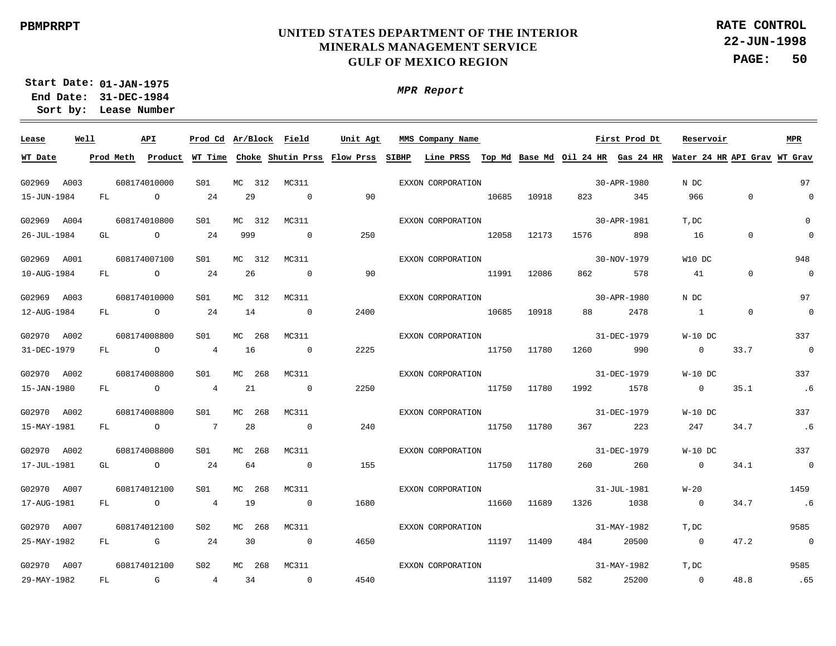**22-JUN-1998 PAGE: 50 RATE CONTROL**

**01-JAN-1975 Start Date: 31-DEC-1984 End Date: Lease Number Sort by:**

*MPR Report*

| Lease       | Well |           | API                                                                                                                                                                                                                            |                 |           | Prod Cd Ar/Block Field                      | Unit Agt | MMS Company Name  |       |             |                           | First Prod Dt | Reservoir                                                                       |                | <b>MPR</b>     |
|-------------|------|-----------|--------------------------------------------------------------------------------------------------------------------------------------------------------------------------------------------------------------------------------|-----------------|-----------|---------------------------------------------|----------|-------------------|-------|-------------|---------------------------|---------------|---------------------------------------------------------------------------------|----------------|----------------|
| WT Date     |      | Prod Meth |                                                                                                                                                                                                                                |                 |           | Product WT Time Choke Shutin Prss Flow Prss |          |                   |       |             |                           |               | SIBHP Line PRSS Top Md Base Md Oil 24 HR Gas 24 HR Water 24 HR API Grav WT Grav |                |                |
|             |      |           |                                                                                                                                                                                                                                |                 |           |                                             |          |                   |       |             |                           |               |                                                                                 |                | 97             |
| G02969 A003 |      |           | 608174010000                                                                                                                                                                                                                   | S01             | MC 312    | MC311                                       |          | EXXON CORPORATION |       |             |                           | 30-APR-1980   | N DC                                                                            |                |                |
| 15-JUN-1984 |      | FL        | $\circ$                                                                                                                                                                                                                        | 24              | 29        | $\overline{0}$                              | 90       |                   | 10685 | 10918       | 823 and the set of $\sim$ | 345           | 966                                                                             | $\mathbf 0$    | $\mathbf{0}$   |
| G02969 A004 |      |           | 608174010800                                                                                                                                                                                                                   | S <sub>01</sub> | MC 312    | MC311                                       |          | EXXON CORPORATION |       |             |                           | 30-APR-1981   | T, DC                                                                           |                | $\mathbf{0}$   |
| 26-JUL-1984 |      | GL O      |                                                                                                                                                                                                                                | 24              | 999       | $\overline{0}$                              | 250      |                   | 12058 | 12173       | 1576 15                   | 898           | 16                                                                              | $\mathbf 0$    | $\mathbb O$    |
| G02969 A001 |      |           | 608174007100                                                                                                                                                                                                                   | S01             | MC 312    | MC311                                       |          | EXXON CORPORATION |       |             |                           | 30-NOV-1979   | W10 DC                                                                          |                | 948            |
| 10-AUG-1984 |      | FL        | $\overline{O}$                                                                                                                                                                                                                 | 24              | 26        | $\sim$ 0                                    | 90       |                   | 11991 | 12086       |                           | 578           | 41                                                                              | $\mathbf 0$    | $\overline{0}$ |
| G02969 A003 |      |           | 608174010000                                                                                                                                                                                                                   | S01             | MC 312    | MC311                                       |          | EXXON CORPORATION |       |             |                           | 30-APR-1980   | N DC                                                                            |                | 97             |
| 12-AUG-1984 |      | FL        | $\overline{O}$                                                                                                                                                                                                                 | 24              | 14        | $\overline{\phantom{0}}$                    | 2400     |                   | 10685 | 10918       | 88                        | 2478          | $\overline{1}$                                                                  | $\overline{0}$ | $\overline{0}$ |
|             |      |           |                                                                                                                                                                                                                                |                 |           |                                             |          |                   |       |             |                           |               |                                                                                 |                |                |
| G02970 A002 |      |           | 608174008800                                                                                                                                                                                                                   | S01             | 268<br>MC | MC311                                       |          | EXXON CORPORATION |       |             |                           | 31-DEC-1979   | $W-10$ DC                                                                       |                | 337            |
| 31-DEC-1979 |      | FL        | $\overline{O}$                                                                                                                                                                                                                 | $\overline{4}$  | 16        | $\overline{0}$                              | 2225     |                   | 11750 | 11780       | 1260                      | 990           | $\Omega$                                                                        | 33.7           | $\overline{0}$ |
| G02970 A002 |      |           | 608174008800                                                                                                                                                                                                                   | S01             | MC<br>268 | MC311                                       |          | EXXON CORPORATION |       |             |                           | 31-DEC-1979   | $W-10$ DC                                                                       |                | 337            |
| 15-JAN-1980 |      | FL        | $\overline{O}$                                                                                                                                                                                                                 | $\overline{4}$  | 21        | $\overline{0}$                              | 2250     |                   | 11750 | 11780       | 1992                      | 1578          | $\overline{0}$                                                                  | 35.1           | .6             |
| G02970 A002 |      |           | 608174008800                                                                                                                                                                                                                   | S01             | MC<br>268 | MC311                                       |          | EXXON CORPORATION |       |             |                           | 31-DEC-1979   | $W-10$ DC                                                                       |                | 337            |
|             |      |           |                                                                                                                                                                                                                                |                 |           |                                             |          |                   |       |             |                           |               |                                                                                 |                |                |
| 15-MAY-1981 |      | FL        | $\overline{a}$                                                                                                                                                                                                                 | $7\phantom{0}7$ | 28        | $\overline{0}$                              | 240      |                   | 11750 | 11780       | 367                       | 223           | 247                                                                             | 34.7           | .6             |
| G02970 A002 |      |           | 608174008800                                                                                                                                                                                                                   | S01             | MC 268    | MC311                                       |          | EXXON CORPORATION |       |             |                           | 31-DEC-1979   | $W-10$ DC                                                                       |                | 337            |
| 17-JUL-1981 |      | GL O      |                                                                                                                                                                                                                                | 24              | 64        | $\overline{0}$                              | 155      |                   |       | 11750 11780 | 260 7                     | 260           | $\overline{0}$                                                                  | 34.1           | $\overline{0}$ |
| G02970 A007 |      |           | 608174012100                                                                                                                                                                                                                   | S01             | 268<br>MC | MC311                                       |          | EXXON CORPORATION |       |             |                           | 31-JUL-1981   | $W-20$                                                                          |                | 1459           |
| 17-AUG-1981 |      | FL        | $\overline{a}$                                                                                                                                                                                                                 | $4\overline{ }$ | 19        | $\overline{0}$                              | 1680     |                   | 11660 | 11689       |                           | 1326 1038     | $\overline{0}$                                                                  | 34.7           | .6             |
|             |      |           |                                                                                                                                                                                                                                |                 |           |                                             |          |                   |       |             |                           |               |                                                                                 |                |                |
| G02970 A007 |      |           | 608174012100                                                                                                                                                                                                                   | S <sub>02</sub> | MC 268    | MC311                                       |          | EXXON CORPORATION |       |             |                           | 31-MAY-1982   | T, DC                                                                           |                | 9585           |
| 25-MAY-1982 |      | FL        | discovered the control of the control of the control of the control of the control of the control of the control of the control of the control of the control of the control of the control of the control of the control of t | 24              | 30        | $\overline{\phantom{0}}$                    | 4650     |                   | 11197 | 11409       | 484                       | 20500         | $\overline{0}$                                                                  | 47.2           | $\sim$ 0       |
| G02970 A007 |      |           | 608174012100                                                                                                                                                                                                                   | S02             | 268<br>MC | MC311                                       |          | EXXON CORPORATION |       |             |                           | 31-MAY-1982   | T, DC                                                                           |                | 9585           |
| 29-MAY-1982 |      | FL        | G                                                                                                                                                                                                                              | $4\overline{ }$ | 34        | $\overline{0}$                              | 4540     |                   | 11197 | 11409       | 582                       | 25200         | $\overline{0}$                                                                  | 48.8           | .65            |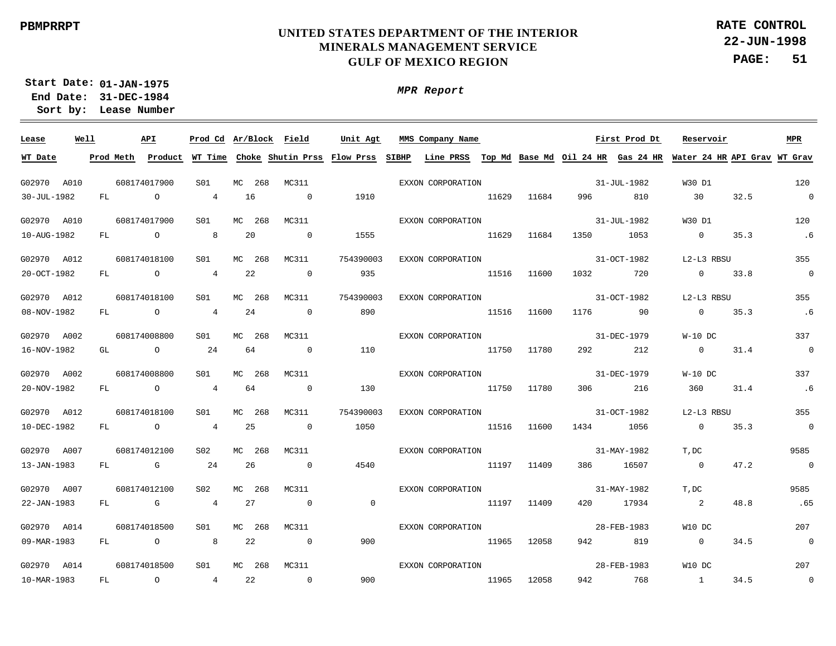**22-JUN-1998 PAGE: 51 RATE CONTROL**

**01-JAN-1975 Start Date: 31-DEC-1984 End Date: Lease Number Sort by:**

| Lease       | Well |           | API            |                 | Prod Cd Ar/Block Field |                | Unit Agt                    |       | MMS Company Name                             |       |       |      | First Prod Dt | Reservoir      |                              | MPR            |
|-------------|------|-----------|----------------|-----------------|------------------------|----------------|-----------------------------|-------|----------------------------------------------|-------|-------|------|---------------|----------------|------------------------------|----------------|
| WT Date     |      | Prod Meth | Product        | WT Time         |                        |                | Choke Shutin Prss Flow Prss | SIBHP | Line PRSS Top Md Base Md Oil 24 HR Gas 24 HR |       |       |      |               |                | Water 24 HR API Grav WT Grav |                |
| G02970      | A010 |           | 608174017900   | S <sub>01</sub> | MC<br>268              | MC311          |                             |       | EXXON CORPORATION                            |       |       |      | 31-JUL-1982   | W30 D1         |                              | 120            |
| 30-JUL-1982 |      | FL        | $\overline{a}$ | $\overline{4}$  | 16                     | $\overline{0}$ | 1910                        |       |                                              | 11629 | 11684 | 996  | 810           | 30             | 32.5                         | $\overline{0}$ |
| G02970 A010 |      |           | 608174017900   | S01             | 268<br>MC              | MC311          |                             |       | EXXON CORPORATION                            |       |       |      | 31-JUL-1982   | W30 D1         |                              | 120            |
| 10-AUG-1982 |      | FL        | $\circ$        | 8               | 20                     | $\overline{0}$ | 1555                        |       |                                              | 11629 | 11684 | 1350 | 1053          | $\overline{0}$ | 35.3                         | .6             |
| G02970 A012 |      |           | 608174018100   | S <sub>01</sub> | MC<br>268              | MC311          | 754390003                   |       | EXXON CORPORATION                            |       |       |      | 31-OCT-1982   | L2-L3 RBSU     |                              | 355            |
| 20-OCT-1982 |      | FL        | $\overline{a}$ | $\overline{4}$  | 22                     | $\overline{0}$ | 935                         |       |                                              | 11516 | 11600 | 1032 | 720           | $\overline{0}$ | 33.8                         | $\overline{0}$ |
|             |      |           |                |                 |                        |                |                             |       |                                              |       |       |      |               |                |                              |                |
| G02970 A012 |      |           | 608174018100   | S <sub>01</sub> | MC<br>268              | MC311          | 754390003                   |       | EXXON CORPORATION                            |       |       |      | 31-OCT-1982   | L2-L3 RBSU     |                              | 355            |
| 08-NOV-1982 |      | FL        | $\overline{a}$ | $\overline{4}$  | 24                     | $\overline{0}$ | 890                         |       |                                              | 11516 | 11600 | 1176 | 90            | $\overline{0}$ | 35.3                         | .6             |
| G02970 A002 |      |           | 608174008800   | S01             | 268<br>MC              | MC311          |                             |       | EXXON CORPORATION                            |       |       |      | 31-DEC-1979   | $W-10$ DC      |                              | 337            |
| 16-NOV-1982 |      | GL        | $\overline{a}$ | 24              | 64                     | $\overline{0}$ | 110                         |       |                                              | 11750 | 11780 | 292  | 212           | $\overline{0}$ | 31.4                         | $\overline{0}$ |
| G02970 A002 |      |           | 608174008800   | S <sub>01</sub> | MC<br>268              | MC311          |                             |       | EXXON CORPORATION                            |       |       |      | 31-DEC-1979   | $W-10$ DC      |                              | 337            |
| 20-NOV-1982 |      | FL        | $\overline{a}$ | $\overline{4}$  | 64                     | $\overline{0}$ | 130                         |       |                                              | 11750 | 11780 | 306  | 216           | 360            | 31.4                         | .6             |
| G02970 A012 |      |           | 608174018100   | S01             | МC<br>268              | MC311          | 754390003                   |       | EXXON CORPORATION                            |       |       |      | 31-OCT-1982   | L2-L3 RBSU     |                              | 355            |
| 10-DEC-1982 |      | FL        | $\circ$        | $\overline{4}$  | 25                     | $\overline{0}$ | 1050                        |       |                                              | 11516 | 11600 | 1434 | 1056          | $\overline{0}$ | 35.3                         | $\overline{0}$ |
| G02970 A007 |      |           | 608174012100   | S <sub>02</sub> | MC<br>268              | MC311          |                             |       | EXXON CORPORATION                            |       |       |      | 31-MAY-1982   | T, DC          |                              | 9585           |
| 13-JAN-1983 |      | FL        | $\overline{G}$ | 24              | 26                     | $\overline{0}$ | 4540                        |       |                                              | 11197 | 11409 | 386  | 16507         | $\overline{0}$ | 47.2                         | $\overline{0}$ |
| G02970 A007 |      |           | 608174012100   | S <sub>02</sub> | MC 268                 | MC311          |                             |       | EXXON CORPORATION                            |       |       |      | 31-MAY-1982   | T, DC          |                              | 9585           |
| 22-JAN-1983 |      | FL        | G              | $\overline{4}$  | 27                     | $\overline{0}$ | $\overline{0}$              |       |                                              | 11197 | 11409 | 420  | 17934         | 2              | 48.8                         | .65            |
|             |      |           |                |                 |                        |                |                             |       |                                              |       |       |      |               |                |                              |                |
| G02970 A014 |      |           | 608174018500   | S01             | MC 268                 | MC311          |                             |       | EXXON CORPORATION                            |       |       |      | 28-FEB-1983   | W10 DC         |                              | 207            |
| 09-MAR-1983 |      | FL        | $\overline{O}$ | 8               | 22                     | $\overline{0}$ | 900                         |       |                                              | 11965 | 12058 | 942  | 819           | $\overline{0}$ | 34.5                         | $\overline{0}$ |
| G02970 A014 |      |           | 608174018500   | S01             | MC 268                 | MC311          |                             |       | EXXON CORPORATION                            |       |       |      | 28-FEB-1983   | W10 DC         |                              | 207            |
| 10-MAR-1983 |      | FL        | $\circ$        | $\overline{4}$  | 22                     | $\Omega$       | 900                         |       |                                              | 11965 | 12058 | 942  | 768           | $\sim$ 1       | 34.5                         | $\overline{0}$ |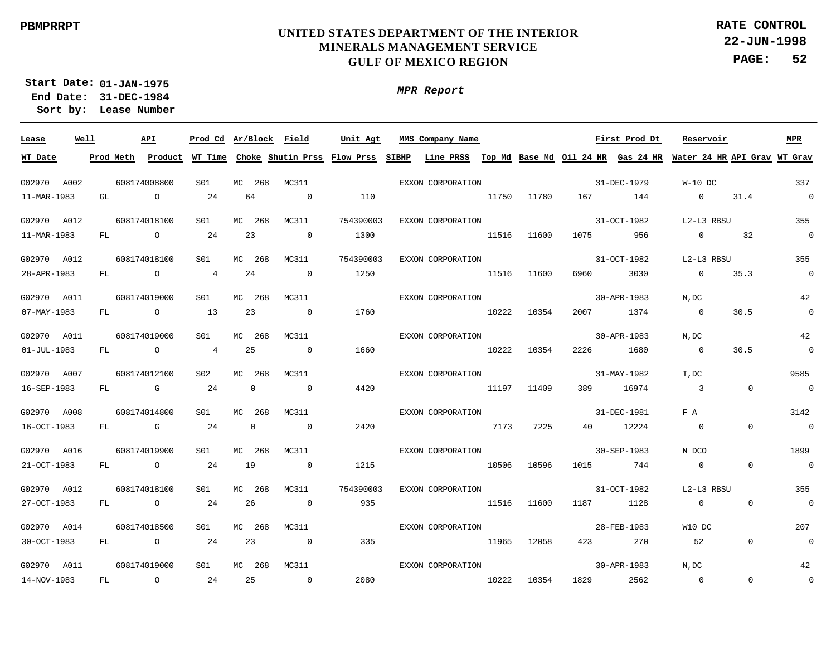*MPR Report*

**22-JUN-1998 PAGE: 52 RATE CONTROL**

**01-JAN-1975 Start Date: 31-DEC-1984 End Date:** 

**Lease Number Sort by:**  $\overline{\phantom{a}}$ **Lease Well API Ar/Block Field Prod Cd MMS Company Name Unit Agt First Prod Dt Reservoir MPR WT Date** <u>Prod Meth Product WT Time Choke Shutin Prss Flow Prss SIBHP Line PRSS Top Md Base Md Oil 24 HR Gas 24 HR Water 24 HR API Grav WT Grav</u> G02970 A002 608174008800 S01 MC 268 MC311 EXXON CORPORATION 31-DEC-1979 W-10 DC 337 31.4 11-MAR-1983 GT.  $\Omega$  $24$ 64  $\Omega$ 110 11750 11780 167 144  $\Omega$  $\Omega$ 608174018100 S01 MC311 754390003 31-OCT-1982 L2-L3 RBSU 355 G02970 A012 MC 268 EXXON CORPORATION 11-MAR-1983 FL. O 24 23  $\Omega$ 1300 1075 956  $\Omega$ 32  $\Omega$ 11516 11600 608174018100  $S<sub>01</sub>$ MC311 754390003 EXXON CORPORATION 31-OCT-1982 L2-L3 RBSU 355 G02970 A012 MC 268 24 28-APR-1983 FL.  $\Omega$ 4  $\Omega$ 1250 11516 11600 6960 3030  $\Omega$ 35.3  $\Omega$ 608174019000  $S<sub>01</sub>$  $MC$  268 MC311 EXXON CORPORATION 30-APR-1983 N,DC 42 G02970 A011 07-MAY-1983 FL.  $\Omega$ 13 23  $\Omega$ 1760 10222 10354 2007 1374  $\Omega$ 30.5  $\Omega$ 608174019000 S01 MC311 EXXON CORPORATION 30-APR-1983 N,DC 42 G02970 A011 MC 268 01-JUL-1983 FL 4 25  $\Omega$ 1660 10222 10354 2226 1680  $\cap$ 30.5  $\Omega$  $\cap$ 608174012100 S02 MC311 EXXON CORPORATION 31-MAY-1982 T,DC 9585 G02970 A007 MC 268 16-SEP-1983 FL. G  $24$  $\Omega$  $\Omega$ 4420 11197 11409 389 16974 3  $\Omega$  $\Omega$ MC311 G02970 A008 608174014800  $S<sub>01</sub>$  $MC$  268 EXXON CORPORATION 31-DEC-1981 F A 3142 16-OCT-1983 FL.  $G$ 24  $\Omega$  $\Omega$ 2420 7173 7225 40 12224  $\Omega$  $\Omega$  $\Omega$ 608174019900  $S<sub>01</sub>$  $MC$  268 MC311 EXXON CORPORATION 30-SEP-1983 N DCO 1899 G02970 A016 21-OCT-1983 FL.  $\Omega$  $24$ 19  $\Omega$ 1215 10506 10596 1015 744  $\Omega$  $\Omega$  $\Omega$ MC311 31-OCT-1982 G02970 A012 608174018100  $SO1$ MC 268 754390003 EXXON CORPORATION L2-L3 RBSU 355 27-OCT-1983 FL O 24 26  $\Omega$ 935 11516 11600 1187 1128  $\Omega$  $\Omega$  $\Omega$ G02970 A014 608174018500  $S<sub>01</sub>$ MC 268 MC311 EXXON CORPORATION 28-FEB-1983 W10 DC 207 30-OCT-1983 FL O 24 23  $\Omega$ 335 11965 12058 423 270 52  $\Omega$ 0 608174019000 S01MC311 EXXON CORPORATION 30-APR-1983 42 G02970 A011 MC 268 N,DC 24 25  $\Omega$ 2080 10222 10354 1829 2562 0  $\Omega$  $\Omega$ 14-NOV-1983 FL. O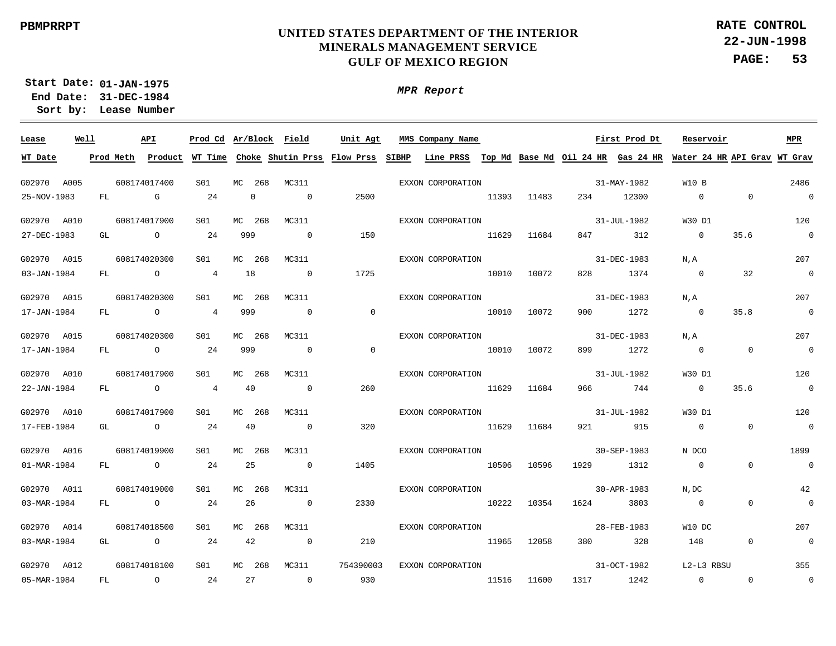**22-JUN-1998 PAGE: 53 RATE CONTROL**

**01-JAN-1975 Start Date: 31-DEC-1984 End Date: Lease Number Sort by:**

| Lease       | Well | API            | Prod Cd Ar/Block Field |        |             |                          | Unit Agt                                                    | MMS Company Name                                                          |       |             |           | First Prod Dt | Reservoir      |                | MPR                      |
|-------------|------|----------------|------------------------|--------|-------------|--------------------------|-------------------------------------------------------------|---------------------------------------------------------------------------|-------|-------------|-----------|---------------|----------------|----------------|--------------------------|
| WT Date     |      |                |                        |        |             |                          | Prod Meth Product WT Time Choke Shutin Prss Flow Prss SIBHP | Line PRSS Top Md Base Md Oil 24 HR Gas 24 HR Water 24 HR API Grav WT Grav |       |             |           |               |                |                |                          |
|             |      |                |                        |        |             |                          |                                                             |                                                                           |       |             |           |               |                |                |                          |
| G02970 A005 |      | 608174017400   | S01                    |        | MC 268      | MC311                    |                                                             | EXXON CORPORATION                                                         |       |             |           | 31-MAY-1982   | W10 B          |                | 2486                     |
| 25-NOV-1983 | FL   | $\mathbb G$    | 24                     |        | $\mathbf 0$ | $\overline{0}$           | 2500                                                        |                                                                           | 11393 | 11483       | 234       | 12300         | $\overline{0}$ | $\Omega$       | $\sim$ 0                 |
| G02970 A010 |      | 608174017900   | S01                    | MC 268 |             | MC311                    |                                                             | EXXON CORPORATION                                                         |       |             |           | 31-JUL-1982   | W30 D1         |                | 120                      |
| 27-DEC-1983 | GL   | $\overline{O}$ | 24                     | 999    |             | $\overline{0}$           | 150                                                         |                                                                           | 11629 | 11684       | 847       | 312           | $\overline{0}$ | 35.6           | $\sim$ 0                 |
| G02970 A015 |      | 608174020300   | S01                    | MC 268 |             | MC311                    |                                                             | EXXON CORPORATION                                                         |       |             |           | 31-DEC-1983   | N,A            |                | 207                      |
| 03-JAN-1984 | FL   | $\overline{O}$ | $\overline{4}$         | 18     |             | $\overline{0}$           | 1725                                                        |                                                                           | 10010 | 10072       | 828       | 1374          | $\overline{0}$ | 32             | $\overline{0}$           |
| G02970 A015 |      | 608174020300   | S01                    | MC 268 |             | MC311                    |                                                             | EXXON CORPORATION                                                         |       |             |           | 31-DEC-1983   | N.A            |                | 207                      |
| 17-JAN-1984 | FL   | $\overline{O}$ | $\overline{4}$         | 999    |             | $\overline{0}$           | $\overline{0}$                                              |                                                                           | 10010 | 10072       | 900       | 1272          | $\overline{0}$ | 35.8           | $\sim$ 0                 |
| G02970 A015 |      | 608174020300   | S01                    |        | MC 268      | MC311                    |                                                             | EXXON CORPORATION                                                         |       |             |           | 31-DEC-1983   | N.A            |                | 207                      |
| 17-JAN-1984 | FL   | $\overline{O}$ | 24                     | 999    |             | $\overline{0}$           | $\sim$ 0                                                    |                                                                           | 10010 | 10072       | 899       | 1272          | $\overline{0}$ | $\overline{0}$ | $\overline{\phantom{0}}$ |
| G02970 A010 |      | 608174017900   | S01                    | MC 268 |             | MC311                    |                                                             | EXXON CORPORATION                                                         |       |             |           | 31-JUL-1982   | W30 D1         |                | 120                      |
| 22-JAN-1984 | FL   | $\circ$        | $\overline{4}$         | 40     |             | $\overline{0}$           | 260                                                         |                                                                           | 11629 | 11684       | 966       | 744           | $\overline{0}$ | 35.6           | $\sim$ 0                 |
| G02970 A010 |      | 608174017900   | SO1                    | MC 268 |             | MC311                    |                                                             | EXXON CORPORATION                                                         |       |             |           | 31-JUL-1982   | W30 D1         |                | 120                      |
| 17-FEB-1984 | GL   | $\overline{a}$ | 24                     | 40     |             | $\overline{0}$           | 320                                                         |                                                                           |       | 11629 11684 | 921       | 915           | $\overline{0}$ | $\Omega$       | $\overline{\phantom{0}}$ |
| G02970 A016 |      | 608174019900   | S01                    | MC 268 |             | MC311                    |                                                             | EXXON CORPORATION                                                         |       |             |           | 30-SEP-1983   | N DCO          |                | 1899                     |
| 01-MAR-1984 | FL   | $\overline{a}$ | 24                     | 25     |             | $\overline{0}$           | 1405                                                        |                                                                           | 10506 | 10596       | 1929      | 1312          | $\overline{0}$ | $\Omega$       | $\overline{\phantom{0}}$ |
| G02970 A011 |      | 608174019000   | SO1                    |        | MC 268      | MC311                    |                                                             | EXXON CORPORATION                                                         |       |             |           | 30-APR-1983   | N, DC          |                | 42                       |
| 03-MAR-1984 | FL   | $\overline{a}$ | 24                     | 26     |             | $\overline{0}$           | 2330                                                        |                                                                           | 10222 | 10354       | 1624      | 3803          | $\overline{0}$ | $\mathbf 0$    | $\overline{\phantom{0}}$ |
| G02970 A014 |      | 608174018500   | S01                    |        | MC 268      | MC311                    |                                                             | EXXON CORPORATION                                                         |       |             |           | 28-FEB-1983   | W10 DC         |                | 207                      |
| 03-MAR-1984 | GL   | $\overline{a}$ | 24                     | 42     |             | $\overline{0}$           | 210                                                         |                                                                           | 11965 | 12058       | 380       | 328           | 148            | $\overline{0}$ | $\overline{0}$           |
| G02970 A012 |      | 608174018100   | S01                    |        | MC 268      | MC311                    | 754390003                                                   | EXXON CORPORATION                                                         |       |             |           | 31-OCT-1982   | L2-L3 RBSU     |                | 355                      |
| 05-MAR-1984 | FL   | $\overline{a}$ | 24                     | 27     |             | $\overline{\phantom{0}}$ | 930                                                         |                                                                           | 11516 | 11600       | 1317 1242 |               | $\overline{0}$ | $\Omega$       | $\overline{0}$           |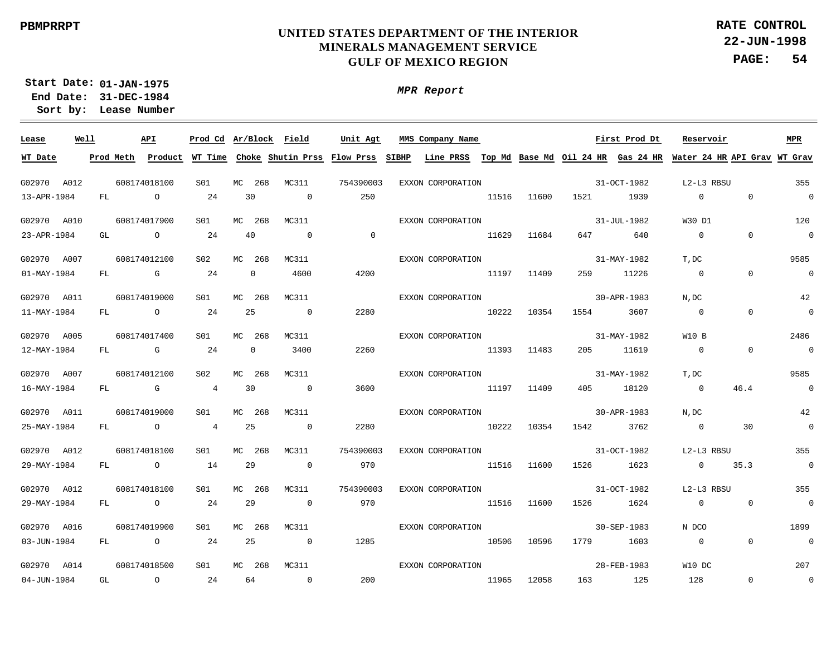**22-JUN-1998 PAGE: 54 RATE CONTROL**

**01-JAN-1975 Start Date: 31-DEC-1984 End Date: Lease Number Sort by:**

| Lease             | Well |           | API            |                 | Prod Cd Ar/Block Field |                | Unit Agt                    | MMS Company Name  |           |       |      | First Prod Dt                      | Reservoir      |                              | MPR            |
|-------------------|------|-----------|----------------|-----------------|------------------------|----------------|-----------------------------|-------------------|-----------|-------|------|------------------------------------|----------------|------------------------------|----------------|
| WT Date           |      | Prod Meth | Product        | WT Time         |                        |                | Choke Shutin Prss Flow Prss | SIBHP             | Line PRSS |       |      | Top Md Base Md Oil 24 HR Gas 24 HR |                | Water 24 HR API Grav WT Grav |                |
| G02970            | A012 |           | 608174018100   | S <sub>01</sub> | MC<br>268              | MC311          | 754390003                   | EXXON CORPORATION |           |       |      | 31-OCT-1982                        | L2-L3 RBSU     |                              | 355            |
| 13-APR-1984       |      | FL        | $\overline{a}$ | 24              | 30                     | $\overline{0}$ | 250                         |                   | 11516     | 11600 | 1521 | 1939                               | $\overline{0}$ | $\mathbf 0$                  | $\bigcap$      |
| G02970 A010       |      |           | 608174017900   | S01             | MC<br>268              | MC311          |                             | EXXON CORPORATION |           |       |      | 31-JUL-1982                        | W30 D1         |                              | 120            |
| 23-APR-1984       |      | GL        | $\overline{a}$ | 24              | 40                     | $\overline{0}$ | $\overline{0}$              |                   | 11629     | 11684 | 647  | 640                                | $\overline{0}$ | $\Omega$                     | $\overline{0}$ |
|                   |      |           |                |                 |                        |                |                             |                   |           |       |      |                                    |                |                              |                |
| G02970 A007       |      |           | 608174012100   | S <sub>02</sub> | 268<br>MC              | MC311          |                             | EXXON CORPORATION |           |       |      | 31-MAY-1982                        | T, DC          |                              | 9585           |
| $01 - MAX - 1984$ |      | FL        | $\mathbb G$    | 24              | $\mathbf 0$            | 4600           | 4200                        |                   | 11197     | 11409 | 259  | 11226                              | $\overline{0}$ | $\Omega$                     | $\overline{0}$ |
| G02970 A011       |      |           | 608174019000   | S <sub>01</sub> | MC<br>268              | MC311          |                             | EXXON CORPORATION |           |       |      | 30-APR-1983                        | N, DC          |                              | 42             |
| 11-MAY-1984       |      | FL        | $\overline{a}$ | 24              | 25                     | $\overline{0}$ | 2280                        |                   | 10222     | 10354 | 1554 | 3607                               | $\overline{0}$ | $\Omega$                     | $\overline{0}$ |
| G02970 A005       |      |           | 608174017400   | S01             | MC<br>268              | MC311          |                             | EXXON CORPORATION |           |       |      | 31-MAY-1982                        | W10 B          |                              | 2486           |
| 12-MAY-1984       |      | FL        | $\mathbb G$    | 24              | $\overline{0}$         | 3400           | 2260                        |                   | 11393     | 11483 | 205  | 11619                              | $\overline{0}$ | $\Omega$                     | $\overline{0}$ |
| G02970 A007       |      |           | 608174012100   | S <sub>02</sub> | MC<br>268              | MC311          |                             | EXXON CORPORATION |           |       |      | 31-MAY-1982                        | T, DC          |                              | 9585           |
| 16-MAY-1984       |      | FL        | $\mathbb G$    | $\overline{4}$  | 30                     | $\overline{0}$ | 3600                        |                   | 11197     | 11409 | 405  | 18120                              | $\overline{0}$ | 46.4                         | $\overline{0}$ |
| G02970 A011       |      |           | 608174019000   | S01             | МC<br>268              | MC311          |                             | EXXON CORPORATION |           |       |      | 30-APR-1983                        | $N$ , $DC$     |                              | 42             |
| 25-MAY-1984       |      | FL        | $\circ$        | $\overline{4}$  | 25                     | $\overline{0}$ | 2280                        |                   | 10222     | 10354 | 1542 | 3762                               | $\overline{0}$ | 30                           | $\Omega$       |
| G02970 A012       |      |           | 608174018100   | S <sub>01</sub> | MC<br>268              | MC311          | 754390003                   | EXXON CORPORATION |           |       |      | 31-OCT-1982                        | L2-L3 RBSU     |                              | 355            |
| 29-MAY-1984       |      | FL        | $\circ$        | 14              | 29                     | $\Omega$       | 970                         |                   | 11516     | 11600 | 1526 | 1623                               | $\overline{0}$ | 35.3                         | $\overline{0}$ |
|                   |      |           |                |                 |                        |                |                             |                   |           |       |      |                                    |                |                              |                |
| G02970 A012       |      |           | 608174018100   | S01             | MC<br>268              | MC311          | 754390003                   | EXXON CORPORATION |           |       |      | 31-OCT-1982                        | L2-L3 RBSU     |                              | 355            |
| 29-MAY-1984       |      | FL        | $\overline{a}$ | 24              | 29                     | $\overline{0}$ | 970                         |                   | 11516     | 11600 | 1526 | 1624                               | $\overline{0}$ | $\mathbf{0}$                 | $\overline{0}$ |
| G02970 A016       |      |           | 608174019900   | S01             | MC<br>268              | MC311          |                             | EXXON CORPORATION |           |       |      | 30-SEP-1983                        | N DCO          |                              | 1899           |
| 03-JUN-1984       |      | FL        | $\overline{O}$ | 24              | 25                     | $\overline{0}$ | 1285                        |                   | 10506     | 10596 | 1779 | 1603                               | $\overline{0}$ | $\Omega$                     | $\overline{0}$ |
| G02970 A014       |      |           | 608174018500   | S01             | 268<br>МC              | MC311          |                             | EXXON CORPORATION |           |       |      | 28-FEB-1983                        | W10 DC         |                              | 207            |
| 04-JUN-1984       |      | GL        | $\Omega$       | 24              | 64                     | $\Omega$       | 200                         |                   | 11965     | 12058 | 163  | 125                                | 128            | $\Omega$                     | $\Omega$       |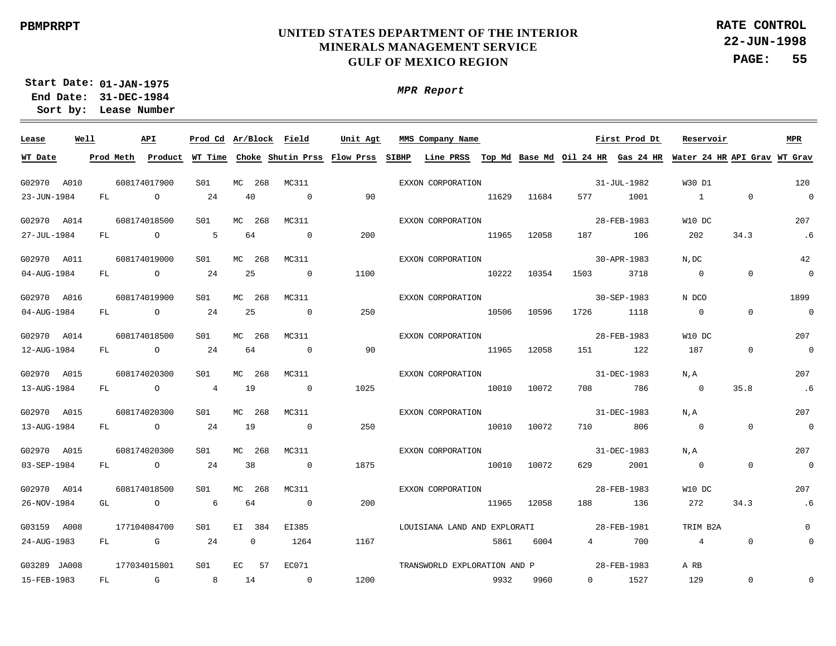**Lease**

 $\overline{\phantom{a}}$ 

15-FEB-1983

FL

G

8

14

 $\Omega$ 

1200

#### **UNITED STATES DEPARTMENT OF THE INTERIOR MINERALS MANAGEMENT SERVICE GULF OF MEXICO REGION**

*MPR Report*

**22-JUN-1998 PAGE: 55 RATE CONTROL**

**01-JAN-1975 Start Date: 31-DEC-1984 End Date:** 

**Lease Number Sort by:** G02970 A010 G02970 A014 G02970 A011 G02970 A016 G02970 A014 G02970 A015 G02970 A015 G02970 A015 G02970 A014 G03159 A008 G03289 JA008 **Well** 608174017900 608174018500 608174019000 608174019900 608174018500 608174020300 608174020300 608174020300 608174018500 177104084700 177034015801 **API** MC 268 MC 268 MC 268  $M<sup>C</sup>$ MC 268 MC 268 MC 268  $MC$ MC 268 EI 384 EC **Ar/Block Prod Cd MMS Company Name** 268 268 57 MC311 MC311 MC311 MC311 MC311 MC311 MC311 MC311 MC311 EI385 EC071 **Field Unit Agt** 31-JUL-1982 28-FEB-1983 30-APR-1983 30-SEP-1983 28-FEB-1983 31-DEC-1983 31-DEC-1983 31-DEC-1983 28-FEB-1983 28-FEB-1981 28-FEB-1983 **First Prod Dt** W30 D1 W10 DC N,DC N DCO W10 DC N,A N,A N,A W10 DC TRIM B2A A RB **Reservoir** 120 207 42 1899 207 207 207 207 207 0 **MPR** 23-JUN-1984 27-JUL-1984 04-AUG-1984 04-AUG-1984 12-AUG-1984 13-AUG-1984 13-AUG-1984 03-SEP-1984 26-NOV-1984 24-AUG-1983 **WT Date** FL. FL. FL. FL. FL FL. FL. FL. GL FL <u>Prod Meth Product WT Time Choke Shutin Prss Flow Prss SIBHP Line PRSS Top Md Base Md Oil 24 HR Gas 24 HR Water 24 HR API Grav WT Grav</u>  $\Omega$ O  $\Omega$  $\Omega$  $\cap$  $\Omega$  $\Omega$  $\Omega$  $\Omega$ G  $24$ 5  $24$ 24 24 4 24  $24$ 6 24 40 64  $25$ 25 64 19 19 38 64 0  $\Omega$  $\Omega$  $\Omega$  $\Omega$  $\Omega$  $\Omega$  $\Omega$  $\Omega$  $\Omega$ 1264  $90$ 200 1100 250 90 1025 250 1875 200 1167 11629 11965 10222 10506 11965 10010 10010 10010 11965 5861 11684 12058 10354 10596 12058 10072 10072 10072 12058 6004 577 187 1503 1726 151 708 710 629 188 4 1001 106 3718 1118 122 786 806 2001 136 700 1 202  $\Omega$  $\Omega$ 187  $\Omega$  $\Omega$  $\Omega$ 272 4  $\Omega$ 34.3  $\Omega$  $\Omega$ 0 35.8  $\Omega$  $\Omega$ 34.3 0  $\Omega$ .6  $\Omega$  $\Omega$  $\Omega$ .6  $\Omega$  $\Omega$ .6  $\Omega$ EXXON CORPORATION EXXON CORPORATION EXXON CORPORATION EXXON CORPORATION EXXON CORPORATION EXXON CORPORATION EXXON CORPORATION EXXON CORPORATION EXXON CORPORATION LOUISIANA LAND AND EXPLORATI TRANSWORLD EXPLORATION AND P S01 S01  $SO1$  $S<sub>01</sub>$ S01 S01 S01  $S<sub>01</sub>$ S01 S01 S01

9932

9960

 $\overline{0}$ 

1527

129

 $\Omega$ 

 $\Omega$